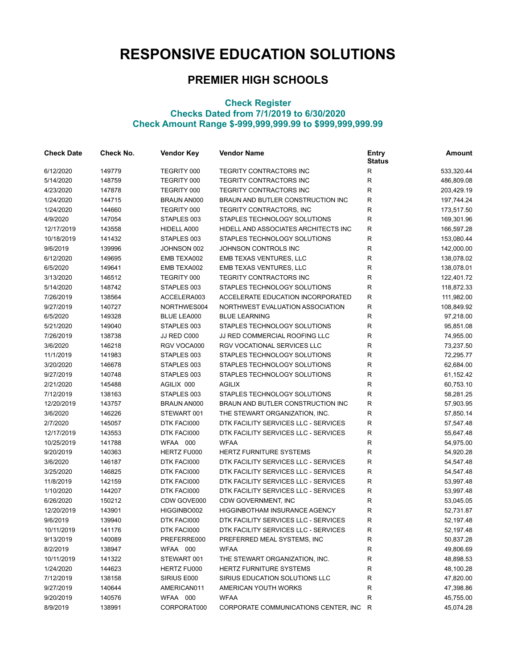## **RESPONSIVE EDUCATION SOLUTIONS**

## **PREMIER HIGH SCHOOLS**

## **Check Register Checks Dated from 7/1/2019 to 6/30/2020 Check Amount Range \$-999,999,999.99 to \$999,999,999.99**

| <b>Check Date</b> | Check No. | <b>Vendor Key</b>  | <b>Vendor Name</b>                     | <b>Entry</b><br><b>Status</b> | Amount     |
|-------------------|-----------|--------------------|----------------------------------------|-------------------------------|------------|
| 6/12/2020         | 149779    | TEGRITY 000        | TEGRITY CONTRACTORS INC                | $\mathsf{R}$                  | 533,320.44 |
| 5/14/2020         | 148759    | TEGRITY 000        | TEGRITY CONTRACTORS INC                | $\mathsf{R}$                  | 486,809.08 |
| 4/23/2020         | 147878    | TEGRITY 000        | TEGRITY CONTRACTORS INC                | $\mathsf{R}$                  | 203,429.19 |
| 1/24/2020         | 144715    | <b>BRAUN AN000</b> | BRAUN AND BUTLER CONSTRUCTION INC      | ${\sf R}$                     | 197,744.24 |
| 1/24/2020         | 144660    | TEGRITY 000        | TEGRITY CONTRACTORS, INC               | $\mathsf{R}$                  | 173,517.50 |
| 4/9/2020          | 147054    | STAPLES 003        | STAPLES TECHNOLOGY SOLUTIONS           | ${\sf R}$                     | 169,301.96 |
| 12/17/2019        | 143558    | HIDELL A000        | HIDELL AND ASSOCIATES ARCHITECTS INC   | $\mathsf{R}$                  | 166,597.28 |
| 10/18/2019        | 141432    | STAPLES 003        | STAPLES TECHNOLOGY SOLUTIONS           | R                             | 153,080.44 |
| 9/6/2019          | 139996    | JOHNSON 002        | JOHNSON CONTROLS INC                   | R                             | 142,000.00 |
| 6/12/2020         | 149695    | EMB TEXA002        | EMB TEXAS VENTURES, LLC                | $\mathsf{R}$                  | 138,078.02 |
| 6/5/2020          | 149641    | EMB TEXA002        | EMB TEXAS VENTURES, LLC                | $\mathsf{R}$                  | 138,078.01 |
| 3/13/2020         | 146512    | TEGRITY 000        | TEGRITY CONTRACTORS INC                | $\mathsf{R}$                  | 122,401.72 |
| 5/14/2020         | 148742    | STAPLES 003        | STAPLES TECHNOLOGY SOLUTIONS           | ${\sf R}$                     | 118,872.33 |
| 7/26/2019         | 138564    | ACCELERA003        | ACCELERATE EDUCATION INCORPORATED      | $\mathsf{R}$                  | 111,982.00 |
| 9/27/2019         | 140727    | NORTHWES004        | NORTHWEST EVALUATION ASSOCIATION       | ${\sf R}$                     | 108,849.92 |
| 6/5/2020          | 149328    | BLUE LEA000        | <b>BLUE LEARNING</b>                   | $\mathsf{R}$                  | 97,218.00  |
| 5/21/2020         | 149040    | STAPLES 003        | STAPLES TECHNOLOGY SOLUTIONS           | ${\sf R}$                     | 95,851.08  |
| 7/26/2019         | 138738    | JJ RED C000        | JJ RED COMMERCIAL ROOFING LLC          | ${\sf R}$                     | 74,955.00  |
| 3/6/2020          | 146218    | RGV VOCA000        | RGV VOCATIONAL SERVICES LLC            | $\mathsf{R}$                  | 73,237.50  |
| 11/1/2019         | 141983    | STAPLES 003        | STAPLES TECHNOLOGY SOLUTIONS           | $\mathsf{R}$                  | 72,295.77  |
| 3/20/2020         | 146678    | STAPLES 003        | STAPLES TECHNOLOGY SOLUTIONS           | $\mathsf{R}$                  | 62,684.00  |
| 9/27/2019         | 140748    | STAPLES 003        | STAPLES TECHNOLOGY SOLUTIONS           | $\mathsf{R}$                  | 61,152.42  |
| 2/21/2020         | 145488    | AGILIX 000         | <b>AGILIX</b>                          | $\mathsf{R}$                  | 60,753.10  |
| 7/12/2019         | 138163    | STAPLES 003        | STAPLES TECHNOLOGY SOLUTIONS           | $\mathsf{R}$                  | 58,281.25  |
| 12/20/2019        | 143757    | <b>BRAUN AN000</b> | BRAUN AND BUTLER CONSTRUCTION INC      | $\mathsf{R}$                  | 57,903.95  |
| 3/6/2020          | 146226    | STEWART 001        | THE STEWART ORGANIZATION, INC.         | $\mathsf{R}$                  | 57,850.14  |
| 2/7/2020          | 145057    | DTK FACI000        | DTK FACILITY SERVICES LLC - SERVICES   | $\mathsf{R}$                  | 57,547.48  |
| 12/17/2019        | 143553    | DTK FACI000        | DTK FACILITY SERVICES LLC - SERVICES   | $\mathsf{R}$                  | 55,647.48  |
| 10/25/2019        | 141788    | WFAA 000           | <b>WFAA</b>                            | $\mathsf{R}$                  | 54,975.00  |
| 9/20/2019         | 140363    | HERTZ FU000        | <b>HERTZ FURNITURE SYSTEMS</b>         | ${\sf R}$                     | 54,920.28  |
| 3/6/2020          | 146187    | DTK FACI000        | DTK FACILITY SERVICES LLC - SERVICES   | $\mathsf{R}$                  | 54,547.48  |
| 3/25/2020         | 146825    | DTK FACI000        | DTK FACILITY SERVICES LLC - SERVICES   | $\mathsf{R}$                  | 54,547.48  |
| 11/8/2019         | 142159    | DTK FACI000        | DTK FACILITY SERVICES LLC - SERVICES   | $\mathsf{R}$                  | 53,997.48  |
| 1/10/2020         | 144207    | DTK FACI000        | DTK FACILITY SERVICES LLC - SERVICES   | $\mathsf{R}$                  | 53,997.48  |
| 6/26/2020         | 150212    | CDW GOVE000        | CDW GOVERNMENT, INC                    | $\mathsf{R}$                  | 53,045.05  |
| 12/20/2019        | 143901    | HIGGINBO002        | HIGGINBOTHAM INSURANCE AGENCY          | ${\sf R}$                     | 52,731.87  |
| 9/6/2019          | 139940    | DTK FACI000        | DTK FACILITY SERVICES LLC - SERVICES   | $\mathsf{R}$                  | 52,197.48  |
| 10/11/2019        | 141176    | DTK FACI000        | DTK FACILITY SERVICES LLC - SERVICES   | ${\sf R}$                     | 52,197.48  |
| 9/13/2019         | 140089    | PREFERRE000        | PREFERRED MEAL SYSTEMS, INC            | R                             | 50,837.28  |
| 8/2/2019          | 138947    | WFAA 000           | <b>WFAA</b>                            | R                             | 49,806.69  |
| 10/11/2019        | 141322    | STEWART 001        | THE STEWART ORGANIZATION, INC.         | $\mathsf{R}$                  | 48,898.53  |
| 1/24/2020         | 144623    | HERTZ FU000        | <b>HERTZ FURNITURE SYSTEMS</b>         | R                             | 48,100.28  |
| 7/12/2019         | 138158    | SIRIUS E000        | SIRIUS EDUCATION SOLUTIONS LLC         | R                             | 47,820.00  |
| 9/27/2019         | 140644    | AMERICAN011        | AMERICAN YOUTH WORKS                   | R                             | 47,398.86  |
| 9/20/2019         | 140576    | WFAA 000           | <b>WFAA</b>                            | R                             | 45,755.00  |
| 8/9/2019          | 138991    | CORPORAT000        | CORPORATE COMMUNICATIONS CENTER, INC R |                               | 45,074.28  |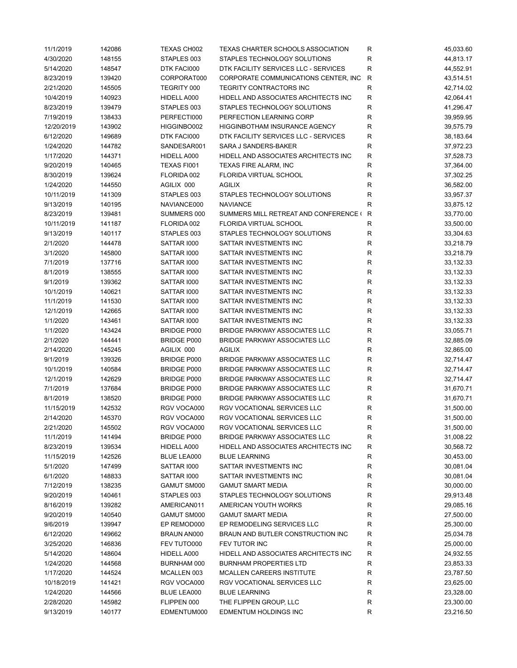| 11/1/2019  | 142086 | TEXAS CH002        | TEXAS CHARTER SCHOOLS ASSOCIATION       | R            | 45,033.60 |
|------------|--------|--------------------|-----------------------------------------|--------------|-----------|
| 4/30/2020  | 148155 | STAPLES 003        | STAPLES TECHNOLOGY SOLUTIONS            | R            | 44,813.17 |
| 5/14/2020  | 148547 | DTK FACI000        | DTK FACILITY SERVICES LLC - SERVICES    | R            | 44,552.91 |
| 8/23/2019  | 139420 | CORPORAT000        | CORPORATE COMMUNICATIONS CENTER, INC    | $\mathsf{R}$ | 43,514.51 |
| 2/21/2020  | 145505 | TEGRITY 000        | TEGRITY CONTRACTORS INC                 | R            | 42,714.02 |
| 10/4/2019  | 140923 | HIDELL A000        | HIDELL AND ASSOCIATES ARCHITECTS INC    | R            | 42,064.41 |
| 8/23/2019  | 139479 | STAPLES 003        | STAPLES TECHNOLOGY SOLUTIONS            | R            | 41,296.47 |
| 7/19/2019  | 138433 | PERFECTI000        | PERFECTION LEARNING CORP                | R            | 39,959.95 |
|            |        |                    |                                         |              |           |
| 12/20/2019 | 143902 | HIGGINBO002        | HIGGINBOTHAM INSURANCE AGENCY           | R            | 39,575.79 |
| 6/12/2020  | 149689 | DTK FACI000        | DTK FACILITY SERVICES LLC - SERVICES    | R            | 38,183.64 |
| 1/24/2020  | 144782 | SANDESAR001        | SARA J SANDERS-BAKER                    | $\mathsf R$  | 37,972.23 |
| 1/17/2020  | 144371 | HIDELL A000        | HIDELL AND ASSOCIATES ARCHITECTS INC    | ${\sf R}$    | 37,528.73 |
| 9/20/2019  | 140465 | TEXAS FI001        | <b>TEXAS FIRE ALARM, INC</b>            | ${\sf R}$    | 37,364.00 |
| 8/30/2019  | 139624 | FLORIDA 002        | FLORIDA VIRTUAL SCHOOL                  | $\mathsf R$  | 37,302.25 |
| 1/24/2020  | 144550 | AGILIX 000         | <b>AGILIX</b>                           | R            | 36,582.00 |
| 10/11/2019 | 141309 | STAPLES 003        | STAPLES TECHNOLOGY SOLUTIONS            | $\mathsf R$  | 33,957.37 |
| 9/13/2019  | 140195 | NAVIANCE000        | <b>NAVIANCE</b>                         | R            | 33,875.12 |
| 8/23/2019  | 139481 | SUMMERS 000        | SUMMERS MILL RETREAT AND CONFERENCE ( R |              | 33,770.00 |
| 10/11/2019 | 141187 | FLORIDA 002        | <b>FLORIDA VIRTUAL SCHOOL</b>           | R            | 33,500.00 |
| 9/13/2019  | 140117 | STAPLES 003        | STAPLES TECHNOLOGY SOLUTIONS            | R            | 33,304.63 |
| 2/1/2020   | 144478 | SATTAR 1000        | SATTAR INVESTMENTS INC                  | R            | 33,218.79 |
| 3/1/2020   | 145800 | SATTAR 1000        | SATTAR INVESTMENTS INC                  | R            | 33,218.79 |
| 7/1/2019   | 137716 | SATTAR 1000        | SATTAR INVESTMENTS INC                  | ${\sf R}$    | 33,132.33 |
| 8/1/2019   | 138555 | SATTAR 1000        | SATTAR INVESTMENTS INC                  | R            | 33,132.33 |
| 9/1/2019   | 139362 | SATTAR 1000        | SATTAR INVESTMENTS INC                  | R            | 33,132.33 |
| 10/1/2019  | 140621 | SATTAR 1000        | SATTAR INVESTMENTS INC                  | $\mathsf R$  | 33,132.33 |
|            |        |                    |                                         |              |           |
| 11/1/2019  | 141530 | SATTAR 1000        | SATTAR INVESTMENTS INC                  | R            | 33,132.33 |
| 12/1/2019  | 142665 | SATTAR 1000        | SATTAR INVESTMENTS INC                  | R            | 33,132.33 |
| 1/1/2020   | 143461 | SATTAR 1000        | SATTAR INVESTMENTS INC                  | R            | 33,132.33 |
| 1/1/2020   | 143424 | <b>BRIDGE P000</b> | <b>BRIDGE PARKWAY ASSOCIATES LLC</b>    | R            | 33,055.71 |
| 2/1/2020   | 144441 | <b>BRIDGE P000</b> | BRIDGE PARKWAY ASSOCIATES LLC           | $\mathsf R$  | 32,885.09 |
| 2/14/2020  | 145245 | AGILIX 000         | <b>AGILIX</b>                           | $\mathsf R$  | 32,865.00 |
| 9/1/2019   | 139326 | <b>BRIDGE P000</b> | <b>BRIDGE PARKWAY ASSOCIATES LLC</b>    | R            | 32,714.47 |
| 10/1/2019  | 140584 | <b>BRIDGE P000</b> | <b>BRIDGE PARKWAY ASSOCIATES LLC</b>    | R            | 32,714.47 |
| 12/1/2019  | 142629 | <b>BRIDGE P000</b> | <b>BRIDGE PARKWAY ASSOCIATES LLC</b>    | R            | 32,714.47 |
| 7/1/2019   | 137684 | <b>BRIDGE P000</b> | <b>BRIDGE PARKWAY ASSOCIATES LLC</b>    | R            | 31,670.71 |
| 8/1/2019   | 138520 | <b>BRIDGE P000</b> | <b>BRIDGE PARKWAY ASSOCIATES LLC</b>    | $\mathsf R$  | 31,670.71 |
| 11/15/2019 | 142532 | RGV VOCA000        | RGV VOCATIONAL SERVICES LLC             | $\mathsf R$  | 31,500.00 |
| 2/14/2020  | 145370 | RGV VOCA000        | RGV VOCATIONAL SERVICES LLC             | R            | 31,500.00 |
| 2/21/2020  | 145502 | RGV VOCA000        | RGV VOCATIONAL SERVICES LLC             | R            | 31,500.00 |
| 11/1/2019  | 141494 | <b>BRIDGE P000</b> | <b>BRIDGE PARKWAY ASSOCIATES LLC</b>    | R            | 31,008.22 |
| 8/23/2019  | 139534 | HIDELL A000        | HIDELL AND ASSOCIATES ARCHITECTS INC    | R            | 30,568.72 |
| 11/15/2019 | 142526 | BLUE LEA000        | <b>BLUE LEARNING</b>                    | R            | 30,453.00 |
| 5/1/2020   | 147499 | SATTAR 1000        | SATTAR INVESTMENTS INC                  | R            | 30,081.04 |
| 6/1/2020   | 148833 | SATTAR 1000        | SATTAR INVESTMENTS INC                  | R            | 30,081.04 |
| 7/12/2019  | 138235 | GAMUT SM000        | <b>GAMUT SMART MEDIA</b>                | R            | 30,000.00 |
|            |        |                    | STAPLES TECHNOLOGY SOLUTIONS            |              |           |
| 9/20/2019  | 140461 | STAPLES 003        |                                         | R            | 29,913.48 |
| 8/16/2019  | 139282 | AMERICAN011        | AMERICAN YOUTH WORKS                    | R            | 29,085.16 |
| 9/20/2019  | 140540 | GAMUT SM000        | <b>GAMUT SMART MEDIA</b>                | R            | 27,500.00 |
| 9/6/2019   | 139947 | EP REMOD000        | EP REMODELING SERVICES LLC              | ${\sf R}$    | 25,300.00 |
| 6/12/2020  | 149662 | BRAUN AN000        | BRAUN AND BUTLER CONSTRUCTION INC       | R            | 25,034.78 |
| 3/25/2020  | 146836 | FEV TUTO000        | FEV TUTOR INC                           | R            | 25,000.00 |
| 5/14/2020  | 148604 | HIDELL A000        | HIDELL AND ASSOCIATES ARCHITECTS INC    | R            | 24,932.55 |
| 1/24/2020  | 144568 | BURNHAM 000        | <b>BURNHAM PROPERTIES LTD</b>           | R            | 23,853.33 |
| 1/17/2020  | 144524 | MCALLEN 003        | MCALLEN CAREERS INSTITUTE               | R            | 23,787.50 |
| 10/18/2019 | 141421 | RGV VOCA000        | RGV VOCATIONAL SERVICES LLC             | R            | 23,625.00 |
| 1/24/2020  | 144566 | BLUE LEA000        | <b>BLUE LEARNING</b>                    | R            | 23,328.00 |
| 2/28/2020  | 145982 | FLIPPEN 000        | THE FLIPPEN GROUP, LLC                  | R            | 23,300.00 |
| 9/13/2019  | 140177 | EDMENTUM000        | EDMENTUM HOLDINGS INC                   | R            | 23,216.50 |
|            |        |                    |                                         |              |           |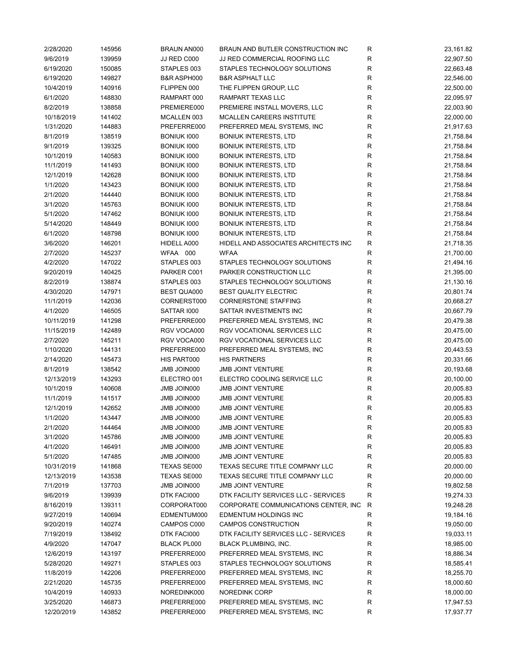| 2/28/2020  | 145956 | BRAUN AN000            | BRAUN AND BUTLER CONSTRUCTION INC     | R           | 23,161.82 |
|------------|--------|------------------------|---------------------------------------|-------------|-----------|
| 9/6/2019   | 139959 | JJ RED C000            | JJ RED COMMERCIAL ROOFING LLC         | R           | 22,907.50 |
| 6/19/2020  | 150085 | STAPLES 003            | STAPLES TECHNOLOGY SOLUTIONS          | R           | 22,663.48 |
| 6/19/2020  | 149827 | <b>B&amp;R ASPH000</b> | <b>B&amp;R ASPHALT LLC</b>            | $\mathsf R$ | 22,546.00 |
| 10/4/2019  | 140916 | FLIPPEN 000            | THE FLIPPEN GROUP, LLC                | R           | 22,500.00 |
| 6/1/2020   | 148830 | RAMPART 000            | RAMPART TEXAS LLC                     | R           | 22,095.97 |
| 8/2/2019   | 138858 | PREMIERE000            | PREMIERE INSTALL MOVERS, LLC          | $\mathsf R$ | 22,003.90 |
| 10/18/2019 | 141402 | MCALLEN 003            | MCALLEN CAREERS INSTITUTE             | $\mathsf R$ | 22,000.00 |
|            |        |                        |                                       | R           |           |
| 1/31/2020  | 144883 | PREFERRE000            | PREFERRED MEAL SYSTEMS, INC           |             | 21,917.63 |
| 8/1/2019   | 138519 | BONIUK 1000            | <b>BONIUK INTERESTS, LTD</b>          | $\mathsf R$ | 21,758.84 |
| 9/1/2019   | 139325 | <b>BONIUK 1000</b>     | <b>BONIUK INTERESTS, LTD</b>          | ${\sf R}$   | 21,758.84 |
| 10/1/2019  | 140583 | <b>BONIUK 1000</b>     | <b>BONIUK INTERESTS, LTD</b>          | ${\sf R}$   | 21,758.84 |
| 11/1/2019  | 141493 | <b>BONIUK 1000</b>     | <b>BONIUK INTERESTS, LTD</b>          | ${\sf R}$   | 21,758.84 |
| 12/1/2019  | 142628 | <b>BONIUK 1000</b>     | <b>BONIUK INTERESTS, LTD</b>          | ${\sf R}$   | 21,758.84 |
| 1/1/2020   | 143423 | BONIUK 1000            | <b>BONIUK INTERESTS, LTD</b>          | $\mathsf R$ | 21,758.84 |
| 2/1/2020   | 144440 | <b>BONIUK 1000</b>     | <b>BONIUK INTERESTS, LTD</b>          | R           | 21,758.84 |
| 3/1/2020   | 145763 | <b>BONIUK 1000</b>     | <b>BONIUK INTERESTS, LTD</b>          | $\mathsf R$ | 21,758.84 |
| 5/1/2020   | 147462 | <b>BONIUK 1000</b>     | <b>BONIUK INTERESTS, LTD</b>          | $\mathsf R$ | 21,758.84 |
| 5/14/2020  | 148449 | BONIUK 1000            | <b>BONIUK INTERESTS, LTD</b>          | $\mathsf R$ | 21,758.84 |
| 6/1/2020   | 148798 | <b>BONIUK 1000</b>     | <b>BONIUK INTERESTS, LTD</b>          | $\mathsf R$ | 21,758.84 |
| 3/6/2020   | 146201 | HIDELL A000            | HIDELL AND ASSOCIATES ARCHITECTS INC  | $\mathsf R$ | 21,718.35 |
| 2/7/2020   | 145237 | WFAA 000               | <b>WFAA</b>                           | $\mathsf R$ | 21,700.00 |
| 4/2/2020   | 147022 | STAPLES 003            | STAPLES TECHNOLOGY SOLUTIONS          | R           | 21,494.16 |
|            |        |                        |                                       |             |           |
| 9/20/2019  | 140425 | PARKER C001            | PARKER CONSTRUCTION LLC               | R           | 21,395.00 |
| 8/2/2019   | 138874 | STAPLES 003            | STAPLES TECHNOLOGY SOLUTIONS          | $\mathsf R$ | 21,130.16 |
| 4/30/2020  | 147971 | <b>BEST QUA000</b>     | <b>BEST QUALITY ELECTRIC</b>          | R           | 20,801.74 |
| 11/1/2019  | 142036 | CORNERST000            | <b>CORNERSTONE STAFFING</b>           | R           | 20,668.27 |
| 4/1/2020   | 146505 | SATTAR 1000            | SATTAR INVESTMENTS INC                | $\mathsf R$ | 20,667.79 |
| 10/11/2019 | 141298 | PREFERRE000            | PREFERRED MEAL SYSTEMS, INC           | R           | 20,479.38 |
| 11/15/2019 | 142489 | RGV VOCA000            | RGV VOCATIONAL SERVICES LLC           | $\mathsf R$ | 20,475.00 |
| 2/7/2020   | 145211 | RGV VOCA000            | RGV VOCATIONAL SERVICES LLC           | $\mathsf R$ | 20,475.00 |
| 1/10/2020  | 144131 | PREFERRE000            | PREFERRED MEAL SYSTEMS, INC           | $\mathsf R$ | 20,443.53 |
| 2/14/2020  | 145473 | HIS PART000            | <b>HIS PARTNERS</b>                   | $\mathsf R$ | 20,331.66 |
| 8/1/2019   | 138542 | JMB JOIN000            | <b>JMB JOINT VENTURE</b>              | $\mathsf R$ | 20,193.68 |
| 12/13/2019 | 143293 | ELECTRO 001            | ELECTRO COOLING SERVICE LLC           | $\mathsf R$ | 20,100.00 |
| 10/1/2019  | 140608 | JMB JOIN000            | <b>JMB JOINT VENTURE</b>              | $\mathsf R$ | 20,005.83 |
| 11/1/2019  | 141517 | JMB JOIN000            | <b>JMB JOINT VENTURE</b>              | R           | 20,005.83 |
| 12/1/2019  | 142652 | JMB JOIN000            | <b>JMB JOINT VENTURE</b>              | ${\sf R}$   | 20,005.83 |
|            |        | JMB JOIN000            |                                       |             |           |
| 1/1/2020   | 143447 |                        | <b>JMB JOINT VENTURE</b>              | R           | 20,005.83 |
| 2/1/2020   | 144464 | JMB JOIN000            | <b>JMB JOINT VENTURE</b>              | R           | 20,005.83 |
| 3/1/2020   | 145786 | JMB JOIN000            | <b>JMB JOINT VENTURE</b>              | R           | 20,005.83 |
| 4/1/2020   | 146491 | JMB JOIN000            | <b>JMB JOINT VENTURE</b>              | R           | 20,005.83 |
| 5/1/2020   | 147485 | JMB JOIN000            | <b>JMB JOINT VENTURE</b>              | R           | 20,005.83 |
| 10/31/2019 | 141868 | TEXAS SE000            | TEXAS SECURE TITLE COMPANY LLC        | R           | 20,000.00 |
| 12/13/2019 | 143538 | TEXAS SE000            | TEXAS SECURE TITLE COMPANY LLC        | R           | 20,000.00 |
| 7/1/2019   | 137703 | JMB JOIN000            | <b>JMB JOINT VENTURE</b>              | R           | 19,802.58 |
| 9/6/2019   | 139939 | DTK FACI000            | DTK FACILITY SERVICES LLC - SERVICES  | $\mathsf R$ | 19,274.33 |
| 8/16/2019  | 139311 | CORPORAT000            | CORPORATE COMMUNICATIONS CENTER, INC. | R           | 19,248.28 |
| 9/27/2019  | 140694 | EDMENTUM000            | EDMENTUM HOLDINGS INC                 | R           | 19,184.16 |
| 9/20/2019  | 140274 | CAMPOS C000            | CAMPOS CONSTRUCTION                   | R           | 19,050.00 |
| 7/19/2019  | 138492 | DTK FACI000            | DTK FACILITY SERVICES LLC - SERVICES  | $\mathsf R$ | 19,033.11 |
| 4/9/2020   | 147047 | <b>BLACK PL000</b>     | <b>BLACK PLUMBING, INC.</b>           | R           | 18,985.00 |
| 12/6/2019  | 143197 | PREFERRE000            | PREFERRED MEAL SYSTEMS, INC           | R           | 18,886.34 |
|            |        |                        |                                       |             |           |
| 5/28/2020  | 149271 | STAPLES 003            | STAPLES TECHNOLOGY SOLUTIONS          | R           | 18,585.41 |
| 11/8/2019  | 142206 | PREFERRE000            | PREFERRED MEAL SYSTEMS, INC           | R           | 18,255.70 |
| 2/21/2020  | 145735 | PREFERRE000            | PREFERRED MEAL SYSTEMS, INC           | R           | 18,000.60 |
| 10/4/2019  | 140933 | NOREDINK000            | <b>NOREDINK CORP</b>                  | R           | 18,000.00 |
| 3/25/2020  | 146873 | PREFERRE000            | PREFERRED MEAL SYSTEMS, INC           | R           | 17,947.53 |
| 12/20/2019 | 143852 | PREFERRE000            | PREFERRED MEAL SYSTEMS, INC           | R           | 17,937.77 |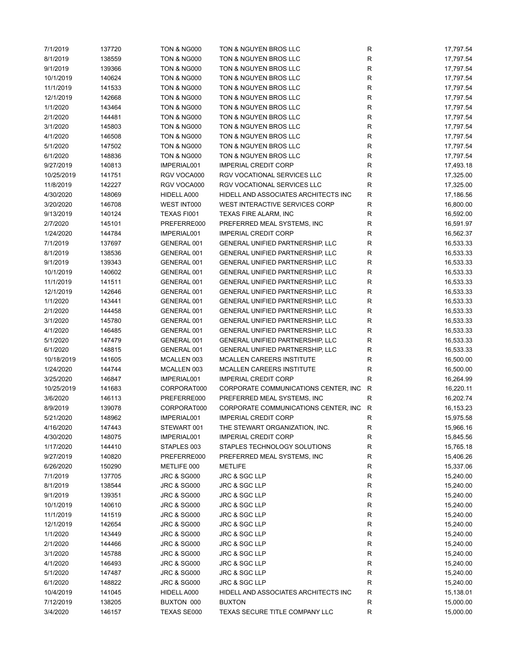| 7/1/2019   | 137720 | <b>TON &amp; NG000</b> | TON & NGUYEN BROS LLC                   | R            | 17,797.54 |
|------------|--------|------------------------|-----------------------------------------|--------------|-----------|
| 8/1/2019   | 138559 | <b>TON &amp; NG000</b> | TON & NGUYEN BROS LLC                   | $\mathsf R$  | 17,797.54 |
| 9/1/2019   | 139366 | <b>TON &amp; NG000</b> | TON & NGUYEN BROS LLC                   | R            | 17,797.54 |
| 10/1/2019  | 140624 | <b>TON &amp; NG000</b> | TON & NGUYEN BROS LLC                   | R            | 17,797.54 |
| 11/1/2019  | 141533 | <b>TON &amp; NG000</b> | TON & NGUYEN BROS LLC                   | R            | 17,797.54 |
| 12/1/2019  | 142668 | TON & NG000            | TON & NGUYEN BROS LLC                   | R            | 17,797.54 |
| 1/1/2020   | 143464 | <b>TON &amp; NG000</b> | TON & NGUYEN BROS LLC                   | $\mathsf R$  | 17,797.54 |
| 2/1/2020   | 144481 | <b>TON &amp; NG000</b> | TON & NGUYEN BROS LLC                   | R            | 17,797.54 |
| 3/1/2020   | 145803 | <b>TON &amp; NG000</b> | TON & NGUYEN BROS LLC                   | R            | 17,797.54 |
| 4/1/2020   | 146508 | <b>TON &amp; NG000</b> | TON & NGUYEN BROS LLC                   | R            | 17,797.54 |
| 5/1/2020   | 147502 | <b>TON &amp; NG000</b> | TON & NGUYEN BROS LLC                   | R            | 17,797.54 |
| 6/1/2020   | 148836 | <b>TON &amp; NG000</b> | TON & NGUYEN BROS LLC                   | R            | 17,797.54 |
| 9/27/2019  | 140813 | IMPERIAL001            | <b>IMPERIAL CREDIT CORP</b>             | R            | 17,493.18 |
| 10/25/2019 | 141751 | RGV VOCA000            | RGV VOCATIONAL SERVICES LLC             | R            | 17,325.00 |
|            |        |                        |                                         |              |           |
| 11/8/2019  | 142227 | RGV VOCA000            | RGV VOCATIONAL SERVICES LLC             | R            | 17,325.00 |
| 4/30/2020  | 148069 | HIDELL A000            | HIDELL AND ASSOCIATES ARCHITECTS INC    | R            | 17,186.56 |
| 3/20/2020  | 146708 | WEST INT000            | WEST INTERACTIVE SERVICES CORP          | R            | 16,800.00 |
| 9/13/2019  | 140124 | TEXAS FI001            | TEXAS FIRE ALARM, INC                   | R            | 16,592.00 |
| 2/7/2020   | 145101 | PREFERRE000            | PREFERRED MEAL SYSTEMS, INC             | R            | 16,591.97 |
| 1/24/2020  | 144784 | IMPERIAL001            | <b>IMPERIAL CREDIT CORP</b>             | R            | 16,562.37 |
| 7/1/2019   | 137697 | GENERAL 001            | GENERAL UNIFIED PARTNERSHIP, LLC        | R            | 16,533.33 |
| 8/1/2019   | 138536 | GENERAL 001            | GENERAL UNIFIED PARTNERSHIP, LLC        | R            | 16,533.33 |
| 9/1/2019   | 139343 | GENERAL 001            | GENERAL UNIFIED PARTNERSHIP, LLC        | R            | 16,533.33 |
| 10/1/2019  | 140602 | GENERAL 001            | GENERAL UNIFIED PARTNERSHIP, LLC        | R            | 16,533.33 |
| 11/1/2019  | 141511 | GENERAL 001            | GENERAL UNIFIED PARTNERSHIP, LLC        | R            | 16,533.33 |
| 12/1/2019  | 142646 | GENERAL 001            | GENERAL UNIFIED PARTNERSHIP, LLC        | R            | 16,533.33 |
| 1/1/2020   | 143441 | GENERAL 001            | GENERAL UNIFIED PARTNERSHIP, LLC        | R            | 16,533.33 |
| 2/1/2020   | 144458 | GENERAL 001            | GENERAL UNIFIED PARTNERSHIP, LLC        | R            | 16,533.33 |
| 3/1/2020   | 145780 | GENERAL 001            | GENERAL UNIFIED PARTNERSHIP, LLC        | R            | 16,533.33 |
| 4/1/2020   | 146485 | GENERAL 001            | <b>GENERAL UNIFIED PARTNERSHIP, LLC</b> | R            | 16,533.33 |
| 5/1/2020   | 147479 | GENERAL 001            | GENERAL UNIFIED PARTNERSHIP, LLC        | R            | 16,533.33 |
| 6/1/2020   | 148815 | GENERAL 001            | GENERAL UNIFIED PARTNERSHIP, LLC        | R            | 16,533.33 |
| 10/18/2019 | 141605 | MCALLEN 003            | MCALLEN CAREERS INSTITUTE               | R            | 16,500.00 |
| 1/24/2020  | 144744 | MCALLEN 003            | MCALLEN CAREERS INSTITUTE               | R            | 16,500.00 |
| 3/25/2020  | 146847 | IMPERIAL001            | <b>IMPERIAL CREDIT CORP</b>             | $\mathsf R$  | 16,264.99 |
| 10/25/2019 | 141683 | CORPORAT000            | CORPORATE COMMUNICATIONS CENTER, INC    | $\mathsf{R}$ | 16,220.11 |
| 3/6/2020   | 146113 | PREFERRE000            | PREFERRED MEAL SYSTEMS, INC             | R            | 16,202.74 |
| 8/9/2019   | 139078 | CORPORAT000            | CORPORATE COMMUNICATIONS CENTER, INC    | $\mathsf{R}$ | 16,153.23 |
| 5/21/2020  | 148962 | IMPERIAL001            | <b>IMPERIAL CREDIT CORP</b>             | R            | 15,975.58 |
|            | 147443 |                        |                                         |              |           |
| 4/16/2020  |        | STEWART 001            | THE STEWART ORGANIZATION, INC.          | $\mathsf R$  | 15,966.16 |
| 4/30/2020  | 148075 | IMPERIAL001            | <b>IMPERIAL CREDIT CORP</b>             | R            | 15,845.56 |
| 1/17/2020  | 144410 | STAPLES 003            | STAPLES TECHNOLOGY SOLUTIONS            | R            | 15,765.18 |
| 9/27/2019  | 140820 | PREFERRE000            | PREFERRED MEAL SYSTEMS, INC             | R            | 15,406.26 |
| 6/26/2020  | 150290 | METLIFE 000            | <b>METLIFE</b>                          | R            | 15,337.06 |
| 7/1/2019   | 137705 | <b>JRC &amp; SG000</b> | JRC & SGC LLP                           | R            | 15,240.00 |
| 8/1/2019   | 138544 | <b>JRC &amp; SG000</b> | JRC & SGC LLP                           | $\mathsf R$  | 15,240.00 |
| 9/1/2019   | 139351 | <b>JRC &amp; SG000</b> | JRC & SGC LLP                           | $\mathsf R$  | 15,240.00 |
| 10/1/2019  | 140610 | <b>JRC &amp; SG000</b> | JRC & SGC LLP                           | R            | 15,240.00 |
| 11/1/2019  | 141519 | <b>JRC &amp; SG000</b> | JRC & SGC LLP                           | $\mathsf R$  | 15,240.00 |
| 12/1/2019  | 142654 | <b>JRC &amp; SG000</b> | JRC & SGC LLP                           | $\mathsf R$  | 15,240.00 |
| 1/1/2020   | 143449 | <b>JRC &amp; SG000</b> | JRC & SGC LLP                           | R            | 15,240.00 |
| 2/1/2020   | 144466 | <b>JRC &amp; SG000</b> | JRC & SGC LLP                           | R            | 15,240.00 |
| 3/1/2020   | 145788 | <b>JRC &amp; SG000</b> | JRC & SGC LLP                           | $\mathsf R$  | 15,240.00 |
| 4/1/2020   | 146493 | JRC & SG000            | JRC & SGC LLP                           | R            | 15,240.00 |
| 5/1/2020   | 147487 | <b>JRC &amp; SG000</b> | JRC & SGC LLP                           | R            | 15,240.00 |
| 6/1/2020   | 148822 | <b>JRC &amp; SG000</b> | JRC & SGC LLP                           | R            | 15,240.00 |
| 10/4/2019  | 141045 | HIDELL A000            | HIDELL AND ASSOCIATES ARCHITECTS INC    | $\mathsf R$  | 15,138.01 |
| 7/12/2019  | 138205 | BUXTON 000             | <b>BUXTON</b>                           | $\mathsf R$  | 15,000.00 |
| 3/4/2020   | 146157 | TEXAS SE000            | TEXAS SECURE TITLE COMPANY LLC          | R            | 15,000.00 |
|            |        |                        |                                         |              |           |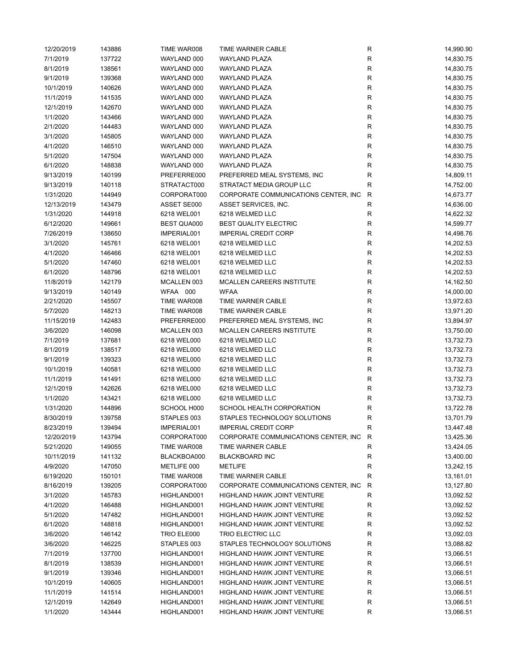| 12/20/2019 | 143886 | TIME WAR008        | TIME WARNER CABLE                     | R            | 14,990.90              |
|------------|--------|--------------------|---------------------------------------|--------------|------------------------|
| 7/1/2019   | 137722 | WAYLAND 000        | <b>WAYLAND PLAZA</b>                  | $\mathsf{R}$ | 14,830.75              |
| 8/1/2019   | 138561 | WAYLAND 000        | <b>WAYLAND PLAZA</b>                  | ${\sf R}$    | 14,830.75              |
| 9/1/2019   | 139368 | WAYLAND 000        | WAYLAND PLAZA                         | ${\sf R}$    | 14,830.75              |
| 10/1/2019  | 140626 | WAYLAND 000        | <b>WAYLAND PLAZA</b>                  | $\mathsf{R}$ | 14,830.75              |
| 11/1/2019  | 141535 | WAYLAND 000        | <b>WAYLAND PLAZA</b>                  | $\mathsf{R}$ | 14,830.75              |
| 12/1/2019  | 142670 | WAYLAND 000        | <b>WAYLAND PLAZA</b>                  | $\mathsf{R}$ | 14,830.75              |
| 1/1/2020   | 143466 | WAYLAND 000        | <b>WAYLAND PLAZA</b>                  | $\mathsf{R}$ | 14,830.75              |
| 2/1/2020   | 144483 | WAYLAND 000        | <b>WAYLAND PLAZA</b>                  | $\mathsf{R}$ | 14,830.75              |
| 3/1/2020   | 145805 | WAYLAND 000        | <b>WAYLAND PLAZA</b>                  | ${\sf R}$    | 14,830.75              |
| 4/1/2020   | 146510 | WAYLAND 000        | <b>WAYLAND PLAZA</b>                  | ${\sf R}$    |                        |
|            | 147504 |                    | <b>WAYLAND PLAZA</b>                  |              | 14,830.75<br>14,830.75 |
| 5/1/2020   |        | WAYLAND 000        |                                       | $\mathsf{R}$ |                        |
| 6/1/2020   | 148838 | WAYLAND 000        | WAYLAND PLAZA                         | $\mathsf{R}$ | 14,830.75              |
| 9/13/2019  | 140199 | PREFERRE000        | PREFERRED MEAL SYSTEMS, INC           | $\mathsf{R}$ | 14,809.11              |
| 9/13/2019  | 140118 | STRATACT000        | STRATACT MEDIA GROUP LLC              | $\mathsf{R}$ | 14,752.00              |
| 1/31/2020  | 144949 | CORPORAT000        | CORPORATE COMMUNICATIONS CENTER, INC. | $\mathsf{R}$ | 14,673.77              |
| 12/13/2019 | 143479 | ASSET SE000        | ASSET SERVICES, INC.                  | R            | 14,636.00              |
| 1/31/2020  | 144918 | 6218 WEL001        | 6218 WELMED LLC                       | R            | 14,622.32              |
| 6/12/2020  | 149661 | <b>BEST QUA000</b> | BEST QUALITY ELECTRIC                 | R            | 14,599.77              |
| 7/26/2019  | 138650 | IMPERIAL001        | <b>IMPERIAL CREDIT CORP</b>           | $\mathsf{R}$ | 14,498.76              |
| 3/1/2020   | 145761 | 6218 WEL001        | 6218 WELMED LLC                       | $\mathsf{R}$ | 14,202.53              |
| 4/1/2020   | 146466 | 6218 WEL001        | 6218 WELMED LLC                       | ${\sf R}$    | 14,202.53              |
| 5/1/2020   | 147460 | 6218 WEL001        | 6218 WELMED LLC                       | ${\sf R}$    | 14,202.53              |
| 6/1/2020   | 148796 | 6218 WEL001        | 6218 WELMED LLC                       | $\mathsf{R}$ | 14,202.53              |
| 11/8/2019  | 142179 | MCALLEN 003        | MCALLEN CAREERS INSTITUTE             | ${\sf R}$    | 14,162.50              |
| 9/13/2019  | 140149 | WFAA 000           | <b>WFAA</b>                           | $\mathsf{R}$ | 14,000.00              |
| 2/21/2020  | 145507 | TIME WAR008        | TIME WARNER CABLE                     | $\mathsf{R}$ | 13,972.63              |
| 5/7/2020   | 148213 | TIME WAR008        | TIME WARNER CABLE                     | $\mathsf{R}$ | 13,971.20              |
| 11/15/2019 | 142483 | PREFERRE000        | PREFERRED MEAL SYSTEMS, INC           | $\mathsf{R}$ | 13,894.97              |
| 3/6/2020   | 146098 | MCALLEN 003        | MCALLEN CAREERS INSTITUTE             | $\mathsf{R}$ | 13,750.00              |
| 7/1/2019   | 137681 | 6218 WEL000        | 6218 WELMED LLC                       | $\mathsf{R}$ | 13,732.73              |
|            |        |                    | 6218 WELMED LLC                       |              |                        |
| 8/1/2019   | 138517 | 6218 WEL000        |                                       | $\mathsf{R}$ | 13,732.73              |
| 9/1/2019   | 139323 | 6218 WEL000        | 6218 WELMED LLC                       | $\mathsf{R}$ | 13,732.73              |
| 10/1/2019  | 140581 | 6218 WEL000        | 6218 WELMED LLC                       | ${\sf R}$    | 13,732.73              |
| 11/1/2019  | 141491 | 6218 WEL000        | 6218 WELMED LLC                       | $\mathsf{R}$ | 13,732.73              |
| 12/1/2019  | 142626 | 6218 WEL000        | 6218 WELMED LLC                       | $\mathsf{R}$ | 13,732.73              |
| 1/1/2020   | 143421 | 6218 WEL000        | 6218 WELMED LLC                       | $\mathsf{R}$ | 13,732.73              |
| 1/31/2020  | 144896 | SCHOOL H000        | SCHOOL HEALTH CORPORATION             | $\mathsf{R}$ | 13,722.78              |
| 8/30/2019  | 139758 | STAPLES 003        | STAPLES TECHNOLOGY SOLUTIONS          | $\mathsf{R}$ | 13,701.79              |
| 8/23/2019  | 139494 | IMPERIAL001        | <b>IMPERIAL CREDIT CORP</b>           | R            | 13,447.48              |
| 12/20/2019 | 143794 | CORPORAT000        | CORPORATE COMMUNICATIONS CENTER, INC. | R            | 13,425.36              |
| 5/21/2020  | 149055 | TIME WAR008        | TIME WARNER CABLE                     | R            | 13,424.05              |
| 10/11/2019 | 141132 | BLACKBOA000        | <b>BLACKBOARD INC</b>                 | R            | 13,400.00              |
| 4/9/2020   | 147050 | METLIFE 000        | <b>METLIFE</b>                        | R            | 13,242.15              |
| 6/19/2020  | 150101 | TIME WAR008        | TIME WARNER CABLE                     | R            | 13,161.01              |
| 8/16/2019  | 139205 | CORPORAT000        | CORPORATE COMMUNICATIONS CENTER, INC  | R            | 13,127.80              |
| 3/1/2020   | 145783 | HIGHLAND001        | HIGHLAND HAWK JOINT VENTURE           | R            | 13,092.52              |
| 4/1/2020   | 146488 | HIGHLAND001        | HIGHLAND HAWK JOINT VENTURE           | R            | 13,092.52              |
| 5/1/2020   | 147482 | HIGHLAND001        | HIGHLAND HAWK JOINT VENTURE           | R            | 13,092.52              |
| 6/1/2020   | 148818 | HIGHLAND001        | HIGHLAND HAWK JOINT VENTURE           | R            | 13,092.52              |
| 3/6/2020   | 146142 | TRIO ELE000        | TRIO ELECTRIC LLC                     | R            | 13,092.03              |
| 3/6/2020   | 146225 | STAPLES 003        | STAPLES TECHNOLOGY SOLUTIONS          | R            | 13,088.82              |
| 7/1/2019   | 137700 | HIGHLAND001        | HIGHLAND HAWK JOINT VENTURE           | R            | 13,066.51              |
| 8/1/2019   | 138539 | HIGHLAND001        | HIGHLAND HAWK JOINT VENTURE           | R            | 13,066.51              |
| 9/1/2019   | 139346 | HIGHLAND001        | HIGHLAND HAWK JOINT VENTURE           | R            | 13,066.51              |
| 10/1/2019  | 140605 | HIGHLAND001        | HIGHLAND HAWK JOINT VENTURE           | R            | 13,066.51              |
| 11/1/2019  | 141514 | HIGHLAND001        | HIGHLAND HAWK JOINT VENTURE           | R            | 13,066.51              |
|            |        |                    |                                       | R            |                        |
| 12/1/2019  | 142649 | HIGHLAND001        | HIGHLAND HAWK JOINT VENTURE           |              | 13,066.51              |
| 1/1/2020   | 143444 | HIGHLAND001        | <b>HIGHLAND HAWK JOINT VENTURE</b>    | R            | 13,066.51              |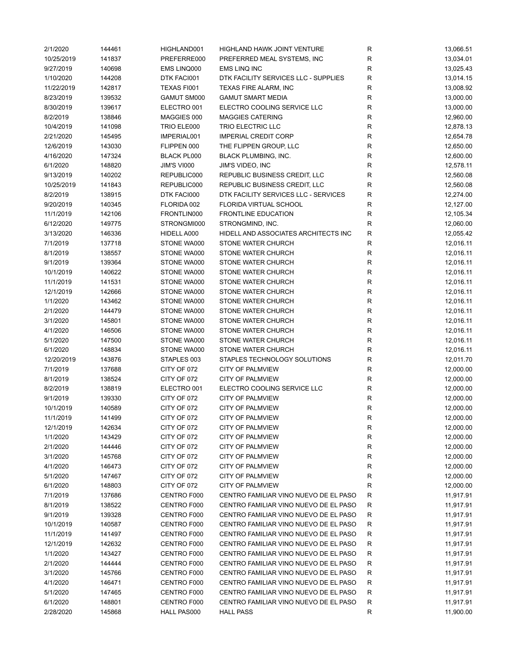| 2/1/2020   | 144461 | HIGHLAND001        | HIGHLAND HAWK JOINT VENTURE           | R                        | 13,066.51 |
|------------|--------|--------------------|---------------------------------------|--------------------------|-----------|
| 10/25/2019 | 141837 | PREFERRE000        | PREFERRED MEAL SYSTEMS, INC           | R                        | 13,034.01 |
| 9/27/2019  | 140698 | EMS LINQ000        | EMS LINQ INC                          | R                        | 13,025.43 |
| 1/10/2020  | 144208 | DTK FACI001        | DTK FACILITY SERVICES LLC - SUPPLIES  | $\mathsf R$              | 13,014.15 |
| 11/22/2019 | 142817 | TEXAS FI001        | TEXAS FIRE ALARM, INC                 | R                        | 13,008.92 |
| 8/23/2019  | 139532 | GAMUT SM000        | <b>GAMUT SMART MEDIA</b>              | R                        | 13,000.00 |
| 8/30/2019  | 139617 | ELECTRO 001        | ELECTRO COOLING SERVICE LLC           | $\mathsf R$              | 13,000.00 |
| 8/2/2019   | 138846 | MAGGIES 000        | <b>MAGGIES CATERING</b>               | ${\sf R}$                | 12,960.00 |
| 10/4/2019  | 141098 | TRIO ELE000        | TRIO ELECTRIC LLC                     | ${\sf R}$                | 12,878.13 |
| 2/21/2020  | 145495 | IMPERIAL001        | <b>IMPERIAL CREDIT CORP</b>           | $\mathsf R$              | 12,654.78 |
| 12/6/2019  | 143030 | FLIPPEN 000        | THE FLIPPEN GROUP, LLC                | ${\sf R}$                | 12,650.00 |
| 4/16/2020  | 147324 | <b>BLACK PL000</b> | <b>BLACK PLUMBING, INC.</b>           | ${\sf R}$                | 12,600.00 |
|            |        |                    |                                       |                          |           |
| 6/1/2020   | 148820 | <b>JIM'S VI000</b> | <b>JIM'S VIDEO, INC</b>               | $\mathsf R$              | 12,578.11 |
| 9/13/2019  | 140202 | REPUBLIC000        | REPUBLIC BUSINESS CREDIT, LLC         | R                        | 12,560.08 |
| 10/25/2019 | 141843 | REPUBLIC000        | REPUBLIC BUSINESS CREDIT, LLC         | $\mathsf R$              | 12,560.08 |
| 8/2/2019   | 138915 | DTK FACI000        | DTK FACILITY SERVICES LLC - SERVICES  | R                        | 12,274.00 |
| 9/20/2019  | 140345 | FLORIDA 002        | FLORIDA VIRTUAL SCHOOL                | R                        | 12,127.00 |
| 11/1/2019  | 142106 | FRONTLIN000        | FRONTLINE EDUCATION                   | $\mathsf R$              | 12,105.34 |
| 6/12/2020  | 149775 | STRONGMI000        | STRONGMIND, INC.                      | ${\sf R}$                | 12,060.00 |
| 3/13/2020  | 146336 | HIDELL A000        | HIDELL AND ASSOCIATES ARCHITECTS INC  | $\mathsf R$              | 12,055.42 |
| 7/1/2019   | 137718 | STONE WA000        | STONE WATER CHURCH                    | $\mathsf R$              | 12,016.11 |
| 8/1/2019   | 138557 | STONE WA000        | STONE WATER CHURCH                    | $\mathsf R$              | 12,016.11 |
| 9/1/2019   | 139364 | STONE WA000        | STONE WATER CHURCH                    | R                        | 12,016.11 |
| 10/1/2019  | 140622 | STONE WA000        | STONE WATER CHURCH                    | ${\sf R}$                | 12,016.11 |
| 11/1/2019  | 141531 | STONE WA000        | STONE WATER CHURCH                    | ${\sf R}$                | 12,016.11 |
| 12/1/2019  | 142666 | STONE WA000        | STONE WATER CHURCH                    | R                        | 12,016.11 |
| 1/1/2020   | 143462 | STONE WA000        | STONE WATER CHURCH                    | $\mathsf R$              | 12,016.11 |
| 2/1/2020   | 144479 | STONE WA000        | STONE WATER CHURCH                    | ${\sf R}$                | 12,016.11 |
| 3/1/2020   | 145801 | STONE WA000        | STONE WATER CHURCH                    | $\mathsf R$              | 12,016.11 |
| 4/1/2020   | 146506 | STONE WA000        | STONE WATER CHURCH                    | R                        | 12,016.11 |
| 5/1/2020   | 147500 | STONE WA000        | STONE WATER CHURCH                    | R                        | 12,016.11 |
| 6/1/2020   | 148834 | STONE WA000        | STONE WATER CHURCH                    | $\mathsf R$              | 12,016.11 |
|            |        |                    |                                       |                          |           |
| 12/20/2019 | 143876 | STAPLES 003        | STAPLES TECHNOLOGY SOLUTIONS          | ${\sf R}$<br>$\mathsf R$ | 12,011.70 |
| 7/1/2019   | 137688 | CITY OF 072        | CITY OF PALMVIEW                      |                          | 12,000.00 |
| 8/1/2019   | 138524 | CITY OF 072        | <b>CITY OF PALMVIEW</b>               | $\mathsf R$              | 12,000.00 |
| 8/2/2019   | 138819 | ELECTRO 001        | ELECTRO COOLING SERVICE LLC           | ${\sf R}$                | 12,000.00 |
| 9/1/2019   | 139330 | CITY OF 072        | <b>CITY OF PALMVIEW</b>               | R                        | 12,000.00 |
| 10/1/2019  | 140589 | CITY OF 072        | CITY OF PALMVIEW                      | ${\sf R}$                | 12,000.00 |
| 11/1/2019  | 141499 | CITY OF 072        | CITY OF PALMVIEW                      | R                        | 12,000.00 |
| 12/1/2019  | 142634 | CITY OF 072        | CITY OF PALMVIEW                      | R                        | 12,000.00 |
| 1/1/2020   | 143429 | CITY OF 072        | <b>CITY OF PALMVIEW</b>               | R                        | 12,000.00 |
| 2/1/2020   | 144446 | CITY OF 072        | CITY OF PALMVIEW                      | R                        | 12,000.00 |
| 3/1/2020   | 145768 | CITY OF 072        | CITY OF PALMVIEW                      | R                        | 12,000.00 |
| 4/1/2020   | 146473 | CITY OF 072        | CITY OF PALMVIEW                      | R                        | 12,000.00 |
| 5/1/2020   | 147467 | CITY OF 072        | <b>CITY OF PALMVIEW</b>               | R                        | 12,000.00 |
| 6/1/2020   | 148803 | CITY OF 072        | <b>CITY OF PALMVIEW</b>               | $\mathsf{R}$             | 12,000.00 |
| 7/1/2019   | 137686 | CENTRO F000        | CENTRO FAMILIAR VINO NUEVO DE EL PASO | R                        | 11,917.91 |
| 8/1/2019   | 138522 | CENTRO F000        | CENTRO FAMILIAR VINO NUEVO DE EL PASO | R                        | 11,917.91 |
| 9/1/2019   | 139328 | CENTRO F000        | CENTRO FAMILIAR VINO NUEVO DE EL PASO | R                        | 11,917.91 |
| 10/1/2019  | 140587 | CENTRO F000        | CENTRO FAMILIAR VINO NUEVO DE EL PASO | R                        | 11,917.91 |
| 11/1/2019  | 141497 | CENTRO F000        | CENTRO FAMILIAR VINO NUEVO DE EL PASO | R                        | 11,917.91 |
| 12/1/2019  | 142632 | CENTRO F000        | CENTRO FAMILIAR VINO NUEVO DE EL PASO | R                        | 11,917.91 |
| 1/1/2020   | 143427 | CENTRO F000        | CENTRO FAMILIAR VINO NUEVO DE EL PASO | R                        | 11,917.91 |
| 2/1/2020   | 144444 | CENTRO F000        | CENTRO FAMILIAR VINO NUEVO DE EL PASO | R                        | 11,917.91 |
| 3/1/2020   | 145766 | CENTRO F000        | CENTRO FAMILIAR VINO NUEVO DE EL PASO | R                        | 11,917.91 |
| 4/1/2020   | 146471 | CENTRO F000        | CENTRO FAMILIAR VINO NUEVO DE EL PASO | R                        | 11,917.91 |
|            |        |                    |                                       |                          |           |
| 5/1/2020   | 147465 | CENTRO F000        | CENTRO FAMILIAR VINO NUEVO DE EL PASO | R                        | 11,917.91 |
| 6/1/2020   | 148801 | CENTRO F000        | CENTRO FAMILIAR VINO NUEVO DE EL PASO | $\mathsf{R}$             | 11,917.91 |
| 2/28/2020  | 145868 | HALL PAS000        | <b>HALL PASS</b>                      | R                        | 11,900.00 |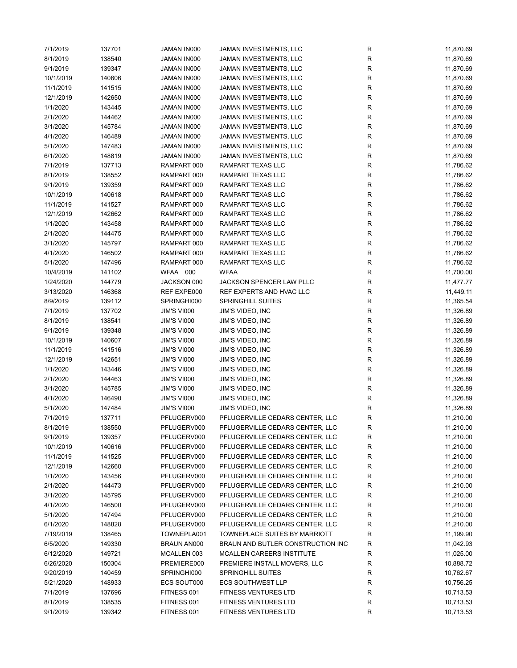| 7/1/2019  | 137701 | JAMAN IN000        | JAMAN INVESTMENTS, LLC            | R         | 11,870.69 |
|-----------|--------|--------------------|-----------------------------------|-----------|-----------|
| 8/1/2019  | 138540 | JAMAN IN000        | JAMAN INVESTMENTS, LLC            | R         | 11,870.69 |
| 9/1/2019  | 139347 | JAMAN IN000        | JAMAN INVESTMENTS, LLC            | R         | 11,870.69 |
| 10/1/2019 | 140606 | JAMAN IN000        | JAMAN INVESTMENTS, LLC            | R         | 11,870.69 |
| 11/1/2019 | 141515 | JAMAN IN000        | JAMAN INVESTMENTS, LLC            | R         | 11,870.69 |
| 12/1/2019 | 142650 | JAMAN IN000        | JAMAN INVESTMENTS, LLC            | R         | 11,870.69 |
| 1/1/2020  | 143445 | JAMAN IN000        | JAMAN INVESTMENTS, LLC            | R         | 11,870.69 |
| 2/1/2020  | 144462 | JAMAN IN000        | JAMAN INVESTMENTS, LLC            | R         | 11,870.69 |
| 3/1/2020  | 145784 | JAMAN IN000        | JAMAN INVESTMENTS, LLC            | R         | 11,870.69 |
| 4/1/2020  | 146489 | JAMAN IN000        | JAMAN INVESTMENTS, LLC            | R         | 11,870.69 |
| 5/1/2020  | 147483 | JAMAN IN000        | JAMAN INVESTMENTS, LLC            | ${\sf R}$ | 11,870.69 |
| 6/1/2020  | 148819 | JAMAN IN000        | JAMAN INVESTMENTS, LLC            | R         | 11,870.69 |
| 7/1/2019  | 137713 | RAMPART 000        | RAMPART TEXAS LLC                 | R         | 11,786.62 |
| 8/1/2019  | 138552 | RAMPART 000        | RAMPART TEXAS LLC                 | ${\sf R}$ | 11,786.62 |
|           |        |                    |                                   |           |           |
| 9/1/2019  | 139359 | RAMPART 000        | RAMPART TEXAS LLC                 | R         | 11,786.62 |
| 10/1/2019 | 140618 | RAMPART 000        | RAMPART TEXAS LLC                 | R         | 11,786.62 |
| 11/1/2019 | 141527 | RAMPART 000        | RAMPART TEXAS LLC                 | R         | 11,786.62 |
| 12/1/2019 | 142662 | RAMPART 000        | RAMPART TEXAS LLC                 | R         | 11,786.62 |
| 1/1/2020  | 143458 | RAMPART 000        | RAMPART TEXAS LLC                 | R         | 11,786.62 |
| 2/1/2020  | 144475 | RAMPART 000        | RAMPART TEXAS LLC                 | R         | 11,786.62 |
| 3/1/2020  | 145797 | RAMPART 000        | RAMPART TEXAS LLC                 | R         | 11,786.62 |
| 4/1/2020  | 146502 | RAMPART 000        | RAMPART TEXAS LLC                 | R         | 11,786.62 |
| 5/1/2020  | 147496 | RAMPART 000        | RAMPART TEXAS LLC                 | ${\sf R}$ | 11,786.62 |
| 10/4/2019 | 141102 | WFAA 000           | <b>WFAA</b>                       | R         | 11,700.00 |
| 1/24/2020 | 144779 | JACKSON 000        | JACKSON SPENCER LAW PLLC          | R         | 11,477.77 |
| 3/13/2020 | 146368 | REF EXPE000        | REF EXPERTS AND HVAC LLC          | R         | 11,449.11 |
| 8/9/2019  | 139112 | SPRINGHI000        | <b>SPRINGHILL SUITES</b>          | R         | 11,365.54 |
| 7/1/2019  | 137702 | JIM'S VI000        | JIM'S VIDEO, INC                  | R         | 11,326.89 |
| 8/1/2019  | 138541 | JIM'S VI000        | JIM'S VIDEO, INC                  | R         | 11,326.89 |
| 9/1/2019  | 139348 | JIM'S VI000        | JIM'S VIDEO, INC                  | R         | 11,326.89 |
| 10/1/2019 | 140607 | <b>JIM'S VI000</b> | JIM'S VIDEO, INC                  | R         | 11,326.89 |
| 11/1/2019 | 141516 | <b>JIM'S VI000</b> | <b>JIM'S VIDEO, INC</b>           | R         | 11,326.89 |
| 12/1/2019 | 142651 | <b>JIM'S VI000</b> | JIM'S VIDEO, INC                  | R         | 11,326.89 |
| 1/1/2020  | 143446 | JIM'S VI000        | JIM'S VIDEO, INC                  | R         | 11,326.89 |
| 2/1/2020  | 144463 | JIM'S VI000        | <b>JIM'S VIDEO, INC</b>           | R         | 11,326.89 |
| 3/1/2020  | 145785 | JIM'S VI000        | JIM'S VIDEO, INC                  | R         | 11,326.89 |
| 4/1/2020  | 146490 | <b>JIM'S VI000</b> | JIM'S VIDEO, INC                  | R         | 11,326.89 |
| 5/1/2020  | 147484 | JIM'S VI000        | JIM'S VIDEO, INC                  | R         | 11,326.89 |
| 7/1/2019  | 137711 | PFLUGERV000        | PFLUGERVILLE CEDARS CENTER, LLC   | R         | 11,210.00 |
| 8/1/2019  | 138550 | PFLUGERV000        | PFLUGERVILLE CEDARS CENTER, LLC   | R         | 11,210.00 |
| 9/1/2019  | 139357 | PFLUGERV000        | PFLUGERVILLE CEDARS CENTER, LLC   | R         | 11,210.00 |
| 10/1/2019 | 140616 | PFLUGERV000        | PFLUGERVILLE CEDARS CENTER, LLC   |           | 11,210.00 |
| 11/1/2019 | 141525 | PFLUGERV000        | PFLUGERVILLE CEDARS CENTER, LLC   | R<br>R    | 11,210.00 |
|           |        |                    |                                   |           |           |
| 12/1/2019 | 142660 | PFLUGERV000        | PFLUGERVILLE CEDARS CENTER, LLC   | R         | 11,210.00 |
| 1/1/2020  | 143456 | PFLUGERV000        | PFLUGERVILLE CEDARS CENTER, LLC   | R         | 11,210.00 |
| 2/1/2020  | 144473 | PFLUGERV000        | PFLUGERVILLE CEDARS CENTER, LLC   | R         | 11,210.00 |
| 3/1/2020  | 145795 | PFLUGERV000        | PFLUGERVILLE CEDARS CENTER, LLC   | ${\sf R}$ | 11,210.00 |
| 4/1/2020  | 146500 | PFLUGERV000        | PFLUGERVILLE CEDARS CENTER, LLC   | R         | 11,210.00 |
| 5/1/2020  | 147494 | PFLUGERV000        | PFLUGERVILLE CEDARS CENTER, LLC   | R         | 11,210.00 |
| 6/1/2020  | 148828 | PFLUGERV000        | PFLUGERVILLE CEDARS CENTER, LLC   | ${\sf R}$ | 11,210.00 |
| 7/19/2019 | 138465 | TOWNEPLA001        | TOWNEPLACE SUITES BY MARRIOTT     | R         | 11,199.90 |
| 6/5/2020  | 149330 | <b>BRAUN AN000</b> | BRAUN AND BUTLER CONSTRUCTION INC | R         | 11,042.93 |
| 6/12/2020 | 149721 | MCALLEN 003        | MCALLEN CAREERS INSTITUTE         | R         | 11,025.00 |
| 6/26/2020 | 150304 | PREMIERE000        | PREMIERE INSTALL MOVERS, LLC      | ${\sf R}$ | 10,888.72 |
| 9/20/2019 | 140459 | SPRINGHI000        | <b>SPRINGHILL SUITES</b>          | ${\sf R}$ | 10,762.67 |
| 5/21/2020 | 148933 | ECS SOUT000        | <b>ECS SOUTHWEST LLP</b>          | ${\sf R}$ | 10,756.25 |
| 7/1/2019  | 137696 | FITNESS 001        | <b>FITNESS VENTURES LTD</b>       | ${\sf R}$ | 10,713.53 |
| 8/1/2019  | 138535 | FITNESS 001        | <b>FITNESS VENTURES LTD</b>       | ${\sf R}$ | 10,713.53 |
| 9/1/2019  | 139342 | FITNESS 001        | <b>FITNESS VENTURES LTD</b>       | R         | 10,713.53 |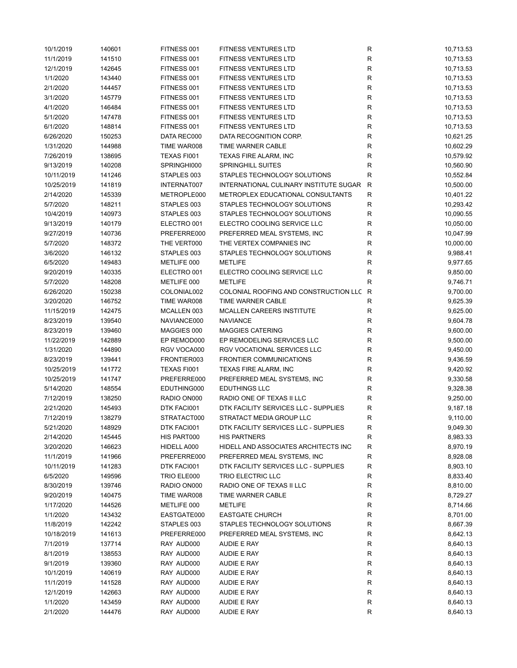| 10/1/2019  | 140601 | FITNESS 001        | <b>FITNESS VENTURES LTD</b>              | R                 | 10,713.53 |
|------------|--------|--------------------|------------------------------------------|-------------------|-----------|
| 11/1/2019  | 141510 | FITNESS 001        | <b>FITNESS VENTURES LTD</b>              | $\mathsf{R}$      | 10,713.53 |
| 12/1/2019  | 142645 | FITNESS 001        | <b>FITNESS VENTURES LTD</b>              | ${\sf R}$         | 10,713.53 |
| 1/1/2020   | 143440 | FITNESS 001        | <b>FITNESS VENTURES LTD</b>              | R                 | 10,713.53 |
| 2/1/2020   | 144457 | FITNESS 001        | <b>FITNESS VENTURES LTD</b>              | $\mathsf{R}$      | 10,713.53 |
| 3/1/2020   | 145779 | FITNESS 001        | FITNESS VENTURES LTD                     | $\mathsf{R}$      | 10,713.53 |
| 4/1/2020   | 146484 | FITNESS 001        | FITNESS VENTURES LTD                     | ${\sf R}$         | 10,713.53 |
| 5/1/2020   | 147478 | FITNESS 001        | <b>FITNESS VENTURES LTD</b>              | $\mathsf{R}$      | 10,713.53 |
| 6/1/2020   | 148814 | FITNESS 001        | <b>FITNESS VENTURES LTD</b>              | $\mathsf{R}$      | 10,713.53 |
| 6/26/2020  | 150253 | DATA REC000        | DATA RECOGNITION CORP.                   | ${\sf R}$         | 10,621.25 |
| 1/31/2020  | 144988 | TIME WAR008        | TIME WARNER CABLE                        | ${\sf R}$         | 10,602.29 |
|            |        |                    |                                          |                   |           |
| 7/26/2019  | 138695 | TEXAS FI001        | TEXAS FIRE ALARM, INC                    | $\mathsf{R}$      | 10,579.92 |
| 9/13/2019  | 140208 | SPRINGHI000        | <b>SPRINGHILL SUITES</b>                 | R                 | 10,560.90 |
| 10/11/2019 | 141246 | STAPLES 003        | STAPLES TECHNOLOGY SOLUTIONS             | $\mathsf{R}$      | 10,552.84 |
| 10/25/2019 | 141819 | INTERNAT007        | INTERNATIONAL CULINARY INSTITUTE SUGAR R |                   | 10,500.00 |
| 2/14/2020  | 145339 | METROPLE000        | METROPLEX EDUCATIONAL CONSULTANTS        | $\mathsf{R}$      | 10,401.22 |
| 5/7/2020   | 148211 | STAPLES 003        | STAPLES TECHNOLOGY SOLUTIONS             | $\mathsf{R}$      | 10,293.42 |
| 10/4/2019  | 140973 | STAPLES 003        | STAPLES TECHNOLOGY SOLUTIONS             | R                 | 10,090.55 |
| 9/13/2019  | 140179 | ELECTRO 001        | ELECTRO COOLING SERVICE LLC              | R                 | 10,050.00 |
| 9/27/2019  | 140736 | PREFERRE000        | PREFERRED MEAL SYSTEMS, INC              | $\mathsf R$       | 10,047.99 |
| 5/7/2020   | 148372 | THE VERT000        | THE VERTEX COMPANIES INC                 | $\mathsf R$       | 10,000.00 |
| 3/6/2020   | 146132 | STAPLES 003        | STAPLES TECHNOLOGY SOLUTIONS             | R                 | 9,988.41  |
| 6/5/2020   | 149483 | METLIFE 000        | <b>METLIFE</b>                           | $\mathsf{R}$      | 9,977.65  |
| 9/20/2019  | 140335 | ELECTRO 001        | ELECTRO COOLING SERVICE LLC              | ${\sf R}$         | 9,850.00  |
| 5/7/2020   | 148208 | METLIFE 000        | <b>METLIFE</b>                           | R                 | 9,746.71  |
| 6/26/2020  | 150238 | COLONIAL002        | COLONIAL ROOFING AND CONSTRUCTION LLC R  |                   | 9,700.00  |
| 3/20/2020  | 146752 | TIME WAR008        | TIME WARNER CABLE                        | $\mathsf R$       | 9,625.39  |
| 11/15/2019 | 142475 | MCALLEN 003        | MCALLEN CAREERS INSTITUTE                | R                 | 9,625.00  |
| 8/23/2019  | 139540 | NAVIANCE000        | <b>NAVIANCE</b>                          | R                 | 9,604.78  |
| 8/23/2019  | 139460 | MAGGIES 000        | MAGGIES CATERING                         | $\mathsf R$       | 9,600.00  |
| 11/22/2019 | 142889 | EP REMOD000        | EP REMODELING SERVICES LLC               | R                 | 9,500.00  |
|            |        |                    |                                          |                   |           |
| 1/31/2020  | 144890 | RGV VOCA000        | RGV VOCATIONAL SERVICES LLC              | R<br>$\mathsf{R}$ | 9,450.00  |
| 8/23/2019  | 139441 | FRONTIER003        | <b>FRONTIER COMMUNICATIONS</b>           |                   | 9,436.59  |
| 10/25/2019 | 141772 | <b>TEXAS FI001</b> | <b>TEXAS FIRE ALARM, INC</b>             | R                 | 9,420.92  |
| 10/25/2019 | 141747 | PREFERRE000        | PREFERRED MEAL SYSTEMS, INC              | R                 | 9,330.58  |
| 5/14/2020  | 148554 | EDUTHING000        | <b>EDUTHINGS LLC</b>                     | $\mathsf{R}$      | 9,328.38  |
| 7/12/2019  | 138250 | RADIO ON000        | RADIO ONE OF TEXAS II LLC                | R                 | 9,250.00  |
| 2/21/2020  | 145493 | DTK FACI001        | DTK FACILITY SERVICES LLC - SUPPLIES     | $\mathsf{R}$      | 9,187.18  |
| 7/12/2019  | 138279 | STRATACT000        | STRATACT MEDIA GROUP LLC                 | R                 | 9,110.00  |
| 5/21/2020  | 148929 | DTK FACI001        | DTK FACILITY SERVICES LLC - SUPPLIES     | R                 | 9,049.30  |
| 2/14/2020  | 145445 | HIS PART000        | <b>HIS PARTNERS</b>                      | R                 | 8,983.33  |
| 3/20/2020  | 146623 | HIDELL A000        | HIDELL AND ASSOCIATES ARCHITECTS INC     | R                 | 8,970.19  |
| 11/1/2019  | 141966 | PREFERRE000        | PREFERRED MEAL SYSTEMS, INC              | R                 | 8,928.08  |
| 10/11/2019 | 141283 | DTK FACI001        | DTK FACILITY SERVICES LLC - SUPPLIES     | R                 | 8,903.10  |
| 6/5/2020   | 149596 | TRIO ELE000        | TRIO ELECTRIC LLC                        | R                 | 8,833.40  |
| 8/30/2019  | 139746 | RADIO ON000        | RADIO ONE OF TEXAS II LLC                | R                 | 8,810.00  |
| 9/20/2019  | 140475 | TIME WAR008        | TIME WARNER CABLE                        | R                 | 8,729.27  |
| 1/17/2020  | 144526 | METLIFE 000        | <b>METLIFE</b>                           | R                 | 8,714.66  |
| 1/1/2020   | 143432 | EASTGATE000        | <b>EASTGATE CHURCH</b>                   | R                 | 8,701.00  |
| 11/8/2019  | 142242 | STAPLES 003        | STAPLES TECHNOLOGY SOLUTIONS             | ${\sf R}$         | 8,667.39  |
| 10/18/2019 | 141613 | PREFERRE000        | PREFERRED MEAL SYSTEMS, INC              | R                 | 8,642.13  |
| 7/1/2019   | 137714 | RAY AUD000         | AUDIE E RAY                              | R                 | 8,640.13  |
| 8/1/2019   | 138553 | RAY AUD000         | AUDIE E RAY                              | R                 | 8,640.13  |
| 9/1/2019   | 139360 | RAY AUD000         | AUDIE E RAY                              | R                 | 8,640.13  |
| 10/1/2019  | 140619 | RAY AUD000         | AUDIE E RAY                              | R                 | 8,640.13  |
| 11/1/2019  | 141528 | RAY AUD000         | AUDIE E RAY                              | R                 | 8,640.13  |
| 12/1/2019  | 142663 | RAY AUD000         | AUDIE E RAY                              | R                 | 8,640.13  |
|            |        |                    |                                          | R                 | 8,640.13  |
| 1/1/2020   | 143459 | RAY AUD000         | AUDIE E RAY                              | R                 |           |
| 2/1/2020   | 144476 | RAY AUD000         | AUDIE E RAY                              |                   | 8,640.13  |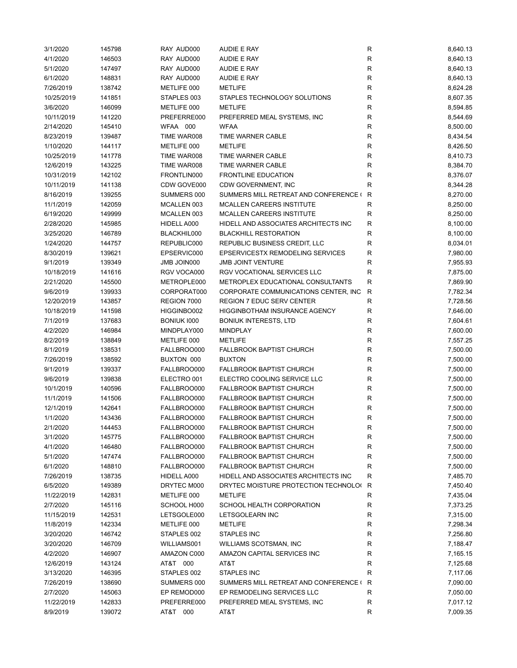| 3/1/2020   | 145798 | RAY AUD000  | <b>AUDIE E RAY</b>                      | R            | 8,640.13 |
|------------|--------|-------------|-----------------------------------------|--------------|----------|
| 4/1/2020   | 146503 | RAY AUD000  | AUDIE E RAY                             | $\mathsf{R}$ | 8,640.13 |
| 5/1/2020   | 147497 | RAY AUD000  | <b>AUDIE E RAY</b>                      | $\mathsf{R}$ | 8,640.13 |
| 6/1/2020   | 148831 | RAY AUD000  | <b>AUDIE E RAY</b>                      | $\mathsf{R}$ | 8,640.13 |
| 7/26/2019  | 138742 | METLIFE 000 | <b>METLIFE</b>                          | R            | 8,624.28 |
| 10/25/2019 | 141851 | STAPLES 003 | STAPLES TECHNOLOGY SOLUTIONS            | $\mathsf{R}$ | 8,607.35 |
| 3/6/2020   | 146099 | METLIFE 000 | <b>METLIFE</b>                          | $\mathsf{R}$ | 8,594.85 |
| 10/11/2019 | 141220 | PREFERRE000 | PREFERRED MEAL SYSTEMS, INC             | $\mathsf{R}$ | 8,544.69 |
| 2/14/2020  | 145410 | WFAA 000    | <b>WFAA</b>                             | $\mathsf{R}$ | 8,500.00 |
| 8/23/2019  | 139487 | TIME WAR008 | <b>TIME WARNER CABLE</b>                | R            | 8,434.54 |
| 1/10/2020  | 144117 | METLIFE 000 | <b>METLIFE</b>                          | $\mathsf{R}$ | 8,426.50 |
| 10/25/2019 |        | TIME WAR008 | TIME WARNER CABLE                       | $\mathsf{R}$ | 8,410.73 |
|            | 141778 |             |                                         |              |          |
| 12/6/2019  | 143225 | TIME WAR008 | TIME WARNER CABLE                       | $\mathsf{R}$ | 8,384.70 |
| 10/31/2019 | 142102 | FRONTLIN000 | <b>FRONTLINE EDUCATION</b>              | $\mathsf{R}$ | 8,376.07 |
| 10/11/2019 | 141138 | CDW GOVE000 | CDW GOVERNMENT, INC                     | $\mathsf{R}$ | 8,344.28 |
| 8/16/2019  | 139255 | SUMMERS 000 | SUMMERS MILL RETREAT AND CONFERENCE ( R |              | 8,270.00 |
| 11/1/2019  | 142059 | MCALLEN 003 | MCALLEN CAREERS INSTITUTE               | R            | 8,250.00 |
| 6/19/2020  | 149999 | MCALLEN 003 | MCALLEN CAREERS INSTITUTE               | R            | 8,250.00 |
| 2/28/2020  | 145985 | HIDELL A000 | HIDELL AND ASSOCIATES ARCHITECTS INC    | R            | 8,100.00 |
| 3/25/2020  | 146789 | BLACKHIL000 | <b>BLACKHILL RESTORATION</b>            | $\mathsf{R}$ | 8,100.00 |
| 1/24/2020  | 144757 | REPUBLIC000 | REPUBLIC BUSINESS CREDIT, LLC           | $\mathsf{R}$ | 8,034.01 |
| 8/30/2019  | 139621 | EPSERVIC000 | EPSERVICESTX REMODELING SERVICES        | $\mathsf{R}$ | 7,980.00 |
| 9/1/2019   | 139349 | JMB JOIN000 | <b>JMB JOINT VENTURE</b>                | R            | 7,955.93 |
| 10/18/2019 | 141616 | RGV VOCA000 | RGV VOCATIONAL SERVICES LLC             | ${\sf R}$    | 7,875.00 |
| 2/21/2020  | 145500 | METROPLE000 | METROPLEX EDUCATIONAL CONSULTANTS       | $\mathsf{R}$ | 7,869.90 |
| 9/6/2019   | 139933 | CORPORAT000 | CORPORATE COMMUNICATIONS CENTER, INC.   | R            | 7,782.34 |
| 12/20/2019 | 143857 | REGION 7000 | <b>REGION 7 EDUC SERV CENTER</b>        | R            | 7,728.56 |
| 10/18/2019 | 141598 | HIGGINBO002 | <b>HIGGINBOTHAM INSURANCE AGENCY</b>    | $\mathsf{R}$ | 7,646.00 |
| 7/1/2019   | 137683 | BONIUK 1000 | <b>BONIUK INTERESTS, LTD</b>            | R            | 7,604.61 |
| 4/2/2020   | 146984 | MINDPLAY000 | <b>MINDPLAY</b>                         | R            | 7,600.00 |
| 8/2/2019   | 138849 | METLIFE 000 | <b>METLIFE</b>                          | $\mathsf{R}$ | 7,557.25 |
|            |        |             |                                         |              |          |
| 8/1/2019   | 138531 | FALLBROO000 | <b>FALLBROOK BAPTIST CHURCH</b>         | $\mathsf{R}$ | 7,500.00 |
| 7/26/2019  | 138592 | BUXTON 000  | <b>BUXTON</b>                           | $\mathsf{R}$ | 7,500.00 |
| 9/1/2019   | 139337 | FALLBROO000 | <b>FALLBROOK BAPTIST CHURCH</b>         | $\mathsf{R}$ | 7,500.00 |
| 9/6/2019   | 139838 | ELECTRO 001 | ELECTRO COOLING SERVICE LLC             | $\mathsf{R}$ | 7,500.00 |
| 10/1/2019  | 140596 | FALLBROO000 | <b>FALLBROOK BAPTIST CHURCH</b>         | $\mathsf{R}$ | 7,500.00 |
| 11/1/2019  | 141506 | FALLBROO000 | <b>FALLBROOK BAPTIST CHURCH</b>         | $\mathsf{R}$ | 7,500.00 |
| 12/1/2019  | 142641 | FALLBROO000 | <b>FALLBROOK BAPTIST CHURCH</b>         | $\mathsf{R}$ | 7,500.00 |
| 1/1/2020   | 143436 | FALLBROO000 | FALLBROOK BAPTIST CHURCH                | $\mathsf{R}$ | 7,500.00 |
| 2/1/2020   | 144453 | FALLBROO000 | <b>FALLBROOK BAPTIST CHURCH</b>         | R            | 7,500.00 |
| 3/1/2020   | 145775 | FALLBROO000 | <b>FALLBROOK BAPTIST CHURCH</b>         | R            | 7,500.00 |
| 4/1/2020   | 146480 | FALLBROO000 | <b>FALLBROOK BAPTIST CHURCH</b>         | R            | 7,500.00 |
| 5/1/2020   | 147474 | FALLBROO000 | <b>FALLBROOK BAPTIST CHURCH</b>         | R            | 7,500.00 |
| 6/1/2020   | 148810 | FALLBROO000 | <b>FALLBROOK BAPTIST CHURCH</b>         | R            | 7,500.00 |
| 7/26/2019  | 138735 | HIDELL A000 | HIDELL AND ASSOCIATES ARCHITECTS INC    | $\mathsf{R}$ | 7,485.70 |
| 6/5/2020   | 149389 | DRYTEC M000 | DRYTEC MOISTURE PROTECTION TECHNOLO( R  |              | 7,450.40 |
| 11/22/2019 | 142831 | METLIFE 000 | <b>METLIFE</b>                          | R            | 7,435.04 |
| 2/7/2020   | 145116 | SCHOOL H000 | SCHOOL HEALTH CORPORATION               | $\mathsf{R}$ | 7,373.25 |
| 11/15/2019 | 142531 | LETSGOLE000 | LETSGOLEARN INC                         | $\mathsf{R}$ | 7,315.00 |
| 11/8/2019  | 142334 | METLIFE 000 | <b>METLIFE</b>                          | $\mathsf{R}$ | 7,298.34 |
| 3/20/2020  | 146742 | STAPLES 002 | <b>STAPLES INC</b>                      | $\mathsf{R}$ | 7,256.80 |
| 3/20/2020  | 146709 | WILLIAMS001 | WILLIAMS SCOTSMAN, INC                  | R            | 7,188.47 |
| 4/2/2020   | 146907 | AMAZON C000 | AMAZON CAPITAL SERVICES INC             | R            |          |
|            |        |             |                                         |              | 7,165.15 |
| 12/6/2019  | 143124 | AT&T 000    | AT&T                                    | R            | 7,125.68 |
| 3/13/2020  | 146395 | STAPLES 002 | <b>STAPLES INC</b>                      | R            | 7,117.06 |
| 7/26/2019  | 138690 | SUMMERS 000 | SUMMERS MILL RETREAT AND CONFERENCE ( R |              | 7,090.00 |
| 2/7/2020   | 145063 | EP REMOD000 | EP REMODELING SERVICES LLC              | R            | 7,050.00 |
| 11/22/2019 | 142833 | PREFERRE000 | PREFERRED MEAL SYSTEMS, INC             | R            | 7,017.12 |
| 8/9/2019   | 139072 | AT&T 000    | AT&T                                    | R            | 7,009.35 |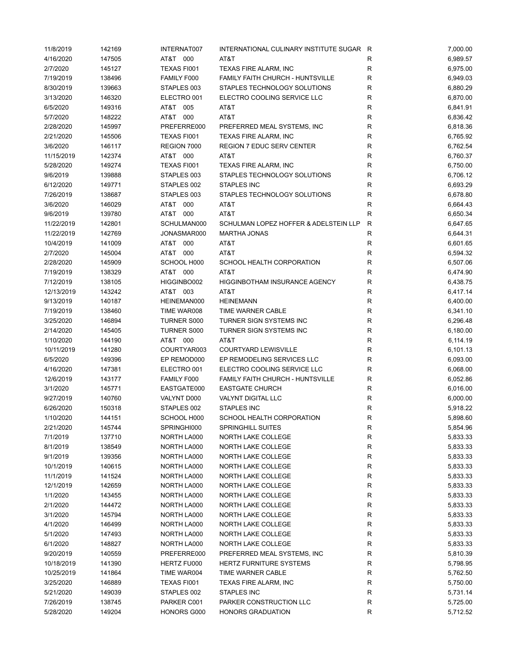| 11/8/2019  | 142169 | INTERNAT007        | INTERNATIONAL CULINARY INSTITUTE SUGAR R |              | 7,000.00 |
|------------|--------|--------------------|------------------------------------------|--------------|----------|
| 4/16/2020  | 147505 | AT&T 000           | AT&T                                     | R            | 6,989.57 |
| 2/7/2020   | 145127 | TEXAS FI001        | TEXAS FIRE ALARM, INC                    | $\mathsf{R}$ | 6,975.00 |
| 7/19/2019  | 138496 | FAMILY F000        | FAMILY FAITH CHURCH - HUNTSVILLE         | R            | 6,949.03 |
| 8/30/2019  | 139663 | STAPLES 003        | STAPLES TECHNOLOGY SOLUTIONS             | R            | 6,880.29 |
| 3/13/2020  | 146320 | ELECTRO 001        | ELECTRO COOLING SERVICE LLC              | R            | 6,870.00 |
| 6/5/2020   | 149316 | AT&T 005           | AT&T                                     | $\mathsf R$  | 6,841.91 |
| 5/7/2020   | 148222 | AT&T 000           | AT&T                                     | R            | 6,836.42 |
| 2/28/2020  | 145997 | PREFERRE000        | PREFERRED MEAL SYSTEMS, INC              | R            | 6,818.36 |
|            |        |                    |                                          |              |          |
| 2/21/2020  | 145506 | TEXAS FI001        | TEXAS FIRE ALARM, INC                    | R            | 6,765.92 |
| 3/6/2020   | 146117 | REGION 7000        | <b>REGION 7 EDUC SERV CENTER</b>         | R            | 6,762.54 |
| 11/15/2019 | 142374 | AT&T 000           | AT&T                                     | R            | 6,760.37 |
| 5/28/2020  | 149274 | TEXAS FI001        | TEXAS FIRE ALARM, INC                    | R            | 6,750.00 |
| 9/6/2019   | 139888 | STAPLES 003        | STAPLES TECHNOLOGY SOLUTIONS             | R            | 6,706.12 |
| 6/12/2020  | 149771 | STAPLES 002        | STAPLES INC                              | $\mathsf{R}$ | 6,693.29 |
| 7/26/2019  | 138687 | STAPLES 003        | STAPLES TECHNOLOGY SOLUTIONS             | R            | 6,678.80 |
| 3/6/2020   | 146029 | AT&T 000           | AT&T                                     | R            | 6,664.43 |
| 9/6/2019   | 139780 | AT&T 000           | AT&T                                     | R            | 6,650.34 |
| 11/22/2019 | 142801 | SCHULMAN000        | SCHULMAN LOPEZ HOFFER & ADELSTEIN LLP    | R            | 6,647.65 |
| 11/22/2019 | 142769 | JONASMAR000        | <b>MARTHA JONAS</b>                      | R            | 6,644.31 |
| 10/4/2019  | 141009 | AT&T 000           | AT&T                                     | R            | 6,601.65 |
| 2/7/2020   | 145004 | AT&T 000           | AT&T                                     | R            | 6,594.32 |
| 2/28/2020  | 145909 | SCHOOL H000        | SCHOOL HEALTH CORPORATION                | R            | 6,507.06 |
| 7/19/2019  | 138329 | AT&T 000           | AT&T                                     | R            | 6,474.90 |
| 7/12/2019  | 138105 | HIGGINBO002        | <b>HIGGINBOTHAM INSURANCE AGENCY</b>     | $\mathsf R$  | 6,438.75 |
| 12/13/2019 | 143242 | AT&T 003           | AT&T                                     | R            | 6,417.14 |
|            |        |                    |                                          | R            |          |
| 9/13/2019  | 140187 | HEINEMAN000        | <b>HEINEMANN</b>                         |              | 6,400.00 |
| 7/19/2019  | 138460 | TIME WAR008        | TIME WARNER CABLE                        | $\mathsf R$  | 6,341.10 |
| 3/25/2020  | 146894 | <b>TURNER S000</b> | TURNER SIGN SYSTEMS INC                  | R            | 6,296.48 |
| 2/14/2020  | 145405 | <b>TURNER S000</b> | TURNER SIGN SYSTEMS INC                  | R            | 6,180.00 |
| 1/10/2020  | 144190 | AT&T 000           | AT&T                                     | $\mathsf R$  | 6,114.19 |
| 10/11/2019 | 141280 | COURTYAR003        | COURTYARD LEWISVILLE                     | R            | 6,101.13 |
| 6/5/2020   | 149396 | EP REMOD000        | EP REMODELING SERVICES LLC               | R            | 6,093.00 |
| 4/16/2020  | 147381 | ELECTRO 001        | ELECTRO COOLING SERVICE LLC              | R            | 6,068.00 |
| 12/6/2019  | 143177 | FAMILY F000        | FAMILY FAITH CHURCH - HUNTSVILLE         | R            | 6,052.86 |
| 3/1/2020   | 145771 | EASTGATE000        | <b>EASTGATE CHURCH</b>                   | R            | 6,016.00 |
| 9/27/2019  | 140760 | VALYNT D000        | <b>VALYNT DIGITAL LLC</b>                | R            | 6,000.00 |
| 6/26/2020  | 150318 | STAPLES 002        | STAPLES INC                              | R            | 5,918.22 |
| 1/10/2020  | 144151 | SCHOOL H000        | SCHOOL HEALTH CORPORATION                | R            | 5,898.60 |
| 2/21/2020  | 145744 | SPRINGHI000        | <b>SPRINGHILL SUITES</b>                 | R            | 5,854.96 |
| 7/1/2019   | 137710 | NORTH LA000        | NORTH LAKE COLLEGE                       | R            | 5,833.33 |
| 8/1/2019   | 138549 | NORTH LA000        | NORTH LAKE COLLEGE                       | R            | 5,833.33 |
| 9/1/2019   | 139356 | NORTH LA000        | NORTH LAKE COLLEGE                       | R            | 5,833.33 |
| 10/1/2019  | 140615 | NORTH LA000        | NORTH LAKE COLLEGE                       | R            | 5,833.33 |
| 11/1/2019  | 141524 | NORTH LA000        | NORTH LAKE COLLEGE                       | R            | 5,833.33 |
| 12/1/2019  | 142659 | NORTH LA000        | NORTH LAKE COLLEGE                       | R            | 5,833.33 |
|            |        |                    |                                          |              |          |
| 1/1/2020   | 143455 | NORTH LA000        | NORTH LAKE COLLEGE                       | R            | 5,833.33 |
| 2/1/2020   | 144472 | NORTH LA000        | NORTH LAKE COLLEGE                       | $\mathsf{R}$ | 5,833.33 |
| 3/1/2020   | 145794 | NORTH LA000        | NORTH LAKE COLLEGE                       | R            | 5,833.33 |
| 4/1/2020   | 146499 | NORTH LA000        | NORTH LAKE COLLEGE                       | R            | 5,833.33 |
| 5/1/2020   | 147493 | NORTH LA000        | NORTH LAKE COLLEGE                       | R            | 5,833.33 |
| 6/1/2020   | 148827 | NORTH LA000        | NORTH LAKE COLLEGE                       | R            | 5,833.33 |
| 9/20/2019  | 140559 | PREFERRE000        | PREFERRED MEAL SYSTEMS, INC              | R            | 5,810.39 |
| 10/18/2019 | 141390 | HERTZ FU000        | HERTZ FURNITURE SYSTEMS                  | R            | 5,798.95 |
| 10/25/2019 | 141864 | TIME WAR004        | TIME WARNER CABLE                        | R            | 5,762.50 |
| 3/25/2020  | 146889 | TEXAS FI001        | TEXAS FIRE ALARM, INC                    | R            | 5,750.00 |
| 5/21/2020  | 149039 | STAPLES 002        | STAPLES INC                              | R            | 5,731.14 |
| 7/26/2019  | 138745 | PARKER C001        | PARKER CONSTRUCTION LLC                  | R            | 5,725.00 |
| 5/28/2020  | 149204 | HONORS G000        | <b>HONORS GRADUATION</b>                 | R            | 5,712.52 |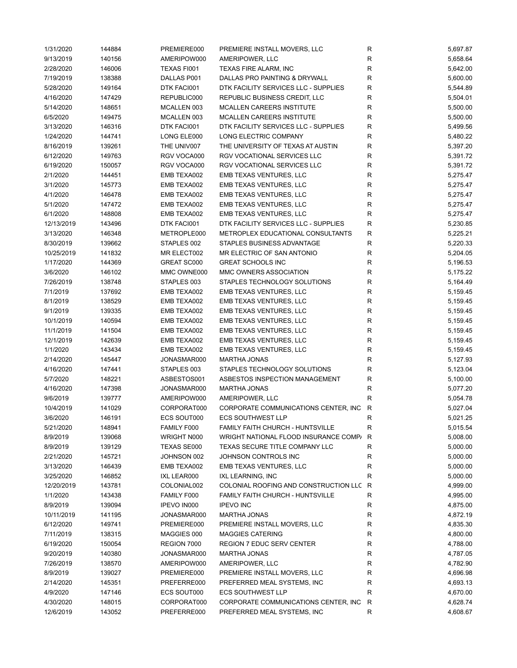| 1/31/2020  | 144884 | PREMIERE000 | PREMIERE INSTALL MOVERS, LLC            | R            | 5,697.87 |
|------------|--------|-------------|-----------------------------------------|--------------|----------|
| 9/13/2019  | 140156 | AMERIPOW000 | AMERIPOWER, LLC                         | ${\sf R}$    | 5,658.64 |
| 2/28/2020  | 146006 | TEXAS FI001 | TEXAS FIRE ALARM, INC                   | R            | 5,642.00 |
| 7/19/2019  | 138388 | DALLAS P001 | DALLAS PRO PAINTING & DRYWALL           | R            | 5,600.00 |
| 5/28/2020  | 149164 | DTK FACI001 | DTK FACILITY SERVICES LLC - SUPPLIES    | R            | 5,544.89 |
| 4/16/2020  | 147429 | REPUBLIC000 | REPUBLIC BUSINESS CREDIT, LLC           | R            | 5,504.01 |
| 5/14/2020  | 148651 | MCALLEN 003 | MCALLEN CAREERS INSTITUTE               | R            | 5,500.00 |
| 6/5/2020   | 149475 | MCALLEN 003 | MCALLEN CAREERS INSTITUTE               | R            | 5,500.00 |
| 3/13/2020  | 146316 | DTK FACI001 | DTK FACILITY SERVICES LLC - SUPPLIES    | R            | 5,499.56 |
| 1/24/2020  | 144741 | LONG ELE000 | LONG ELECTRIC COMPANY                   | R            | 5,480.22 |
| 8/16/2019  |        | THE UNIV007 | THE UNIVERSITY OF TEXAS AT AUSTIN       | R            |          |
|            | 139261 |             |                                         |              | 5,397.20 |
| 6/12/2020  | 149763 | RGV VOCA000 | RGV VOCATIONAL SERVICES LLC             | R            | 5,391.72 |
| 6/19/2020  | 150057 | RGV VOCA000 | RGV VOCATIONAL SERVICES LLC             | R            | 5,391.72 |
| 2/1/2020   | 144451 | EMB TEXA002 | EMB TEXAS VENTURES, LLC                 | $\mathsf R$  | 5,275.47 |
| 3/1/2020   | 145773 | EMB TEXA002 | EMB TEXAS VENTURES, LLC                 | R            | 5,275.47 |
| 4/1/2020   | 146478 | EMB TEXA002 | EMB TEXAS VENTURES, LLC                 | R            | 5,275.47 |
| 5/1/2020   | 147472 | EMB TEXA002 | EMB TEXAS VENTURES, LLC                 | R            | 5,275.47 |
| 6/1/2020   | 148808 | EMB TEXA002 | EMB TEXAS VENTURES, LLC                 | R            | 5,275.47 |
| 12/13/2019 | 143496 | DTK FACI001 | DTK FACILITY SERVICES LLC - SUPPLIES    | R            | 5,230.85 |
| 3/13/2020  | 146348 | METROPLE000 | METROPLEX EDUCATIONAL CONSULTANTS       | R            | 5,225.21 |
| 8/30/2019  | 139662 | STAPLES 002 | STAPLES BUSINESS ADVANTAGE              | R            | 5,220.33 |
| 10/25/2019 | 141832 | MR ELECT002 | MR ELECTRIC OF SAN ANTONIO              | R            | 5,204.05 |
| 1/17/2020  | 144369 | GREAT SC000 | <b>GREAT SCHOOLS INC</b>                | $\mathsf R$  | 5,196.53 |
| 3/6/2020   | 146102 | MMC OWNE000 | MMC OWNERS ASSOCIATION                  | R            | 5,175.22 |
| 7/26/2019  | 138748 | STAPLES 003 | STAPLES TECHNOLOGY SOLUTIONS            | R            | 5,164.49 |
| 7/1/2019   | 137692 | EMB TEXA002 | EMB TEXAS VENTURES, LLC                 | ${\sf R}$    | 5,159.45 |
| 8/1/2019   | 138529 | EMB TEXA002 | EMB TEXAS VENTURES, LLC                 | R            | 5,159.45 |
| 9/1/2019   | 139335 | EMB TEXA002 | EMB TEXAS VENTURES, LLC                 | $\mathsf R$  | 5,159.45 |
| 10/1/2019  | 140594 | EMB TEXA002 | EMB TEXAS VENTURES, LLC                 | R            | 5,159.45 |
| 11/1/2019  | 141504 | EMB TEXA002 | EMB TEXAS VENTURES, LLC                 | R            | 5,159.45 |
| 12/1/2019  | 142639 | EMB TEXA002 | EMB TEXAS VENTURES, LLC                 | R            | 5,159.45 |
|            |        |             |                                         |              |          |
| 1/1/2020   | 143434 | EMB TEXA002 | EMB TEXAS VENTURES, LLC                 | $\mathsf{R}$ | 5,159.45 |
| 2/14/2020  | 145447 | JONASMAR000 | <b>MARTHA JONAS</b>                     | $\mathsf{R}$ | 5,127.93 |
| 4/16/2020  | 147441 | STAPLES 003 | STAPLES TECHNOLOGY SOLUTIONS            | R            | 5,123.04 |
| 5/7/2020   | 148221 | ASBESTOS001 | ASBESTOS INSPECTION MANAGEMENT          | $\mathsf{R}$ | 5,100.00 |
| 4/16/2020  | 147398 | JONASMAR000 | <b>MARTHA JONAS</b>                     | R            | 5,077.20 |
| 9/6/2019   | 139777 | AMERIPOW000 | AMERIPOWER, LLC                         | $\mathsf{R}$ | 5,054.78 |
| 10/4/2019  | 141029 | CORPORAT000 | CORPORATE COMMUNICATIONS CENTER, INC R  |              | 5,027.04 |
| 3/6/2020   | 146191 | ECS SOUT000 | <b>ECS SOUTHWEST LLP</b>                | $\mathsf{R}$ | 5,021.25 |
| 5/21/2020  | 148941 | FAMILY F000 | FAMILY FAITH CHURCH - HUNTSVILLE        | R            | 5,015.54 |
| 8/9/2019   | 139068 | WRIGHT N000 | WRIGHT NATIONAL FLOOD INSURANCE COMP/ R |              | 5,008.00 |
| 8/9/2019   | 139129 | TEXAS SE000 | TEXAS SECURE TITLE COMPANY LLC          | R            | 5,000.00 |
| 2/21/2020  | 145721 | JOHNSON 002 | JOHNSON CONTROLS INC                    | R            | 5,000.00 |
| 3/13/2020  | 146439 | EMB TEXA002 | EMB TEXAS VENTURES, LLC                 | R            | 5,000.00 |
| 3/25/2020  | 146852 | IXL LEAR000 | IXL LEARNING, INC                       | R            | 5,000.00 |
| 12/20/2019 | 143781 | COLONIAL002 | COLONIAL ROOFING AND CONSTRUCTION LLC R |              | 4,999.00 |
| 1/1/2020   | 143438 | FAMILY F000 | <b>FAMILY FAITH CHURCH - HUNTSVILLE</b> | R            | 4,995.00 |
| 8/9/2019   | 139094 | IPEVO IN000 | <b>IPEVO INC</b>                        | R            | 4,875.00 |
| 10/11/2019 | 141195 | JONASMAR000 | <b>MARTHA JONAS</b>                     | R            | 4,872.19 |
| 6/12/2020  | 149741 | PREMIERE000 | PREMIERE INSTALL MOVERS, LLC            | R            | 4,835.30 |
| 7/11/2019  | 138315 | MAGGIES 000 | <b>MAGGIES CATERING</b>                 | R            | 4,800.00 |
| 6/19/2020  | 150054 | REGION 7000 | <b>REGION 7 EDUC SERV CENTER</b>        | R            | 4,788.00 |
| 9/20/2019  | 140380 | JONASMAR000 | <b>MARTHA JONAS</b>                     | R            | 4,787.05 |
| 7/26/2019  | 138570 | AMERIPOW000 | AMERIPOWER, LLC                         | R            | 4,782.90 |
|            |        |             |                                         |              |          |
| 8/9/2019   | 139027 | PREMIERE000 | PREMIERE INSTALL MOVERS, LLC            | R            | 4,696.98 |
| 2/14/2020  | 145351 | PREFERRE000 | PREFERRED MEAL SYSTEMS, INC             | R            | 4,693.13 |
| 4/9/2020   | 147146 | ECS SOUT000 | <b>ECS SOUTHWEST LLP</b>                | R            | 4,670.00 |
| 4/30/2020  | 148015 | CORPORAT000 | CORPORATE COMMUNICATIONS CENTER, INC    | R            | 4,628.74 |
| 12/6/2019  | 143052 | PREFERRE000 | PREFERRED MEAL SYSTEMS, INC             | R            | 4,608.67 |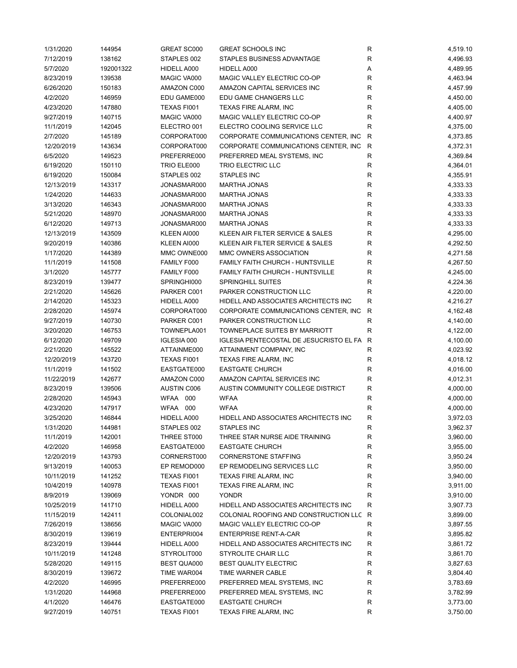| 1/31/2020  | 144954    | GREAT SC000        | <b>GREAT SCHOOLS INC</b>                  | R            | 4,519.10 |
|------------|-----------|--------------------|-------------------------------------------|--------------|----------|
| 7/12/2019  | 138162    | STAPLES 002        | STAPLES BUSINESS ADVANTAGE                | R            | 4,496.93 |
| 5/7/2020   | 192001322 | HIDELL A000        | HIDELL A000                               | Α            | 4,489.95 |
| 8/23/2019  | 139538    | MAGIC VA000        | MAGIC VALLEY ELECTRIC CO-OP               | R            | 4,463.94 |
| 6/26/2020  | 150183    | AMAZON C000        | AMAZON CAPITAL SERVICES INC               | $\mathsf R$  | 4,457.99 |
| 4/2/2020   | 146959    | EDU GAME000        | EDU GAME CHANGERS LLC                     | R            | 4,450.00 |
| 4/23/2020  | 147880    | TEXAS FI001        | TEXAS FIRE ALARM, INC                     | R            | 4,405.00 |
| 9/27/2019  | 140715    | MAGIC VA000        | MAGIC VALLEY ELECTRIC CO-OP               | R            | 4,400.97 |
|            |           |                    |                                           | $\mathsf{R}$ |          |
| 11/1/2019  | 142045    | ELECTRO 001        | ELECTRO COOLING SERVICE LLC               |              | 4,375.00 |
| 2/7/2020   | 145189    | CORPORAT000        | CORPORATE COMMUNICATIONS CENTER, INC      | $\mathsf{R}$ | 4,373.85 |
| 12/20/2019 | 143634    | CORPORAT000        | CORPORATE COMMUNICATIONS CENTER, INC R    |              | 4,372.31 |
| 6/5/2020   | 149523    | PREFERRE000        | PREFERRED MEAL SYSTEMS, INC               | R            | 4,369.84 |
| 6/19/2020  | 150110    | TRIO ELE000        | <b>TRIO ELECTRIC LLC</b>                  | $\mathsf{R}$ | 4,364.01 |
| 6/19/2020  | 150084    | STAPLES 002        | STAPLES INC                               | $\mathsf{R}$ | 4,355.91 |
| 12/13/2019 | 143317    | JONASMAR000        | <b>MARTHA JONAS</b>                       | R            | 4,333.33 |
| 1/24/2020  | 144633    | JONASMAR000        | <b>MARTHA JONAS</b>                       | $\mathsf{R}$ | 4,333.33 |
| 3/13/2020  | 146343    | JONASMAR000        | <b>MARTHA JONAS</b>                       | ${\sf R}$    | 4,333.33 |
| 5/21/2020  | 148970    | JONASMAR000        | <b>MARTHA JONAS</b>                       | $\mathsf R$  | 4,333.33 |
| 6/12/2020  | 149713    | JONASMAR000        | <b>MARTHA JONAS</b>                       | $\mathsf R$  | 4,333.33 |
| 12/13/2019 | 143509    | KLEEN AI000        | KLEEN AIR FILTER SERVICE & SALES          | $\mathsf R$  | 4,295.00 |
| 9/20/2019  | 140386    | KLEEN AI000        | KLEEN AIR FILTER SERVICE & SALES          | R            | 4,292.50 |
| 1/17/2020  | 144389    | MMC OWNE000        | MMC OWNERS ASSOCIATION                    | R            | 4,271.58 |
| 11/1/2019  | 141508    | FAMILY F000        | <b>FAMILY FAITH CHURCH - HUNTSVILLE</b>   | R            | 4,267.50 |
| 3/1/2020   | 145777    | FAMILY F000        | FAMILY FAITH CHURCH - HUNTSVILLE          | R            | 4,245.00 |
| 8/23/2019  | 139477    | SPRINGHI000        | SPRINGHILL SUITES                         | R            | 4,224.36 |
| 2/21/2020  | 145626    | PARKER C001        | PARKER CONSTRUCTION LLC                   | R            | 4,220.00 |
| 2/14/2020  | 145323    | HIDELL A000        | HIDELL AND ASSOCIATES ARCHITECTS INC      | $\mathsf{R}$ | 4,216.27 |
|            |           |                    | CORPORATE COMMUNICATIONS CENTER, INC      | $\mathsf{R}$ |          |
| 2/28/2020  | 145974    | CORPORAT000        |                                           |              | 4,162.48 |
| 9/27/2019  | 140730    | PARKER C001        | PARKER CONSTRUCTION LLC                   | R            | 4,140.00 |
| 3/20/2020  | 146753    | TOWNEPLA001        | TOWNEPLACE SUITES BY MARRIOTT             | R            | 4,122.00 |
| 6/12/2020  | 149709    | <b>IGLESIA 000</b> | IGLESIA PENTECOSTAL DE JESUCRISTO EL FA R |              | 4,100.00 |
| 2/21/2020  | 145522    | ATTAINME000        | ATTAINMENT COMPANY, INC                   | R            | 4,023.92 |
| 12/20/2019 | 143720    | TEXAS FI001        | <b>TEXAS FIRE ALARM, INC</b>              | R            | 4,018.12 |
| 11/1/2019  | 141502    | EASTGATE000        | <b>EASTGATE CHURCH</b>                    | $\mathsf{R}$ | 4,016.00 |
| 11/22/2019 | 142677    | AMAZON C000        | AMAZON CAPITAL SERVICES INC               | R            | 4,012.31 |
| 8/23/2019  | 139506    | <b>AUSTIN C006</b> | AUSTIN COMMUNITY COLLEGE DISTRICT         | $\mathsf{R}$ | 4,000.00 |
| 2/28/2020  | 145943    | WFAA 000           | <b>WFAA</b>                               | $\mathsf{R}$ | 4,000.00 |
| 4/23/2020  | 147917    | WFAA 000           | <b>WFAA</b>                               | $\mathsf{R}$ | 4,000.00 |
| 3/25/2020  | 146844    | HIDELL A000        | HIDELL AND ASSOCIATES ARCHITECTS INC      | R            | 3,972.03 |
| 1/31/2020  | 144981    | STAPLES 002        | STAPLES INC                               | R            | 3,962.37 |
| 11/1/2019  | 142001    | THREE ST000        | THREE STAR NURSE AIDE TRAINING            | R            | 3,960.00 |
| 4/2/2020   | 146958    | EASTGATE000        | <b>EASTGATE CHURCH</b>                    | R            | 3,955.00 |
| 12/20/2019 | 143793    | CORNERST000        | <b>CORNERSTONE STAFFING</b>               | R            | 3,950.24 |
| 9/13/2019  | 140053    | EP REMOD000        | EP REMODELING SERVICES LLC                | R            | 3,950.00 |
| 10/11/2019 | 141252    | TEXAS FI001        | <b>TEXAS FIRE ALARM, INC</b>              | R            | 3,940.00 |
| 10/4/2019  | 140978    | TEXAS FI001        | TEXAS FIRE ALARM, INC                     | R            | 3,911.00 |
| 8/9/2019   | 139069    | YONDR 000          | <b>YONDR</b>                              | $\mathsf{R}$ | 3,910.00 |
| 10/25/2019 | 141710    |                    | HIDELL AND ASSOCIATES ARCHITECTS INC      | R            | 3,907.73 |
|            |           | HIDELL A000        |                                           |              |          |
| 11/15/2019 | 142411    | COLONIAL002        | COLONIAL ROOFING AND CONSTRUCTION LLC R   |              | 3,899.00 |
| 7/26/2019  | 138656    | MAGIC VA000        | MAGIC VALLEY ELECTRIC CO-OP               | R            | 3,897.55 |
| 8/30/2019  | 139619    | ENTERPRI004        | <b>ENTERPRISE RENT-A-CAR</b>              | R            | 3,895.82 |
| 8/23/2019  | 139444    | HIDELL A000        | HIDELL AND ASSOCIATES ARCHITECTS INC      | R            | 3,861.72 |
| 10/11/2019 | 141248    | STYROLIT000        | STYROLITE CHAIR LLC                       | R            | 3,861.70 |
| 5/28/2020  | 149115    | BEST QUA000        | <b>BEST QUALITY ELECTRIC</b>              | R            | 3,827.63 |
| 8/30/2019  | 139672    | TIME WAR004        | TIME WARNER CABLE                         | R            | 3,804.40 |
| 4/2/2020   | 146995    | PREFERRE000        | PREFERRED MEAL SYSTEMS, INC               | R            | 3,783.69 |
| 1/31/2020  | 144968    | PREFERRE000        | PREFERRED MEAL SYSTEMS, INC               | R            | 3,782.99 |
| 4/1/2020   | 146476    | EASTGATE000        | <b>EASTGATE CHURCH</b>                    | R            | 3,773.00 |
| 9/27/2019  | 140751    | TEXAS FI001        | TEXAS FIRE ALARM, INC                     | R            | 3,750.00 |
|            |           |                    |                                           |              |          |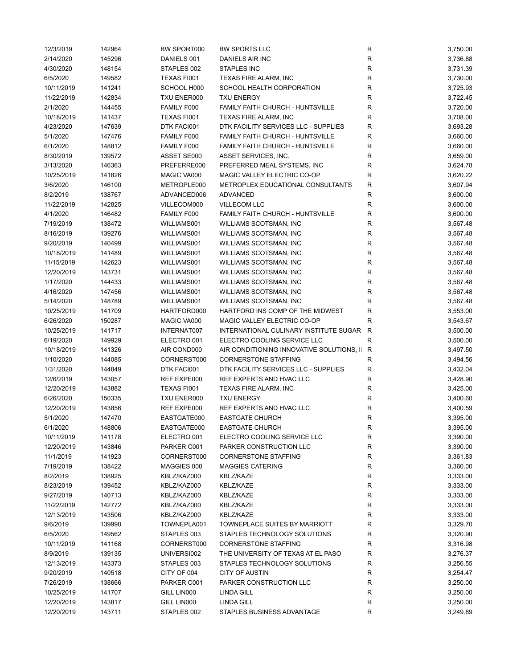| 12/3/2019  | 142964 | BW SPORT000 | <b>BW SPORTS LLC</b>                        | R            | 3,750.00 |
|------------|--------|-------------|---------------------------------------------|--------------|----------|
| 2/14/2020  | 145296 | DANIELS 001 | DANIELS AIR INC                             | $\mathsf{R}$ | 3,736.88 |
| 4/30/2020  | 148154 | STAPLES 002 | <b>STAPLES INC</b>                          | $\mathsf{R}$ | 3,731.39 |
| 6/5/2020   | 149582 | TEXAS FI001 | TEXAS FIRE ALARM, INC                       | $\mathsf{R}$ | 3,730.00 |
| 10/11/2019 | 141241 | SCHOOL H000 | SCHOOL HEALTH CORPORATION                   | $\mathsf{R}$ | 3,725.93 |
| 11/22/2019 | 142834 | TXU ENER000 | <b>TXU ENERGY</b>                           | R            | 3,722.45 |
| 2/1/2020   | 144455 | FAMILY F000 | <b>FAMILY FAITH CHURCH - HUNTSVILLE</b>     | $\mathsf{R}$ | 3,720.00 |
| 10/18/2019 | 141437 | TEXAS FI001 | TEXAS FIRE ALARM, INC                       | $\mathsf{R}$ | 3,708.00 |
| 4/23/2020  | 147639 | DTK FACI001 | DTK FACILITY SERVICES LLC - SUPPLIES        | $\mathsf{R}$ | 3,693.28 |
| 5/1/2020   | 147476 | FAMILY F000 | FAMILY FAITH CHURCH - HUNTSVILLE            | $\mathsf{R}$ | 3,660.00 |
| 6/1/2020   |        | FAMILY F000 | FAMILY FAITH CHURCH - HUNTSVILLE            | $\mathsf{R}$ | 3,660.00 |
|            | 148812 |             |                                             |              |          |
| 8/30/2019  | 139572 | ASSET SE000 | ASSET SERVICES, INC.                        | $\mathsf{R}$ | 3,659.00 |
| 3/13/2020  | 146363 | PREFERRE000 | PREFERRED MEAL SYSTEMS, INC                 | $\mathsf{R}$ | 3,624.78 |
| 10/25/2019 | 141826 | MAGIC VA000 | MAGIC VALLEY ELECTRIC CO-OP                 | $\mathsf{R}$ | 3,620.22 |
| 3/6/2020   | 146100 | METROPLE000 | METROPLEX EDUCATIONAL CONSULTANTS           | $\mathsf{R}$ | 3,607.94 |
| 8/2/2019   | 138767 | ADVANCED006 | <b>ADVANCED</b>                             | R            | 3,600.00 |
| 11/22/2019 | 142825 | VILLECOM000 | <b>VILLECOM LLC</b>                         | R            | 3,600.00 |
| 4/1/2020   | 146482 | FAMILY F000 | FAMILY FAITH CHURCH - HUNTSVILLE            | R            | 3,600.00 |
| 7/19/2019  | 138472 | WILLIAMS001 | WILLIAMS SCOTSMAN, INC                      | $\mathsf{R}$ | 3,567.48 |
| 8/16/2019  | 139276 | WILLIAMS001 | WILLIAMS SCOTSMAN, INC                      | $\mathsf{R}$ | 3,567.48 |
| 9/20/2019  | 140499 | WILLIAMS001 | WILLIAMS SCOTSMAN, INC                      | $\mathsf{R}$ | 3,567.48 |
| 10/18/2019 | 141489 | WILLIAMS001 | WILLIAMS SCOTSMAN, INC                      | $\mathsf{R}$ | 3,567.48 |
| 11/15/2019 | 142623 | WILLIAMS001 | WILLIAMS SCOTSMAN, INC                      | $\mathsf{R}$ | 3,567.48 |
| 12/20/2019 | 143731 | WILLIAMS001 | WILLIAMS SCOTSMAN, INC                      | $\mathsf{R}$ | 3,567.48 |
| 1/17/2020  | 144433 | WILLIAMS001 | WILLIAMS SCOTSMAN, INC                      | $\mathsf{R}$ | 3,567.48 |
| 4/16/2020  | 147456 | WILLIAMS001 | WILLIAMS SCOTSMAN, INC                      | $\mathsf{R}$ | 3,567.48 |
| 5/14/2020  | 148789 | WILLIAMS001 | WILLIAMS SCOTSMAN, INC                      | $\mathsf{R}$ | 3,567.48 |
| 10/25/2019 | 141709 | HARTFORD000 | HARTFORD INS COMP OF THE MIDWEST            | $\mathsf{R}$ | 3,553.00 |
| 6/26/2020  | 150287 | MAGIC VA000 | MAGIC VALLEY ELECTRIC CO-OP                 | R            | 3,543.67 |
| 10/25/2019 | 141717 | INTERNAT007 | INTERNATIONAL CULINARY INSTITUTE SUGAR R    |              | 3,500.00 |
|            |        |             | ELECTRO COOLING SERVICE LLC                 |              |          |
| 6/19/2020  | 149929 | ELECTRO 001 |                                             | R            | 3,500.00 |
| 10/18/2019 | 141326 | AIR COND000 | AIR CONDITIONING INNOVATIVE SOLUTIONS, II R |              | 3,497.50 |
| 1/10/2020  | 144085 | CORNERST000 | <b>CORNERSTONE STAFFING</b>                 | R            | 3,494.56 |
| 1/31/2020  | 144849 | DTK FACI001 | DTK FACILITY SERVICES LLC - SUPPLIES        | $\mathsf{R}$ | 3,432.04 |
| 12/6/2019  | 143057 | REF EXPE000 | REF EXPERTS AND HVAC LLC                    | R            | 3,428.90 |
| 12/20/2019 | 143882 | TEXAS FI001 | TEXAS FIRE ALARM, INC                       | $\mathsf{R}$ | 3,425.00 |
| 6/26/2020  | 150335 | TXU ENER000 | <b>TXU ENERGY</b>                           | $\mathsf{R}$ | 3,400.60 |
| 12/20/2019 | 143856 | REF EXPE000 | REF EXPERTS AND HVAC LLC                    | $\mathsf{R}$ | 3,400.59 |
| 5/1/2020   | 147470 | EASTGATE000 | <b>EASTGATE CHURCH</b>                      | $\mathsf{R}$ | 3,395.00 |
| 6/1/2020   | 148806 | EASTGATE000 | <b>EASTGATE CHURCH</b>                      | R            | 3,395.00 |
| 10/11/2019 | 141178 | ELECTRO 001 | ELECTRO COOLING SERVICE LLC                 | R            | 3,390.00 |
| 12/20/2019 | 143846 | PARKER C001 | PARKER CONSTRUCTION LLC                     | R            | 3,390.00 |
| 11/1/2019  | 141923 | CORNERST000 | <b>CORNERSTONE STAFFING</b>                 | R            | 3,361.83 |
| 7/19/2019  | 138422 | MAGGIES 000 | <b>MAGGIES CATERING</b>                     | R            | 3,360.00 |
| 8/2/2019   | 138925 | KBLZ/KAZ000 | KBLZ/KAZE                                   | $\mathsf{R}$ | 3,333.00 |
| 8/23/2019  | 139452 | KBLZ/KAZ000 | KBLZ/KAZE                                   | $\mathsf{R}$ | 3,333.00 |
| 9/27/2019  | 140713 | KBLZ/KAZ000 | KBLZ/KAZE                                   | $\mathsf{R}$ | 3,333.00 |
| 11/22/2019 | 142772 | KBLZ/KAZ000 | KBLZ/KAZE                                   | $\mathsf{R}$ | 3,333.00 |
| 12/13/2019 | 143506 | KBLZ/KAZ000 | KBLZ/KAZE                                   | $\mathsf{R}$ | 3,333.00 |
| 9/6/2019   | 139990 | TOWNEPLA001 | TOWNEPLACE SUITES BY MARRIOTT               | $\mathsf{R}$ | 3,329.70 |
| 6/5/2020   | 149562 | STAPLES 003 | STAPLES TECHNOLOGY SOLUTIONS                | $\mathsf{R}$ | 3,320.90 |
| 10/11/2019 | 141168 | CORNERST000 | <b>CORNERSTONE STAFFING</b>                 | R            | 3,316.98 |
|            |        |             |                                             |              |          |
| 8/9/2019   | 139135 | UNIVERSI002 | THE UNIVERSITY OF TEXAS AT EL PASO          | R            | 3,276.37 |
| 12/13/2019 | 143373 | STAPLES 003 | STAPLES TECHNOLOGY SOLUTIONS                | R            | 3,256.55 |
| 9/20/2019  | 140518 | CITY OF 004 | <b>CITY OF AUSTIN</b>                       | R            | 3,254.47 |
| 7/26/2019  | 138666 | PARKER C001 | PARKER CONSTRUCTION LLC                     | R            | 3,250.00 |
| 10/25/2019 | 141707 | GILL LIN000 | <b>LINDA GILL</b>                           | $\mathsf{R}$ | 3,250.00 |
| 12/20/2019 | 143817 | GILL LIN000 | <b>LINDA GILL</b>                           | $\mathsf{R}$ | 3,250.00 |
| 12/20/2019 | 143711 | STAPLES 002 | STAPLES BUSINESS ADVANTAGE                  | R            | 3,249.89 |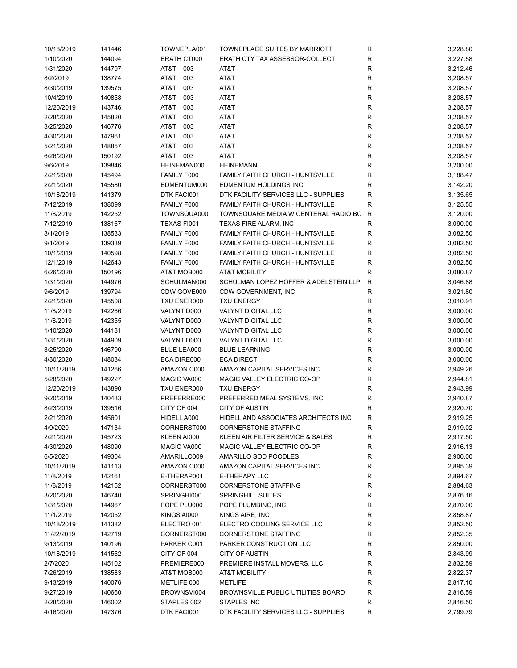| 10/18/2019 | 141446 | TOWNEPLA001 | TOWNEPLACE SUITES BY MARRIOTT          | R           | 3,228.80 |
|------------|--------|-------------|----------------------------------------|-------------|----------|
| 1/10/2020  | 144094 | ERATH CT000 | ERATH CTY TAX ASSESSOR-COLLECT         | R           | 3,227.58 |
| 1/31/2020  | 144797 | AT&T 003    | AT&T                                   | $\mathsf R$ | 3,212.46 |
| 8/2/2019   | 138774 | 003<br>AT&T | AT&T                                   | R           | 3,208.57 |
| 8/30/2019  | 139575 | AT&T<br>003 | AT&T                                   | R           | 3,208.57 |
| 10/4/2019  | 140858 | AT&T<br>003 | AT&T                                   | $\mathsf R$ | 3,208.57 |
| 12/20/2019 | 143746 | AT&T<br>003 | AT&T                                   | $\mathsf R$ | 3,208.57 |
| 2/28/2020  | 145820 | AT&T<br>003 | AT&T                                   | $\mathsf R$ | 3,208.57 |
| 3/25/2020  | 146776 | AT&T<br>003 | AT&T                                   | $\mathsf R$ | 3,208.57 |
| 4/30/2020  | 147961 | AT&T<br>003 | AT&T                                   | ${\sf R}$   | 3,208.57 |
| 5/21/2020  | 148857 | AT&T<br>003 | AT&T                                   | R           | 3,208.57 |
| 6/26/2020  | 150192 | AT&T<br>003 | AT&T                                   | R           | 3,208.57 |
|            |        |             |                                        |             |          |
| 9/6/2019   | 139846 | HEINEMAN000 | <b>HEINEMANN</b>                       | $\mathsf R$ | 3,200.00 |
| 2/21/2020  | 145494 | FAMILY F000 | FAMILY FAITH CHURCH - HUNTSVILLE       | R           | 3,188.47 |
| 2/21/2020  | 145580 | EDMENTUM000 | EDMENTUM HOLDINGS INC                  | R           | 3,142.20 |
| 10/18/2019 | 141379 | DTK FACI001 | DTK FACILITY SERVICES LLC - SUPPLIES   | $\mathsf R$ | 3,135.65 |
| 7/12/2019  | 138099 | FAMILY F000 | FAMILY FAITH CHURCH - HUNTSVILLE       | R           | 3,125.55 |
| 11/8/2019  | 142252 | TOWNSQUA000 | TOWNSQUARE MEDIA W CENTERAL RADIO BC R |             | 3,120.00 |
| 7/12/2019  | 138167 | TEXAS FI001 | <b>TEXAS FIRE ALARM, INC</b>           | R           | 3,090.00 |
| 8/1/2019   | 138533 | FAMILY F000 | FAMILY FAITH CHURCH - HUNTSVILLE       | R           | 3,082.50 |
| 9/1/2019   | 139339 | FAMILY F000 | FAMILY FAITH CHURCH - HUNTSVILLE       | R           | 3,082.50 |
| 10/1/2019  | 140598 | FAMILY F000 | FAMILY FAITH CHURCH - HUNTSVILLE       | R           | 3,082.50 |
| 12/1/2019  | 142643 | FAMILY F000 | FAMILY FAITH CHURCH - HUNTSVILLE       | R           | 3,082.50 |
| 6/26/2020  | 150196 | AT&T MOB000 | <b>AT&amp;T MOBILITY</b>               | R           | 3,080.87 |
| 1/31/2020  | 144976 | SCHULMAN000 | SCHULMAN LOPEZ HOFFER & ADELSTEIN LLP  | R           | 3,046.88 |
| 9/6/2019   | 139794 | CDW GOVE000 | CDW GOVERNMENT, INC                    | R           | 3,021.80 |
| 2/21/2020  | 145508 | TXU ENER000 | <b>TXU ENERGY</b>                      | $\mathsf R$ | 3,010.91 |
| 11/8/2019  | 142266 | VALYNT D000 | <b>VALYNT DIGITAL LLC</b>              | $\mathsf R$ | 3,000.00 |
| 11/8/2019  | 142355 | VALYNT D000 | <b>VALYNT DIGITAL LLC</b>              | $\mathsf R$ | 3,000.00 |
| 1/10/2020  | 144181 | VALYNT D000 | <b>VALYNT DIGITAL LLC</b>              | ${\sf R}$   | 3,000.00 |
| 1/31/2020  | 144909 | VALYNT D000 | VALYNT DIGITAL LLC                     | ${\sf R}$   | 3,000.00 |
| 3/25/2020  | 146790 | BLUE LEA000 | <b>BLUE LEARNING</b>                   | ${\sf R}$   | 3,000.00 |
| 4/30/2020  | 148034 | ECA DIRE000 | <b>ECA DIRECT</b>                      | $\mathsf R$ | 3,000.00 |
| 10/11/2019 | 141266 | AMAZON C000 | AMAZON CAPITAL SERVICES INC            | $\mathsf R$ | 2,949.26 |
| 5/28/2020  | 149227 | MAGIC VA000 | MAGIC VALLEY ELECTRIC CO-OP            | R           | 2,944.81 |
| 12/20/2019 | 143890 | TXU ENER000 | <b>TXU ENERGY</b>                      | R           | 2,943.99 |
| 9/20/2019  |        | PREFERRE000 | PREFERRED MEAL SYSTEMS, INC            | R           | 2,940.87 |
|            | 140433 |             | <b>CITY OF AUSTIN</b>                  |             |          |
| 8/23/2019  | 139516 | CITY OF 004 |                                        | R           | 2,920.70 |
| 2/21/2020  | 145601 | HIDELL A000 | HIDELL AND ASSOCIATES ARCHITECTS INC   | R           | 2,919.25 |
| 4/9/2020   | 147134 | CORNERST000 | <b>CORNERSTONE STAFFING</b>            | R           | 2,919.02 |
| 2/21/2020  | 145723 | KLEEN AI000 | KLEEN AIR FILTER SERVICE & SALES       | R           | 2,917.50 |
| 4/30/2020  | 148090 | MAGIC VA000 | MAGIC VALLEY ELECTRIC CO-OP            | R           | 2,916.13 |
| 6/5/2020   | 149304 | AMARILLO009 | AMARILLO SOD POODLES                   | R           | 2,900.00 |
| 10/11/2019 | 141113 | AMAZON C000 | AMAZON CAPITAL SERVICES INC            | R           | 2,895.39 |
| 11/8/2019  | 142161 | E-THERAP001 | E-THERAPY LLC                          | R           | 2,894.67 |
| 11/8/2019  | 142152 | CORNERST000 | <b>CORNERSTONE STAFFING</b>            | R           | 2,884.63 |
| 3/20/2020  | 146740 | SPRINGHI000 | <b>SPRINGHILL SUITES</b>               | R           | 2,876.16 |
| 1/31/2020  | 144967 | POPE PLU000 | POPE PLUMBING, INC                     | $\mathsf R$ | 2,870.00 |
| 11/1/2019  | 142052 | KINGS AI000 | KINGS AIRE, INC                        | $\mathsf R$ | 2,858.87 |
| 10/18/2019 | 141382 | ELECTRO 001 | ELECTRO COOLING SERVICE LLC            | R           | 2,852.50 |
| 11/22/2019 | 142719 | CORNERST000 | <b>CORNERSTONE STAFFING</b>            | R           | 2,852.35 |
| 9/13/2019  | 140196 | PARKER C001 | PARKER CONSTRUCTION LLC                | R           | 2,850.00 |
| 10/18/2019 | 141562 | CITY OF 004 | <b>CITY OF AUSTIN</b>                  | R           | 2,843.99 |
| 2/7/2020   | 145102 | PREMIERE000 | PREMIERE INSTALL MOVERS, LLC           | R           | 2,832.59 |
| 7/26/2019  | 138583 | AT&T MOB000 | <b>AT&amp;T MOBILITY</b>               | R           | 2,822.37 |
| 9/13/2019  | 140076 | METLIFE 000 | <b>METLIFE</b>                         | R           | 2,817.10 |
| 9/27/2019  | 140660 | BROWNSVI004 | BROWNSVILLE PUBLIC UTILITIES BOARD     | R           | 2,816.59 |
| 2/28/2020  | 146002 | STAPLES 002 | STAPLES INC                            | R           | 2,816.50 |
| 4/16/2020  | 147376 | DTK FACI001 | DTK FACILITY SERVICES LLC - SUPPLIES   | $\mathsf R$ | 2,799.79 |
|            |        |             |                                        |             |          |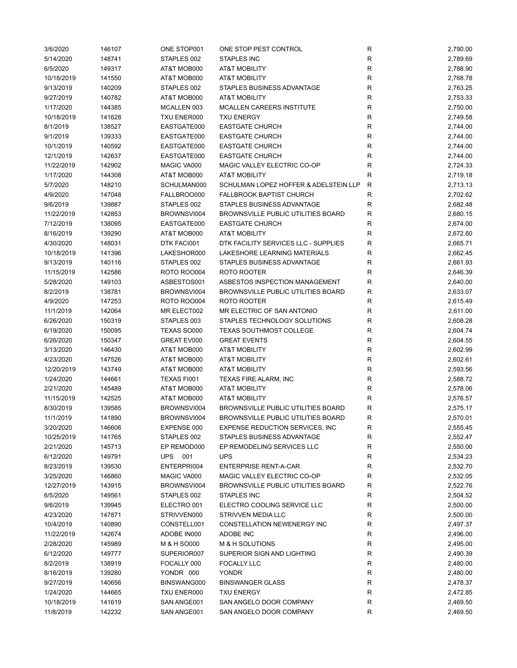| 3/6/2020   | 146107 | ONE STOP001        | ONE STOP PEST CONTROL                     | R            | 2,790.00 |
|------------|--------|--------------------|-------------------------------------------|--------------|----------|
| 5/14/2020  | 148741 | STAPLES 002        | <b>STAPLES INC</b>                        | R            | 2,789.69 |
| 6/5/2020   | 149317 | AT&T MOB000        | <b>AT&amp;T MOBILITY</b>                  | R            | 2,788.90 |
| 10/18/2019 | 141550 | AT&T MOB000        | <b>AT&amp;T MOBILITY</b>                  | R            | 2,768.78 |
| 9/13/2019  | 140209 | STAPLES 002        | STAPLES BUSINESS ADVANTAGE                | R            | 2,763.25 |
| 9/27/2019  | 140782 | AT&T MOB000        | <b>AT&amp;T MOBILITY</b>                  | R            | 2,753.33 |
| 1/17/2020  | 144385 | MCALLEN 003        | MCALLEN CAREERS INSTITUTE                 | $\mathsf R$  | 2,750.00 |
| 10/18/2019 | 141628 | TXU ENER000        | <b>TXU ENERGY</b>                         | R            | 2,749.58 |
| 8/1/2019   | 138527 | EASTGATE000        | <b>EASTGATE CHURCH</b>                    | R            | 2,744.00 |
| 9/1/2019   | 139333 | EASTGATE000        | <b>EASTGATE CHURCH</b>                    | $\mathsf{R}$ | 2,744.00 |
| 10/1/2019  |        | EASTGATE000        | <b>EASTGATE CHURCH</b>                    | $\mathsf{R}$ |          |
|            | 140592 |                    |                                           |              | 2,744.00 |
| 12/1/2019  | 142637 | EASTGATE000        | <b>EASTGATE CHURCH</b>                    | $\mathsf{R}$ | 2,744.00 |
| 11/22/2019 | 142902 | MAGIC VA000        | MAGIC VALLEY ELECTRIC CO-OP               | R            | 2,724.33 |
| 1/17/2020  | 144308 | AT&T MOB000        | <b>AT&amp;T MOBILITY</b>                  | R            | 2,719.18 |
| 5/7/2020   | 148210 | SCHULMAN000        | SCHULMAN LOPEZ HOFFER & ADELSTEIN LLP     | R            | 2,713.13 |
| 4/9/2020   | 147048 | FALLBROO000        | <b>FALLBROOK BAPTIST CHURCH</b>           | R            | 2,702.62 |
| 9/6/2019   | 139887 | STAPLES 002        | STAPLES BUSINESS ADVANTAGE                | R            | 2,682.48 |
| 11/22/2019 | 142853 | BROWNSVI004        | <b>BROWNSVILLE PUBLIC UTILITIES BOARD</b> | R            | 2,680.15 |
| 7/12/2019  | 138095 | EASTGATE000        | <b>EASTGATE CHURCH</b>                    | R            | 2,674.00 |
| 8/16/2019  | 139290 | AT&T MOB000        | <b>AT&amp;T MOBILITY</b>                  | R            | 2,672.60 |
| 4/30/2020  | 148031 | DTK FACI001        | DTK FACILITY SERVICES LLC - SUPPLIES      | R            | 2,665.71 |
| 10/18/2019 | 141396 | LAKESHOR000        | LAKESHORE LEARNING MATERIALS              | R            | 2,662.45 |
| 9/13/2019  | 140116 | STAPLES 002        | STAPLES BUSINESS ADVANTAGE                | R            | 2,661.93 |
| 11/15/2019 | 142586 | <b>ROTO ROO004</b> | ROTO ROOTER                               | R            | 2,646.39 |
| 5/28/2020  | 149103 | ASBESTOS001        | ASBESTOS INSPECTION MANAGEMENT            | R            | 2,640.00 |
| 8/2/2019   | 138781 | BROWNSVI004        | <b>BROWNSVILLE PUBLIC UTILITIES BOARD</b> | R            | 2,633.07 |
| 4/9/2020   | 147253 | <b>ROTO ROO004</b> | ROTO ROOTER                               | R            | 2,615.49 |
| 11/1/2019  | 142064 | MR ELECT002        | MR ELECTRIC OF SAN ANTONIO                | R            | 2,611.00 |
| 6/26/2020  | 150319 | STAPLES 003        | STAPLES TECHNOLOGY SOLUTIONS              | R            | 2,608.28 |
| 6/19/2020  | 150095 | TEXAS SO000        | <b>TEXAS SOUTHMOST COLLEGE</b>            | R            | 2,604.74 |
| 6/26/2020  | 150347 | GREAT EV000        | <b>GREAT EVENTS</b>                       | R            | 2,604.55 |
|            |        |                    |                                           |              |          |
| 3/13/2020  | 146430 | AT&T MOB000        | <b>AT&amp;T MOBILITY</b>                  | R            | 2,602.99 |
| 4/23/2020  | 147526 | AT&T MOB000        | <b>AT&amp;T MOBILITY</b>                  | $\mathsf{R}$ | 2,602.61 |
| 12/20/2019 | 143749 | AT&T MOB000        | <b>AT&amp;T MOBILITY</b>                  | $\mathsf{R}$ | 2,593.56 |
| 1/24/2020  | 144661 | TEXAS FI001        | <b>TEXAS FIRE ALARM, INC</b>              | $\mathsf{R}$ | 2,588.72 |
| 2/21/2020  | 145489 | AT&T MOB000        | <b>AT&amp;T MOBILITY</b>                  | $\mathsf{R}$ | 2,578.06 |
| 11/15/2019 | 142525 | AT&T MOB000        | <b>AT&amp;T MOBILITY</b>                  | R            | 2,576.57 |
| 8/30/2019  | 139585 | BROWNSVI004        | <b>BROWNSVILLE PUBLIC UTILITIES BOARD</b> | R            | 2,575.17 |
| 11/1/2019  | 141890 | BROWNSVI004        | <b>BROWNSVILLE PUBLIC UTILITIES BOARD</b> | R            | 2,570.01 |
| 3/20/2020  | 146606 | EXPENSE 000        | <b>EXPENSE REDUCTION SERVICES, INC.</b>   | R            | 2,555.45 |
| 10/25/2019 | 141765 | STAPLES 002        | STAPLES BUSINESS ADVANTAGE                | R            | 2,552.47 |
| 2/21/2020  | 145713 | EP REMOD000        | EP REMODELING SERVICES LLC                | R            | 2,550.00 |
| 6/12/2020  | 149791 | UPS<br>001         | <b>UPS</b>                                | R            | 2,534.23 |
| 8/23/2019  | 139530 | ENTERPRI004        | <b>ENTERPRISE RENT-A-CAR</b>              | R            | 2,532.70 |
| 3/25/2020  | 146860 | MAGIC VA000        | MAGIC VALLEY ELECTRIC CO-OP               | R            | 2,532.05 |
| 12/27/2019 | 143915 | BROWNSVI004        | BROWNSVILLE PUBLIC UTILITIES BOARD        | R            | 2,522.76 |
| 6/5/2020   | 149561 | STAPLES 002        | STAPLES INC                               | R            | 2,504.52 |
| 9/6/2019   | 139945 | ELECTRO 001        | ELECTRO COOLING SERVICE LLC               | R            | 2,500.00 |
| 4/23/2020  | 147871 | STRIVVEN000        | STRIVVEN MEDIA LLC                        | R            | 2,500.00 |
| 10/4/2019  | 140890 | CONSTELL001        | CONSTELLATION NEWENERGY INC               | R            | 2,497.37 |
| 11/22/2019 | 142674 | ADOBE IN000        | ADOBE INC                                 | R            | 2,496.00 |
| 2/28/2020  | 145989 | M & H SO000        | M & H SOLUTIONS                           | $\mathsf R$  | 2,495.00 |
| 6/12/2020  | 149777 | SUPERIOR007        | SUPERIOR SIGN AND LIGHTING                | R            | 2,490.39 |
| 8/2/2019   | 138919 | FOCALLY 000        | <b>FOCALLY LLC</b>                        | R            | 2,480.00 |
| 8/16/2019  | 139280 | YONDR 000          | <b>YONDR</b>                              | R            | 2,480.00 |
|            |        |                    |                                           |              |          |
| 9/27/2019  | 140656 | BINSWANG000        | <b>BINSWANGER GLASS</b>                   | R            | 2,478.37 |
| 1/24/2020  | 144665 | TXU ENER000        | <b>TXU ENERGY</b>                         | R            | 2,472.85 |
| 10/18/2019 | 141619 | SAN ANGE001        | SAN ANGELO DOOR COMPANY                   | R            | 2,469.50 |
| 11/8/2019  | 142232 | SAN ANGE001        | SAN ANGELO DOOR COMPANY                   | R            | 2,469.50 |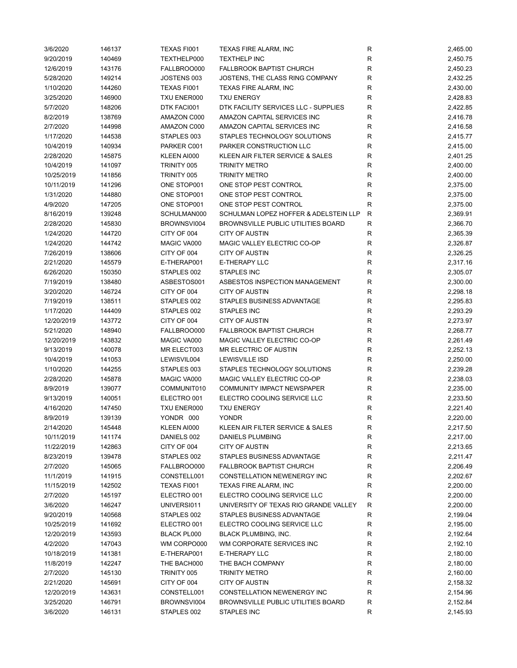| 3/6/2020   | 146137 | TEXAS FI001 | TEXAS FIRE ALARM, INC                 | R           | 2,465.00 |
|------------|--------|-------------|---------------------------------------|-------------|----------|
| 9/20/2019  | 140469 | TEXTHELP000 | <b>TEXTHELP INC</b>                   | R           | 2,450.75 |
| 12/6/2019  | 143176 | FALLBROO000 | <b>FALLBROOK BAPTIST CHURCH</b>       | R           | 2,450.23 |
| 5/28/2020  | 149214 | JOSTENS 003 | JOSTENS, THE CLASS RING COMPANY       | R           | 2,432.25 |
| 1/10/2020  | 144260 | TEXAS FI001 | TEXAS FIRE ALARM, INC                 | R           | 2,430.00 |
| 3/25/2020  | 146900 | TXU ENER000 | <b>TXU ENERGY</b>                     | R           | 2,428.83 |
| 5/7/2020   | 148206 | DTK FACI001 | DTK FACILITY SERVICES LLC - SUPPLIES  | R           | 2,422.85 |
| 8/2/2019   | 138769 | AMAZON C000 | AMAZON CAPITAL SERVICES INC           | R           | 2,416.78 |
| 2/7/2020   | 144998 | AMAZON C000 | AMAZON CAPITAL SERVICES INC           | R           | 2,416.58 |
| 1/17/2020  | 144538 | STAPLES 003 | STAPLES TECHNOLOGY SOLUTIONS          | R           | 2,415.77 |
|            |        |             |                                       | $\mathsf R$ |          |
| 10/4/2019  | 140934 | PARKER C001 | PARKER CONSTRUCTION LLC               |             | 2,415.00 |
| 2/28/2020  | 145875 | KLEEN AI000 | KLEEN AIR FILTER SERVICE & SALES      | R           | 2,401.25 |
| 10/4/2019  | 141097 | TRINITY 005 | <b>TRINITY METRO</b>                  | R           | 2,400.00 |
| 10/25/2019 | 141856 | TRINITY 005 | <b>TRINITY METRO</b>                  | R           | 2,400.00 |
| 10/11/2019 | 141296 | ONE STOP001 | ONE STOP PEST CONTROL                 | R           | 2,375.00 |
| 1/31/2020  | 144880 | ONE STOP001 | ONE STOP PEST CONTROL                 | $\mathsf R$ | 2,375.00 |
| 4/9/2020   | 147205 | ONE STOP001 | ONE STOP PEST CONTROL                 | R           | 2,375.00 |
| 8/16/2019  | 139248 | SCHULMAN000 | SCHULMAN LOPEZ HOFFER & ADELSTEIN LLP | R           | 2,369.91 |
| 2/28/2020  | 145830 | BROWNSVI004 | BROWNSVILLE PUBLIC UTILITIES BOARD    | R           | 2,366.70 |
| 1/24/2020  | 144720 | CITY OF 004 | <b>CITY OF AUSTIN</b>                 | R           | 2,365.39 |
| 1/24/2020  | 144742 | MAGIC VA000 | MAGIC VALLEY ELECTRIC CO-OP           | $\mathsf R$ | 2,326.87 |
| 7/26/2019  | 138606 | CITY OF 004 | <b>CITY OF AUSTIN</b>                 | R           | 2,326.25 |
| 2/21/2020  | 145579 | E-THERAP001 | E-THERAPY LLC                         | $\mathsf R$ | 2,317.16 |
| 6/26/2020  | 150350 | STAPLES 002 | <b>STAPLES INC</b>                    | R           | 2,305.07 |
| 7/19/2019  | 138480 | ASBESTOS001 | ASBESTOS INSPECTION MANAGEMENT        | R           | 2,300.00 |
| 3/20/2020  | 146724 | CITY OF 004 | <b>CITY OF AUSTIN</b>                 | $\mathsf R$ | 2,298.18 |
| 7/19/2019  | 138511 | STAPLES 002 | STAPLES BUSINESS ADVANTAGE            | R           | 2,295.83 |
| 1/17/2020  | 144409 | STAPLES 002 | <b>STAPLES INC</b>                    | R           | 2,293.29 |
| 12/20/2019 | 143772 | CITY OF 004 | <b>CITY OF AUSTIN</b>                 | $\mathsf R$ | 2,273.97 |
| 5/21/2020  | 148940 | FALLBROO000 | <b>FALLBROOK BAPTIST CHURCH</b>       | R           | 2,268.77 |
|            |        |             | MAGIC VALLEY ELECTRIC CO-OP           | $\mathsf R$ |          |
| 12/20/2019 | 143832 | MAGIC VA000 |                                       |             | 2,261.49 |
| 9/13/2019  | 140078 | MR ELECT003 | MR ELECTRIC OF AUSTIN                 | $\mathsf R$ | 2,252.13 |
| 10/4/2019  | 141053 | LEWISVIL004 | <b>LEWISVILLE ISD</b>                 | R           | 2,250.00 |
| 1/10/2020  | 144255 | STAPLES 003 | STAPLES TECHNOLOGY SOLUTIONS          | R           | 2,239.28 |
| 2/28/2020  | 145878 | MAGIC VA000 | MAGIC VALLEY ELECTRIC CO-OP           | ${\sf R}$   | 2,238.03 |
| 8/9/2019   | 139077 | COMMUNIT010 | COMMUNITY IMPACT NEWSPAPER            | R           | 2,235.00 |
| 9/13/2019  | 140051 | ELECTRO 001 | ELECTRO COOLING SERVICE LLC           | $\mathsf R$ | 2,233.50 |
| 4/16/2020  | 147450 | TXU ENER000 | <b>TXU ENERGY</b>                     | $\mathsf R$ | 2,221.40 |
| 8/9/2019   | 139139 | YONDR 000   | <b>YONDR</b>                          | R           | 2,220.00 |
| 2/14/2020  | 145448 | KLEEN AI000 | KLEEN AIR FILTER SERVICE & SALES      | R           | 2,217.50 |
| 10/11/2019 | 141174 | DANIELS 002 | DANIELS PLUMBING                      | R           | 2,217.00 |
| 11/22/2019 | 142863 | CITY OF 004 | <b>CITY OF AUSTIN</b>                 | R           | 2,213.65 |
| 8/23/2019  | 139478 | STAPLES 002 | STAPLES BUSINESS ADVANTAGE            | R           | 2,211.47 |
| 2/7/2020   | 145065 | FALLBROO000 | <b>FALLBROOK BAPTIST CHURCH</b>       | R           | 2,206.49 |
| 11/1/2019  | 141915 | CONSTELL001 | CONSTELLATION NEWENERGY INC           | R           | 2,202.67 |
| 11/15/2019 | 142502 | TEXAS FI001 | TEXAS FIRE ALARM, INC                 | R           | 2,200.00 |
| 2/7/2020   | 145197 | ELECTRO 001 | ELECTRO COOLING SERVICE LLC           | R           | 2,200.00 |
| 3/6/2020   | 146247 | UNIVERSI011 | UNIVERSITY OF TEXAS RIO GRANDE VALLEY | R           | 2,200.00 |
| 9/20/2019  | 140568 | STAPLES 002 | STAPLES BUSINESS ADVANTAGE            | R           | 2,199.04 |
| 10/25/2019 | 141692 | ELECTRO 001 | ELECTRO COOLING SERVICE LLC           | R           | 2,195.00 |
| 12/20/2019 | 143593 | BLACK PL000 | BLACK PLUMBING, INC.                  | R           | 2,192.64 |
| 4/2/2020   | 147043 | WM CORPO000 | WM CORPORATE SERVICES INC             | R           | 2,192.10 |
| 10/18/2019 | 141381 | E-THERAP001 | E-THERAPY LLC                         | R           | 2,180.00 |
|            |        |             |                                       |             |          |
| 11/8/2019  | 142247 | THE BACH000 | THE BACH COMPANY                      | R           | 2,180.00 |
| 2/7/2020   | 145130 | TRINITY 005 | TRINITY METRO                         | R           | 2,160.00 |
| 2/21/2020  | 145691 | CITY OF 004 | <b>CITY OF AUSTIN</b>                 | R           | 2,158.32 |
| 12/20/2019 | 143631 | CONSTELL001 | CONSTELLATION NEWENERGY INC           | R           | 2,154.96 |
| 3/25/2020  | 146791 | BROWNSVI004 | BROWNSVILLE PUBLIC UTILITIES BOARD    | R           | 2,152.84 |
| 3/6/2020   | 146131 | STAPLES 002 | STAPLES INC                           | R           | 2,145.93 |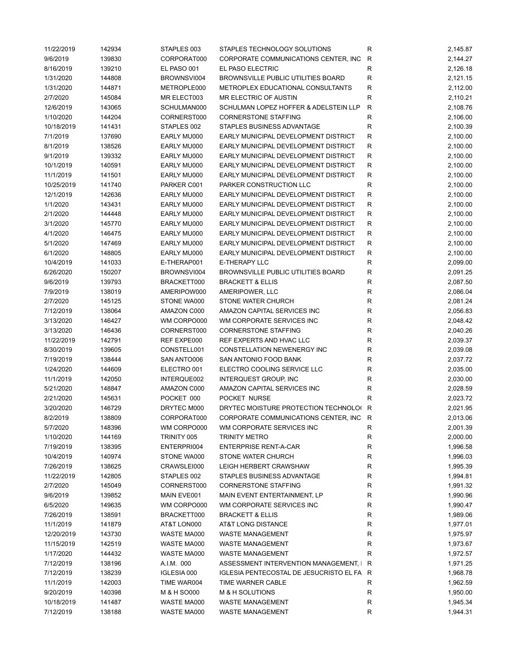| 11/22/2019 | 142934 | STAPLES 003 | STAPLES TECHNOLOGY SOLUTIONS              | R            | 2,145.87 |
|------------|--------|-------------|-------------------------------------------|--------------|----------|
| 9/6/2019   | 139830 | CORPORAT000 | CORPORATE COMMUNICATIONS CENTER, INC      | R            | 2,144.27 |
| 8/16/2019  | 139210 | EL PASO 001 | EL PASO ELECTRIC                          | R            | 2,126.18 |
| 1/31/2020  | 144808 | BROWNSVI004 | BROWNSVILLE PUBLIC UTILITIES BOARD        | $\mathsf{R}$ | 2,121.15 |
| 1/31/2020  | 144871 | METROPLE000 | METROPLEX EDUCATIONAL CONSULTANTS         | R            | 2,112.00 |
| 2/7/2020   | 145084 | MR ELECT003 | MR ELECTRIC OF AUSTIN                     | R            | 2,110.21 |
| 12/6/2019  | 143065 | SCHULMAN000 | SCHULMAN LOPEZ HOFFER & ADELSTEIN LLP     | R            | 2,108.76 |
| 1/10/2020  | 144204 | CORNERST000 | <b>CORNERSTONE STAFFING</b>               | R            | 2,106.00 |
| 10/18/2019 | 141431 | STAPLES 002 | STAPLES BUSINESS ADVANTAGE                | R            | 2,100.39 |
| 7/1/2019   | 137690 | EARLY MU000 | EARLY MUNICIPAL DEVELOPMENT DISTRICT      | $\mathsf{R}$ | 2,100.00 |
|            |        |             |                                           |              |          |
| 8/1/2019   | 138526 | EARLY MU000 | EARLY MUNICIPAL DEVELOPMENT DISTRICT      | ${\sf R}$    | 2,100.00 |
| 9/1/2019   | 139332 | EARLY MU000 | EARLY MUNICIPAL DEVELOPMENT DISTRICT      | ${\sf R}$    | 2,100.00 |
| 10/1/2019  | 140591 | EARLY MU000 | EARLY MUNICIPAL DEVELOPMENT DISTRICT      | ${\sf R}$    | 2,100.00 |
| 11/1/2019  | 141501 | EARLY MU000 | EARLY MUNICIPAL DEVELOPMENT DISTRICT      | ${\sf R}$    | 2,100.00 |
| 10/25/2019 | 141740 | PARKER C001 | PARKER CONSTRUCTION LLC                   | $\mathsf{R}$ | 2,100.00 |
| 12/1/2019  | 142636 | EARLY MU000 | EARLY MUNICIPAL DEVELOPMENT DISTRICT      | ${\sf R}$    | 2,100.00 |
| 1/1/2020   | 143431 | EARLY MU000 | EARLY MUNICIPAL DEVELOPMENT DISTRICT      | R            | 2,100.00 |
| 2/1/2020   | 144448 | EARLY MU000 | EARLY MUNICIPAL DEVELOPMENT DISTRICT      | R            | 2,100.00 |
| 3/1/2020   | 145770 | EARLY MU000 | EARLY MUNICIPAL DEVELOPMENT DISTRICT      | R            | 2,100.00 |
| 4/1/2020   | 146475 | EARLY MU000 | EARLY MUNICIPAL DEVELOPMENT DISTRICT      | R            | 2,100.00 |
| 5/1/2020   | 147469 | EARLY MU000 | EARLY MUNICIPAL DEVELOPMENT DISTRICT      | $\mathsf R$  | 2,100.00 |
| 6/1/2020   | 148805 | EARLY MU000 | EARLY MUNICIPAL DEVELOPMENT DISTRICT      | ${\sf R}$    | 2,100.00 |
| 10/4/2019  | 141033 | E-THERAP001 | <b>E-THERAPY LLC</b>                      | R            | 2,099.00 |
| 6/26/2020  | 150207 | BROWNSVI004 | BROWNSVILLE PUBLIC UTILITIES BOARD        | R            | 2,091.25 |
| 9/6/2019   | 139793 | BRACKETT000 | <b>BRACKETT &amp; ELLIS</b>               | R            | 2,087.50 |
| 7/9/2019   | 138019 | AMERIPOW000 | AMERIPOWER, LLC                           | $\mathsf R$  | 2,086.04 |
| 2/7/2020   | 145125 | STONE WA000 | STONE WATER CHURCH                        | R            | 2,081.24 |
| 7/12/2019  | 138064 | AMAZON C000 | AMAZON CAPITAL SERVICES INC               | R            | 2,056.83 |
| 3/13/2020  | 146427 | WM CORPO000 | WM CORPORATE SERVICES INC                 | R            | 2,048.42 |
| 3/13/2020  | 146436 | CORNERST000 | <b>CORNERSTONE STAFFING</b>               | R            | 2,040.26 |
| 11/22/2019 | 142791 | REF EXPE000 | REF EXPERTS AND HVAC LLC                  | $\mathsf R$  | 2,039.37 |
|            |        |             |                                           |              |          |
| 8/30/2019  | 139605 | CONSTELL001 | CONSTELLATION NEWENERGY INC               | R            | 2,039.08 |
| 7/19/2019  | 138444 | SAN ANTO006 | SAN ANTONIO FOOD BANK                     | R            | 2,037.72 |
| 1/24/2020  | 144609 | ELECTRO 001 | ELECTRO COOLING SERVICE LLC               | R            | 2,035.00 |
| 11/1/2019  | 142050 | INTERQUE002 | <b>INTERQUEST GROUP, INC</b>              | R            | 2,030.00 |
| 5/21/2020  | 148847 | AMAZON C000 | AMAZON CAPITAL SERVICES INC               | R            | 2,028.59 |
| 2/21/2020  | 145631 | POCKET 000  | POCKET NURSE                              | R            | 2,023.72 |
| 3/20/2020  | 146729 | DRYTEC M000 | DRYTEC MOISTURE PROTECTION TECHNOLO( R    |              | 2,021.95 |
| 8/2/2019   | 138809 | CORPORAT000 | CORPORATE COMMUNICATIONS CENTER, INC R    |              | 2,013.06 |
| 5/7/2020   | 148396 | WM CORPO000 | WM CORPORATE SERVICES INC                 | R            | 2,001.39 |
| 1/10/2020  | 144169 | TRINITY 005 | <b>TRINITY METRO</b>                      | R            | 2,000.00 |
| 7/19/2019  | 138395 | ENTERPRI004 | <b>ENTERPRISE RENT-A-CAR</b>              | R            | 1,996.58 |
| 10/4/2019  | 140974 | STONE WA000 | STONE WATER CHURCH                        | R            | 1,996.03 |
| 7/26/2019  | 138625 | CRAWSLEI000 | <b>LEIGH HERBERT CRAWSHAW</b>             | R            | 1,995.39 |
| 11/22/2019 | 142805 | STAPLES 002 | STAPLES BUSINESS ADVANTAGE                | R            | 1,994.81 |
| 2/7/2020   | 145049 | CORNERST000 | <b>CORNERSTONE STAFFING</b>               | R            | 1,991.32 |
| 9/6/2019   | 139852 | MAIN EVE001 | MAIN EVENT ENTERTAINMENT, LP              | R            | 1,990.96 |
| 6/5/2020   | 149635 | WM CORPO000 | WM CORPORATE SERVICES INC                 | R            | 1,990.47 |
| 7/26/2019  | 138591 | BRACKETT000 | <b>BRACKETT &amp; ELLIS</b>               | R            | 1,989.06 |
| 11/1/2019  | 141879 | AT&T LON000 | AT&T LONG DISTANCE                        | R            | 1,977.01 |
| 12/20/2019 | 143730 | WASTE MA000 | <b>WASTE MANAGEMENT</b>                   | R            | 1,975.97 |
| 11/15/2019 | 142519 | WASTE MA000 | <b>WASTE MANAGEMENT</b>                   | R            | 1,973.67 |
| 1/17/2020  | 144432 | WASTE MA000 | <b>WASTE MANAGEMENT</b>                   | R            | 1,972.57 |
| 7/12/2019  | 138196 | A.I.M. 000  | ASSESSMENT INTERVENTION MANAGEMENT, I R   |              | 1,971.25 |
|            |        |             |                                           |              |          |
| 7/12/2019  | 138239 | IGLESIA 000 | IGLESIA PENTECOSTAL DE JESUCRISTO EL FA R |              | 1,968.78 |
| 11/1/2019  | 142003 | TIME WAR004 | TIME WARNER CABLE                         | R            | 1,962.59 |
| 9/20/2019  | 140398 | M & H SO000 | M & H SOLUTIONS                           | R            | 1,950.00 |
| 10/18/2019 | 141487 | WASTE MA000 | <b>WASTE MANAGEMENT</b>                   | R            | 1,945.34 |
| 7/12/2019  | 138188 | WASTE MA000 | <b>WASTE MANAGEMENT</b>                   | R            | 1,944.31 |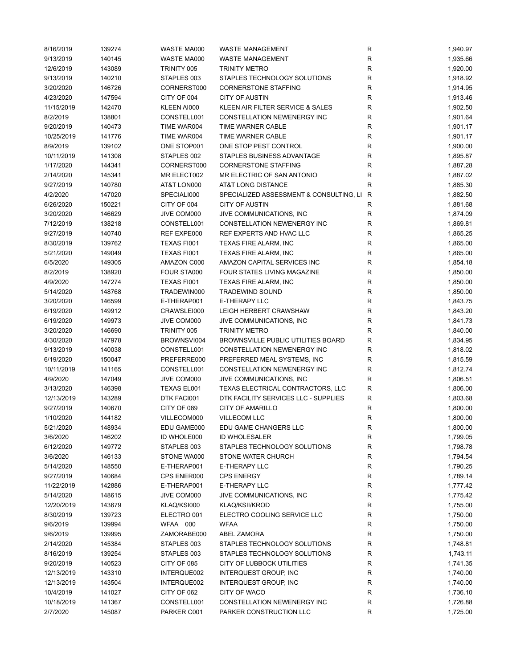| 8/16/2019  | 139274 | WASTE MA000 | <b>WASTE MANAGEMENT</b>                   | R            | 1,940.97 |
|------------|--------|-------------|-------------------------------------------|--------------|----------|
| 9/13/2019  | 140145 | WASTE MA000 | <b>WASTE MANAGEMENT</b>                   | $\mathsf{R}$ | 1,935.66 |
| 12/6/2019  | 143089 | TRINITY 005 | <b>TRINITY METRO</b>                      | $\mathsf{R}$ | 1,920.00 |
| 9/13/2019  | 140210 | STAPLES 003 | STAPLES TECHNOLOGY SOLUTIONS              | $\mathsf{R}$ | 1,918.92 |
| 3/20/2020  | 146726 | CORNERST000 | <b>CORNERSTONE STAFFING</b>               | $\mathsf{R}$ | 1,914.95 |
| 4/23/2020  | 147594 | CITY OF 004 | <b>CITY OF AUSTIN</b>                     | R            | 1,913.46 |
| 11/15/2019 | 142470 | KLEEN AI000 | KLEEN AIR FILTER SERVICE & SALES          | $\mathsf{R}$ | 1,902.50 |
| 8/2/2019   | 138801 | CONSTELL001 | CONSTELLATION NEWENERGY INC               | $\mathsf{R}$ | 1,901.64 |
|            |        |             |                                           | $\mathsf{R}$ |          |
| 9/20/2019  | 140473 | TIME WAR004 | TIME WARNER CABLE                         |              | 1,901.17 |
| 10/25/2019 | 141776 | TIME WAR004 | TIME WARNER CABLE                         | $\mathsf{R}$ | 1,901.17 |
| 8/9/2019   | 139102 | ONE STOP001 | ONE STOP PEST CONTROL                     | $\mathsf{R}$ | 1,900.00 |
| 10/11/2019 | 141308 | STAPLES 002 | STAPLES BUSINESS ADVANTAGE                | $\mathsf{R}$ | 1,895.87 |
| 1/17/2020  | 144341 | CORNERST000 | <b>CORNERSTONE STAFFING</b>               | $\mathsf{R}$ | 1,887.28 |
| 2/14/2020  | 145341 | MR ELECT002 | MR ELECTRIC OF SAN ANTONIO                | $\mathsf{R}$ | 1,887.02 |
| 9/27/2019  | 140780 | AT&T LON000 | AT&T LONG DISTANCE                        | $\mathsf{R}$ | 1,885.30 |
| 4/2/2020   | 147020 | SPECIALI000 | SPECIALIZED ASSESSMENT & CONSULTING, LI R |              | 1,882.50 |
| 6/26/2020  | 150221 | CITY OF 004 | <b>CITY OF AUSTIN</b>                     | R            | 1,881.68 |
| 3/20/2020  | 146629 | JIVE COM000 | JIVE COMMUNICATIONS, INC                  | R            | 1,874.09 |
| 7/12/2019  | 138218 | CONSTELL001 | CONSTELLATION NEWENERGY INC               | R            | 1,869.81 |
| 9/27/2019  | 140740 | REF EXPE000 | REF EXPERTS AND HVAC LLC                  | $\mathsf{R}$ | 1,865.25 |
| 8/30/2019  | 139762 | TEXAS FI001 | TEXAS FIRE ALARM, INC                     | $\mathsf{R}$ | 1,865.00 |
| 5/21/2020  | 149049 | TEXAS FI001 | TEXAS FIRE ALARM, INC                     | $\mathsf{R}$ | 1,865.00 |
| 6/5/2020   | 149305 | AMAZON C000 | AMAZON CAPITAL SERVICES INC               | $\mathsf{R}$ | 1,854.18 |
| 8/2/2019   | 138920 | FOUR STA000 | FOUR STATES LIVING MAGAZINE               | $\mathsf{R}$ | 1,850.00 |
| 4/9/2020   | 147274 | TEXAS FI001 | TEXAS FIRE ALARM, INC                     | $\mathsf{R}$ | 1,850.00 |
| 5/14/2020  |        | TRADEWIN000 | <b>TRADEWIND SOUND</b>                    | $\mathsf{R}$ | 1,850.00 |
|            | 148768 |             |                                           |              |          |
| 3/20/2020  | 146599 | E-THERAP001 | E-THERAPY LLC                             | $\mathsf{R}$ | 1,843.75 |
| 6/19/2020  | 149912 | CRAWSLEI000 | LEIGH HERBERT CRAWSHAW                    | $\mathsf{R}$ | 1,843.20 |
| 6/19/2020  | 149973 | JIVE COM000 | JIVE COMMUNICATIONS, INC                  | $\mathsf{R}$ | 1,841.73 |
| 3/20/2020  | 146690 | TRINITY 005 | <b>TRINITY METRO</b>                      | R            | 1,840.00 |
| 4/30/2020  | 147978 | BROWNSVI004 | BROWNSVILLE PUBLIC UTILITIES BOARD        | R            | 1,834.95 |
| 9/13/2019  | 140038 | CONSTELL001 | CONSTELLATION NEWENERGY INC               | R            | 1,818.02 |
| 6/19/2020  | 150047 | PREFERRE000 | PREFERRED MEAL SYSTEMS, INC               | $\mathsf{R}$ | 1,815.59 |
| 10/11/2019 | 141165 | CONSTELL001 | CONSTELLATION NEWENERGY INC               | $\mathsf{R}$ | 1,812.74 |
| 4/9/2020   | 147049 | JIVE COM000 | JIVE COMMUNICATIONS, INC                  | R            | 1,806.51 |
| 3/13/2020  | 146398 | TEXAS EL001 | TEXAS ELECTRICAL CONTRACTORS, LLC         | R            | 1,806.00 |
| 12/13/2019 | 143289 | DTK FACI001 | DTK FACILITY SERVICES LLC - SUPPLIES      | $\mathsf{R}$ | 1,803.68 |
| 9/27/2019  | 140670 | CITY OF 089 | <b>CITY OF AMARILLO</b>                   | $\mathsf{R}$ | 1,800.00 |
| 1/10/2020  | 144182 | VILLECOM000 | <b>VILLECOM LLC</b>                       | ${\sf R}$    | 1,800.00 |
| 5/21/2020  | 148934 | EDU GAME000 | EDU GAME CHANGERS LLC                     | R            | 1,800.00 |
| 3/6/2020   | 146202 | ID WHOLE000 | ID WHOLESALER                             | $\mathsf{R}$ | 1,799.05 |
| 6/12/2020  | 149772 | STAPLES 003 | STAPLES TECHNOLOGY SOLUTIONS              | R            | 1,798.78 |
| 3/6/2020   | 146133 | STONE WA000 | STONE WATER CHURCH                        | R            | 1,794.54 |
| 5/14/2020  | 148550 | E-THERAP001 | E-THERAPY LLC                             | R            | 1,790.25 |
|            | 140684 | CPS ENER000 | <b>CPS ENERGY</b>                         | $\mathsf{R}$ | 1,789.14 |
| 9/27/2019  |        |             |                                           |              |          |
| 11/22/2019 | 142886 | E-THERAP001 | E-THERAPY LLC                             | $\mathsf{R}$ | 1,777.42 |
| 5/14/2020  | 148615 | JIVE COM000 | JIVE COMMUNICATIONS, INC                  | $\mathsf{R}$ | 1,775.42 |
| 12/20/2019 | 143679 | KLAQ/KSI000 | KLAQ/KSII/KROD                            | $\mathsf{R}$ | 1,755.00 |
| 8/30/2019  | 139723 | ELECTRO 001 | ELECTRO COOLING SERVICE LLC               | $\mathsf{R}$ | 1,750.00 |
| 9/6/2019   | 139994 | WFAA 000    | <b>WFAA</b>                               | $\mathsf{R}$ | 1,750.00 |
| 9/6/2019   | 139995 | ZAMORABE000 | <b>ABEL ZAMORA</b>                        | $\mathsf{R}$ | 1,750.00 |
| 2/14/2020  | 145384 | STAPLES 003 | STAPLES TECHNOLOGY SOLUTIONS              | $\mathsf{R}$ | 1,748.81 |
| 8/16/2019  | 139254 | STAPLES 003 | STAPLES TECHNOLOGY SOLUTIONS              | R            | 1,743.11 |
| 9/20/2019  | 140523 | CITY OF 085 | CITY OF LUBBOCK UTILITIES                 | R            | 1,741.35 |
| 12/13/2019 | 143310 | INTERQUE002 | <b>INTERQUEST GROUP, INC</b>              | R            | 1,740.00 |
| 12/13/2019 | 143504 | INTERQUE002 | <b>INTERQUEST GROUP, INC</b>              | R            | 1,740.00 |
| 10/4/2019  | 141027 | CITY OF 062 | CITY OF WACO                              | R            | 1,736.10 |
| 10/18/2019 | 141367 | CONSTELL001 | CONSTELLATION NEWENERGY INC               | $\mathsf{R}$ | 1,726.88 |
| 2/7/2020   | 145087 | PARKER C001 | PARKER CONSTRUCTION LLC                   | R            | 1,725.00 |
|            |        |             |                                           |              |          |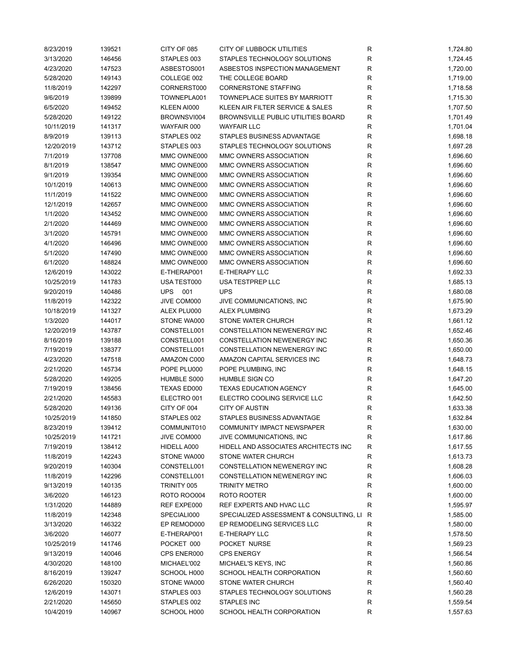| 8/23/2019  | 139521 | CITY OF 085        | CITY OF LUBBOCK UTILITIES                 | R           | 1,724.80 |
|------------|--------|--------------------|-------------------------------------------|-------------|----------|
| 3/13/2020  | 146456 | STAPLES 003        | STAPLES TECHNOLOGY SOLUTIONS              | R           | 1,724.45 |
| 4/23/2020  | 147523 | ASBESTOS001        | ASBESTOS INSPECTION MANAGEMENT            | R           | 1,720.00 |
| 5/28/2020  | 149143 | COLLEGE 002        | THE COLLEGE BOARD                         | R           | 1,719.00 |
| 11/8/2019  | 142297 | CORNERST000        | <b>CORNERSTONE STAFFING</b>               | R           | 1,718.58 |
| 9/6/2019   | 139899 | TOWNEPLA001        | TOWNEPLACE SUITES BY MARRIOTT             | R           | 1,715.30 |
| 6/5/2020   | 149452 | KLEEN AI000        | KLEEN AIR FILTER SERVICE & SALES          | R           | 1,707.50 |
| 5/28/2020  | 149122 | BROWNSVI004        | BROWNSVILLE PUBLIC UTILITIES BOARD        | R           | 1,701.49 |
| 10/11/2019 | 141317 | WAYFAIR 000        | <b>WAYFAIR LLC</b>                        | R           | 1,701.04 |
| 8/9/2019   | 139113 | STAPLES 002        | STAPLES BUSINESS ADVANTAGE                | R           | 1,698.18 |
| 12/20/2019 | 143712 | STAPLES 003        | STAPLES TECHNOLOGY SOLUTIONS              | R           | 1,697.28 |
| 7/1/2019   | 137708 | MMC OWNE000        | MMC OWNERS ASSOCIATION                    | R           | 1,696.60 |
|            |        | MMC OWNE000        |                                           | R           |          |
| 8/1/2019   | 138547 |                    | MMC OWNERS ASSOCIATION                    | R           | 1,696.60 |
| 9/1/2019   | 139354 | MMC OWNE000        | MMC OWNERS ASSOCIATION                    |             | 1,696.60 |
| 10/1/2019  | 140613 | MMC OWNE000        | MMC OWNERS ASSOCIATION                    | R           | 1,696.60 |
| 11/1/2019  | 141522 | MMC OWNE000        | MMC OWNERS ASSOCIATION                    | R           | 1,696.60 |
| 12/1/2019  | 142657 | MMC OWNE000        | MMC OWNERS ASSOCIATION                    | $\mathsf R$ | 1,696.60 |
| 1/1/2020   | 143452 | MMC OWNE000        | MMC OWNERS ASSOCIATION                    | R           | 1,696.60 |
| 2/1/2020   | 144469 | MMC OWNE000        | MMC OWNERS ASSOCIATION                    | R           | 1,696.60 |
| 3/1/2020   | 145791 | MMC OWNE000        | MMC OWNERS ASSOCIATION                    | R           | 1,696.60 |
| 4/1/2020   | 146496 | MMC OWNE000        | MMC OWNERS ASSOCIATION                    | R           | 1,696.60 |
| 5/1/2020   | 147490 | MMC OWNE000        | MMC OWNERS ASSOCIATION                    | R           | 1,696.60 |
| 6/1/2020   | 148824 | MMC OWNE000        | MMC OWNERS ASSOCIATION                    | $\mathsf R$ | 1,696.60 |
| 12/6/2019  | 143022 | E-THERAP001        | <b>E-THERAPY LLC</b>                      | R           | 1,692.33 |
| 10/25/2019 | 141783 | USA TEST000        | USA TESTPREP LLC                          | ${\sf R}$   | 1,685.13 |
| 9/20/2019  | 140486 | <b>UPS</b><br>001  | <b>UPS</b>                                | R           | 1,680.08 |
| 11/8/2019  | 142322 | JIVE COM000        | JIVE COMMUNICATIONS, INC                  | R           | 1,675.90 |
| 10/18/2019 | 141327 | ALEX PLU000        | <b>ALEX PLUMBING</b>                      | R           | 1,673.29 |
| 1/3/2020   | 144017 | STONE WA000        | STONE WATER CHURCH                        | R           | 1,661.12 |
| 12/20/2019 | 143787 | CONSTELL001        | CONSTELLATION NEWENERGY INC               | R           | 1,652.46 |
| 8/16/2019  | 139188 | CONSTELL001        | CONSTELLATION NEWENERGY INC               | R           | 1,650.36 |
| 7/19/2019  | 138377 | CONSTELL001        | CONSTELLATION NEWENERGY INC               | R           | 1,650.00 |
| 4/23/2020  | 147518 | AMAZON C000        | AMAZON CAPITAL SERVICES INC               | R           | 1,648.73 |
| 2/21/2020  | 145734 | POPE PLU000        | POPE PLUMBING, INC                        | R           | 1,648.15 |
| 5/28/2020  | 149205 | HUMBLE S000        | HUMBLE SIGN CO                            | R           | 1,647.20 |
| 7/19/2019  | 138456 | <b>TEXAS ED000</b> | <b>TEXAS EDUCATION AGENCY</b>             | R           | 1,645.00 |
| 2/21/2020  | 145583 | ELECTRO 001        | ELECTRO COOLING SERVICE LLC               | $\mathsf R$ | 1,642.50 |
| 5/28/2020  | 149136 | CITY OF 004        | <b>CITY OF AUSTIN</b>                     | $\mathsf R$ | 1,633.38 |
| 10/25/2019 | 141850 | STAPLES 002        | STAPLES BUSINESS ADVANTAGE                | R           | 1,632.84 |
|            |        |                    |                                           |             |          |
| 8/23/2019  | 139412 | COMMUNIT010        | COMMUNITY IMPACT NEWSPAPER                | R           | 1,630.00 |
| 10/25/2019 | 141721 | JIVE COM000        | JIVE COMMUNICATIONS, INC.                 | R           | 1,617.86 |
| 7/19/2019  | 138412 | HIDELL A000        | HIDELL AND ASSOCIATES ARCHITECTS INC      | R           | 1,617.55 |
| 11/8/2019  | 142243 | STONE WA000        | STONE WATER CHURCH                        | R           | 1,613.73 |
| 9/20/2019  | 140304 | CONSTELL001        | CONSTELLATION NEWENERGY INC               | R           | 1,608.28 |
| 11/8/2019  | 142296 | CONSTELL001        | CONSTELLATION NEWENERGY INC               | R           | 1,606.03 |
| 9/13/2019  | 140135 | TRINITY 005        | <b>TRINITY METRO</b>                      | R           | 1,600.00 |
| 3/6/2020   | 146123 | <b>ROTO ROO004</b> | ROTO ROOTER                               | R           | 1,600.00 |
| 1/31/2020  | 144889 | REF EXPE000        | REF EXPERTS AND HVAC LLC                  | R           | 1,595.97 |
| 11/8/2019  | 142348 | SPECIALI000        | SPECIALIZED ASSESSMENT & CONSULTING, LI R |             | 1,585.00 |
| 3/13/2020  | 146322 | EP REMOD000        | EP REMODELING SERVICES LLC                | R           | 1,580.00 |
| 3/6/2020   | 146077 | E-THERAP001        | E-THERAPY LLC                             | R           | 1,578.50 |
| 10/25/2019 | 141746 | POCKET 000         | POCKET NURSE                              | R           | 1,569.23 |
| 9/13/2019  | 140046 | CPS ENER000        | <b>CPS ENERGY</b>                         | R           | 1,566.54 |
| 4/30/2020  | 148100 | MICHAEL'002        | MICHAEL'S KEYS, INC                       | R           | 1,560.86 |
| 8/16/2019  | 139247 | SCHOOL H000        | SCHOOL HEALTH CORPORATION                 | R           | 1,560.60 |
| 6/26/2020  | 150320 | STONE WA000        | STONE WATER CHURCH                        | R           | 1,560.40 |
| 12/6/2019  | 143071 | STAPLES 003        | STAPLES TECHNOLOGY SOLUTIONS              | R           | 1,560.28 |
| 2/21/2020  | 145650 | STAPLES 002        | STAPLES INC                               | R           | 1,559.54 |
| 10/4/2019  | 140967 | SCHOOL H000        | SCHOOL HEALTH CORPORATION                 | R           | 1,557.63 |
|            |        |                    |                                           |             |          |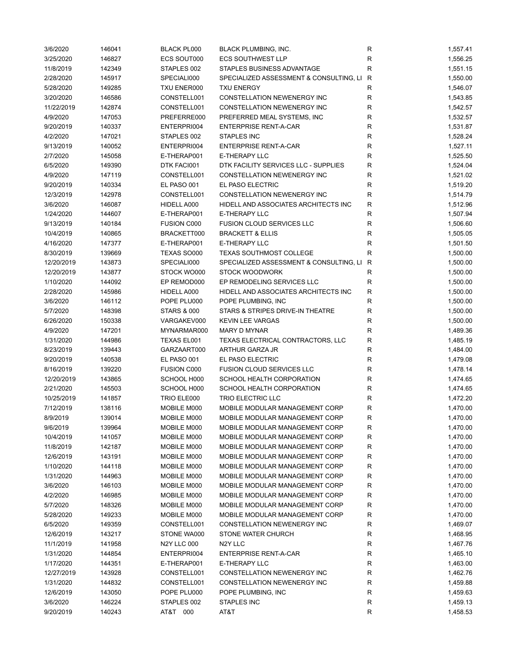| 3/6/2020   | 146041 | <b>BLACK PL000</b>     | BLACK PLUMBING, INC.                      | R            | 1,557.41 |
|------------|--------|------------------------|-------------------------------------------|--------------|----------|
| 3/25/2020  | 146827 | ECS SOUT000            | <b>ECS SOUTHWEST LLP</b>                  | $\mathsf{R}$ | 1,556.25 |
| 11/8/2019  | 142349 | STAPLES 002            | STAPLES BUSINESS ADVANTAGE                | $\mathsf{R}$ | 1,551.15 |
| 2/28/2020  | 145917 | SPECIALI000            | SPECIALIZED ASSESSMENT & CONSULTING, LI R |              | 1,550.00 |
| 5/28/2020  | 149285 | TXU ENER000            | <b>TXU ENERGY</b>                         | R            | 1,546.07 |
| 3/20/2020  | 146586 | CONSTELL001            | CONSTELLATION NEWENERGY INC               | R            | 1,543.85 |
| 11/22/2019 | 142874 | CONSTELL001            | CONSTELLATION NEWENERGY INC               | R            | 1,542.57 |
| 4/9/2020   | 147053 | PREFERRE000            | PREFERRED MEAL SYSTEMS, INC               | R            | 1,532.57 |
| 9/20/2019  | 140337 | ENTERPRI004            | <b>ENTERPRISE RENT-A-CAR</b>              | R            | 1,531.87 |
| 4/2/2020   | 147021 | STAPLES 002            | STAPLES INC                               | $\mathsf{R}$ | 1,528.24 |
| 9/13/2019  | 140052 | ENTERPRI004            | <b>ENTERPRISE RENT-A-CAR</b>              | $\mathsf{R}$ | 1,527.11 |
| 2/7/2020   | 145058 | E-THERAP001            | E-THERAPY LLC                             | $\mathsf{R}$ | 1,525.50 |
|            |        |                        |                                           |              |          |
| 6/5/2020   | 149390 | DTK FACI001            | DTK FACILITY SERVICES LLC - SUPPLIES      | $\mathsf{R}$ | 1,524.04 |
| 4/9/2020   | 147119 | CONSTELL001            | CONSTELLATION NEWENERGY INC               | $\mathsf{R}$ | 1,521.02 |
| 9/20/2019  | 140334 | EL PASO 001            | EL PASO ELECTRIC                          | $\mathsf{R}$ | 1,519.20 |
| 12/3/2019  | 142978 | CONSTELL001            | CONSTELLATION NEWENERGY INC               | $\mathsf{R}$ | 1,514.79 |
| 3/6/2020   | 146087 | HIDELL A000            | HIDELL AND ASSOCIATES ARCHITECTS INC      | $\mathsf{R}$ | 1,512.96 |
| 1/24/2020  | 144607 | E-THERAP001            | <b>E-THERAPY LLC</b>                      | R            | 1,507.94 |
| 9/13/2019  | 140184 | <b>FUSION C000</b>     | <b>FUSION CLOUD SERVICES LLC</b>          | R            | 1,506.60 |
| 10/4/2019  | 140865 | BRACKETT000            | <b>BRACKETT &amp; ELLIS</b>               | $\mathsf{R}$ | 1,505.05 |
| 4/16/2020  | 147377 | E-THERAP001            | E-THERAPY LLC                             | $\mathsf{R}$ | 1,501.50 |
| 8/30/2019  | 139669 | TEXAS SO000            | <b>TEXAS SOUTHMOST COLLEGE</b>            | R            | 1,500.00 |
| 12/20/2019 | 143873 | SPECIALI000            | SPECIALIZED ASSESSMENT & CONSULTING, LI R |              | 1,500.00 |
| 12/20/2019 | 143877 | STOCK WO000            | <b>STOCK WOODWORK</b>                     | R            | 1,500.00 |
| 1/10/2020  | 144092 | EP REMOD000            | EP REMODELING SERVICES LLC                | R            | 1,500.00 |
| 2/28/2020  | 145986 | HIDELL A000            | HIDELL AND ASSOCIATES ARCHITECTS INC      | $\mathsf{R}$ | 1,500.00 |
| 3/6/2020   | 146112 | POPE PLU000            | POPE PLUMBING, INC                        | $\mathsf{R}$ | 1,500.00 |
| 5/7/2020   | 148398 | <b>STARS &amp; 000</b> | STARS & STRIPES DRIVE-IN THEATRE          | $\mathsf{R}$ | 1,500.00 |
| 6/26/2020  | 150338 | VARGAKEV000            | <b>KEVIN LEE VARGAS</b>                   | $\mathsf{R}$ | 1,500.00 |
| 4/9/2020   | 147201 | MYNARMAR000            | <b>MARY D MYNAR</b>                       | R            | 1,489.36 |
| 1/31/2020  | 144986 | TEXAS EL001            | TEXAS ELECTRICAL CONTRACTORS, LLC         | R            | 1,485.19 |
| 8/23/2019  | 139443 | GARZAART000            | ARTHUR GARZA JR                           | R            | 1,484.00 |
| 9/20/2019  | 140538 | EL PASO 001            | EL PASO ELECTRIC                          | $\mathsf{R}$ | 1,479.08 |
| 8/16/2019  | 139220 | <b>FUSION C000</b>     | <b>FUSION CLOUD SERVICES LLC</b>          | $\mathsf{R}$ | 1,478.14 |
| 12/20/2019 | 143865 | SCHOOL H000            | SCHOOL HEALTH CORPORATION                 | $\mathsf{R}$ | 1,474.65 |
| 2/21/2020  | 145503 | SCHOOL H000            | SCHOOL HEALTH CORPORATION                 | $\mathsf{R}$ | 1,474.65 |
|            |        |                        |                                           |              |          |
| 10/25/2019 | 141857 | TRIO ELE000            | TRIO ELECTRIC LLC                         | R            | 1,472.20 |
| 7/12/2019  | 138116 | MOBILE M000            | MOBILE MODULAR MANAGEMENT CORP            | $\mathsf{R}$ | 1,470.00 |
| 8/9/2019   | 139014 | MOBILE M000            | MOBILE MODULAR MANAGEMENT CORP            | $\mathsf{R}$ | 1,470.00 |
| 9/6/2019   | 139964 | MOBILE M000            | MOBILE MODULAR MANAGEMENT CORP            | R            | 1,470.00 |
| 10/4/2019  | 141057 | MOBILE M000            | MOBILE MODULAR MANAGEMENT CORP            | $\mathsf{R}$ | 1,470.00 |
| 11/8/2019  | 142187 | MOBILE M000            | MOBILE MODULAR MANAGEMENT CORP            | R            | 1,470.00 |
| 12/6/2019  | 143191 | MOBILE M000            | MOBILE MODULAR MANAGEMENT CORP            | R            | 1,470.00 |
| 1/10/2020  | 144118 | MOBILE M000            | MOBILE MODULAR MANAGEMENT CORP            | R            | 1,470.00 |
| 1/31/2020  | 144963 | MOBILE M000            | MOBILE MODULAR MANAGEMENT CORP            | R            | 1,470.00 |
| 3/6/2020   | 146103 | MOBILE M000            | MOBILE MODULAR MANAGEMENT CORP            | R            | 1,470.00 |
| 4/2/2020   | 146985 | MOBILE M000            | MOBILE MODULAR MANAGEMENT CORP            | R            | 1,470.00 |
| 5/7/2020   | 148326 | MOBILE M000            | MOBILE MODULAR MANAGEMENT CORP            | R            | 1,470.00 |
| 5/28/2020  | 149233 | MOBILE M000            | MOBILE MODULAR MANAGEMENT CORP            | R            | 1,470.00 |
| 6/5/2020   | 149359 | CONSTELL001            | CONSTELLATION NEWENERGY INC               | R            | 1,469.07 |
| 12/6/2019  | 143217 | STONE WA000            | STONE WATER CHURCH                        | R            | 1,468.95 |
| 11/1/2019  | 141958 | N2Y LLC 000            | N <sub>2</sub> Y LLC                      | R            | 1,467.76 |
| 1/31/2020  | 144854 | ENTERPRI004            | <b>ENTERPRISE RENT-A-CAR</b>              | $\mathsf{R}$ | 1,465.10 |
| 1/17/2020  | 144351 | E-THERAP001            | E-THERAPY LLC                             | R            | 1,463.00 |
| 12/27/2019 | 143928 | CONSTELL001            | CONSTELLATION NEWENERGY INC               | R            | 1,462.76 |
| 1/31/2020  | 144832 | CONSTELL001            | CONSTELLATION NEWENERGY INC               | R            | 1,459.88 |
| 12/6/2019  | 143050 | POPE PLU000            | POPE PLUMBING, INC                        | R            | 1,459.63 |
| 3/6/2020   | 146224 | STAPLES 002            | STAPLES INC                               | R            | 1,459.13 |
| 9/20/2019  | 140243 | AT&T 000               | AT&T                                      | $\mathsf{R}$ | 1,458.53 |
|            |        |                        |                                           |              |          |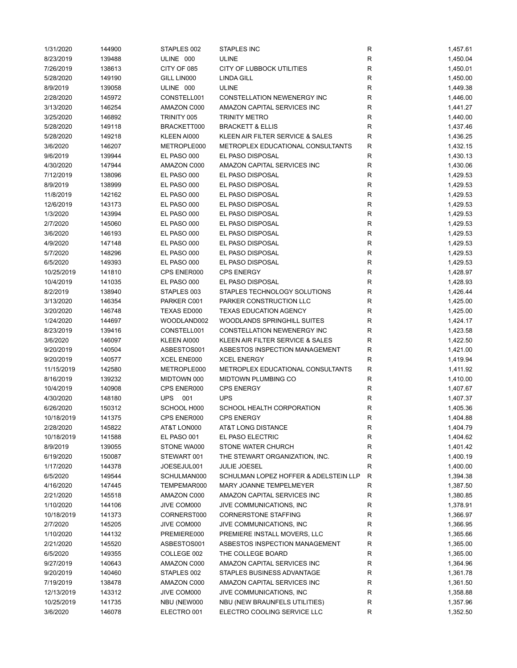| 1/31/2020  | 144900 | STAPLES 002       | <b>STAPLES INC</b>                    | R            | 1,457.61 |
|------------|--------|-------------------|---------------------------------------|--------------|----------|
| 8/23/2019  | 139488 | ULINE 000         | <b>ULINE</b>                          | $\mathsf{R}$ | 1,450.04 |
| 7/26/2019  | 138613 | CITY OF 085       | CITY OF LUBBOCK UTILITIES             | $\mathsf{R}$ | 1,450.01 |
| 5/28/2020  | 149190 | GILL LIN000       | <b>LINDA GILL</b>                     | $\mathsf{R}$ | 1,450.00 |
| 8/9/2019   | 139058 | ULINE 000         | <b>ULINE</b>                          | R            | 1,449.38 |
| 2/28/2020  | 145972 | CONSTELL001       | CONSTELLATION NEWENERGY INC           | R            | 1,446.00 |
| 3/13/2020  | 146254 | AMAZON C000       | AMAZON CAPITAL SERVICES INC           | R            | 1,441.27 |
| 3/25/2020  | 146892 | TRINITY 005       | <b>TRINITY METRO</b>                  | R            | 1,440.00 |
| 5/28/2020  | 149118 | BRACKETT000       | <b>BRACKETT &amp; ELLIS</b>           | $\mathsf{R}$ | 1,437.46 |
| 5/28/2020  | 149218 | KLEEN AI000       | KLEEN AIR FILTER SERVICE & SALES      | $\mathsf{R}$ | 1,436.25 |
| 3/6/2020   | 146207 | METROPLE000       | METROPLEX EDUCATIONAL CONSULTANTS     | R            | 1,432.15 |
|            |        |                   | EL PASO DISPOSAL                      |              |          |
| 9/6/2019   | 139944 | EL PASO 000       |                                       | R            | 1,430.13 |
| 4/30/2020  | 147944 | AMAZON C000       | AMAZON CAPITAL SERVICES INC           | $\mathsf{R}$ | 1,430.06 |
| 7/12/2019  | 138096 | EL PASO 000       | EL PASO DISPOSAL                      | $\mathsf{R}$ | 1,429.53 |
| 8/9/2019   | 138999 | EL PASO 000       | EL PASO DISPOSAL                      | $\mathsf{R}$ | 1,429.53 |
| 11/8/2019  | 142162 | EL PASO 000       | EL PASO DISPOSAL                      | $\mathsf{R}$ | 1,429.53 |
| 12/6/2019  | 143173 | EL PASO 000       | EL PASO DISPOSAL                      | R            | 1,429.53 |
| 1/3/2020   | 143994 | EL PASO 000       | EL PASO DISPOSAL                      | R            | 1,429.53 |
| 2/7/2020   | 145060 | EL PASO 000       | EL PASO DISPOSAL                      | R            | 1,429.53 |
| 3/6/2020   | 146193 | EL PASO 000       | EL PASO DISPOSAL                      | $\mathsf{R}$ | 1,429.53 |
| 4/9/2020   | 147148 | EL PASO 000       | EL PASO DISPOSAL                      | $\mathsf{R}$ | 1,429.53 |
| 5/7/2020   | 148296 | EL PASO 000       | EL PASO DISPOSAL                      | $\mathsf{R}$ | 1,429.53 |
| 6/5/2020   | 149393 | EL PASO 000       | EL PASO DISPOSAL                      | $\mathsf{R}$ | 1,429.53 |
| 10/25/2019 | 141810 | CPS ENER000       | <b>CPS ENERGY</b>                     | $\mathsf{R}$ | 1,428.97 |
| 10/4/2019  | 141035 | EL PASO 000       | EL PASO DISPOSAL                      | $\mathsf{R}$ | 1,428.93 |
| 8/2/2019   | 138940 | STAPLES 003       | STAPLES TECHNOLOGY SOLUTIONS          | $\mathsf{R}$ | 1,426.44 |
| 3/13/2020  | 146354 | PARKER C001       | PARKER CONSTRUCTION LLC               | $\mathsf{R}$ | 1,425.00 |
| 3/20/2020  | 146748 | TEXAS ED000       | TEXAS EDUCATION AGENCY                | R            | 1,425.00 |
| 1/24/2020  | 144697 | WOODLAND002       | <b>WOODLANDS SPRINGHILL SUITES</b>    | $\mathsf{R}$ | 1,424.17 |
| 8/23/2019  | 139416 | CONSTELL001       | CONSTELLATION NEWENERGY INC           | R            | 1,423.58 |
| 3/6/2020   | 146097 | KLEEN AI000       | KLEEN AIR FILTER SERVICE & SALES      | R            | 1,422.50 |
| 9/20/2019  | 140504 | ASBESTOS001       | ASBESTOS INSPECTION MANAGEMENT        | R            | 1,421.00 |
| 9/20/2019  | 140577 | XCEL ENE000       | <b>XCEL ENERGY</b>                    | R            |          |
|            |        |                   |                                       | $\mathsf{R}$ | 1,419.94 |
| 11/15/2019 | 142580 | METROPLE000       | METROPLEX EDUCATIONAL CONSULTANTS     |              | 1,411.92 |
| 8/16/2019  | 139232 | MIDTOWN 000       | MIDTOWN PLUMBING CO                   | $\mathsf{R}$ | 1,410.00 |
| 10/4/2019  | 140908 | CPS ENER000       | <b>CPS ENERGY</b>                     | R            | 1,407.67 |
| 4/30/2020  | 148180 | <b>UPS</b><br>001 | <b>UPS</b>                            | $\mathsf{R}$ | 1,407.37 |
| 6/26/2020  | 150312 | SCHOOL H000       | SCHOOL HEALTH CORPORATION             | $\mathsf{R}$ | 1,405.36 |
| 10/18/2019 | 141375 | CPS ENER000       | <b>CPS ENERGY</b>                     | R            | 1,404.88 |
| 2/28/2020  | 145822 | AT&T LON000       | AT&T LONG DISTANCE                    | R            | 1,404.79 |
| 10/18/2019 | 141588 | EL PASO 001       | EL PASO ELECTRIC                      | $\mathsf{R}$ | 1,404.62 |
| 8/9/2019   | 139055 | STONE WA000       | STONE WATER CHURCH                    | R            | 1,401.42 |
| 6/19/2020  | 150087 | STEWART 001       | THE STEWART ORGANIZATION, INC.        | R            | 1,400.19 |
| 1/17/2020  | 144378 | JOESEJUL001       | <b>JULIE JOESEL</b>                   | R            | 1,400.00 |
| 6/5/2020   | 149544 | SCHULMAN000       | SCHULMAN LOPEZ HOFFER & ADELSTEIN LLP | R            | 1,394.38 |
| 4/16/2020  | 147445 | TEMPEMAR000       | MARY JOANNE TEMPELMEYER               | R            | 1,387.50 |
| 2/21/2020  | 145518 | AMAZON C000       | AMAZON CAPITAL SERVICES INC           | R            | 1,380.85 |
| 1/10/2020  | 144106 | JIVE COM000       | JIVE COMMUNICATIONS, INC              | R            | 1,378.91 |
| 10/18/2019 | 141373 | CORNERST000       | <b>CORNERSTONE STAFFING</b>           | R            | 1,366.97 |
| 2/7/2020   | 145205 | JIVE COM000       | JIVE COMMUNICATIONS, INC              | $\mathsf{R}$ | 1,366.95 |
| 1/10/2020  | 144132 | PREMIERE000       | PREMIERE INSTALL MOVERS, LLC          | R            | 1,365.66 |
| 2/21/2020  | 145520 | ASBESTOS001       | ASBESTOS INSPECTION MANAGEMENT        | R            | 1,365.00 |
| 6/5/2020   | 149355 | COLLEGE 002       | THE COLLEGE BOARD                     | R            | 1,365.00 |
| 9/27/2019  | 140643 | AMAZON C000       | AMAZON CAPITAL SERVICES INC           | R            | 1,364.96 |
| 9/20/2019  | 140460 | STAPLES 002       | STAPLES BUSINESS ADVANTAGE            | R            | 1,361.78 |
| 7/19/2019  | 138478 | AMAZON C000       | AMAZON CAPITAL SERVICES INC           | R            | 1,361.50 |
| 12/13/2019 | 143312 | JIVE COM000       | JIVE COMMUNICATIONS, INC              | R            | 1,358.88 |
| 10/25/2019 | 141735 | NBU (NEW000       | NBU (NEW BRAUNFELS UTILITIES)         | $\mathsf{R}$ | 1,357.96 |
| 3/6/2020   | 146078 | ELECTRO 001       | ELECTRO COOLING SERVICE LLC           | R            | 1,352.50 |
|            |        |                   |                                       |              |          |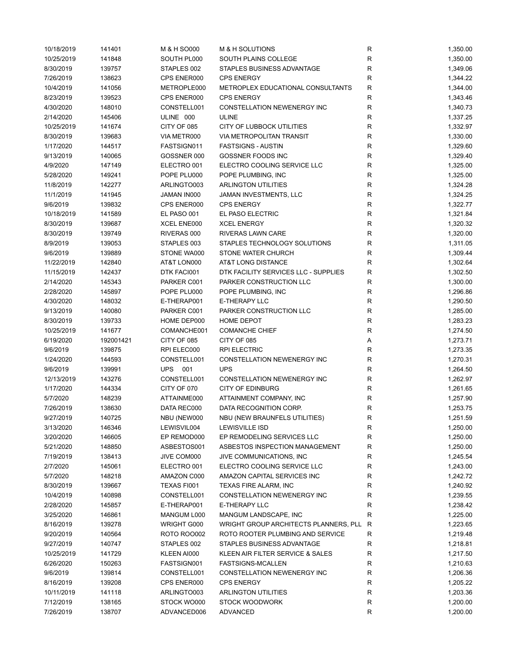| 10/18/2019 | 141401    | M & H SO000 | M & H SOLUTIONS                         | R            | 1,350.00 |
|------------|-----------|-------------|-----------------------------------------|--------------|----------|
| 10/25/2019 | 141848    | SOUTH PL000 | SOUTH PLAINS COLLEGE                    | R            | 1,350.00 |
| 8/30/2019  | 139757    | STAPLES 002 | STAPLES BUSINESS ADVANTAGE              | R            | 1,349.06 |
| 7/26/2019  | 138623    | CPS ENER000 | <b>CPS ENERGY</b>                       | R            | 1,344.22 |
| 10/4/2019  | 141056    | METROPLE000 | METROPLEX EDUCATIONAL CONSULTANTS       | R            | 1,344.00 |
| 8/23/2019  | 139523    | CPS ENER000 | <b>CPS ENERGY</b>                       | R            | 1,343.46 |
| 4/30/2020  | 148010    | CONSTELL001 | CONSTELLATION NEWENERGY INC             | $\mathsf{R}$ | 1,340.73 |
| 2/14/2020  | 145406    | ULINE 000   | ULINE                                   | R            | 1,337.25 |
| 10/25/2019 | 141674    | CITY OF 085 | CITY OF LUBBOCK UTILITIES               | R            | 1,332.97 |
|            |           |             |                                         |              |          |
| 8/30/2019  | 139683    | VIA METR000 | <b>VIA METROPOLITAN TRANSIT</b>         | R            | 1,330.00 |
| 1/17/2020  | 144517    | FASTSIGN011 | <b>FASTSIGNS - AUSTIN</b>               | R            | 1,329.60 |
| 9/13/2019  | 140065    | GOSSNER 000 | GOSSNER FOODS INC                       | R            | 1,329.40 |
| 4/9/2020   | 147149    | ELECTRO 001 | ELECTRO COOLING SERVICE LLC             | R            | 1,325.00 |
| 5/28/2020  | 149241    | POPE PLU000 | POPE PLUMBING, INC                      | R            | 1,325.00 |
| 11/8/2019  | 142277    | ARLINGTO003 | <b>ARLINGTON UTILITIES</b>              | R            | 1,324.28 |
| 11/1/2019  | 141945    | JAMAN IN000 | JAMAN INVESTMENTS, LLC                  | R            | 1,324.25 |
| 9/6/2019   | 139832    | CPS ENER000 | <b>CPS ENERGY</b>                       | R            | 1,322.77 |
| 10/18/2019 | 141589    | EL PASO 001 | EL PASO ELECTRIC                        | $\mathsf{R}$ | 1,321.84 |
| 8/30/2019  | 139687    | XCEL ENE000 | <b>XCEL ENERGY</b>                      | $\mathsf{R}$ | 1,320.32 |
| 8/30/2019  | 139749    | RIVERAS 000 | RIVERAS LAWN CARE                       | R            | 1,320.00 |
| 8/9/2019   | 139053    | STAPLES 003 | STAPLES TECHNOLOGY SOLUTIONS            | R            | 1,311.05 |
| 9/6/2019   | 139889    | STONE WA000 | STONE WATER CHURCH                      | R            | 1,309.44 |
| 11/22/2019 | 142840    | AT&T LON000 | <b>AT&amp;T LONG DISTANCE</b>           | R            | 1,302.64 |
| 11/15/2019 | 142437    | DTK FACI001 | DTK FACILITY SERVICES LLC - SUPPLIES    | R            | 1,302.50 |
| 2/14/2020  | 145343    | PARKER C001 | PARKER CONSTRUCTION LLC                 | R            | 1,300.00 |
| 2/28/2020  | 145897    | POPE PLU000 | POPE PLUMBING, INC                      | R            | 1,296.86 |
|            |           |             |                                         |              |          |
| 4/30/2020  | 148032    | E-THERAP001 | E-THERAPY LLC                           | R            | 1,290.50 |
| 9/13/2019  | 140080    | PARKER C001 | PARKER CONSTRUCTION LLC                 | R            | 1,285.00 |
| 8/30/2019  | 139733    | HOME DEP000 | <b>HOME DEPOT</b>                       | ${\sf R}$    | 1,283.23 |
| 10/25/2019 | 141677    | COMANCHE001 | <b>COMANCHE CHIEF</b>                   | R            | 1,274.50 |
| 6/19/2020  | 192001421 | CITY OF 085 | CITY OF 085                             | Α            | 1,273.71 |
| 9/6/2019   | 139875    | RPI ELEC000 | <b>RPI ELECTRIC</b>                     | $\mathsf{R}$ | 1,273.35 |
| 1/24/2020  | 144593    | CONSTELL001 | CONSTELLATION NEWENERGY INC             | R            | 1,270.31 |
| 9/6/2019   | 139991    | UPS 001     | <b>UPS</b>                              | $\mathsf{R}$ | 1,264.50 |
| 12/13/2019 | 143276    | CONSTELL001 | CONSTELLATION NEWENERGY INC             | R            | 1,262.97 |
| 1/17/2020  | 144334    | CITY OF 070 | <b>CITY OF EDINBURG</b>                 | $\mathsf R$  | 1,261.65 |
| 5/7/2020   | 148239    | ATTAINME000 | ATTAINMENT COMPANY, INC                 | $\mathsf{R}$ | 1,257.90 |
| 7/26/2019  | 138630    | DATA REC000 | DATA RECOGNITION CORP.                  | $\mathsf R$  | 1,253.75 |
| 9/27/2019  | 140725    | NBU (NEW000 | NBU (NEW BRAUNFELS UTILITIES)           | R            | 1,251.59 |
| 3/13/2020  | 146346    | LEWISVIL004 | <b>LEWISVILLE ISD</b>                   | R            | 1,250.00 |
| 3/20/2020  | 146605    | EP REMOD000 | EP REMODELING SERVICES LLC              | R            | 1,250.00 |
| 5/21/2020  | 148850    | ASBESTOS001 | ASBESTOS INSPECTION MANAGEMENT          | R            | 1,250.00 |
| 7/19/2019  | 138413    | JIVE COM000 | JIVE COMMUNICATIONS, INC                | R            | 1,245.54 |
| 2/7/2020   | 145061    | ELECTRO 001 | ELECTRO COOLING SERVICE LLC             | R            | 1,243.00 |
| 5/7/2020   | 148218    | AMAZON C000 | AMAZON CAPITAL SERVICES INC             | R            | 1,242.72 |
|            |           |             |                                         |              |          |
| 8/30/2019  | 139667    | TEXAS FI001 | TEXAS FIRE ALARM, INC                   | R            | 1,240.92 |
| 10/4/2019  | 140898    | CONSTELL001 | CONSTELLATION NEWENERGY INC             | R            | 1,239.55 |
| 2/28/2020  | 145857    | E-THERAP001 | E-THERAPY LLC                           | R            | 1,238.42 |
| 3/25/2020  | 146861    | MANGUM L000 | MANGUM LANDSCAPE, INC                   | R            | 1,225.00 |
| 8/16/2019  | 139278    | WRIGHT G000 | WRIGHT GROUP ARCHITECTS PLANNERS, PLL R |              | 1,223.65 |
| 9/20/2019  | 140564    | ROTO ROO002 | ROTO ROOTER PLUMBING AND SERVICE        | R            | 1,219.48 |
| 9/27/2019  | 140747    | STAPLES 002 | STAPLES BUSINESS ADVANTAGE              | R            | 1,218.81 |
| 10/25/2019 | 141729    | KLEEN AI000 | KLEEN AIR FILTER SERVICE & SALES        | R            | 1,217.50 |
| 6/26/2020  | 150263    | FASTSIGN001 | FASTSIGNS-MCALLEN                       | R            | 1,210.63 |
| 9/6/2019   | 139814    | CONSTELL001 | CONSTELLATION NEWENERGY INC             | R            | 1,206.36 |
| 8/16/2019  | 139208    | CPS ENER000 | <b>CPS ENERGY</b>                       | R            | 1,205.22 |
| 10/11/2019 | 141118    | ARLINGTO003 | <b>ARLINGTON UTILITIES</b>              | R            | 1,203.36 |
| 7/12/2019  | 138165    | STOCK WO000 | <b>STOCK WOODWORK</b>                   | R            | 1,200.00 |
| 7/26/2019  | 138707    | ADVANCED006 | <b>ADVANCED</b>                         | R            | 1,200.00 |
|            |           |             |                                         |              |          |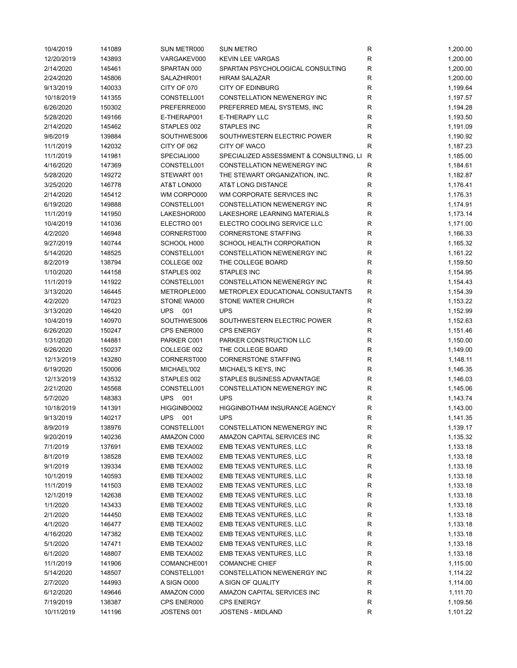| 10/4/2019  | 141089 | SUN METR000       | <b>SUN METRO</b>                          | R           | 1,200.00 |
|------------|--------|-------------------|-------------------------------------------|-------------|----------|
| 12/20/2019 | 143893 | VARGAKEV000       | <b>KEVIN LEE VARGAS</b>                   | R           | 1,200.00 |
| 2/14/2020  | 145461 | SPARTAN 000       | SPARTAN PSYCHOLOGICAL CONSULTING          | R           | 1,200.00 |
| 2/24/2020  | 145806 | SALAZHIR001       | <b>HIRAM SALAZAR</b>                      | $\mathsf R$ | 1,200.00 |
| 9/13/2019  | 140033 | CITY OF 070       | <b>CITY OF EDINBURG</b>                   | R           | 1,199.64 |
| 10/18/2019 | 141355 | CONSTELL001       | CONSTELLATION NEWENERGY INC               | R           | 1,197.57 |
| 6/26/2020  | 150302 | PREFERRE000       | PREFERRED MEAL SYSTEMS, INC               | R           | 1,194.28 |
| 5/28/2020  | 149166 | E-THERAP001       | E-THERAPY LLC                             | R           | 1,193.50 |
| 2/14/2020  | 145462 | STAPLES 002       | STAPLES INC                               | R           | 1,191.09 |
| 9/6/2019   | 139884 | SOUTHWES006       | SOUTHWESTERN ELECTRIC POWER               | R           | 1,190.92 |
| 11/1/2019  | 142032 | CITY OF 062       | CITY OF WACO                              | R           | 1,187.23 |
|            |        |                   |                                           |             |          |
| 11/1/2019  | 141981 | SPECIALI000       | SPECIALIZED ASSESSMENT & CONSULTING, LI R |             | 1,185.00 |
| 4/16/2020  | 147369 | CONSTELL001       | CONSTELLATION NEWENERGY INC               | R           | 1,184.61 |
| 5/28/2020  | 149272 | STEWART 001       | THE STEWART ORGANIZATION, INC.            | R           | 1,182.87 |
| 3/25/2020  | 146778 | AT&T LON000       | AT&T LONG DISTANCE                        | $\mathsf R$ | 1,176.41 |
| 2/14/2020  | 145412 | WM CORPO000       | WM CORPORATE SERVICES INC                 | $\mathsf R$ | 1,176.31 |
| 6/19/2020  | 149888 | CONSTELL001       | CONSTELLATION NEWENERGY INC               | R           | 1,174.91 |
| 11/1/2019  | 141950 | LAKESHOR000       | LAKESHORE LEARNING MATERIALS              | R           | 1,173.14 |
| 10/4/2019  | 141036 | ELECTRO 001       | ELECTRO COOLING SERVICE LLC               | R           | 1,171.00 |
| 4/2/2020   | 146948 | CORNERST000       | <b>CORNERSTONE STAFFING</b>               | R           | 1,166.33 |
| 9/27/2019  | 140744 | SCHOOL H000       | SCHOOL HEALTH CORPORATION                 | R           | 1,165.32 |
| 5/14/2020  | 148525 | CONSTELL001       | CONSTELLATION NEWENERGY INC               | R           | 1,161.22 |
| 8/2/2019   | 138794 | COLLEGE 002       | THE COLLEGE BOARD                         | R           | 1,159.50 |
| 1/10/2020  | 144158 | STAPLES 002       | <b>STAPLES INC</b>                        | R           | 1,154.95 |
| 11/1/2019  | 141922 | CONSTELL001       | CONSTELLATION NEWENERGY INC               | $\mathsf R$ | 1,154.43 |
| 3/13/2020  | 146445 | METROPLE000       | METROPLEX EDUCATIONAL CONSULTANTS         | $\mathsf R$ | 1,154.39 |
| 4/2/2020   | 147023 | STONE WA000       | STONE WATER CHURCH                        | $\mathsf R$ | 1,153.22 |
| 3/13/2020  | 146420 | <b>UPS</b><br>001 | <b>UPS</b>                                | R           | 1,152.99 |
| 10/4/2019  | 140970 | SOUTHWES006       | SOUTHWESTERN ELECTRIC POWER               | R           | 1,152.63 |
| 6/26/2020  | 150247 | CPS ENER000       | <b>CPS ENERGY</b>                         | R           | 1,151.46 |
| 1/31/2020  | 144881 | PARKER C001       | PARKER CONSTRUCTION LLC                   | $\mathsf R$ | 1,150.00 |
|            |        |                   | THE COLLEGE BOARD                         | $\mathsf R$ |          |
| 6/26/2020  | 150237 | COLLEGE 002       |                                           |             | 1,149.00 |
| 12/13/2019 | 143280 | CORNERST000       | <b>CORNERSTONE STAFFING</b>               | R           | 1,148.11 |
| 6/19/2020  | 150006 | MICHAEL'002       | MICHAEL'S KEYS, INC                       | R           | 1,146.35 |
| 12/13/2019 | 143532 | STAPLES 002       | STAPLES BUSINESS ADVANTAGE                | R           | 1,146.03 |
| 2/21/2020  | 145568 | CONSTELL001       | CONSTELLATION NEWENERGY INC               | R           | 1,145.06 |
| 5/7/2020   | 148383 | <b>UPS</b><br>001 | <b>UPS</b>                                | $\mathsf R$ | 1,143.74 |
| 10/18/2019 | 141391 | HIGGINBO002       | <b>HIGGINBOTHAM INSURANCE AGENCY</b>      | R           | 1,143.00 |
| 9/13/2019  | 140217 | <b>UPS</b><br>001 | <b>UPS</b>                                | R           | 1,141.35 |
| 8/9/2019   | 138976 | CONSTELL001       | CONSTELLATION NEWENERGY INC               | R           | 1,139.17 |
| 9/20/2019  | 140236 | AMAZON C000       | AMAZON CAPITAL SERVICES INC               | R           | 1,135.32 |
| 7/1/2019   | 137691 | EMB TEXA002       | EMB TEXAS VENTURES, LLC                   | R           | 1,133.18 |
| 8/1/2019   | 138528 | EMB TEXA002       | EMB TEXAS VENTURES, LLC                   | R           | 1,133.18 |
| 9/1/2019   | 139334 | EMB TEXA002       | EMB TEXAS VENTURES, LLC                   | R           | 1,133.18 |
| 10/1/2019  | 140593 | EMB TEXA002       | EMB TEXAS VENTURES, LLC                   | R           | 1,133.18 |
| 11/1/2019  | 141503 | EMB TEXA002       | EMB TEXAS VENTURES, LLC                   | R           | 1,133.18 |
| 12/1/2019  | 142638 | EMB TEXA002       | EMB TEXAS VENTURES, LLC                   | R           | 1,133.18 |
| 1/1/2020   | 143433 | EMB TEXA002       | EMB TEXAS VENTURES, LLC                   | R           | 1,133.18 |
| 2/1/2020   | 144450 | EMB TEXA002       | EMB TEXAS VENTURES, LLC                   | R           | 1,133.18 |
| 4/1/2020   | 146477 | EMB TEXA002       | EMB TEXAS VENTURES, LLC                   | R           | 1,133.18 |
| 4/16/2020  | 147382 | EMB TEXA002       | EMB TEXAS VENTURES, LLC                   | R           | 1,133.18 |
| 5/1/2020   | 147471 | EMB TEXA002       | EMB TEXAS VENTURES, LLC                   | R           | 1,133.18 |
| 6/1/2020   | 148807 | EMB TEXA002       | EMB TEXAS VENTURES, LLC                   | R           | 1,133.18 |
| 11/1/2019  | 141906 | COMANCHE001       | <b>COMANCHE CHIEF</b>                     | R           | 1,115.00 |
| 5/14/2020  | 148507 | CONSTELL001       | CONSTELLATION NEWENERGY INC               | R           | 1,114.22 |
|            |        |                   |                                           |             |          |
| 2/7/2020   | 144993 | A SIGN O000       | A SIGN OF QUALITY                         | R           | 1,114.00 |
| 6/12/2020  | 149646 | AMAZON C000       | AMAZON CAPITAL SERVICES INC               | R           | 1,111.70 |
| 7/19/2019  | 138387 | CPS ENER000       | <b>CPS ENERGY</b>                         | R           | 1,109.56 |
| 10/11/2019 | 141196 | JOSTENS 001       | JOSTENS - MIDLAND                         | R           | 1,101.22 |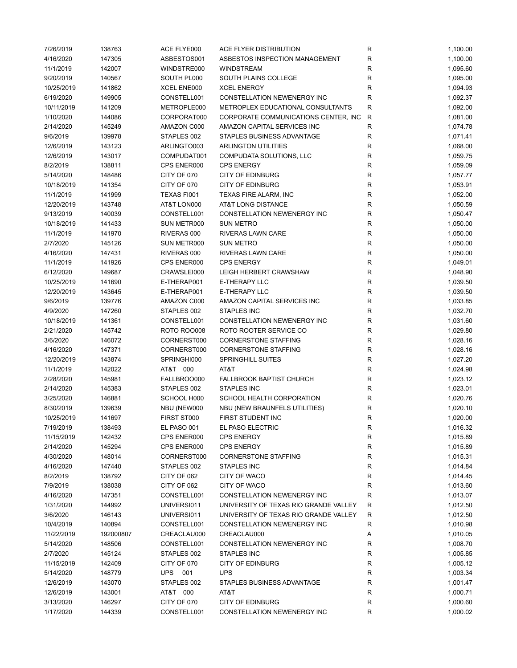| 7/26/2019  | 138763    | ACE FLYE000 | ACE FLYER DISTRIBUTION                | R            | 1,100.00 |
|------------|-----------|-------------|---------------------------------------|--------------|----------|
| 4/16/2020  | 147305    | ASBESTOS001 | ASBESTOS INSPECTION MANAGEMENT        | R            | 1,100.00 |
| 11/1/2019  | 142007    | WINDSTRE000 | <b>WINDSTREAM</b>                     | R            | 1,095.60 |
| 9/20/2019  | 140567    | SOUTH PL000 | SOUTH PLAINS COLLEGE                  | R            | 1,095.00 |
| 10/25/2019 | 141862    | XCEL ENE000 | <b>XCEL ENERGY</b>                    | R            | 1,094.93 |
| 6/19/2020  | 149905    | CONSTELL001 | CONSTELLATION NEWENERGY INC           | R            | 1,092.37 |
| 10/11/2019 | 141209    | METROPLE000 | METROPLEX EDUCATIONAL CONSULTANTS     | R            | 1,092.00 |
|            | 144086    | CORPORAT000 | CORPORATE COMMUNICATIONS CENTER, INC  | R            | 1,081.00 |
| 1/10/2020  |           |             |                                       |              |          |
| 2/14/2020  | 145249    | AMAZON C000 | AMAZON CAPITAL SERVICES INC           | $\mathsf{R}$ | 1,074.78 |
| 9/6/2019   | 139978    | STAPLES 002 | STAPLES BUSINESS ADVANTAGE            | $\mathsf{R}$ | 1,071.41 |
| 12/6/2019  | 143123    | ARLINGTO003 | <b>ARLINGTON UTILITIES</b>            | R            | 1,068.00 |
| 12/6/2019  | 143017    | COMPUDAT001 | COMPUDATA SOLUTIONS, LLC              | R            | 1,059.75 |
| 8/2/2019   | 138811    | CPS ENER000 | <b>CPS ENERGY</b>                     | R            | 1,059.09 |
| 5/14/2020  | 148486    | CITY OF 070 | <b>CITY OF EDINBURG</b>               | $\mathsf{R}$ | 1,057.77 |
| 10/18/2019 | 141354    | CITY OF 070 | <b>CITY OF EDINBURG</b>               | R            | 1,053.91 |
| 11/1/2019  | 141999    | TEXAS FI001 | TEXAS FIRE ALARM, INC                 | R            | 1,052.00 |
| 12/20/2019 | 143748    | AT&T LON000 | AT&T LONG DISTANCE                    | $\mathsf R$  | 1,050.59 |
| 9/13/2019  | 140039    | CONSTELL001 | CONSTELLATION NEWENERGY INC           | $\mathsf R$  | 1,050.47 |
| 10/18/2019 | 141433    | SUN METR000 | <b>SUN METRO</b>                      | $\mathsf R$  | 1,050.00 |
| 11/1/2019  | 141970    | RIVERAS 000 | RIVERAS LAWN CARE                     | $\mathsf R$  | 1,050.00 |
| 2/7/2020   | 145126    | SUN METR000 | <b>SUN METRO</b>                      | R            | 1,050.00 |
| 4/16/2020  | 147431    | RIVERAS 000 | RIVERAS LAWN CARE                     | R            | 1,050.00 |
| 11/1/2019  | 141926    | CPS ENER000 | <b>CPS ENERGY</b>                     | $\mathsf{R}$ | 1,049.01 |
|            |           |             |                                       |              |          |
| 6/12/2020  | 149687    | CRAWSLEI000 | LEIGH HERBERT CRAWSHAW                | R            | 1,048.90 |
| 10/25/2019 | 141690    | E-THERAP001 | E-THERAPY LLC                         | R            | 1,039.50 |
| 12/20/2019 | 143645    | E-THERAP001 | E-THERAPY LLC                         | R            | 1,039.50 |
| 9/6/2019   | 139776    | AMAZON C000 | AMAZON CAPITAL SERVICES INC           | R            | 1,033.85 |
| 4/9/2020   | 147260    | STAPLES 002 | <b>STAPLES INC</b>                    | R            | 1,032.70 |
| 10/18/2019 | 141361    | CONSTELL001 | CONSTELLATION NEWENERGY INC           | R            | 1,031.60 |
| 2/21/2020  | 145742    | ROTO ROO008 | ROTO ROOTER SERVICE CO                | R            | 1,029.80 |
| 3/6/2020   | 146072    | CORNERST000 | <b>CORNERSTONE STAFFING</b>           | R            | 1,028.16 |
| 4/16/2020  | 147371    | CORNERST000 | <b>CORNERSTONE STAFFING</b>           | $\mathsf{R}$ | 1,028.16 |
| 12/20/2019 | 143874    | SPRINGHI000 | <b>SPRINGHILL SUITES</b>              | $\mathsf R$  | 1,027.20 |
| 11/1/2019  | 142022    | AT&T 000    | AT&T                                  | R            | 1,024.98 |
| 2/28/2020  | 145981    | FALLBROO000 | <b>FALLBROOK BAPTIST CHURCH</b>       | $\mathsf{R}$ | 1,023.12 |
| 2/14/2020  | 145383    | STAPLES 002 | <b>STAPLES INC</b>                    | R            | 1,023.01 |
| 3/25/2020  | 146881    | SCHOOL H000 | SCHOOL HEALTH CORPORATION             | $\mathsf{R}$ | 1,020.76 |
| 8/30/2019  | 139639    | NBU (NEW000 | NBU (NEW BRAUNFELS UTILITIES)         | $\mathsf{R}$ | 1,020.10 |
|            |           |             |                                       | $\mathsf R$  | 1,020.00 |
| 10/25/2019 | 141697    | FIRST ST000 | FIRST STUDENT INC                     |              |          |
| 7/19/2019  | 138493    | EL PASO 001 | EL PASO ELECTRIC                      | R            | 1,016.32 |
| 11/15/2019 | 142432    | CPS ENER000 | <b>CPS ENERGY</b>                     | R            | 1,015.89 |
| 2/14/2020  | 145294    | CPS ENER000 | <b>CPS ENERGY</b>                     | R            | 1,015.89 |
| 4/30/2020  | 148014    | CORNERST000 | <b>CORNERSTONE STAFFING</b>           | R            | 1,015.31 |
| 4/16/2020  | 147440    | STAPLES 002 | STAPLES INC                           | R            | 1,014.84 |
| 8/2/2019   | 138792    | CITY OF 062 | CITY OF WACO                          | R            | 1,014.45 |
| 7/9/2019   | 138038    | CITY OF 062 | CITY OF WACO                          | R            | 1,013.60 |
| 4/16/2020  | 147351    | CONSTELL001 | CONSTELLATION NEWENERGY INC           | $\mathsf{R}$ | 1,013.07 |
| 1/31/2020  | 144992    | UNIVERSI011 | UNIVERSITY OF TEXAS RIO GRANDE VALLEY | R            | 1,012.50 |
| 3/6/2020   | 146143    | UNIVERSI011 | UNIVERSITY OF TEXAS RIO GRANDE VALLEY | R            | 1,012.50 |
| 10/4/2019  | 140894    | CONSTELL001 | CONSTELLATION NEWENERGY INC           | $\mathsf{R}$ | 1,010.98 |
| 11/22/2019 | 192000807 | CREACLAU000 | CREACLAU000                           | Α            | 1,010.05 |
| 5/14/2020  | 148506    | CONSTELL001 | CONSTELLATION NEWENERGY INC           | R            | 1,008.70 |
|            |           |             |                                       |              |          |
| 2/7/2020   | 145124    | STAPLES 002 | STAPLES INC                           | R            | 1,005.85 |
| 11/15/2019 | 142409    | CITY OF 070 | <b>CITY OF EDINBURG</b>               | R            | 1,005.12 |
| 5/14/2020  | 148779    | UPS 001     | <b>UPS</b>                            | R            | 1,003.34 |
| 12/6/2019  | 143070    | STAPLES 002 | STAPLES BUSINESS ADVANTAGE            | R            | 1,001.47 |
| 12/6/2019  | 143001    | AT&T 000    | AT&T                                  | R            | 1,000.71 |
| 3/13/2020  | 146297    | CITY OF 070 | <b>CITY OF EDINBURG</b>               | R            | 1,000.60 |
| 1/17/2020  | 144339    | CONSTELL001 | CONSTELLATION NEWENERGY INC           | R            | 1,000.02 |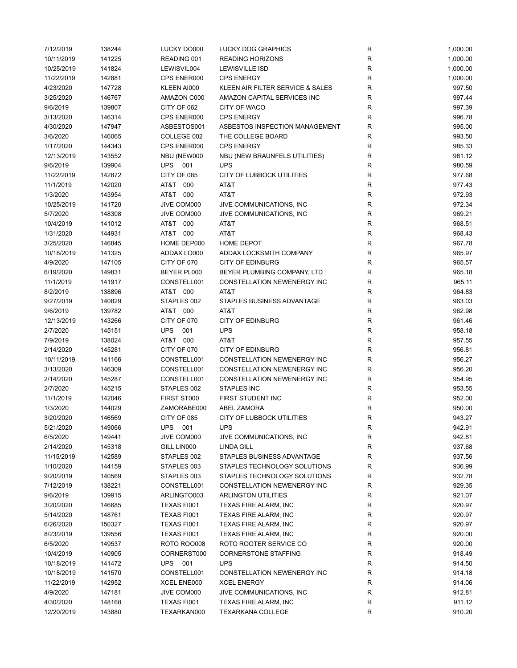| 7/12/2019  | 138244 | LUCKY DO000       | <b>LUCKY DOG GRAPHICS</b>          | $\mathsf{R}$ | 1,000.00 |
|------------|--------|-------------------|------------------------------------|--------------|----------|
| 10/11/2019 | 141225 | READING 001       | <b>READING HORIZONS</b>            | $\mathsf{R}$ | 1,000.00 |
| 10/25/2019 | 141824 | LEWISVIL004       | <b>LEWISVILLE ISD</b>              | R            | 1,000.00 |
| 11/22/2019 | 142881 | CPS ENER000       | <b>CPS ENERGY</b>                  | R            | 1,000.00 |
| 4/23/2020  | 147728 | KLEEN AI000       | KLEEN AIR FILTER SERVICE & SALES   | R            | 997.50   |
| 3/25/2020  | 146767 | AMAZON C000       | AMAZON CAPITAL SERVICES INC        | R            | 997.44   |
| 9/6/2019   | 139807 | CITY OF 062       | CITY OF WACO                       | R            | 997.39   |
| 3/13/2020  | 146314 | CPS ENER000       | <b>CPS ENERGY</b>                  | R            | 996.78   |
| 4/30/2020  | 147947 | ASBESTOS001       | ASBESTOS INSPECTION MANAGEMENT     | R            | 995.00   |
|            |        | COLLEGE 002       |                                    | $\mathsf{R}$ |          |
| 3/6/2020   | 146065 |                   | THE COLLEGE BOARD                  | $\mathsf{R}$ | 993.50   |
| 1/17/2020  | 144343 | CPS ENER000       | <b>CPS ENERGY</b>                  |              | 985.33   |
| 12/13/2019 | 143552 | NBU (NEW000       | NBU (NEW BRAUNFELS UTILITIES)      | R            | 981.12   |
| 9/6/2019   | 139904 | <b>UPS</b><br>001 | <b>UPS</b>                         | $\mathsf{R}$ | 980.59   |
| 11/22/2019 | 142872 | CITY OF 085       | CITY OF LUBBOCK UTILITIES          | $\mathsf{R}$ | 977.68   |
| 11/1/2019  | 142020 | AT&T 000          | AT&T                               | $\mathsf{R}$ | 977.43   |
| 1/3/2020   | 143954 | AT&T<br>000       | AT&T                               | $\mathsf{R}$ | 972.93   |
| 10/25/2019 | 141720 | JIVE COM000       | JIVE COMMUNICATIONS, INC           | R            | 972.34   |
| 5/7/2020   | 148308 | JIVE COM000       | JIVE COMMUNICATIONS, INC           | R            | 969.21   |
| 10/4/2019  | 141012 | AT&T 000          | AT&T                               | $\mathsf{R}$ | 968.51   |
| 1/31/2020  | 144931 | AT&T 000          | AT&T                               | $\mathsf{R}$ | 968.43   |
| 3/25/2020  | 146845 | HOME DEP000       | HOME DEPOT                         | $\mathsf{R}$ | 967.78   |
| 10/18/2019 | 141325 | ADDAX LO000       | ADDAX LOCKSMITH COMPANY            | $\mathsf{R}$ | 965.97   |
| 4/9/2020   | 147105 | CITY OF 070       | <b>CITY OF EDINBURG</b>            | $\mathsf{R}$ | 965.57   |
| 6/19/2020  | 149831 | BEYER PL000       | BEYER PLUMBING COMPANY, LTD        | R            | 965.18   |
| 11/1/2019  | 141917 | CONSTELL001       | <b>CONSTELLATION NEWENERGY INC</b> | $\mathsf{R}$ | 965.11   |
| 8/2/2019   | 138896 | AT&T 000          | AT&T                               | $\mathsf{R}$ | 964.83   |
| 9/27/2019  | 140829 | STAPLES 002       | STAPLES BUSINESS ADVANTAGE         | R            | 963.03   |
| 9/6/2019   | 139782 | AT&T 000          | AT&T                               | $\mathsf{R}$ | 962.98   |
| 12/13/2019 | 143266 | CITY OF 070       | <b>CITY OF EDINBURG</b>            | $\mathsf{R}$ | 961.46   |
| 2/7/2020   | 145151 | <b>UPS</b><br>001 | <b>UPS</b>                         | R            | 958.18   |
|            |        |                   |                                    |              |          |
| 7/9/2019   | 138024 | AT&T 000          | AT&T                               | $\mathsf{R}$ | 957.55   |
| 2/14/2020  | 145281 | CITY OF 070       | <b>CITY OF EDINBURG</b>            | $\mathsf{R}$ | 956.81   |
| 10/11/2019 | 141166 | CONSTELL001       | CONSTELLATION NEWENERGY INC        | $\mathsf{R}$ | 956.27   |
| 3/13/2020  | 146309 | CONSTELL001       | CONSTELLATION NEWENERGY INC        | $\mathsf{R}$ | 956.20   |
| 2/14/2020  | 145287 | CONSTELL001       | CONSTELLATION NEWENERGY INC        | $\mathsf{R}$ | 954.95   |
| 2/7/2020   | 145215 | STAPLES 002       | STAPLES INC                        | $\mathsf{R}$ | 953.55   |
| 11/1/2019  | 142046 | FIRST ST000       | FIRST STUDENT INC                  | $\mathsf{R}$ | 952.00   |
| 1/3/2020   | 144029 | ZAMORABE000       | <b>ABEL ZAMORA</b>                 | $\mathsf{R}$ | 950.00   |
| 3/20/2020  | 146569 | CITY OF 085       | CITY OF LUBBOCK UTILITIES          | R            | 943.27   |
| 5/21/2020  | 149066 | UPS<br>001        | <b>UPS</b>                         | R            | 942.91   |
| 6/5/2020   | 149441 | JIVE COM000       | JIVE COMMUNICATIONS, INC           | $\mathsf{R}$ | 942.81   |
| 2/14/2020  | 145318 | GILL LIN000       | <b>LINDA GILL</b>                  | R            | 937.68   |
| 11/15/2019 | 142589 | STAPLES 002       | STAPLES BUSINESS ADVANTAGE         | R            | 937.56   |
| 1/10/2020  | 144159 | STAPLES 003       | STAPLES TECHNOLOGY SOLUTIONS       | R            | 936.99   |
| 9/20/2019  | 140569 | STAPLES 003       | STAPLES TECHNOLOGY SOLUTIONS       | R            | 932.78   |
| 7/12/2019  | 138221 | CONSTELL001       | CONSTELLATION NEWENERGY INC        | $\mathsf{R}$ | 929.35   |
| 9/6/2019   | 139915 | ARLINGTO003       | <b>ARLINGTON UTILITIES</b>         | $\mathsf{R}$ | 921.07   |
| 3/20/2020  | 146685 | TEXAS FI001       | TEXAS FIRE ALARM, INC              | R            | 920.97   |
| 5/14/2020  | 148761 | TEXAS FI001       | TEXAS FIRE ALARM, INC              | $\mathsf{R}$ | 920.97   |
| 6/26/2020  | 150327 | TEXAS FI001       | TEXAS FIRE ALARM, INC              | $\mathsf{R}$ | 920.97   |
| 8/23/2019  | 139556 | TEXAS FI001       | TEXAS FIRE ALARM, INC              | $\mathsf{R}$ | 920.00   |
|            |        |                   |                                    |              |          |
| 6/5/2020   | 149537 | ROTO ROO008       | ROTO ROOTER SERVICE CO             | $\mathsf{R}$ | 920.00   |
| 10/4/2019  | 140905 | CORNERST000       | <b>CORNERSTONE STAFFING</b>        | R            | 918.49   |
| 10/18/2019 | 141472 | UPS 001           | <b>UPS</b>                         | R            | 914.50   |
| 10/18/2019 | 141570 | CONSTELL001       | CONSTELLATION NEWENERGY INC        | R            | 914.18   |
| 11/22/2019 | 142952 | XCEL ENE000       | <b>XCEL ENERGY</b>                 | R            | 914.06   |
| 4/9/2020   | 147181 | JIVE COM000       | JIVE COMMUNICATIONS, INC.          | $\mathsf{R}$ | 912.81   |
| 4/30/2020  | 148168 | TEXAS FI001       | TEXAS FIRE ALARM, INC              | $\mathsf{R}$ | 911.12   |
| 12/20/2019 | 143880 | TEXARKAN000       | <b>TEXARKANA COLLEGE</b>           | R            | 910.20   |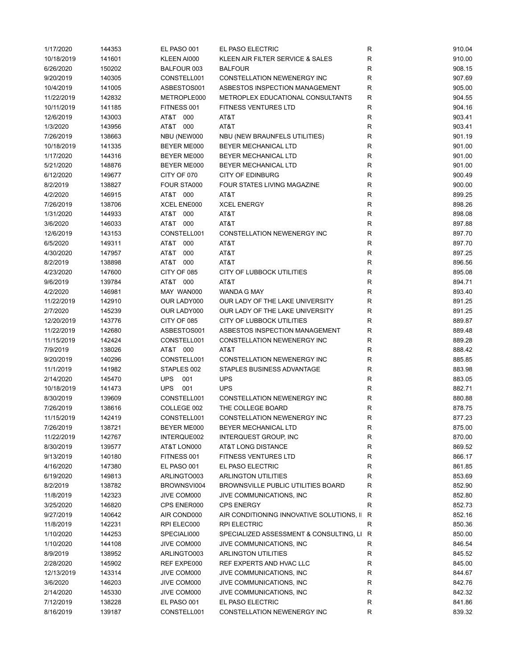| 1/17/2020  | 144353 | EL PASO 001        | EL PASO ELECTRIC                            | R           | 910.04 |
|------------|--------|--------------------|---------------------------------------------|-------------|--------|
| 10/18/2019 | 141601 | KLEEN AI000        | KLEEN AIR FILTER SERVICE & SALES            | R           | 910.00 |
| 6/26/2020  | 150202 | BALFOUR 003        | <b>BALFOUR</b>                              | R           | 908.15 |
| 9/20/2019  | 140305 | CONSTELL001        | CONSTELLATION NEWENERGY INC                 | R           | 907.69 |
| 10/4/2019  | 141005 | ASBESTOS001        | ASBESTOS INSPECTION MANAGEMENT              | R           | 905.00 |
| 11/22/2019 | 142832 | METROPLE000        | METROPLEX EDUCATIONAL CONSULTANTS           | R           | 904.55 |
| 10/11/2019 | 141185 | FITNESS 001        | <b>FITNESS VENTURES LTD</b>                 | R           | 904.16 |
| 12/6/2019  | 143003 | AT&T 000           | AT&T                                        | R           | 903.41 |
| 1/3/2020   | 143956 | AT&T 000           | AT&T                                        | R           | 903.41 |
| 7/26/2019  | 138663 | NBU (NEW000        | NBU (NEW BRAUNFELS UTILITIES)               | R           | 901.19 |
| 10/18/2019 | 141335 | BEYER ME000        | BEYER MECHANICAL LTD                        | R           | 901.00 |
| 1/17/2020  | 144316 | <b>BEYER ME000</b> | BEYER MECHANICAL LTD                        | R           | 901.00 |
|            |        |                    |                                             |             |        |
| 5/21/2020  | 148876 | BEYER ME000        | BEYER MECHANICAL LTD                        | R           | 901.00 |
| 6/12/2020  | 149677 | CITY OF 070        | <b>CITY OF EDINBURG</b>                     | R           | 900.49 |
| 8/2/2019   | 138827 | FOUR STA000        | FOUR STATES LIVING MAGAZINE                 | $\mathsf R$ | 900.00 |
| 4/2/2020   | 146915 | AT&T 000           | AT&T                                        | R           | 899.25 |
| 7/26/2019  | 138706 | XCEL ENE000        | <b>XCEL ENERGY</b>                          | R           | 898.26 |
| 1/31/2020  | 144933 | AT&T 000           | AT&T                                        | $\mathsf R$ | 898.08 |
| 3/6/2020   | 146033 | AT&T 000           | AT&T                                        | R           | 897.88 |
| 12/6/2019  | 143153 | CONSTELL001        | CONSTELLATION NEWENERGY INC                 | R           | 897.70 |
| 6/5/2020   | 149311 | AT&T<br>000        | AT&T                                        | R           | 897.70 |
| 4/30/2020  | 147957 | AT&T<br>000        | AT&T                                        | R           | 897.25 |
| 8/2/2019   | 138898 | AT&T<br>000        | AT&T                                        | R           | 896.56 |
| 4/23/2020  | 147600 | CITY OF 085        | CITY OF LUBBOCK UTILITIES                   | R           | 895.08 |
| 9/6/2019   | 139784 | AT&T 000           | AT&T                                        | R           | 894.71 |
| 4/2/2020   | 146981 | MAY WAN000         | WANDA G MAY                                 | R           | 893.40 |
| 11/22/2019 | 142910 | OUR LADY000        | OUR LADY OF THE LAKE UNIVERSITY             | R           | 891.25 |
| 2/7/2020   | 145239 | OUR LADY000        | OUR LADY OF THE LAKE UNIVERSITY             | R           | 891.25 |
| 12/20/2019 | 143776 | CITY OF 085        | CITY OF LUBBOCK UTILITIES                   | R           | 889.87 |
| 11/22/2019 | 142680 | ASBESTOS001        | ASBESTOS INSPECTION MANAGEMENT              | R           | 889.48 |
| 11/15/2019 | 142424 | CONSTELL001        | CONSTELLATION NEWENERGY INC                 | R           | 889.28 |
| 7/9/2019   | 138026 | AT&T 000           | AT&T                                        | R           | 888.42 |
| 9/20/2019  | 140296 | CONSTELL001        | CONSTELLATION NEWENERGY INC                 | R           | 885.85 |
|            |        |                    |                                             |             |        |
| 11/1/2019  | 141982 | STAPLES 002        | STAPLES BUSINESS ADVANTAGE                  | R           | 883.98 |
| 2/14/2020  | 145470 | <b>UPS</b><br>001  | <b>UPS</b>                                  | R           | 883.05 |
| 10/18/2019 | 141473 | <b>UPS</b><br>001  | <b>UPS</b>                                  | R           | 882.71 |
| 8/30/2019  | 139609 | CONSTELL001        | CONSTELLATION NEWENERGY INC                 | R           | 880.88 |
| 7/26/2019  | 138616 | COLLEGE 002        | THE COLLEGE BOARD                           | R           | 878.75 |
| 11/15/2019 | 142419 | CONSTELL001        | CONSTELLATION NEWENERGY INC                 | R           | 877.23 |
| 7/26/2019  | 138721 | BEYER ME000        | BEYER MECHANICAL LTD                        | R           | 875.00 |
| 11/22/2019 | 142767 | INTERQUE002        | <b>INTERQUEST GROUP, INC</b>                | R           | 870.00 |
| 8/30/2019  | 139577 | AT&T LON000        | AT&T LONG DISTANCE                          | R           | 869.52 |
| 9/13/2019  | 140180 | FITNESS 001        | <b>FITNESS VENTURES LTD</b>                 | R           | 866.17 |
| 4/16/2020  | 147380 | EL PASO 001        | EL PASO ELECTRIC                            | R           | 861.85 |
| 6/19/2020  | 149813 | ARLINGTO003        | <b>ARLINGTON UTILITIES</b>                  | R           | 853.69 |
| 8/2/2019   | 138782 | BROWNSVI004        | <b>BROWNSVILLE PUBLIC UTILITIES BOARD</b>   | R           | 852.90 |
| 11/8/2019  | 142323 | JIVE COM000        | JIVE COMMUNICATIONS, INC.                   | R           | 852.80 |
| 3/25/2020  | 146820 | CPS ENER000        | <b>CPS ENERGY</b>                           | R           | 852.73 |
| 9/27/2019  | 140642 | AIR COND000        | AIR CONDITIONING INNOVATIVE SOLUTIONS, II R |             | 852.16 |
| 11/8/2019  | 142231 | RPI ELEC000        | <b>RPI ELECTRIC</b>                         | $\mathsf R$ | 850.36 |
| 1/10/2020  | 144253 | SPECIALI000        | SPECIALIZED ASSESSMENT & CONSULTING, LI R   |             | 850.00 |
| 1/10/2020  | 144108 | JIVE COM000        | JIVE COMMUNICATIONS, INC.                   | R           | 846.54 |
| 8/9/2019   | 138952 | ARLINGTO003        | <b>ARLINGTON UTILITIES</b>                  | R           | 845.52 |
| 2/28/2020  | 145902 | REF EXPE000        | REF EXPERTS AND HVAC LLC                    | R           | 845.00 |
| 12/13/2019 | 143314 | JIVE COM000        | JIVE COMMUNICATIONS, INC.                   | R           | 844.67 |
| 3/6/2020   |        |                    | JIVE COMMUNICATIONS, INC.                   | R           | 842.76 |
|            | 146203 | JIVE COM000        |                                             |             |        |
| 2/14/2020  | 145330 | JIVE COM000        | JIVE COMMUNICATIONS, INC.                   | R           | 842.32 |
| 7/12/2019  | 138228 | EL PASO 001        | EL PASO ELECTRIC                            | R           | 841.86 |
| 8/16/2019  | 139187 | CONSTELL001        | CONSTELLATION NEWENERGY INC                 | R           | 839.32 |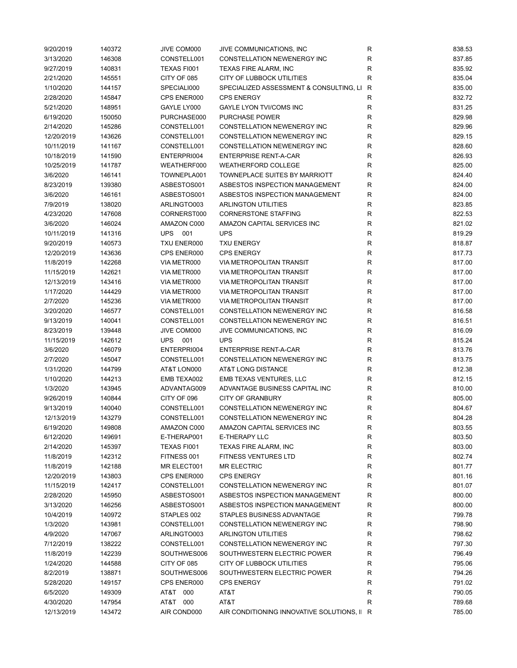| 9/20/2019  | 140372 | JIVE COM000       | JIVE COMMUNICATIONS, INC                    | R         | 838.53 |
|------------|--------|-------------------|---------------------------------------------|-----------|--------|
| 3/13/2020  | 146308 | CONSTELL001       | <b>CONSTELLATION NEWENERGY INC</b>          | R         | 837.85 |
| 9/27/2019  | 140831 | TEXAS FI001       | TEXAS FIRE ALARM, INC                       | R         | 835.92 |
| 2/21/2020  | 145551 | CITY OF 085       | CITY OF LUBBOCK UTILITIES                   | R         | 835.04 |
| 1/10/2020  | 144157 | SPECIALI000       | SPECIALIZED ASSESSMENT & CONSULTING, LI R   |           | 835.00 |
| 2/28/2020  | 145847 | CPS ENER000       | <b>CPS ENERGY</b>                           | R         | 832.72 |
| 5/21/2020  | 148951 | GAYLE LY000       | GAYLE LYON TVI/COMS INC                     | R         | 831.25 |
| 6/19/2020  | 150050 | PURCHASE000       | PURCHASE POWER                              | R         | 829.98 |
|            |        |                   | CONSTELLATION NEWENERGY INC                 |           |        |
| 2/14/2020  | 145286 | CONSTELL001       |                                             | R         | 829.96 |
| 12/20/2019 | 143626 | CONSTELL001       | <b>CONSTELLATION NEWENERGY INC</b>          | R         | 829.15 |
| 10/11/2019 | 141167 | CONSTELL001       | CONSTELLATION NEWENERGY INC                 | R         | 828.60 |
| 10/18/2019 | 141590 | ENTERPRI004       | <b>ENTERPRISE RENT-A-CAR</b>                | R         | 826.93 |
| 10/25/2019 | 141787 | WEATHERF000       | <b>WEATHERFORD COLLEGE</b>                  | R         | 825.00 |
| 3/6/2020   | 146141 | TOWNEPLA001       | TOWNEPLACE SUITES BY MARRIOTT               | ${\sf R}$ | 824.40 |
| 8/23/2019  | 139380 | ASBESTOS001       | ASBESTOS INSPECTION MANAGEMENT              | R         | 824.00 |
| 3/6/2020   | 146161 | ASBESTOS001       | ASBESTOS INSPECTION MANAGEMENT              | R         | 824.00 |
| 7/9/2019   | 138020 | ARLINGTO003       | <b>ARLINGTON UTILITIES</b>                  | R         | 823.85 |
| 4/23/2020  | 147608 | CORNERST000       | <b>CORNERSTONE STAFFING</b>                 | R         | 822.53 |
| 3/6/2020   | 146024 | AMAZON C000       | AMAZON CAPITAL SERVICES INC                 | R         | 821.02 |
| 10/11/2019 | 141316 | <b>UPS</b><br>001 | <b>UPS</b>                                  | R         | 819.29 |
| 9/20/2019  | 140573 | TXU ENER000       | <b>TXU ENERGY</b>                           | R         | 818.87 |
| 12/20/2019 | 143636 | CPS ENER000       | <b>CPS ENERGY</b>                           | R         | 817.73 |
| 11/8/2019  | 142268 | VIA METR000       | <b>VIA METROPOLITAN TRANSIT</b>             | R         | 817.00 |
| 11/15/2019 | 142621 | VIA METR000       | <b>VIA METROPOLITAN TRANSIT</b>             | R         | 817.00 |
| 12/13/2019 | 143416 | VIA METR000       | <b>VIA METROPOLITAN TRANSIT</b>             | R         | 817.00 |
| 1/17/2020  | 144429 | VIA METR000       | <b>VIA METROPOLITAN TRANSIT</b>             | R         | 817.00 |
| 2/7/2020   | 145236 | VIA METR000       | <b>VIA METROPOLITAN TRANSIT</b>             | R         | 817.00 |
| 3/20/2020  | 146577 | CONSTELL001       | CONSTELLATION NEWENERGY INC                 | R         | 816.58 |
|            |        |                   |                                             |           |        |
| 9/13/2019  | 140041 | CONSTELL001       | CONSTELLATION NEWENERGY INC                 | ${\sf R}$ | 816.51 |
| 8/23/2019  | 139448 | JIVE COM000       | JIVE COMMUNICATIONS, INC                    | R         | 816.09 |
| 11/15/2019 | 142612 | <b>UPS</b><br>001 | <b>UPS</b>                                  | R         | 815.24 |
| 3/6/2020   | 146079 | ENTERPRI004       | <b>ENTERPRISE RENT-A-CAR</b>                | R         | 813.76 |
| 2/7/2020   | 145047 | CONSTELL001       | CONSTELLATION NEWENERGY INC                 | R         | 813.75 |
| 1/31/2020  | 144799 | AT&T LON000       | AT&T LONG DISTANCE                          | R         | 812.38 |
| 1/10/2020  | 144213 | EMB TEXA002       | EMB TEXAS VENTURES, LLC                     | R         | 812.15 |
| 1/3/2020   | 143945 | ADVANTAG009       | ADVANTAGE BUSINESS CAPITAL INC              | R         | 810.00 |
| 9/26/2019  | 140844 | CITY OF 096       | <b>CITY OF GRANBURY</b>                     | R         | 805.00 |
| 9/13/2019  | 140040 | CONSTELL001       | CONSTELLATION NEWENERGY INC                 | R         | 804.67 |
| 12/13/2019 | 143279 | CONSTELL001       | CONSTELLATION NEWENERGY INC                 | R         | 804.28 |
| 6/19/2020  | 149808 | AMAZON C000       | AMAZON CAPITAL SERVICES INC                 | R         | 803.55 |
| 6/12/2020  | 149691 | E-THERAP001       | <b>E-THERAPY LLC</b>                        | R         | 803.50 |
| 2/14/2020  | 145397 | TEXAS FI001       | <b>TEXAS FIRE ALARM, INC</b>                | R         | 803.00 |
| 11/8/2019  | 142312 | FITNESS 001       | <b>FITNESS VENTURES LTD</b>                 | R         | 802.74 |
| 11/8/2019  | 142188 | MR ELECT001       | <b>MR ELECTRIC</b>                          | R         | 801.77 |
| 12/20/2019 | 143803 | CPS ENER000       | <b>CPS ENERGY</b>                           | R         | 801.16 |
| 11/15/2019 | 142417 | CONSTELL001       | <b>CONSTELLATION NEWENERGY INC</b>          | R         | 801.07 |
| 2/28/2020  | 145950 | ASBESTOS001       | ASBESTOS INSPECTION MANAGEMENT              | R         | 800.00 |
| 3/13/2020  | 146256 | ASBESTOS001       | ASBESTOS INSPECTION MANAGEMENT              | R         | 800.00 |
| 10/4/2019  | 140972 | STAPLES 002       | STAPLES BUSINESS ADVANTAGE                  | R         | 799.78 |
| 1/3/2020   | 143981 | CONSTELL001       | CONSTELLATION NEWENERGY INC                 | R         | 798.90 |
| 4/9/2020   | 147067 | ARLINGTO003       | <b>ARLINGTON UTILITIES</b>                  | R         | 798.62 |
| 7/12/2019  | 138222 | CONSTELL001       | CONSTELLATION NEWENERGY INC                 | R         | 797.30 |
|            |        |                   |                                             |           |        |
| 11/8/2019  | 142239 | SOUTHWES006       | SOUTHWESTERN ELECTRIC POWER                 | R         | 796.49 |
| 1/24/2020  | 144588 | CITY OF 085       | CITY OF LUBBOCK UTILITIES                   | R         | 795.06 |
| 8/2/2019   | 138871 | SOUTHWES006       | SOUTHWESTERN ELECTRIC POWER                 | R         | 794.26 |
| 5/28/2020  | 149157 | CPS ENER000       | <b>CPS ENERGY</b>                           | R         | 791.02 |
| 6/5/2020   | 149309 | AT&T 000          | AT&T                                        | R         | 790.05 |
| 4/30/2020  | 147954 | AT&T 000          | AT&T                                        | R         | 789.68 |
| 12/13/2019 | 143472 | AIR COND000       | AIR CONDITIONING INNOVATIVE SOLUTIONS, II R |           | 785.00 |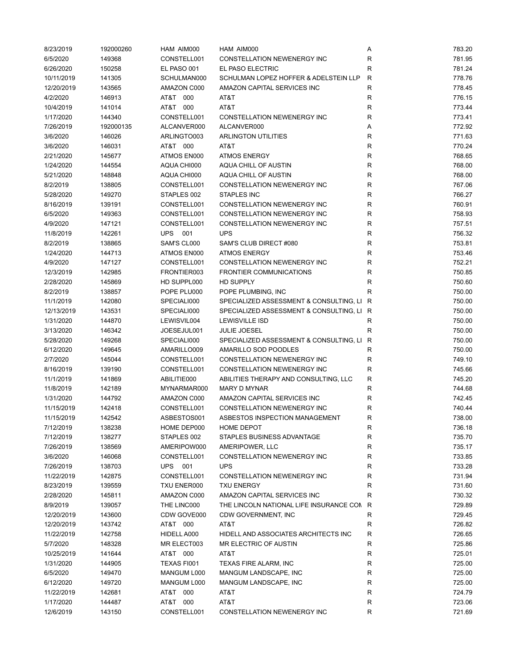| 8/23/2019  | 192000260 | HAM AIM000        | HAM AIM000                                | Α            | 783.20 |
|------------|-----------|-------------------|-------------------------------------------|--------------|--------|
| 6/5/2020   | 149368    | CONSTELL001       | CONSTELLATION NEWENERGY INC               | R            | 781.95 |
| 6/26/2020  | 150258    | EL PASO 001       | EL PASO ELECTRIC                          | R            | 781.24 |
| 10/11/2019 | 141305    | SCHULMAN000       | SCHULMAN LOPEZ HOFFER & ADELSTEIN LLP     | R            | 778.76 |
| 12/20/2019 | 143565    | AMAZON C000       | AMAZON CAPITAL SERVICES INC               | R            | 778.45 |
| 4/2/2020   | 146913    | AT&T 000          | AT&T                                      | R            | 776.15 |
| 10/4/2019  |           | AT&T 000          | AT&T                                      |              | 773.44 |
|            | 141014    |                   |                                           | R            |        |
| 1/17/2020  | 144340    | CONSTELL001       | CONSTELLATION NEWENERGY INC               | R            | 773.41 |
| 7/26/2019  | 192000135 | ALCANVER000       | ALCANVER000                               | Α            | 772.92 |
| 3/6/2020   | 146026    | ARLINGTO003       | <b>ARLINGTON UTILITIES</b>                | R            | 771.63 |
| 3/6/2020   | 146031    | AT&T 000          | AT&T                                      | R            | 770.24 |
| 2/21/2020  | 145677    | ATMOS EN000       | <b>ATMOS ENERGY</b>                       | R            | 768.65 |
| 1/24/2020  | 144554    | AQUA CHI000       | AQUA CHILL OF AUSTIN                      | R            | 768.00 |
| 5/21/2020  | 148848    | AQUA CHI000       | AQUA CHILL OF AUSTIN                      | R            | 768.00 |
| 8/2/2019   | 138805    | CONSTELL001       | CONSTELLATION NEWENERGY INC               | R            | 767.06 |
| 5/28/2020  | 149270    | STAPLES 002       | <b>STAPLES INC</b>                        | R            | 766.27 |
| 8/16/2019  | 139191    | CONSTELL001       | CONSTELLATION NEWENERGY INC               | R            | 760.91 |
| 6/5/2020   | 149363    | CONSTELL001       | CONSTELLATION NEWENERGY INC               | R            | 758.93 |
| 4/9/2020   | 147121    | CONSTELL001       | CONSTELLATION NEWENERGY INC               | R            | 757.51 |
| 11/8/2019  | 142261    | <b>UPS</b><br>001 | <b>UPS</b>                                | R            | 756.32 |
| 8/2/2019   | 138865    | SAM'S CL000       | SAM'S CLUB DIRECT #080                    | R            | 753.81 |
|            |           |                   |                                           |              |        |
| 1/24/2020  | 144713    | ATMOS EN000       | <b>ATMOS ENERGY</b>                       | R            | 753.46 |
| 4/9/2020   | 147127    | CONSTELL001       | <b>CONSTELLATION NEWENERGY INC</b>        | R            | 752.21 |
| 12/3/2019  | 142985    | FRONTIER003       | <b>FRONTIER COMMUNICATIONS</b>            | R            | 750.85 |
| 2/28/2020  | 145869    | HD SUPPL000       | <b>HD SUPPLY</b>                          | R            | 750.60 |
| 8/2/2019   | 138857    | POPE PLU000       | POPE PLUMBING, INC                        | R            | 750.00 |
| 11/1/2019  | 142080    | SPECIALI000       | SPECIALIZED ASSESSMENT & CONSULTING, LI R |              | 750.00 |
| 12/13/2019 | 143531    | SPECIALI000       | SPECIALIZED ASSESSMENT & CONSULTING, LI R |              | 750.00 |
| 1/31/2020  | 144870    | LEWISVIL004       | <b>LEWISVILLE ISD</b>                     | R            | 750.00 |
| 3/13/2020  | 146342    | JOESEJUL001       | <b>JULIE JOESEL</b>                       | R            | 750.00 |
| 5/28/2020  | 149268    | SPECIALI000       | SPECIALIZED ASSESSMENT & CONSULTING, LI R |              | 750.00 |
| 6/12/2020  | 149645    | AMARILLO009       | AMARILLO SOD POODLES                      | R            | 750.00 |
| 2/7/2020   | 145044    | CONSTELL001       | CONSTELLATION NEWENERGY INC               | R            | 749.10 |
| 8/16/2019  | 139190    | CONSTELL001       | CONSTELLATION NEWENERGY INC               | R            | 745.66 |
| 11/1/2019  | 141869    | ABILITIE000       | ABILITIES THERAPY AND CONSULTING, LLC     | R            | 745.20 |
| 11/8/2019  | 142189    | MYNARMAR000       | <b>MARY D MYNAR</b>                       | R            | 744.68 |
| 1/31/2020  | 144792    | AMAZON C000       | AMAZON CAPITAL SERVICES INC               | R            | 742.45 |
|            |           |                   |                                           |              |        |
| 11/15/2019 | 142418    | CONSTELL001       | CONSTELLATION NEWENERGY INC               | R            | 740.44 |
| 11/15/2019 | 142542    | ASBESTOS001       | ASBESTOS INSPECTION MANAGEMENT            | R            | 738.00 |
| 7/12/2019  | 138238    | HOME DEP000       | <b>HOME DEPOT</b>                         | R            | 736.18 |
| 7/12/2019  | 138277    | STAPLES 002       | STAPLES BUSINESS ADVANTAGE                | R            | 735.70 |
| 7/26/2019  | 138569    | AMERIPOW000       | AMERIPOWER, LLC                           | R            | 735.17 |
| 3/6/2020   | 146068    | CONSTELL001       | CONSTELLATION NEWENERGY INC               | R            | 733.85 |
| 7/26/2019  | 138703    | UPS<br>001        | <b>UPS</b>                                | R            | 733.28 |
| 11/22/2019 | 142875    | CONSTELL001       | CONSTELLATION NEWENERGY INC               | R            | 731.94 |
| 8/23/2019  | 139559    | TXU ENER000       | <b>TXU ENERGY</b>                         | R            | 731.60 |
| 2/28/2020  | 145811    | AMAZON C000       | AMAZON CAPITAL SERVICES INC               | R            | 730.32 |
| 8/9/2019   | 139057    | THE LINC000       | THE LINCOLN NATIONAL LIFE INSURANCE CON R |              | 729.89 |
| 12/20/2019 | 143600    | CDW GOVE000       | CDW GOVERNMENT, INC                       | R            | 729.45 |
| 12/20/2019 | 143742    | AT&T 000          | AT&T                                      | $\mathsf{R}$ | 726.82 |
| 11/22/2019 | 142758    | HIDELL A000       | HIDELL AND ASSOCIATES ARCHITECTS INC      | $\mathsf R$  | 726.65 |
| 5/7/2020   | 148328    | MR ELECT003       | MR ELECTRIC OF AUSTIN                     | R            | 725.86 |
|            |           |                   |                                           |              |        |
| 10/25/2019 | 141644    | AT&T 000          | AT&T                                      | R            | 725.01 |
| 1/31/2020  | 144905    | TEXAS FI001       | TEXAS FIRE ALARM, INC                     | R            | 725.00 |
| 6/5/2020   | 149470    | MANGUM L000       | MANGUM LANDSCAPE, INC                     | R            | 725.00 |
| 6/12/2020  | 149720    | MANGUM L000       | MANGUM LANDSCAPE, INC                     | R            | 725.00 |
| 11/22/2019 | 142681    | AT&T 000          | AT&T                                      | R            | 724.79 |
| 1/17/2020  | 144487    | AT&T 000          | AT&T                                      | R            | 723.06 |
| 12/6/2019  | 143150    | CONSTELL001       | CONSTELLATION NEWENERGY INC               | R            | 721.69 |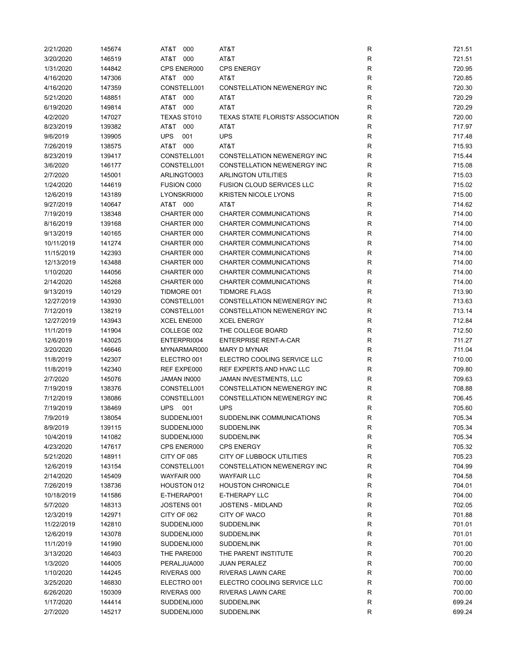| 2/21/2020            | 145674           | AT&T<br>000        | AT&T                                     | R           | 721.51           |
|----------------------|------------------|--------------------|------------------------------------------|-------------|------------------|
| 3/20/2020            | 146519           | AT&T<br>000        | AT&T                                     | R           | 721.51           |
| 1/31/2020            | 144842           | CPS ENER000        | <b>CPS ENERGY</b>                        | R           | 720.95           |
| 4/16/2020            | 147306           | AT&T 000           | AT&T                                     | $\mathsf R$ | 720.85           |
| 4/16/2020            | 147359           | CONSTELL001        | <b>CONSTELLATION NEWENERGY INC</b>       | R           | 720.30           |
| 5/21/2020            | 148851           | AT&T 000           | AT&T                                     | R           | 720.29           |
| 6/19/2020            | 149814           | AT&T 000           | AT&T                                     | R           | 720.29           |
| 4/2/2020             | 147027           | TEXAS ST010        | <b>TEXAS STATE FLORISTS' ASSOCIATION</b> | R           | 720.00           |
| 8/23/2019            | 139382           | AT&T<br>000        | AT&T                                     | R           | 717.97           |
| 9/6/2019             | 139905           | <b>UPS</b><br>001  | <b>UPS</b>                               | R           | 717.48           |
| 7/26/2019            | 138575           | AT&T<br>000        | AT&T                                     | R           | 715.93           |
| 8/23/2019            | 139417           | CONSTELL001        | CONSTELLATION NEWENERGY INC              | R           | 715.44           |
| 3/6/2020             | 146177           | CONSTELL001        | CONSTELLATION NEWENERGY INC              | $\mathsf R$ | 715.08           |
| 2/7/2020             | 145001           | ARLINGTO003        | <b>ARLINGTON UTILITIES</b>               | R           | 715.03           |
| 1/24/2020            | 144619           | <b>FUSION C000</b> | <b>FUSION CLOUD SERVICES LLC</b>         | R           | 715.02           |
| 12/6/2019            | 143189           | LYONSKRI000        | <b>KRISTEN NICOLE LYONS</b>              | $\mathsf R$ | 715.00           |
| 9/27/2019            | 140647           | AT&T 000           | AT&T                                     | R           | 714.62           |
| 7/19/2019            | 138348           | CHARTER 000        | CHARTER COMMUNICATIONS                   | R           | 714.00           |
| 8/16/2019            | 139168           | CHARTER 000        | <b>CHARTER COMMUNICATIONS</b>            | R           | 714.00           |
| 9/13/2019            | 140165           | CHARTER 000        | CHARTER COMMUNICATIONS                   | R           | 714.00           |
| 10/11/2019           | 141274           | CHARTER 000        | <b>CHARTER COMMUNICATIONS</b>            | R           | 714.00           |
| 11/15/2019           | 142393           | CHARTER 000        | CHARTER COMMUNICATIONS                   | R           | 714.00           |
| 12/13/2019           | 143488           | CHARTER 000        | CHARTER COMMUNICATIONS                   | R           | 714.00           |
| 1/10/2020            | 144056           | CHARTER 000        | <b>CHARTER COMMUNICATIONS</b>            | R           | 714.00           |
| 2/14/2020            | 145268           | CHARTER 000        | <b>CHARTER COMMUNICATIONS</b>            | $\mathsf R$ | 714.00           |
| 9/13/2019            | 140129           | TIDMORE 001        | <b>TIDMORE FLAGS</b>                     | R           | 713.90           |
| 12/27/2019           | 143930           | CONSTELL001        | CONSTELLATION NEWENERGY INC              | R           | 713.63           |
| 7/12/2019            | 138219           | CONSTELL001        | CONSTELLATION NEWENERGY INC              | $\mathsf R$ | 713.14           |
| 12/27/2019           | 143943           | XCEL ENE000        | <b>XCEL ENERGY</b>                       | R           | 712.84           |
| 11/1/2019            | 141904           | COLLEGE 002        | THE COLLEGE BOARD                        | R           | 712.50           |
| 12/6/2019            | 143025           | ENTERPRI004        | <b>ENTERPRISE RENT-A-CAR</b>             | $\mathsf R$ | 711.27           |
| 3/20/2020            | 146646           | MYNARMAR000        | <b>MARY D MYNAR</b>                      | $\mathsf R$ | 711.04           |
| 11/8/2019            | 142307           | ELECTRO 001        | ELECTRO COOLING SERVICE LLC              | R           | 710.00           |
| 11/8/2019            | 142340           | REF EXPE000        | REF EXPERTS AND HVAC LLC                 | R           | 709.80           |
| 2/7/2020             | 145076           | JAMAN IN000        | JAMAN INVESTMENTS, LLC                   | R           | 709.63           |
| 7/19/2019            | 138376           | CONSTELL001        | CONSTELLATION NEWENERGY INC              | R           | 708.88           |
| 7/12/2019            |                  | CONSTELL001        | <b>CONSTELLATION NEWENERGY INC</b>       | $\mathsf R$ | 706.45           |
|                      | 138086           |                    |                                          |             |                  |
| 7/19/2019            | 138469<br>138054 | <b>UPS</b><br>001  | <b>UPS</b><br>SUDDENLINK COMMUNICATIONS  | R<br>R      | 705.60<br>705.34 |
| 7/9/2019<br>8/9/2019 |                  | SUDDENLI001        |                                          |             | 705.34           |
|                      | 139115           | SUDDENLI000        | <b>SUDDENLINK</b>                        | R           |                  |
| 10/4/2019            | 141082           | SUDDENLI000        | <b>SUDDENLINK</b>                        | R           | 705.34           |
| 4/23/2020            | 147617           | CPS ENER000        | <b>CPS ENERGY</b>                        | R           | 705.32           |
| 5/21/2020            | 148911           | CITY OF 085        | CITY OF LUBBOCK UTILITIES                | R           | 705.23           |
| 12/6/2019            | 143154           | CONSTELL001        | <b>CONSTELLATION NEWENERGY INC</b>       | R           | 704.99           |
| 2/14/2020            | 145409           | WAYFAIR 000        | <b>WAYFAIR LLC</b>                       | R           | 704.58           |
| 7/26/2019            | 138736           | HOUSTON 012        | <b>HOUSTON CHRONICLE</b>                 | $\mathsf R$ | 704.01           |
| 10/18/2019           | 141586           | E-THERAP001        | E-THERAPY LLC                            | $\mathsf R$ | 704.00           |
| 5/7/2020             | 148313           | JOSTENS 001        | <b>JOSTENS - MIDLAND</b>                 | ${\sf R}$   | 702.05           |
| 12/3/2019            | 142971           | CITY OF 062        | CITY OF WACO                             | ${\sf R}$   | 701.88           |
| 11/22/2019           | 142810           | SUDDENLI000        | <b>SUDDENLINK</b>                        | $\mathsf R$ | 701.01           |
| 12/6/2019            | 143078           | SUDDENLI000        | <b>SUDDENLINK</b>                        | R           | 701.01           |
| 11/1/2019            | 141990           | SUDDENLI000        | <b>SUDDENLINK</b>                        | R           | 701.00           |
| 3/13/2020            | 146403           | THE PARE000        | THE PARENT INSTITUTE                     | R           | 700.20           |
| 1/3/2020             | 144005           | PERALJUA000        | <b>JUAN PERALEZ</b>                      | R           | 700.00           |
| 1/10/2020            | 144245           | RIVERAS 000        | RIVERAS LAWN CARE                        | R           | 700.00           |
| 3/25/2020            | 146830           | ELECTRO 001        | ELECTRO COOLING SERVICE LLC              | R           | 700.00           |
| 6/26/2020            | 150309           | RIVERAS 000        | RIVERAS LAWN CARE                        | $\mathsf R$ | 700.00           |
| 1/17/2020            | 144414           | SUDDENLI000        | <b>SUDDENLINK</b>                        | ${\sf R}$   | 699.24           |
| 2/7/2020             | 145217           | SUDDENLI000        | <b>SUDDENLINK</b>                        | R           | 699.24           |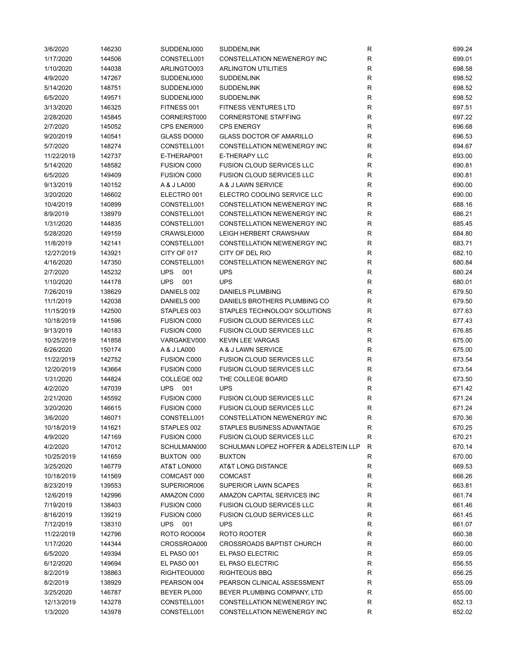| 3/6/2020   | 146230 | SUDDENLI000        | <b>SUDDENLINK</b>                     | R           | 699.24 |
|------------|--------|--------------------|---------------------------------------|-------------|--------|
| 1/17/2020  | 144506 | CONSTELL001        | CONSTELLATION NEWENERGY INC           | R           | 699.01 |
| 1/10/2020  | 144038 | ARLINGTO003        | <b>ARLINGTON UTILITIES</b>            | R           | 698.58 |
| 4/9/2020   | 147267 | SUDDENLI000        | <b>SUDDENLINK</b>                     | $\mathsf R$ | 698.52 |
| 5/14/2020  | 148751 | SUDDENLI000        | <b>SUDDENLINK</b>                     | R           | 698.52 |
| 6/5/2020   | 149571 | SUDDENLI000        | <b>SUDDENLINK</b>                     | R           | 698.52 |
| 3/13/2020  | 146325 | FITNESS 001        | <b>FITNESS VENTURES LTD</b>           | R           | 697.51 |
| 2/28/2020  | 145845 | CORNERST000        | <b>CORNERSTONE STAFFING</b>           | R           | 697.22 |
| 2/7/2020   | 145052 | CPS ENER000        | <b>CPS ENERGY</b>                     | R           | 696.68 |
| 9/20/2019  | 140541 | GLASS DO000        | <b>GLASS DOCTOR OF AMARILLO</b>       | R           | 696.53 |
| 5/7/2020   | 148274 | CONSTELL001        | CONSTELLATION NEWENERGY INC           | R           | 694.67 |
| 11/22/2019 | 142737 | E-THERAP001        | E-THERAPY LLC                         | R           | 693.00 |
| 5/14/2020  | 148582 | <b>FUSION C000</b> | <b>FUSION CLOUD SERVICES LLC</b>      | R           | 690.81 |
|            |        |                    |                                       |             |        |
| 6/5/2020   | 149409 | <b>FUSION C000</b> | <b>FUSION CLOUD SERVICES LLC</b>      | R           | 690.81 |
| 9/13/2019  | 140152 | A & J LA000        | A & J LAWN SERVICE                    | R           | 690.00 |
| 3/20/2020  | 146602 | ELECTRO 001        | ELECTRO COOLING SERVICE LLC           | R           | 690.00 |
| 10/4/2019  | 140899 | CONSTELL001        | CONSTELLATION NEWENERGY INC           | R           | 688.16 |
| 8/9/2019   | 138979 | CONSTELL001        | CONSTELLATION NEWENERGY INC           | R           | 686.21 |
| 1/31/2020  | 144835 | CONSTELL001        | CONSTELLATION NEWENERGY INC           | R           | 685.45 |
| 5/28/2020  | 149159 | CRAWSLEI000        | <b>LEIGH HERBERT CRAWSHAW</b>         | R           | 684.80 |
| 11/8/2019  | 142141 | CONSTELL001        | CONSTELLATION NEWENERGY INC           | R           | 683.71 |
| 12/27/2019 | 143921 | CITY OF 017        | CITY OF DEL RIO                       | R           | 682.10 |
| 4/16/2020  | 147350 | CONSTELL001        | CONSTELLATION NEWENERGY INC           | R           | 680.84 |
| 2/7/2020   | 145232 | <b>UPS</b><br>001  | <b>UPS</b>                            | R           | 680.24 |
| 1/10/2020  | 144178 | <b>UPS</b><br>001  | <b>UPS</b>                            | R           | 680.01 |
| 7/26/2019  | 138629 | DANIELS 002        | DANIELS PLUMBING                      | R           | 679.50 |
| 11/1/2019  | 142038 | DANIELS 000        | DANIELS BROTHERS PLUMBING CO          | R           | 679.50 |
| 11/15/2019 | 142500 | STAPLES 003        | STAPLES TECHNOLOGY SOLUTIONS          | R           | 677.63 |
| 10/18/2019 | 141596 | <b>FUSION C000</b> | <b>FUSION CLOUD SERVICES LLC</b>      | R           | 677.43 |
| 9/13/2019  | 140183 | <b>FUSION C000</b> | <b>FUSION CLOUD SERVICES LLC</b>      | R           | 676.85 |
| 10/25/2019 | 141858 | VARGAKEV000        | <b>KEVIN LEE VARGAS</b>               | R           | 675.00 |
| 6/26/2020  | 150174 | A & J LA000        | A & J LAWN SERVICE                    | R           | 675.00 |
| 11/22/2019 |        | <b>FUSION C000</b> | <b>FUSION CLOUD SERVICES LLC</b>      | R           | 673.54 |
|            | 142752 |                    |                                       |             |        |
| 12/20/2019 | 143664 | <b>FUSION C000</b> | <b>FUSION CLOUD SERVICES LLC</b>      | $\mathsf R$ | 673.54 |
| 1/31/2020  | 144824 | COLLEGE 002        | THE COLLEGE BOARD                     | R           | 673.50 |
| 4/2/2020   | 147039 | <b>UPS</b><br>001  | <b>UPS</b>                            | R           | 671.42 |
| 2/21/2020  | 145592 | <b>FUSION C000</b> | <b>FUSION CLOUD SERVICES LLC</b>      | R           | 671.24 |
| 3/20/2020  | 146615 | <b>FUSION C000</b> | <b>FUSION CLOUD SERVICES LLC</b>      | R           | 671.24 |
| 3/6/2020   | 146071 | CONSTELL001        | <b>CONSTELLATION NEWENERGY INC</b>    | R           | 670.36 |
| 10/18/2019 | 141621 | STAPLES 002        | STAPLES BUSINESS ADVANTAGE            | R           | 670.25 |
| 4/9/2020   | 147169 | <b>FUSION C000</b> | <b>FUSION CLOUD SERVICES LLC</b>      | R           | 670.21 |
| 4/2/2020   | 147012 | SCHULMAN000        | SCHULMAN LOPEZ HOFFER & ADELSTEIN LLP | R           | 670.14 |
| 10/25/2019 | 141659 | BUXTON 000         | <b>BUXTON</b>                         | R           | 670.00 |
| 3/25/2020  | 146779 | AT&T LON000        | AT&T LONG DISTANCE                    | R           | 669.53 |
| 10/18/2019 | 141569 | COMCAST 000        | <b>COMCAST</b>                        | R           | 666.26 |
| 8/23/2019  | 139553 | SUPERIOR006        | SUPERIOR LAWN SCAPES                  | $\mathsf R$ | 663.81 |
| 12/6/2019  | 142996 | AMAZON C000        | AMAZON CAPITAL SERVICES INC           | R           | 661.74 |
| 7/19/2019  | 138403 | <b>FUSION C000</b> | <b>FUSION CLOUD SERVICES LLC</b>      | R           | 661.46 |
| 8/16/2019  | 139219 | <b>FUSION C000</b> | <b>FUSION CLOUD SERVICES LLC</b>      | R           | 661.45 |
| 7/12/2019  | 138310 | <b>UPS</b><br>001  | <b>UPS</b>                            | R           | 661.07 |
| 11/22/2019 | 142796 | <b>ROTO ROO004</b> | ROTO ROOTER                           | R           | 660.38 |
| 1/17/2020  | 144344 | CROSSROA000        | <b>CROSSROADS BAPTIST CHURCH</b>      | R           | 660.00 |
| 6/5/2020   | 149394 | EL PASO 001        | EL PASO ELECTRIC                      | R           | 659.05 |
| 6/12/2020  | 149694 | EL PASO 001        | EL PASO ELECTRIC                      | R           | 656.55 |
|            |        |                    |                                       | $\mathsf R$ |        |
| 8/2/2019   | 138863 | RIGHTEOU000        | <b>RIGHTEOUS BBQ</b>                  |             | 656.25 |
| 8/2/2019   | 138929 | PEARSON 004        | PEARSON CLINICAL ASSESSMENT           | R           | 655.09 |
| 3/25/2020  | 146787 | BEYER PL000        | BEYER PLUMBING COMPANY, LTD           | R           | 655.00 |
| 12/13/2019 | 143278 | CONSTELL001        | CONSTELLATION NEWENERGY INC           | ${\sf R}$   | 652.13 |
| 1/3/2020   | 143978 | CONSTELL001        | CONSTELLATION NEWENERGY INC           | R           | 652.02 |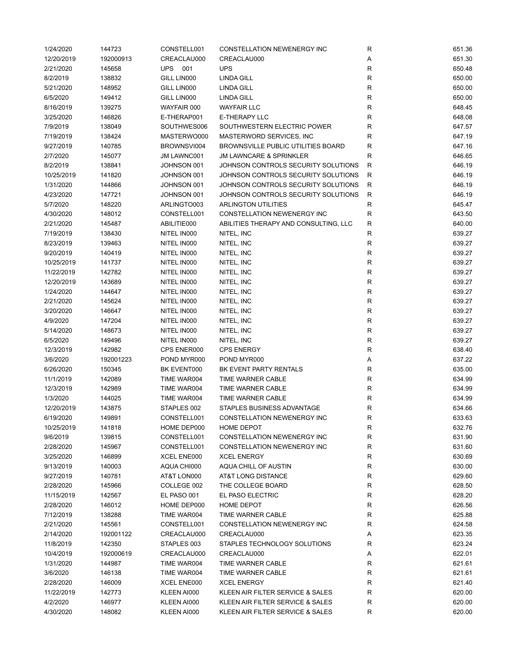| 1/24/2020  | 144723    | CONSTELL001 | <b>CONSTELLATION NEWENERGY INC</b>        | R            | 651.36 |
|------------|-----------|-------------|-------------------------------------------|--------------|--------|
| 12/20/2019 | 192000913 | CREACLAU000 | CREACLAU000                               | Α            | 651.30 |
| 2/21/2020  | 145658    | UPS<br>001  | <b>UPS</b>                                | $\mathsf{R}$ | 650.48 |
| 8/2/2019   | 138832    | GILL LIN000 | <b>LINDA GILL</b>                         | ${\sf R}$    | 650.00 |
| 5/21/2020  | 148952    | GILL LIN000 | <b>LINDA GILL</b>                         | $\mathsf{R}$ | 650.00 |
| 6/5/2020   | 149412    | GILL LIN000 | <b>LINDA GILL</b>                         | $\mathsf{R}$ | 650.00 |
| 8/16/2019  | 139275    | WAYFAIR 000 | <b>WAYFAIR LLC</b>                        | $\mathsf{R}$ | 648.45 |
| 3/25/2020  | 146826    | E-THERAP001 | E-THERAPY LLC                             | $\mathsf{R}$ | 648.08 |
| 7/9/2019   | 138049    | SOUTHWES006 | SOUTHWESTERN ELECTRIC POWER               | R            | 647.57 |
| 7/19/2019  | 138424    | MASTERWO000 | MASTERWORD SERVICES, INC.                 | $\mathsf{R}$ | 647.19 |
| 9/27/2019  | 140785    | BROWNSVI004 | <b>BROWNSVILLE PUBLIC UTILITIES BOARD</b> | R            | 647.16 |
|            |           |             |                                           |              |        |
| 2/7/2020   | 145077    | JM LAWNC001 | <b>JM LAWNCARE &amp; SPRINKLER</b>        | R            | 646.65 |
| 8/2/2019   | 138841    | JOHNSON 001 | JOHNSON CONTROLS SECURITY SOLUTIONS       | R            | 646.19 |
| 10/25/2019 | 141820    | JOHNSON 001 | JOHNSON CONTROLS SECURITY SOLUTIONS       | R            | 646.19 |
| 1/31/2020  | 144866    | JOHNSON 001 | JOHNSON CONTROLS SECURITY SOLUTIONS       | R            | 646.19 |
| 4/23/2020  | 147721    | JOHNSON 001 | JOHNSON CONTROLS SECURITY SOLUTIONS       | $\mathsf{R}$ | 646.19 |
| 5/7/2020   | 148220    | ARLINGTO003 | <b>ARLINGTON UTILITIES</b>                | $\mathsf{R}$ | 645.47 |
| 4/30/2020  | 148012    | CONSTELL001 | CONSTELLATION NEWENERGY INC               | R            | 643.50 |
| 2/21/2020  | 145487    | ABILITIE000 | ABILITIES THERAPY AND CONSULTING, LLC     | R            | 640.00 |
| 7/19/2019  | 138430    | NITEL IN000 | NITEL, INC                                | R            | 639.27 |
| 8/23/2019  | 139463    | NITEL IN000 | NITEL, INC                                | $\mathsf{R}$ | 639.27 |
| 9/20/2019  | 140419    | NITEL IN000 | NITEL, INC                                | $\mathsf{R}$ | 639.27 |
| 10/25/2019 | 141737    | NITEL IN000 | NITEL, INC                                | $\mathsf{R}$ | 639.27 |
| 11/22/2019 | 142782    | NITEL IN000 | NITEL, INC                                | $\mathsf{R}$ | 639.27 |
| 12/20/2019 | 143689    | NITEL IN000 | NITEL, INC                                | $\mathsf{R}$ | 639.27 |
| 1/24/2020  | 144647    | NITEL IN000 | NITEL, INC                                | $\mathsf{R}$ | 639.27 |
| 2/21/2020  | 145624    | NITEL IN000 | NITEL, INC                                | $\mathsf{R}$ | 639.27 |
| 3/20/2020  | 146647    | NITEL IN000 | NITEL, INC                                | $\mathsf{R}$ | 639.27 |
| 4/9/2020   | 147204    | NITEL IN000 | NITEL, INC                                | $\mathsf{R}$ | 639.27 |
| 5/14/2020  | 148673    | NITEL IN000 | NITEL, INC                                | $\mathsf{R}$ | 639.27 |
| 6/5/2020   | 149496    | NITEL IN000 | NITEL, INC                                | $\mathsf{R}$ | 639.27 |
|            |           |             |                                           |              |        |
| 12/3/2019  | 142982    | CPS ENER000 | <b>CPS ENERGY</b>                         | $\mathsf{R}$ | 638.40 |
| 3/6/2020   | 192001223 | POND MYR000 | POND MYR000                               | Α            | 637.22 |
| 6/26/2020  | 150345    | BK EVENT000 | BK EVENT PARTY RENTALS                    | $\mathsf{R}$ | 635.00 |
| 11/1/2019  | 142089    | TIME WAR004 | TIME WARNER CABLE                         | $\mathsf{R}$ | 634.99 |
| 12/3/2019  | 142989    | TIME WAR004 | TIME WARNER CABLE                         | $\mathsf{R}$ | 634.99 |
| 1/3/2020   | 144025    | TIME WAR004 | TIME WARNER CABLE                         | $\mathsf{R}$ | 634.99 |
| 12/20/2019 | 143875    | STAPLES 002 | STAPLES BUSINESS ADVANTAGE                | $\mathsf{R}$ | 634.66 |
| 6/19/2020  | 149891    | CONSTELL001 | CONSTELLATION NEWENERGY INC               | R            | 633.63 |
| 10/25/2019 | 141818    | HOME DEP000 | HOME DEPOT                                | R            | 632.76 |
| 9/6/2019   | 139815    | CONSTELL001 | CONSTELLATION NEWENERGY INC               | $\mathsf{R}$ | 631.90 |
| 2/28/2020  | 145967    | CONSTELL001 | CONSTELLATION NEWENERGY INC               | R            | 631.60 |
| 3/25/2020  | 146899    | XCEL ENE000 | <b>XCEL ENERGY</b>                        | R            | 630.69 |
| 9/13/2019  | 140003    | AQUA CHI000 | AQUA CHILL OF AUSTIN                      | R            | 630.00 |
| 9/27/2019  | 140781    | AT&T LON000 | AT&T LONG DISTANCE                        | R            | 629.60 |
| 2/28/2020  | 145966    | COLLEGE 002 | THE COLLEGE BOARD                         | R            | 628.50 |
| 11/15/2019 | 142567    | EL PASO 001 | EL PASO ELECTRIC                          | $\mathsf{R}$ | 628.20 |
| 2/28/2020  | 146012    | HOME DEP000 | HOME DEPOT                                | R            | 626.56 |
| 7/12/2019  | 138288    | TIME WAR004 | TIME WARNER CABLE                         | R            | 625.88 |
| 2/21/2020  | 145561    | CONSTELL001 | CONSTELLATION NEWENERGY INC               | R            | 624.58 |
| 2/14/2020  | 192001122 | CREACLAU000 | CREACLAU000                               | Α            | 623.35 |
| 11/8/2019  | 142350    | STAPLES 003 | STAPLES TECHNOLOGY SOLUTIONS              | R            | 623.24 |
| 10/4/2019  | 192000619 | CREACLAU000 | CREACLAU000                               | Α            | 622.01 |
| 1/31/2020  | 144987    | TIME WAR004 | TIME WARNER CABLE                         | R            | 621.61 |
|            |           |             | TIME WARNER CABLE                         |              |        |
| 3/6/2020   | 146138    | TIME WAR004 |                                           | R            | 621.61 |
| 2/28/2020  | 146009    | XCEL ENE000 | <b>XCEL ENERGY</b>                        | R            | 621.40 |
| 11/22/2019 | 142773    | KLEEN AI000 | KLEEN AIR FILTER SERVICE & SALES          | R            | 620.00 |
| 4/2/2020   | 146977    | KLEEN AI000 | KLEEN AIR FILTER SERVICE & SALES          | R            | 620.00 |
| 4/30/2020  | 148082    | KLEEN AI000 | KLEEN AIR FILTER SERVICE & SALES          | R            | 620.00 |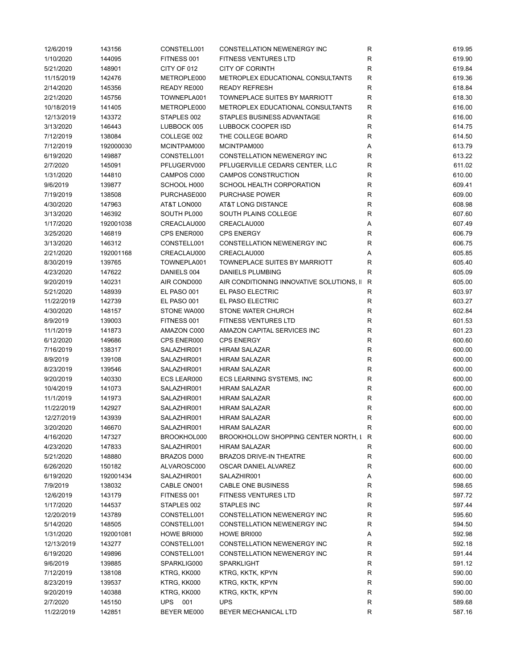| 12/6/2019  | 143156    | CONSTELL001 | CONSTELLATION NEWENERGY INC                 | $\mathsf{R}$ | 619.95 |
|------------|-----------|-------------|---------------------------------------------|--------------|--------|
| 1/10/2020  | 144095    | FITNESS 001 | <b>FITNESS VENTURES LTD</b>                 | ${\sf R}$    | 619.90 |
| 5/21/2020  | 148901    | CITY OF 012 | <b>CITY OF CORINTH</b>                      | R            | 619.84 |
| 11/15/2019 | 142476    | METROPLE000 | METROPLEX EDUCATIONAL CONSULTANTS           | $\mathsf{R}$ | 619.36 |
| 2/14/2020  | 145356    | READY RE000 | <b>READY REFRESH</b>                        | R            | 618.84 |
| 2/21/2020  | 145756    | TOWNEPLA001 | TOWNEPLACE SUITES BY MARRIOTT               | R            | 618.30 |
| 10/18/2019 | 141405    | METROPLE000 | METROPLEX EDUCATIONAL CONSULTANTS           | R            | 616.00 |
| 12/13/2019 | 143372    | STAPLES 002 | STAPLES BUSINESS ADVANTAGE                  | R            | 616.00 |
| 3/13/2020  | 146443    | LUBBOCK 005 | LUBBOCK COOPER ISD                          | R            | 614.75 |
| 7/12/2019  | 138084    | COLLEGE 002 | THE COLLEGE BOARD                           | R            | 614.50 |
| 7/12/2019  | 192000030 | MCINTPAM000 | MCINTPAM000                                 | Α            | 613.79 |
| 6/19/2020  |           | CONSTELL001 | CONSTELLATION NEWENERGY INC                 | R            | 613.22 |
|            | 149887    |             |                                             |              |        |
| 2/7/2020   | 145091    | PFLUGERV000 | PFLUGERVILLE CEDARS CENTER, LLC             | R            | 611.02 |
| 1/31/2020  | 144810    | CAMPOS C000 | CAMPOS CONSTRUCTION                         | $\mathsf R$  | 610.00 |
| 9/6/2019   | 139877    | SCHOOL H000 | SCHOOL HEALTH CORPORATION                   | R            | 609.41 |
| 7/19/2019  | 138508    | PURCHASE000 | <b>PURCHASE POWER</b>                       | R            | 609.00 |
| 4/30/2020  | 147963    | AT&T LON000 | AT&T LONG DISTANCE                          | R            | 608.98 |
| 3/13/2020  | 146392    | SOUTH PL000 | SOUTH PLAINS COLLEGE                        | R            | 607.60 |
| 1/17/2020  | 192001038 | CREACLAU000 | CREACLAU000                                 | Α            | 607.49 |
| 3/25/2020  | 146819    | CPS ENER000 | <b>CPS ENERGY</b>                           | $\mathsf R$  | 606.79 |
| 3/13/2020  | 146312    | CONSTELL001 | CONSTELLATION NEWENERGY INC                 | R            | 606.75 |
| 2/21/2020  | 192001168 | CREACLAU000 | CREACLAU000                                 | Α            | 605.85 |
| 8/30/2019  | 139765    | TOWNEPLA001 | <b>TOWNEPLACE SUITES BY MARRIOTT</b>        | $\mathsf{R}$ | 605.40 |
| 4/23/2020  | 147622    | DANIELS 004 | <b>DANIELS PLUMBING</b>                     | R            | 605.09 |
| 9/20/2019  | 140231    | AIR COND000 | AIR CONDITIONING INNOVATIVE SOLUTIONS, II R |              | 605.00 |
| 5/21/2020  | 148939    | EL PASO 001 | EL PASO ELECTRIC                            | R            | 603.97 |
| 11/22/2019 | 142739    | EL PASO 001 | EL PASO ELECTRIC                            | R            | 603.27 |
| 4/30/2020  | 148157    | STONE WA000 | STONE WATER CHURCH                          | R            | 602.84 |
| 8/9/2019   | 139003    | FITNESS 001 | <b>FITNESS VENTURES LTD</b>                 | $\mathsf R$  | 601.53 |
| 11/1/2019  | 141873    | AMAZON C000 | AMAZON CAPITAL SERVICES INC                 | R            | 601.23 |
| 6/12/2020  | 149686    | CPS ENER000 | <b>CPS ENERGY</b>                           | R            | 600.60 |
| 7/16/2019  | 138317    | SALAZHIR001 | <b>HIRAM SALAZAR</b>                        | R            | 600.00 |
|            |           |             |                                             | R            |        |
| 8/9/2019   | 139108    | SALAZHIR001 | <b>HIRAM SALAZAR</b>                        |              | 600.00 |
| 8/23/2019  | 139546    | SALAZHIR001 | <b>HIRAM SALAZAR</b>                        | $\mathsf{R}$ | 600.00 |
| 9/20/2019  | 140330    | ECS LEAR000 | ECS LEARNING SYSTEMS, INC                   | $\mathsf{R}$ | 600.00 |
| 10/4/2019  | 141073    | SALAZHIR001 | <b>HIRAM SALAZAR</b>                        | R            | 600.00 |
| 11/1/2019  | 141973    | SALAZHIR001 | <b>HIRAM SALAZAR</b>                        | $\mathsf{R}$ | 600.00 |
| 11/22/2019 | 142927    | SALAZHIR001 | <b>HIRAM SALAZAR</b>                        | $\mathsf{R}$ | 600.00 |
| 12/27/2019 | 143939    | SALAZHIR001 | <b>HIRAM SALAZAR</b>                        | $\mathsf R$  | 600.00 |
| 3/20/2020  | 146670    | SALAZHIR001 | <b>HIRAM SALAZAR</b>                        | R            | 600.00 |
| 4/16/2020  | 147327    | BROOKHOL000 | BROOKHOLLOW SHOPPING CENTER NORTH, I R      |              | 600.00 |
| 4/23/2020  | 147833    | SALAZHIR001 | <b>HIRAM SALAZAR</b>                        | R            | 600.00 |
| 5/21/2020  | 148880    | BRAZOS D000 | <b>BRAZOS DRIVE-IN THEATRE</b>              | R            | 600.00 |
| 6/26/2020  | 150182    | ALVAROSC000 | OSCAR DANIEL ALVAREZ                        | R            | 600.00 |
| 6/19/2020  | 192001434 | SALAZHIR001 | SALAZHIR001                                 | Α            | 600.00 |
| 7/9/2019   | 138032    | CABLE ON001 | CABLE ONE BUSINESS                          | R            | 598.65 |
| 12/6/2019  | 143179    | FITNESS 001 | <b>FITNESS VENTURES LTD</b>                 | R            | 597.72 |
| 1/17/2020  | 144537    | STAPLES 002 | STAPLES INC                                 | R            | 597.44 |
| 12/20/2019 | 143789    | CONSTELL001 | CONSTELLATION NEWENERGY INC                 | R            | 595.60 |
| 5/14/2020  | 148505    | CONSTELL001 | CONSTELLATION NEWENERGY INC                 | R            | 594.50 |
| 1/31/2020  | 192001081 | HOWE BRI000 | HOWE BRI000                                 | Α            | 592.98 |
| 12/13/2019 | 143277    | CONSTELL001 | CONSTELLATION NEWENERGY INC                 | R            | 592.18 |
| 6/19/2020  | 149896    | CONSTELL001 | CONSTELLATION NEWENERGY INC                 | R            | 591.44 |
| 9/6/2019   | 139885    | SPARKLIG000 | SPARKLIGHT                                  | R            | 591.12 |
| 7/12/2019  | 138108    | KTRG, KK000 | KTRG, KKTK, KPYN                            | R            | 590.00 |
|            |           |             | KTRG, KKTK, KPYN                            |              |        |
| 8/23/2019  | 139537    | KTRG, KK000 |                                             | R            | 590.00 |
| 9/20/2019  | 140388    | KTRG, KK000 | KTRG, KKTK, KPYN                            | R            | 590.00 |
| 2/7/2020   | 145150    | UPS<br>001  | <b>UPS</b>                                  | R            | 589.68 |
| 11/22/2019 | 142851    | BEYER ME000 | BEYER MECHANICAL LTD                        | R            | 587.16 |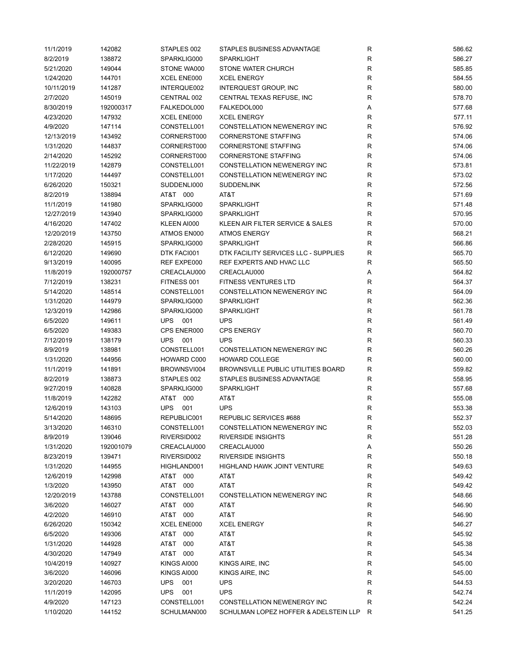| 11/1/2019  | 142082    | STAPLES 002       | STAPLES BUSINESS ADVANTAGE                | R            | 586.62 |
|------------|-----------|-------------------|-------------------------------------------|--------------|--------|
| 8/2/2019   | 138872    | SPARKLIG000       | <b>SPARKLIGHT</b>                         | R            | 586.27 |
| 5/21/2020  | 149044    | STONE WA000       | STONE WATER CHURCH                        | R            | 585.85 |
| 1/24/2020  | 144701    | XCEL ENE000       | <b>XCEL ENERGY</b>                        | $\mathsf R$  | 584.55 |
| 10/11/2019 | 141287    | INTERQUE002       | <b>INTERQUEST GROUP, INC</b>              | $\mathsf R$  | 580.00 |
| 2/7/2020   | 145019    | CENTRAL 002       | CENTRAL TEXAS REFUSE, INC                 | $\mathsf R$  | 578.70 |
| 8/30/2019  | 192000317 | FALKEDOL000       | FALKEDOL000                               | Α            | 577.68 |
| 4/23/2020  | 147932    | XCEL ENE000       | <b>XCEL ENERGY</b>                        | R            | 577.11 |
| 4/9/2020   | 147114    | CONSTELL001       | CONSTELLATION NEWENERGY INC               | $\mathsf R$  | 576.92 |
|            |           |                   |                                           | $\mathsf R$  |        |
| 12/13/2019 | 143492    | CORNERST000       | <b>CORNERSTONE STAFFING</b>               |              | 574.06 |
| 1/31/2020  | 144837    | CORNERST000       | <b>CORNERSTONE STAFFING</b>               | $\mathsf R$  | 574.06 |
| 2/14/2020  | 145292    | CORNERST000       | <b>CORNERSTONE STAFFING</b>               | $\mathsf R$  | 574.06 |
| 11/22/2019 | 142879    | CONSTELL001       | CONSTELLATION NEWENERGY INC               | $\mathsf R$  | 573.81 |
| 1/17/2020  | 144497    | CONSTELL001       | CONSTELLATION NEWENERGY INC               | $\mathsf R$  | 573.02 |
| 6/26/2020  | 150321    | SUDDENLI000       | <b>SUDDENLINK</b>                         | $\mathsf R$  | 572.56 |
| 8/2/2019   | 138894    | AT&T 000          | AT&T                                      | R            | 571.69 |
| 11/1/2019  | 141980    | SPARKLIG000       | <b>SPARKLIGHT</b>                         | $\mathsf R$  | 571.48 |
| 12/27/2019 | 143940    | SPARKLIG000       | <b>SPARKLIGHT</b>                         | R            | 570.95 |
| 4/16/2020  | 147402    | KLEEN AI000       | KLEEN AIR FILTER SERVICE & SALES          | R            | 570.00 |
| 12/20/2019 | 143750    | ATMOS EN000       | <b>ATMOS ENERGY</b>                       | R            | 568.21 |
| 2/28/2020  | 145915    | SPARKLIG000       | <b>SPARKLIGHT</b>                         | $\mathsf R$  | 566.86 |
| 6/12/2020  | 149690    | DTK FACI001       | DTK FACILITY SERVICES LLC - SUPPLIES      | $\mathsf R$  | 565.70 |
| 9/13/2019  | 140095    | REF EXPE000       | REF EXPERTS AND HVAC LLC                  | $\mathsf R$  | 565.50 |
| 11/8/2019  | 192000757 | CREACLAU000       | CREACLAU000                               | Α            | 564.82 |
| 7/12/2019  | 138231    | FITNESS 001       | <b>FITNESS VENTURES LTD</b>               | R            | 564.37 |
| 5/14/2020  | 148514    | CONSTELL001       | CONSTELLATION NEWENERGY INC               | $\mathsf R$  | 564.09 |
| 1/31/2020  | 144979    | SPARKLIG000       | <b>SPARKLIGHT</b>                         | $\mathsf R$  | 562.36 |
| 12/3/2019  | 142986    | SPARKLIG000       | SPARKLIGHT                                | R            | 561.78 |
| 6/5/2020   | 149611    | <b>UPS</b><br>001 | <b>UPS</b>                                | $\mathsf R$  | 561.49 |
| 6/5/2020   | 149383    | CPS ENER000       | <b>CPS ENERGY</b>                         | $\mathsf R$  | 560.70 |
|            |           |                   | <b>UPS</b>                                |              |        |
| 7/12/2019  | 138179    | <b>UPS</b><br>001 |                                           | R            | 560.33 |
| 8/9/2019   | 138981    | CONSTELL001       | CONSTELLATION NEWENERGY INC               | R            | 560.26 |
| 1/31/2020  | 144956    | HOWARD C000       | <b>HOWARD COLLEGE</b>                     | $\mathsf R$  | 560.00 |
| 11/1/2019  | 141891    | BROWNSVI004       | <b>BROWNSVILLE PUBLIC UTILITIES BOARD</b> | $\mathsf R$  | 559.82 |
| 8/2/2019   | 138873    | STAPLES 002       | STAPLES BUSINESS ADVANTAGE                | $\mathsf R$  | 558.95 |
| 9/27/2019  | 140828    | SPARKLIG000       | <b>SPARKLIGHT</b>                         | $\mathsf R$  | 557.68 |
| 11/8/2019  | 142282    | AT&T 000          | AT&T                                      | R            | 555.08 |
| 12/6/2019  | 143103    | <b>UPS</b><br>001 | <b>UPS</b>                                | $\mathsf R$  | 553.38 |
| 5/14/2020  | 148695    | REPUBLIC001       | <b>REPUBLIC SERVICES #688</b>             | R            | 552.37 |
| 3/13/2020  | 146310    | CONSTELL001       | CONSTELLATION NEWENERGY INC               | R            | 552.03 |
| 8/9/2019   | 139046    | RIVERSID002       | RIVERSIDE INSIGHTS                        | $\mathsf R$  | 551.28 |
| 1/31/2020  | 192001079 | CREACLAU000       | CREACLAU000                               | Α            | 550.26 |
| 8/23/2019  | 139471    | RIVERSID002       | <b>RIVERSIDE INSIGHTS</b>                 | R            | 550.18 |
| 1/31/2020  | 144955    | HIGHLAND001       | <b>HIGHLAND HAWK JOINT VENTURE</b>        | R            | 549.63 |
| 12/6/2019  | 142998    | AT&T 000          | AT&T                                      | R            | 549.42 |
| 1/3/2020   | 143950    | AT&T 000          | AT&T                                      | $\mathsf R$  | 549.42 |
| 12/20/2019 | 143788    | CONSTELL001       | CONSTELLATION NEWENERGY INC               | $\mathsf R$  | 548.66 |
| 3/6/2020   | 146027    | AT&T 000          | AT&T                                      | $\mathsf R$  | 546.90 |
| 4/2/2020   | 146910    | AT&T 000          | AT&T                                      | R            | 546.90 |
| 6/26/2020  | 150342    | XCEL ENE000       | <b>XCEL ENERGY</b>                        | R            | 546.27 |
| 6/5/2020   | 149306    | AT&T<br>000       | AT&T                                      | $\mathsf{R}$ | 545.92 |
| 1/31/2020  |           | AT&T<br>000       | AT&T                                      | $\mathsf{R}$ | 545.38 |
|            | 144928    |                   |                                           |              |        |
| 4/30/2020  | 147949    | AT&T 000          | AT&T                                      | $\mathsf{R}$ | 545.34 |
| 10/4/2019  | 140927    | KINGS AI000       | KINGS AIRE, INC                           | R            | 545.00 |
| 3/6/2020   | 146096    | KINGS AI000       | KINGS AIRE, INC                           | R            | 545.00 |
| 3/20/2020  | 146703    | <b>UPS</b><br>001 | <b>UPS</b>                                | R            | 544.53 |
| 11/1/2019  | 142095    | <b>UPS</b><br>001 | <b>UPS</b>                                | R            | 542.74 |
| 4/9/2020   | 147123    | CONSTELL001       | CONSTELLATION NEWENERGY INC               | R            | 542.24 |
| 1/10/2020  | 144152    | SCHULMAN000       | SCHULMAN LOPEZ HOFFER & ADELSTEIN LLP     | R            | 541.25 |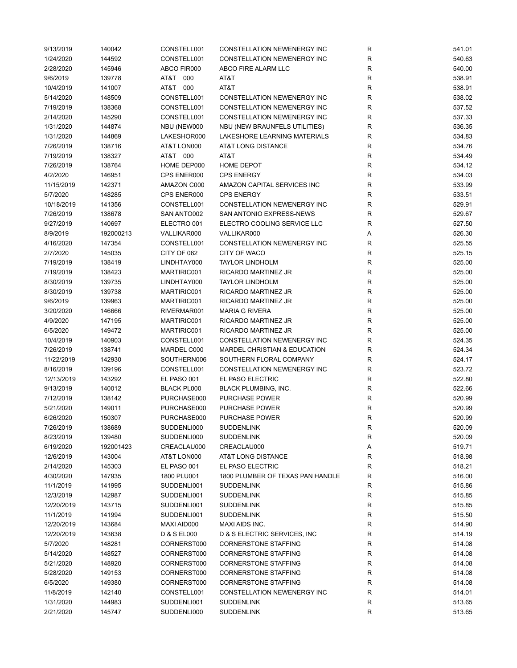| 9/13/2019  | 140042    | CONSTELL001        | <b>CONSTELLATION NEWENERGY INC</b>      | R           | 541.01 |
|------------|-----------|--------------------|-----------------------------------------|-------------|--------|
| 1/24/2020  | 144592    | CONSTELL001        | CONSTELLATION NEWENERGY INC             | R           | 540.63 |
| 2/28/2020  | 145946    | ABCO FIR000        | ABCO FIRE ALARM LLC                     | R           | 540.00 |
| 9/6/2019   | 139778    | AT&T<br>000        | AT&T                                    | R           | 538.91 |
| 10/4/2019  | 141007    | AT&T 000           | AT&T                                    | R           | 538.91 |
| 5/14/2020  | 148509    | CONSTELL001        | <b>CONSTELLATION NEWENERGY INC</b>      | R           | 538.02 |
| 7/19/2019  | 138368    | CONSTELL001        | CONSTELLATION NEWENERGY INC             | R           | 537.52 |
| 2/14/2020  | 145290    | CONSTELL001        | CONSTELLATION NEWENERGY INC             | R           | 537.33 |
| 1/31/2020  | 144874    | NBU (NEW000        | NBU (NEW BRAUNFELS UTILITIES)           | R           | 536.35 |
| 1/31/2020  | 144869    | LAKESHOR000        | LAKESHORE LEARNING MATERIALS            | R           | 534.83 |
| 7/26/2019  | 138716    | AT&T LON000        | AT&T LONG DISTANCE                      | $\mathsf R$ | 534.76 |
|            | 138327    |                    |                                         |             |        |
| 7/19/2019  |           | AT&T 000           | AT&T                                    | R           | 534.49 |
| 7/26/2019  | 138764    | HOME DEP000        | HOME DEPOT                              | R           | 534.12 |
| 4/2/2020   | 146951    | CPS ENER000        | <b>CPS ENERGY</b>                       | R           | 534.03 |
| 11/15/2019 | 142371    | AMAZON C000        | AMAZON CAPITAL SERVICES INC             | R           | 533.99 |
| 5/7/2020   | 148285    | CPS ENER000        | <b>CPS ENERGY</b>                       | R           | 533.51 |
| 10/18/2019 | 141356    | CONSTELL001        | CONSTELLATION NEWENERGY INC             | R           | 529.91 |
| 7/26/2019  | 138678    | SAN ANTO002        | SAN ANTONIO EXPRESS-NEWS                | R           | 529.67 |
| 9/27/2019  | 140697    | ELECTRO 001        | ELECTRO COOLING SERVICE LLC             | R           | 527.50 |
| 8/9/2019   | 192000213 | VALLIKAR000        | VALLIKAR000                             | Α           | 526.30 |
| 4/16/2020  | 147354    | CONSTELL001        | CONSTELLATION NEWENERGY INC             | R           | 525.55 |
| 2/7/2020   | 145035    | CITY OF 062        | CITY OF WACO                            | R           | 525.15 |
| 7/19/2019  | 138419    | LINDHTAY000        | <b>TAYLOR LINDHOLM</b>                  | $\mathsf R$ | 525.00 |
| 7/19/2019  | 138423    | MARTIRIC001        | RICARDO MARTINEZ JR                     | R           | 525.00 |
| 8/30/2019  | 139735    | LINDHTAY000        | <b>TAYLOR LINDHOLM</b>                  | R           | 525.00 |
| 8/30/2019  | 139738    | MARTIRIC001        | RICARDO MARTINEZ JR                     | R           | 525.00 |
| 9/6/2019   | 139963    | MARTIRIC001        | RICARDO MARTINEZ JR                     | R           | 525.00 |
| 3/20/2020  | 146666    | RIVERMAR001        | <b>MARIA G RIVERA</b>                   | R           | 525.00 |
| 4/9/2020   | 147195    | MARTIRIC001        | RICARDO MARTINEZ JR                     | R           | 525.00 |
| 6/5/2020   | 149472    | MARTIRIC001        | RICARDO MARTINEZ JR                     | R           | 525.00 |
| 10/4/2019  | 140903    | CONSTELL001        | CONSTELLATION NEWENERGY INC             | R           | 524.35 |
|            |           | MARDEL C000        | <b>MARDEL CHRISTIAN &amp; EDUCATION</b> | $\mathsf R$ |        |
| 7/26/2019  | 138741    |                    |                                         |             | 524.34 |
| 11/22/2019 | 142930    | SOUTHERN006        | SOUTHERN FLORAL COMPANY                 | R           | 524.17 |
| 8/16/2019  | 139196    | CONSTELL001        | CONSTELLATION NEWENERGY INC             | R           | 523.72 |
| 12/13/2019 | 143292    | EL PASO 001        | EL PASO ELECTRIC                        | $\mathsf R$ | 522.80 |
| 9/13/2019  | 140012    | <b>BLACK PL000</b> | BLACK PLUMBING, INC.                    | R           | 522.66 |
| 7/12/2019  | 138142    | PURCHASE000        | <b>PURCHASE POWER</b>                   | R           | 520.99 |
| 5/21/2020  | 149011    | PURCHASE000        | <b>PURCHASE POWER</b>                   | $\mathsf R$ | 520.99 |
| 6/26/2020  | 150307    | PURCHASE000        | <b>PURCHASE POWER</b>                   | R           | 520.99 |
| 7/26/2019  | 138689    | SUDDENLI000        | <b>SUDDENLINK</b>                       | R           | 520.09 |
| 8/23/2019  | 139480    | SUDDENLI000        | <b>SUDDENLINK</b>                       | R           | 520.09 |
| 6/19/2020  | 192001423 | CREACLAU000        | CREACLAU000                             | Α           | 519.71 |
| 12/6/2019  | 143004    | AT&T LON000        | AT&T LONG DISTANCE                      | R           | 518.98 |
| 2/14/2020  | 145303    | EL PASO 001        | EL PASO ELECTRIC                        | R           | 518.21 |
| 4/30/2020  | 147935    | 1800 PLU001        | 1800 PLUMBER OF TEXAS PAN HANDLE        | R           | 516.00 |
| 11/1/2019  | 141995    | SUDDENLI001        | <b>SUDDENLINK</b>                       | R           | 515.86 |
| 12/3/2019  | 142987    | SUDDENLI001        | <b>SUDDENLINK</b>                       | R           | 515.85 |
| 12/20/2019 | 143715    | SUDDENLI001        | <b>SUDDENLINK</b>                       | R           | 515.85 |
| 11/1/2019  | 141994    | SUDDENLI001        | <b>SUDDENLINK</b>                       | R           | 515.50 |
| 12/20/2019 | 143684    | MAXI AID000        | MAXI AIDS INC.                          | R           | 514.90 |
| 12/20/2019 | 143638    | D & S EL000        | D & S ELECTRIC SERVICES, INC.           | R           | 514.19 |
| 5/7/2020   | 148281    | CORNERST000        | <b>CORNERSTONE STAFFING</b>             | R           | 514.08 |
| 5/14/2020  | 148527    | CORNERST000        | <b>CORNERSTONE STAFFING</b>             | R           | 514.08 |
| 5/21/2020  | 148920    | CORNERST000        | <b>CORNERSTONE STAFFING</b>             | R           | 514.08 |
|            |           |                    | <b>CORNERSTONE STAFFING</b>             |             |        |
| 5/28/2020  | 149153    | CORNERST000        |                                         | R           | 514.08 |
| 6/5/2020   | 149380    | CORNERST000        | <b>CORNERSTONE STAFFING</b>             | R           | 514.08 |
| 11/8/2019  | 142140    | CONSTELL001        | CONSTELLATION NEWENERGY INC             | R           | 514.01 |
| 1/31/2020  | 144983    | SUDDENLI001        | <b>SUDDENLINK</b>                       | R           | 513.65 |
| 2/21/2020  | 145747    | SUDDENLI000        | <b>SUDDENLINK</b>                       | R           | 513.65 |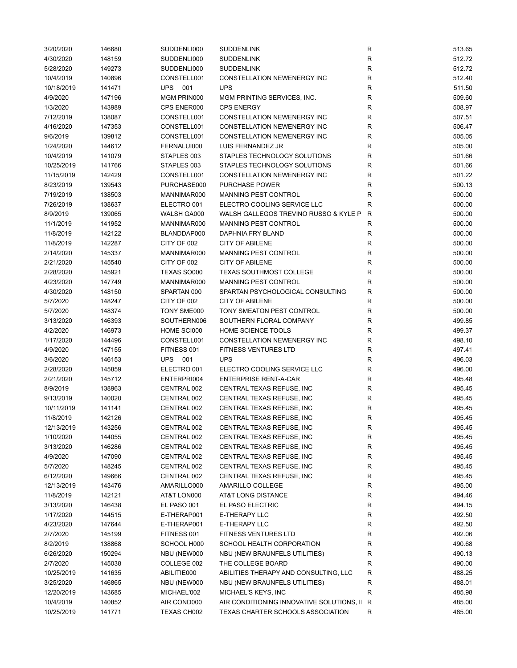| 3/20/2020  | 146680 | SUDDENLI000       | <b>SUDDENLINK</b>                           | R           | 513.65 |
|------------|--------|-------------------|---------------------------------------------|-------------|--------|
| 4/30/2020  | 148159 | SUDDENLI000       | <b>SUDDENLINK</b>                           | R           | 512.72 |
| 5/28/2020  | 149273 | SUDDENLI000       | <b>SUDDENLINK</b>                           | R           | 512.72 |
| 10/4/2019  | 140896 | CONSTELL001       | CONSTELLATION NEWENERGY INC                 | R           | 512.40 |
| 10/18/2019 | 141471 | <b>UPS</b><br>001 | <b>UPS</b>                                  | $\mathsf R$ | 511.50 |
| 4/9/2020   | 147196 | MGM PRIN000       | MGM PRINTING SERVICES, INC.                 | R           | 509.60 |
| 1/3/2020   | 143989 | CPS ENER000       | <b>CPS ENERGY</b>                           | R           | 508.97 |
| 7/12/2019  | 138087 | CONSTELL001       | CONSTELLATION NEWENERGY INC                 | R           | 507.51 |
| 4/16/2020  | 147353 | CONSTELL001       | CONSTELLATION NEWENERGY INC                 | R           | 506.47 |
| 9/6/2019   | 139812 | CONSTELL001       | <b>CONSTELLATION NEWENERGY INC</b>          | R           | 505.05 |
| 1/24/2020  | 144612 | FERNALUI000       | LUIS FERNANDEZ JR                           | R           | 505.00 |
|            |        |                   |                                             |             |        |
| 10/4/2019  | 141079 | STAPLES 003       | STAPLES TECHNOLOGY SOLUTIONS                | R           | 501.66 |
| 10/25/2019 | 141766 | STAPLES 003       | STAPLES TECHNOLOGY SOLUTIONS                | R           | 501.66 |
| 11/15/2019 | 142429 | CONSTELL001       | CONSTELLATION NEWENERGY INC                 | $\mathsf R$ | 501.22 |
| 8/23/2019  | 139543 | PURCHASE000       | <b>PURCHASE POWER</b>                       | R           | 500.13 |
| 7/19/2019  | 138503 | MANNIMAR000       | MANNING PEST CONTROL                        | R           | 500.00 |
| 7/26/2019  | 138637 | ELECTRO 001       | ELECTRO COOLING SERVICE LLC                 | R           | 500.00 |
| 8/9/2019   | 139065 | WALSH GA000       | WALSH GALLEGOS TREVINO RUSSO & KYLE P       | R           | 500.00 |
| 11/1/2019  | 141952 | MANNIMAR000       | <b>MANNING PEST CONTROL</b>                 | R           | 500.00 |
| 11/8/2019  | 142122 | BLANDDAP000       | <b>DAPHNIA FRY BLAND</b>                    | R           | 500.00 |
| 11/8/2019  | 142287 | CITY OF 002       | <b>CITY OF ABILENE</b>                      | R           | 500.00 |
| 2/14/2020  | 145337 | MANNIMAR000       | MANNING PEST CONTROL                        | R           | 500.00 |
| 2/21/2020  | 145540 | CITY OF 002       | <b>CITY OF ABILENE</b>                      | $\mathsf R$ | 500.00 |
| 2/28/2020  | 145921 | TEXAS SO000       | <b>TEXAS SOUTHMOST COLLEGE</b>              | R           | 500.00 |
| 4/23/2020  | 147749 | MANNIMAR000       | MANNING PEST CONTROL                        | R           | 500.00 |
| 4/30/2020  | 148150 | SPARTAN 000       | SPARTAN PSYCHOLOGICAL CONSULTING            | $\mathsf R$ | 500.00 |
| 5/7/2020   | 148247 | CITY OF 002       | <b>CITY OF ABILENE</b>                      | R           | 500.00 |
| 5/7/2020   | 148374 | TONY SME000       | TONY SMEATON PEST CONTROL                   | R           | 500.00 |
| 3/13/2020  | 146393 | SOUTHERN006       | SOUTHERN FLORAL COMPANY                     | $\mathsf R$ | 499.85 |
| 4/2/2020   | 146973 | HOME SCI000       | HOME SCIENCE TOOLS                          | R           | 499.37 |
| 1/17/2020  | 144496 | CONSTELL001       | CONSTELLATION NEWENERGY INC                 | R           | 498.10 |
| 4/9/2020   | 147155 | FITNESS 001       | FITNESS VENTURES LTD                        | R           | 497.41 |
| 3/6/2020   | 146153 | 001<br>UPS        | <b>UPS</b>                                  | R           | 496.03 |
|            |        |                   |                                             |             |        |
| 2/28/2020  | 145859 | ELECTRO 001       | ELECTRO COOLING SERVICE LLC                 | R           | 496.00 |
| 2/21/2020  | 145712 | ENTERPRI004       | <b>ENTERPRISE RENT-A-CAR</b>                | R           | 495.48 |
| 8/9/2019   | 138963 | CENTRAL 002       | CENTRAL TEXAS REFUSE, INC                   | R           | 495.45 |
| 9/13/2019  | 140020 | CENTRAL 002       | CENTRAL TEXAS REFUSE, INC                   | $\mathsf R$ | 495.45 |
| 10/11/2019 | 141141 | CENTRAL 002       | CENTRAL TEXAS REFUSE, INC                   | R           | 495.45 |
| 11/8/2019  | 142126 | CENTRAL 002       | CENTRAL TEXAS REFUSE, INC                   | R           | 495.45 |
| 12/13/2019 | 143256 | CENTRAL 002       | CENTRAL TEXAS REFUSE, INC                   | R           | 495.45 |
| 1/10/2020  | 144055 | CENTRAL 002       | CENTRAL TEXAS REFUSE, INC                   | R           | 495.45 |
| 3/13/2020  | 146286 | CENTRAL 002       | CENTRAL TEXAS REFUSE, INC                   | R           | 495.45 |
| 4/9/2020   | 147090 | CENTRAL 002       | CENTRAL TEXAS REFUSE, INC                   | R           | 495.45 |
| 5/7/2020   | 148245 | CENTRAL 002       | CENTRAL TEXAS REFUSE, INC                   | R           | 495.45 |
| 6/12/2020  | 149666 | CENTRAL 002       | CENTRAL TEXAS REFUSE, INC                   | R           | 495.45 |
| 12/13/2019 | 143476 | AMARILLO000       | AMARILLO COLLEGE                            | R           | 495.00 |
| 11/8/2019  | 142121 | AT&T LON000       | AT&T LONG DISTANCE                          | R           | 494.46 |
| 3/13/2020  | 146438 | EL PASO 001       | EL PASO ELECTRIC                            | R           | 494.15 |
| 1/17/2020  | 144515 | E-THERAP001       | E-THERAPY LLC                               | R           | 492.50 |
| 4/23/2020  | 147644 | E-THERAP001       | E-THERAPY LLC                               | R           | 492.50 |
| 2/7/2020   | 145199 | FITNESS 001       | <b>FITNESS VENTURES LTD</b>                 | R           | 492.06 |
| 8/2/2019   | 138868 | SCHOOL H000       | SCHOOL HEALTH CORPORATION                   | R           | 490.68 |
| 6/26/2020  | 150294 | NBU (NEW000       | NBU (NEW BRAUNFELS UTILITIES)               | R           | 490.13 |
| 2/7/2020   | 145038 | COLLEGE 002       | THE COLLEGE BOARD                           | R           | 490.00 |
| 10/25/2019 | 141635 | ABILITIE000       | ABILITIES THERAPY AND CONSULTING, LLC       | R           | 488.25 |
| 3/25/2020  | 146865 | NBU (NEW000       | NBU (NEW BRAUNFELS UTILITIES)               | R           | 488.01 |
| 12/20/2019 | 143685 | MICHAEL'002       | MICHAEL'S KEYS, INC                         | R           | 485.98 |
|            |        |                   |                                             |             |        |
| 10/4/2019  | 140852 | AIR COND000       | AIR CONDITIONING INNOVATIVE SOLUTIONS, II R |             | 485.00 |
| 10/25/2019 | 141771 | TEXAS CH002       | TEXAS CHARTER SCHOOLS ASSOCIATION           | R           | 485.00 |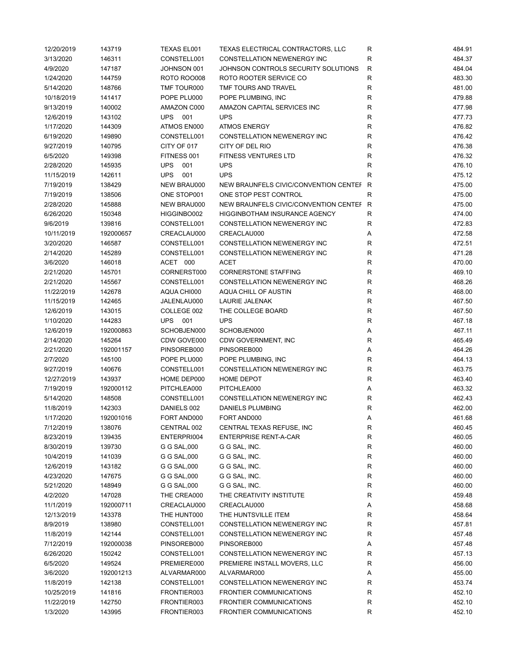| 12/20/2019 | 143719    | TEXAS EL001        | TEXAS ELECTRICAL CONTRACTORS, LLC       | R            | 484.91 |
|------------|-----------|--------------------|-----------------------------------------|--------------|--------|
| 3/13/2020  | 146311    | CONSTELL001        | CONSTELLATION NEWENERGY INC             | R            | 484.37 |
| 4/9/2020   | 147187    | JOHNSON 001        | JOHNSON CONTROLS SECURITY SOLUTIONS     | $\mathsf{R}$ | 484.04 |
| 1/24/2020  | 144759    | <b>ROTO ROO008</b> | ROTO ROOTER SERVICE CO                  | $\mathsf{R}$ | 483.30 |
| 5/14/2020  | 148766    | TMF TOUR000        | TMF TOURS AND TRAVEL                    | R            | 481.00 |
| 10/18/2019 | 141417    | POPE PLU000        | POPE PLUMBING, INC                      | R            | 479.88 |
| 9/13/2019  | 140002    | AMAZON C000        | AMAZON CAPITAL SERVICES INC             | R            | 477.98 |
| 12/6/2019  | 143102    | UPS<br>001         | <b>UPS</b>                              | R            | 477.73 |
| 1/17/2020  | 144309    | ATMOS EN000        | <b>ATMOS ENERGY</b>                     | R            | 476.82 |
| 6/19/2020  | 149890    | CONSTELL001        | CONSTELLATION NEWENERGY INC             | R            | 476.42 |
| 9/27/2019  | 140795    | CITY OF 017        | CITY OF DEL RIO                         | R            | 476.38 |
| 6/5/2020   |           | FITNESS 001        | <b>FITNESS VENTURES LTD</b>             | R            | 476.32 |
|            | 149398    |                    |                                         |              |        |
| 2/28/2020  | 145935    | <b>UPS</b><br>001  | <b>UPS</b>                              | R            | 476.10 |
| 11/15/2019 | 142611    | <b>UPS</b><br>001  | <b>UPS</b>                              | R            | 475.12 |
| 7/19/2019  | 138429    | NEW BRAU000        | NEW BRAUNFELS CIVIC/CONVENTION CENTEF R |              | 475.00 |
| 7/19/2019  | 138506    | ONE STOP001        | ONE STOP PEST CONTROL                   | $\mathsf{R}$ | 475.00 |
| 2/28/2020  | 145888    | NEW BRAU000        | NEW BRAUNFELS CIVIC/CONVENTION CENTEF R |              | 475.00 |
| 6/26/2020  | 150348    | HIGGINBO002        | <b>HIGGINBOTHAM INSURANCE AGENCY</b>    | R            | 474.00 |
| 9/6/2019   | 139816    | CONSTELL001        | CONSTELLATION NEWENERGY INC             | R            | 472.83 |
| 10/11/2019 | 192000657 | CREACLAU000        | CREACLAU000                             | Α            | 472.58 |
| 3/20/2020  | 146587    | CONSTELL001        | CONSTELLATION NEWENERGY INC             | R            | 472.51 |
| 2/14/2020  | 145289    | CONSTELL001        | CONSTELLATION NEWENERGY INC             | R            | 471.28 |
| 3/6/2020   | 146018    | ACET 000           | ACET                                    | R            | 470.00 |
| 2/21/2020  | 145701    | CORNERST000        | <b>CORNERSTONE STAFFING</b>             | R            | 469.10 |
| 2/21/2020  | 145567    | CONSTELL001        | CONSTELLATION NEWENERGY INC             | R            | 468.26 |
| 11/22/2019 | 142678    | AQUA CHI000        | AQUA CHILL OF AUSTIN                    | R            | 468.00 |
| 11/15/2019 | 142465    | JALENLAU000        | <b>LAURIE JALENAK</b>                   | R            | 467.50 |
| 12/6/2019  | 143015    | COLLEGE 002        | THE COLLEGE BOARD                       | R            | 467.50 |
| 1/10/2020  | 144283    | <b>UPS</b><br>001  | <b>UPS</b>                              | $\mathsf R$  | 467.18 |
| 12/6/2019  | 192000863 | SCHOBJEN000        | SCHOBJEN000                             | Α            | 467.11 |
| 2/14/2020  | 145264    | CDW GOVE000        | CDW GOVERNMENT, INC                     | R            | 465.49 |
| 2/21/2020  | 192001157 | PINSOREB000        | PINSOREB000                             | Α            | 464.26 |
| 2/7/2020   | 145100    | POPE PLU000        | POPE PLUMBING, INC                      | R            | 464.13 |
| 9/27/2019  | 140676    | CONSTELL001        | CONSTELLATION NEWENERGY INC             | R            | 463.75 |
|            | 143937    |                    | <b>HOME DEPOT</b>                       | R            |        |
| 12/27/2019 |           | HOME DEP000        |                                         |              | 463.40 |
| 7/19/2019  | 192000112 | PITCHLEA000        | PITCHLEA000                             | Α            | 463.32 |
| 5/14/2020  | 148508    | CONSTELL001        | <b>CONSTELLATION NEWENERGY INC</b>      | R            | 462.43 |
| 11/8/2019  | 142303    | DANIELS 002        | <b>DANIELS PLUMBING</b>                 | R            | 462.00 |
| 1/17/2020  | 192001016 | FORT AND000        | FORT AND000                             | Α            | 461.68 |
| 7/12/2019  | 138076    | CENTRAL 002        | CENTRAL TEXAS REFUSE, INC               | R            | 460.45 |
| 8/23/2019  | 139435    | ENTERPRI004        | <b>ENTERPRISE RENT-A-CAR</b>            | R            | 460.05 |
| 8/30/2019  | 139730    | G G SAL,000        | G G SAL, INC.                           | R            | 460.00 |
| 10/4/2019  | 141039    | G G SAL,000        | G G SAL, INC.                           | R            | 460.00 |
| 12/6/2019  | 143182    | G G SAL,000        | G G SAL, INC.                           | R            | 460.00 |
| 4/23/2020  | 147675    | G G SAL,000        | G G SAL, INC.                           | R            | 460.00 |
| 5/21/2020  | 148949    | G G SAL,000        | G G SAL, INC.                           | R            | 460.00 |
| 4/2/2020   | 147028    | THE CREA000        | THE CREATIVITY INSTITUTE                | R            | 459.48 |
| 11/1/2019  | 192000711 | CREACLAU000        | CREACLAU000                             | Α            | 458.68 |
| 12/13/2019 | 143378    | THE HUNT000        | THE HUNTSVILLE ITEM                     | R            | 458.64 |
| 8/9/2019   | 138980    | CONSTELL001        | CONSTELLATION NEWENERGY INC             | R            | 457.81 |
| 11/8/2019  | 142144    | CONSTELL001        | CONSTELLATION NEWENERGY INC             | R            | 457.48 |
| 7/12/2019  | 192000038 | PINSOREB000        | PINSOREB000                             | Α            | 457.48 |
| 6/26/2020  | 150242    | CONSTELL001        | CONSTELLATION NEWENERGY INC             | R            | 457.13 |
| 6/5/2020   | 149524    | PREMIERE000        | PREMIERE INSTALL MOVERS, LLC            | R            | 456.00 |
| 3/6/2020   | 192001213 | ALVARMAR000        | ALVARMAR000                             | Α            | 455.00 |
| 11/8/2019  | 142138    | CONSTELL001        | CONSTELLATION NEWENERGY INC             | R            | 453.74 |
| 10/25/2019 | 141816    | FRONTIER003        | <b>FRONTIER COMMUNICATIONS</b>          | R            | 452.10 |
| 11/22/2019 | 142750    | FRONTIER003        | <b>FRONTIER COMMUNICATIONS</b>          | R            | 452.10 |
| 1/3/2020   | 143995    | FRONTIER003        | <b>FRONTIER COMMUNICATIONS</b>          | R            | 452.10 |
|            |           |                    |                                         |              |        |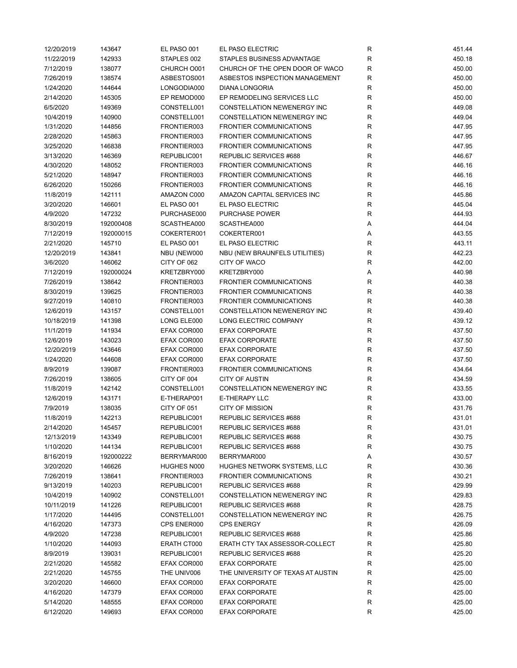| 12/20/2019 | 143647    | EL PASO 001 | EL PASO ELECTRIC                                      | R           | 451.44 |
|------------|-----------|-------------|-------------------------------------------------------|-------------|--------|
| 11/22/2019 | 142933    | STAPLES 002 | STAPLES BUSINESS ADVANTAGE                            | R           | 450.18 |
| 7/12/2019  | 138077    | CHURCH O001 | CHURCH OF THE OPEN DOOR OF WACO                       | R           | 450.00 |
| 7/26/2019  | 138574    | ASBESTOS001 | ASBESTOS INSPECTION MANAGEMENT                        | R           | 450.00 |
| 1/24/2020  | 144644    | LONGODIA000 | <b>DIANA LONGORIA</b>                                 | R           | 450.00 |
| 2/14/2020  | 145305    | EP REMOD000 | EP REMODELING SERVICES LLC                            | R           | 450.00 |
| 6/5/2020   | 149369    | CONSTELL001 | CONSTELLATION NEWENERGY INC                           | R           | 449.08 |
| 10/4/2019  | 140900    | CONSTELL001 | CONSTELLATION NEWENERGY INC                           | R           | 449.04 |
| 1/31/2020  | 144856    | FRONTIER003 | <b>FRONTIER COMMUNICATIONS</b>                        | R           | 447.95 |
| 2/28/2020  | 145863    | FRONTIER003 | <b>FRONTIER COMMUNICATIONS</b>                        | R           | 447.95 |
| 3/25/2020  | 146838    | FRONTIER003 | <b>FRONTIER COMMUNICATIONS</b>                        | R           | 447.95 |
| 3/13/2020  | 146369    | REPUBLIC001 | REPUBLIC SERVICES #688                                | R           | 446.67 |
| 4/30/2020  | 148052    | FRONTIER003 | <b>FRONTIER COMMUNICATIONS</b>                        | R           | 446.16 |
| 5/21/2020  | 148947    | FRONTIER003 | <b>FRONTIER COMMUNICATIONS</b>                        | R           | 446.16 |
| 6/26/2020  | 150266    | FRONTIER003 | <b>FRONTIER COMMUNICATIONS</b>                        | R           | 446.16 |
| 11/8/2019  | 142111    | AMAZON C000 | AMAZON CAPITAL SERVICES INC                           | R           | 445.86 |
| 3/20/2020  | 146601    | EL PASO 001 | EL PASO ELECTRIC                                      | $\mathsf R$ | 445.04 |
| 4/9/2020   | 147232    | PURCHASE000 | <b>PURCHASE POWER</b>                                 | R           | 444.93 |
| 8/30/2019  | 192000408 | SCASTHEA000 | SCASTHEA000                                           | А           | 444.04 |
| 7/12/2019  | 192000015 | COKERTER001 | COKERTER001                                           | Α           | 443.55 |
| 2/21/2020  | 145710    | EL PASO 001 | EL PASO ELECTRIC                                      | $\mathsf R$ | 443.11 |
| 12/20/2019 | 143841    | NBU (NEW000 | NBU (NEW BRAUNFELS UTILITIES)                         | R           | 442.23 |
| 3/6/2020   | 146062    | CITY OF 062 | CITY OF WACO                                          | R           | 442.00 |
| 7/12/2019  | 192000024 | KRETZBRY000 | KRETZBRY000                                           | Α           | 440.98 |
| 7/26/2019  | 138642    | FRONTIER003 | <b>FRONTIER COMMUNICATIONS</b>                        | R           | 440.38 |
| 8/30/2019  | 139625    | FRONTIER003 | <b>FRONTIER COMMUNICATIONS</b>                        | R           | 440.38 |
| 9/27/2019  | 140810    | FRONTIER003 | <b>FRONTIER COMMUNICATIONS</b>                        | R           | 440.38 |
| 12/6/2019  | 143157    | CONSTELL001 | CONSTELLATION NEWENERGY INC                           | R           | 439.40 |
| 10/18/2019 | 141398    | LONG ELE000 | LONG ELECTRIC COMPANY                                 | R           | 439.12 |
| 11/1/2019  | 141934    | EFAX COR000 | <b>EFAX CORPORATE</b>                                 | R           | 437.50 |
| 12/6/2019  | 143023    | EFAX COR000 | <b>EFAX CORPORATE</b>                                 | R           | 437.50 |
| 12/20/2019 | 143646    | EFAX COR000 | <b>EFAX CORPORATE</b>                                 | R           | 437.50 |
| 1/24/2020  | 144608    | EFAX COR000 | <b>EFAX CORPORATE</b>                                 | $\mathsf R$ | 437.50 |
| 8/9/2019   | 139087    | FRONTIER003 | <b>FRONTIER COMMUNICATIONS</b>                        | R           | 434.64 |
| 7/26/2019  | 138605    | CITY OF 004 | <b>CITY OF AUSTIN</b>                                 | R           | 434.59 |
| 11/8/2019  | 142142    | CONSTELL001 | CONSTELLATION NEWENERGY INC                           | R           | 433.55 |
| 12/6/2019  | 143171    | E-THERAP001 | E-THERAPY LLC                                         | $\mathsf R$ | 433.00 |
| 7/9/2019   | 138035    | CITY OF 051 | <b>CITY OF MISSION</b>                                | R           | 431.76 |
| 11/8/2019  | 142213    | REPUBLIC001 | REPUBLIC SERVICES #688                                | R           | 431.01 |
| 2/14/2020  | 145457    | REPUBLIC001 | REPUBLIC SERVICES #688                                | R           | 431.01 |
| 12/13/2019 | 143349    | REPUBLIC001 | REPUBLIC SERVICES #688                                | R           | 430.75 |
| 1/10/2020  | 144134    | REPUBLIC001 | REPUBLIC SERVICES #688                                | R           | 430.75 |
| 8/16/2019  | 192000222 | BERRYMAR000 | BERRYMAR000                                           |             | 430.57 |
| 3/20/2020  | 146626    | HUGHES N000 | HUGHES NETWORK SYSTEMS, LLC                           | Α<br>R      | 430.36 |
|            | 138641    | FRONTIER003 | <b>FRONTIER COMMUNICATIONS</b>                        | R           | 430.21 |
| 7/26/2019  |           |             |                                                       |             |        |
| 9/13/2019  | 140203    | REPUBLIC001 | REPUBLIC SERVICES #688                                | R           | 429.99 |
| 10/4/2019  | 140902    | CONSTELL001 | CONSTELLATION NEWENERGY INC<br>REPUBLIC SERVICES #688 | R           | 429.83 |
| 10/11/2019 | 141226    | REPUBLIC001 | <b>CONSTELLATION NEWENERGY INC</b>                    | R           | 428.75 |
| 1/17/2020  | 144495    | CONSTELL001 |                                                       | R           | 426.75 |
| 4/16/2020  | 147373    | CPS ENER000 | <b>CPS ENERGY</b>                                     | R           | 426.09 |
| 4/9/2020   | 147238    | REPUBLIC001 | REPUBLIC SERVICES #688                                | R           | 425.86 |
| 1/10/2020  | 144093    | ERATH CT000 | ERATH CTY TAX ASSESSOR-COLLECT                        | R           | 425.80 |
| 8/9/2019   | 139031    | REPUBLIC001 | REPUBLIC SERVICES #688                                | R           | 425.20 |
| 2/21/2020  | 145582    | EFAX COR000 | <b>EFAX CORPORATE</b>                                 | R           | 425.00 |
| 2/21/2020  | 145755    | THE UNIV006 | THE UNIVERSITY OF TEXAS AT AUSTIN                     | R           | 425.00 |
| 3/20/2020  | 146600    | EFAX COR000 | <b>EFAX CORPORATE</b>                                 | R           | 425.00 |
| 4/16/2020  | 147379    | EFAX COR000 | <b>EFAX CORPORATE</b>                                 | R           | 425.00 |
| 5/14/2020  | 148555    | EFAX COR000 | <b>EFAX CORPORATE</b>                                 | R           | 425.00 |
| 6/12/2020  | 149693    | EFAX COR000 | <b>EFAX CORPORATE</b>                                 | R           | 425.00 |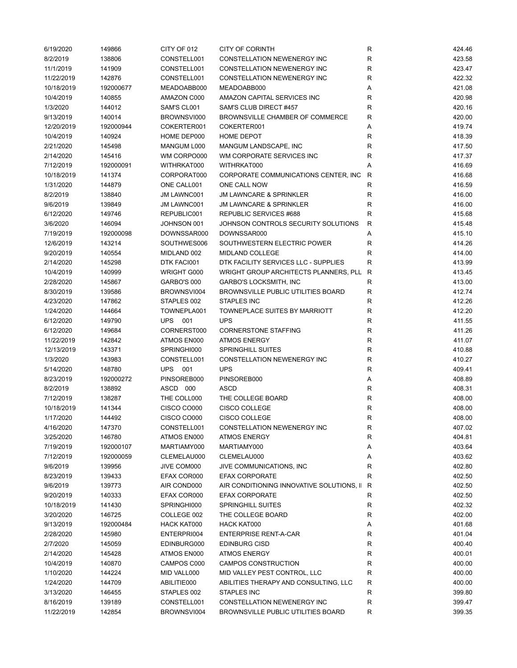| 6/19/2020  | 149866    | CITY OF 012        | <b>CITY OF CORINTH</b>                      | R            | 424.46 |
|------------|-----------|--------------------|---------------------------------------------|--------------|--------|
| 8/2/2019   | 138806    | CONSTELL001        | CONSTELLATION NEWENERGY INC                 | R            | 423.58 |
| 11/1/2019  | 141909    | CONSTELL001        | CONSTELLATION NEWENERGY INC                 | $\mathsf{R}$ | 423.47 |
| 11/22/2019 | 142876    | CONSTELL001        | CONSTELLATION NEWENERGY INC                 | R            | 422.32 |
| 10/18/2019 | 192000677 | MEADOABB000        | MEADOABB000                                 | Α            | 421.08 |
| 10/4/2019  | 140855    | AMAZON C000        | AMAZON CAPITAL SERVICES INC                 | R            | 420.98 |
| 1/3/2020   | 144012    | SAM'S CL001        | SAM'S CLUB DIRECT #457                      | R            | 420.16 |
| 9/13/2019  | 140014    | BROWNSVI000        | BROWNSVILLE CHAMBER OF COMMERCE             | R            | 420.00 |
| 12/20/2019 | 192000944 | COKERTER001        | COKERTER001                                 | Α            | 419.74 |
|            |           |                    | <b>HOME DEPOT</b>                           |              |        |
| 10/4/2019  | 140924    | HOME DEP000        |                                             | R            | 418.39 |
| 2/21/2020  | 145498    | MANGUM L000        | MANGUM LANDSCAPE, INC                       | R            | 417.50 |
| 2/14/2020  | 145416    | WM CORPO000        | WM CORPORATE SERVICES INC                   | $\mathsf{R}$ | 417.37 |
| 7/12/2019  | 192000091 | WITHRKAT000        | WITHRKAT000                                 | Α            | 416.69 |
| 10/18/2019 | 141374    | CORPORAT000        | CORPORATE COMMUNICATIONS CENTER, INC.       | R            | 416.68 |
| 1/31/2020  | 144879    | ONE CALL001        | ONE CALL NOW                                | R            | 416.59 |
| 8/2/2019   | 138840    | <b>JM LAWNC001</b> | <b>JM LAWNCARE &amp; SPRINKLER</b>          | $\mathsf{R}$ | 416.00 |
| 9/6/2019   | 139849    | JM LAWNC001        | <b>JM LAWNCARE &amp; SPRINKLER</b>          | R            | 416.00 |
| 6/12/2020  | 149746    | REPUBLIC001        | REPUBLIC SERVICES #688                      | R            | 415.68 |
| 3/6/2020   | 146094    | JOHNSON 001        | JOHNSON CONTROLS SECURITY SOLUTIONS         | R            | 415.48 |
| 7/19/2019  | 192000098 | DOWNSSAR000        | DOWNSSAR000                                 | Α            | 415.10 |
| 12/6/2019  | 143214    | SOUTHWES006        | SOUTHWESTERN ELECTRIC POWER                 | R            | 414.26 |
| 9/20/2019  | 140554    | MIDLAND 002        | MIDLAND COLLEGE                             | R            | 414.00 |
| 2/14/2020  | 145298    | DTK FACI001        | DTK FACILITY SERVICES LLC - SUPPLIES        | $\mathsf{R}$ | 413.99 |
| 10/4/2019  | 140999    | <b>WRIGHT G000</b> | WRIGHT GROUP ARCHITECTS PLANNERS, PLL R     |              | 413.45 |
| 2/28/2020  | 145867    | GARBO'S 000        | <b>GARBO'S LOCKSMITH, INC</b>               | R            | 413.00 |
| 8/30/2019  | 139586    | BROWNSVI004        | BROWNSVILLE PUBLIC UTILITIES BOARD          | $\mathsf{R}$ | 412.74 |
| 4/23/2020  | 147862    | STAPLES 002        | <b>STAPLES INC</b>                          | $\mathsf{R}$ | 412.26 |
| 1/24/2020  | 144664    | TOWNEPLA001        | TOWNEPLACE SUITES BY MARRIOTT               | R            | 412.20 |
| 6/12/2020  | 149790    | <b>UPS</b><br>001  | <b>UPS</b>                                  | $\mathsf{R}$ | 411.55 |
| 6/12/2020  | 149684    | CORNERST000        | <b>CORNERSTONE STAFFING</b>                 | $\mathsf{R}$ | 411.26 |
|            |           |                    |                                             |              |        |
| 11/22/2019 | 142842    | ATMOS EN000        | <b>ATMOS ENERGY</b>                         | R            | 411.07 |
| 12/13/2019 | 143371    | SPRINGHI000        | <b>SPRINGHILL SUITES</b>                    | $\mathsf{R}$ | 410.88 |
| 1/3/2020   | 143983    | CONSTELL001        | CONSTELLATION NEWENERGY INC                 | $\mathsf{R}$ | 410.27 |
| 5/14/2020  | 148780    | <b>UPS</b> 001     | <b>UPS</b>                                  | $\mathsf{R}$ | 409.41 |
| 8/23/2019  | 192000272 | PINSOREB000        | PINSOREB000                                 | Α            | 408.89 |
| 8/2/2019   | 138892    | ASCD 000           | ASCD                                        | $\mathsf{R}$ | 408.31 |
| 7/12/2019  | 138287    | THE COLL000        | THE COLLEGE BOARD                           | $\mathsf{R}$ | 408.00 |
| 10/18/2019 | 141344    | CISCO CO000        | <b>CISCO COLLEGE</b>                        | $\mathsf{R}$ | 408.00 |
| 1/17/2020  | 144492    | CISCO CO000        | CISCO COLLEGE                               | R            | 408.00 |
| 4/16/2020  | 147370    | CONSTELL001        | CONSTELLATION NEWENERGY INC                 | R            | 407.02 |
| 3/25/2020  | 146780    | ATMOS EN000        | <b>ATMOS ENERGY</b>                         | R            | 404.81 |
| 7/19/2019  | 192000107 | MARTIAMY000        | MARTIAMY000                                 | Α            | 403.64 |
| 7/12/2019  | 192000059 | CLEMELAU000        | CLEMELAU000                                 | Α            | 403.62 |
| 9/6/2019   | 139956    | JIVE COM000        | JIVE COMMUNICATIONS, INC                    | R            | 402.80 |
| 8/23/2019  | 139433    | EFAX COR000        | <b>EFAX CORPORATE</b>                       | R            | 402.50 |
| 9/6/2019   | 139773    | AIR COND000        | AIR CONDITIONING INNOVATIVE SOLUTIONS, II R |              | 402.50 |
| 9/20/2019  | 140333    | EFAX COR000        | <b>EFAX CORPORATE</b>                       | R            | 402.50 |
| 10/18/2019 | 141430    | SPRINGHI000        | <b>SPRINGHILL SUITES</b>                    | R            | 402.32 |
| 3/20/2020  | 146725    | COLLEGE 002        | THE COLLEGE BOARD                           | R            | 402.00 |
| 9/13/2019  | 192000484 | HACK KAT000        | HACK KAT000                                 | Α            | 401.68 |
| 2/28/2020  | 145980    | ENTERPRI004        | <b>ENTERPRISE RENT-A-CAR</b>                | R            | 401.04 |
| 2/7/2020   | 145059    | EDINBURG000        | <b>EDINBURG CISD</b>                        | R            | 400.40 |
| 2/14/2020  | 145428    | ATMOS EN000        | <b>ATMOS ENERGY</b>                         | $\mathsf{R}$ | 400.01 |
|            |           |                    |                                             |              |        |
| 10/4/2019  | 140870    | CAMPOS C000        | CAMPOS CONSTRUCTION                         | R            | 400.00 |
| 1/10/2020  | 144224    | MID VALL000        | MID VALLEY PEST CONTROL, LLC                | R            | 400.00 |
| 1/24/2020  | 144709    | ABILITIE000        | ABILITIES THERAPY AND CONSULTING, LLC       | R            | 400.00 |
| 3/13/2020  | 146455    | STAPLES 002        | STAPLES INC                                 | R            | 399.80 |
| 8/16/2019  | 139189    | CONSTELL001        | CONSTELLATION NEWENERGY INC                 | $\mathsf{R}$ | 399.47 |
| 11/22/2019 | 142854    | BROWNSVI004        | <b>BROWNSVILLE PUBLIC UTILITIES BOARD</b>   | R            | 399.35 |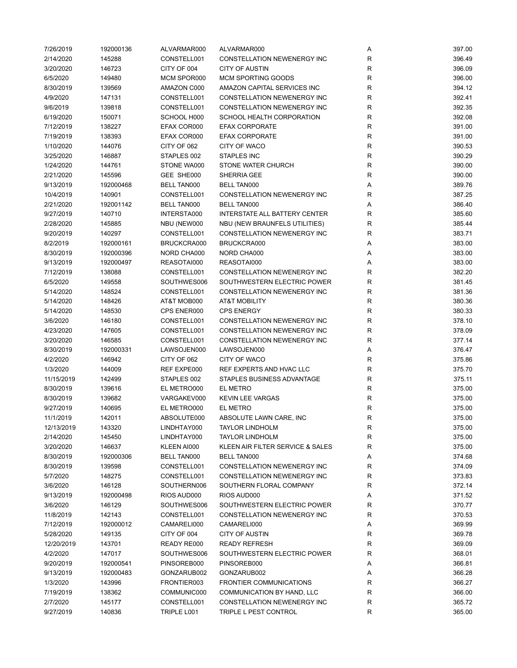| 7/26/2019  | 192000136 | ALVARMAR000        | ALVARMAR000                          | Α           | 397.00 |
|------------|-----------|--------------------|--------------------------------------|-------------|--------|
| 2/14/2020  | 145288    | CONSTELL001        | <b>CONSTELLATION NEWENERGY INC</b>   | R           | 396.49 |
| 3/20/2020  | 146723    | CITY OF 004        | <b>CITY OF AUSTIN</b>                | R           | 396.09 |
| 6/5/2020   | 149480    | MCM SPOR000        | <b>MCM SPORTING GOODS</b>            | R           | 396.00 |
| 8/30/2019  | 139569    | AMAZON C000        | AMAZON CAPITAL SERVICES INC          | R           | 394.12 |
| 4/9/2020   | 147131    | CONSTELL001        | <b>CONSTELLATION NEWENERGY INC</b>   | R           | 392.41 |
| 9/6/2019   | 139818    | CONSTELL001        | <b>CONSTELLATION NEWENERGY INC</b>   | R           | 392.35 |
| 6/19/2020  | 150071    | SCHOOL H000        | SCHOOL HEALTH CORPORATION            | R           | 392.08 |
| 7/12/2019  | 138227    | EFAX COR000        | <b>EFAX CORPORATE</b>                | R           | 391.00 |
| 7/19/2019  | 138393    | EFAX COR000        | <b>EFAX CORPORATE</b>                | R           | 391.00 |
|            |           | CITY OF 062        | CITY OF WACO                         | $\mathsf R$ |        |
| 1/10/2020  | 144076    |                    |                                      |             | 390.53 |
| 3/25/2020  | 146887    | STAPLES 002        | <b>STAPLES INC</b>                   | R           | 390.29 |
| 1/24/2020  | 144761    | STONE WA000        | STONE WATER CHURCH                   | R           | 390.00 |
| 2/21/2020  | 145596    | GEE SHE000         | SHERRIA GEE                          | R           | 390.00 |
| 9/13/2019  | 192000468 | <b>BELL TAN000</b> | <b>BELL TAN000</b>                   | Α           | 389.76 |
| 10/4/2019  | 140901    | CONSTELL001        | CONSTELLATION NEWENERGY INC          | R           | 387.25 |
| 2/21/2020  | 192001142 | <b>BELL TAN000</b> | <b>BELL TAN000</b>                   | Α           | 386.40 |
| 9/27/2019  | 140710    | INTERSTA000        | <b>INTERSTATE ALL BATTERY CENTER</b> | R           | 385.60 |
| 2/28/2020  | 145885    | NBU (NEW000        | NBU (NEW BRAUNFELS UTILITIES)        | R           | 385.44 |
| 9/20/2019  | 140297    | CONSTELL001        | <b>CONSTELLATION NEWENERGY INC</b>   | R           | 383.71 |
| 8/2/2019   | 192000161 | BRUCKCRA000        | BRUCKCRA000                          | Α           | 383.00 |
| 8/30/2019  | 192000396 | NORD CHA000        | NORD CHA000                          | Α           | 383.00 |
| 9/13/2019  | 192000497 | REASOTAI000        | REASOTAI000                          | Α           | 383.00 |
| 7/12/2019  | 138088    | CONSTELL001        | CONSTELLATION NEWENERGY INC          | R           | 382.20 |
| 6/5/2020   | 149558    | SOUTHWES006        | SOUTHWESTERN ELECTRIC POWER          | R           | 381.45 |
| 5/14/2020  | 148524    | CONSTELL001        | CONSTELLATION NEWENERGY INC          | R           | 381.36 |
| 5/14/2020  | 148426    | AT&T MOB000        | <b>AT&amp;T MOBILITY</b>             | R           | 380.36 |
| 5/14/2020  | 148530    | CPS ENER000        | <b>CPS ENERGY</b>                    | R           | 380.33 |
| 3/6/2020   | 146180    | CONSTELL001        | CONSTELLATION NEWENERGY INC          | R           | 378.10 |
| 4/23/2020  | 147605    | CONSTELL001        | CONSTELLATION NEWENERGY INC          | R           | 378.09 |
|            | 146585    | CONSTELL001        | CONSTELLATION NEWENERGY INC          |             |        |
| 3/20/2020  |           |                    |                                      | R           | 377.14 |
| 8/30/2019  | 192000331 | LAWSOJEN000        | LAWSOJEN000                          | Α           | 376.47 |
| 4/2/2020   | 146942    | CITY OF 062        | CITY OF WACO                         | R           | 375.86 |
| 1/3/2020   | 144009    | REF EXPE000        | REF EXPERTS AND HVAC LLC             | R           | 375.70 |
| 11/15/2019 | 142499    | STAPLES 002        | STAPLES BUSINESS ADVANTAGE           | R           | 375.11 |
| 8/30/2019  | 139616    | EL METRO000        | EL METRO                             | R           | 375.00 |
| 8/30/2019  | 139682    | VARGAKEV000        | <b>KEVIN LEE VARGAS</b>              | $\mathsf R$ | 375.00 |
| 9/27/2019  | 140695    | EL METRO000        | EL METRO                             | $\mathsf R$ | 375.00 |
| 11/1/2019  | 142011    | ABSOLUTE000        | ABSOLUTE LAWN CARE, INC              | R           | 375.00 |
| 12/13/2019 | 143320    | LINDHTAY000        | <b>TAYLOR LINDHOLM</b>               | R           | 375.00 |
| 2/14/2020  | 145450    | LINDHTAY000        | <b>TAYLOR LINDHOLM</b>               | R           | 375.00 |
| 3/20/2020  | 146637    | KLEEN AI000        | KLEEN AIR FILTER SERVICE & SALES     | R           | 375.00 |
| 8/30/2019  | 192000306 | BELL TAN000        | <b>BELL TAN000</b>                   | Α           | 374.68 |
| 8/30/2019  | 139598    | CONSTELL001        | CONSTELLATION NEWENERGY INC          | R           | 374.09 |
| 5/7/2020   | 148275    | CONSTELL001        | CONSTELLATION NEWENERGY INC          | R           | 373.83 |
| 3/6/2020   | 146128    | SOUTHERN006        | SOUTHERN FLORAL COMPANY              | R           | 372.14 |
| 9/13/2019  | 192000498 | RIOS AUD000        | RIOS AUD000                          | Α           | 371.52 |
| 3/6/2020   | 146129    | SOUTHWES006        | SOUTHWESTERN ELECTRIC POWER          | R           | 370.77 |
| 11/8/2019  | 142143    | CONSTELL001        | <b>CONSTELLATION NEWENERGY INC</b>   | R           | 370.53 |
| 7/12/2019  | 192000012 | CAMARELI000        | CAMARELI000                          | Α           | 369.99 |
| 5/28/2020  | 149135    | CITY OF 004        | CITY OF AUSTIN                       | R           | 369.78 |
| 12/20/2019 | 143701    | READY RE000        | <b>READY REFRESH</b>                 | R           | 369.09 |
| 4/2/2020   | 147017    | SOUTHWES006        | SOUTHWESTERN ELECTRIC POWER          | R           | 368.01 |
| 9/20/2019  | 192000541 | PINSOREB000        | PINSOREB000                          | Α           | 366.81 |
| 9/13/2019  | 192000483 | GONZARUB002        | GONZARUB002                          | Α           | 366.28 |
|            |           |                    |                                      |             |        |
| 1/3/2020   | 143996    | FRONTIER003        | <b>FRONTIER COMMUNICATIONS</b>       | R           | 366.27 |
| 7/19/2019  | 138362    | COMMUNIC000        | COMMUNICATION BY HAND, LLC           | R           | 366.00 |
| 2/7/2020   | 145177    | CONSTELL001        | CONSTELLATION NEWENERGY INC          | R           | 365.72 |
| 9/27/2019  | 140836    | TRIPLE L001        | TRIPLE L PEST CONTROL                | R           | 365.00 |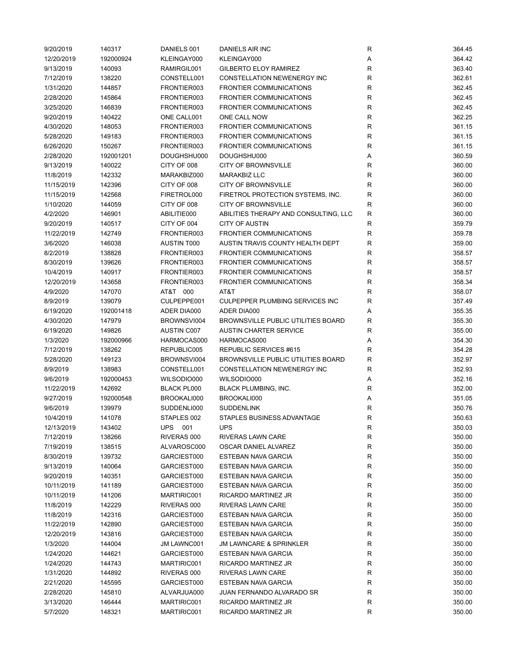| 9/20/2019  | 140317    | DANIELS 001        | <b>DANIELS AIR INC</b>                    | R            | 364.45 |
|------------|-----------|--------------------|-------------------------------------------|--------------|--------|
| 12/20/2019 | 192000924 | KLEINGAY000        | KLEINGAY000                               | Α            | 364.42 |
| 9/13/2019  | 140093    | RAMIRGIL001        | <b>GILBERTO ELOY RAMIREZ</b>              | R            | 363.40 |
| 7/12/2019  | 138220    | CONSTELL001        | CONSTELLATION NEWENERGY INC               | R            | 362.61 |
| 1/31/2020  | 144857    | FRONTIER003        | <b>FRONTIER COMMUNICATIONS</b>            | $\mathsf{R}$ | 362.45 |
| 2/28/2020  | 145864    | FRONTIER003        | <b>FRONTIER COMMUNICATIONS</b>            | R            | 362.45 |
| 3/25/2020  | 146839    | FRONTIER003        | <b>FRONTIER COMMUNICATIONS</b>            | $\mathsf{R}$ | 362.45 |
| 9/20/2019  | 140422    | ONE CALL001        | ONE CALL NOW                              | $\mathsf{R}$ | 362.25 |
| 4/30/2020  | 148053    | FRONTIER003        | <b>FRONTIER COMMUNICATIONS</b>            | $\mathsf{R}$ | 361.15 |
| 5/28/2020  | 149183    | FRONTIER003        | <b>FRONTIER COMMUNICATIONS</b>            | $\mathsf{R}$ | 361.15 |
| 6/26/2020  | 150267    | FRONTIER003        | <b>FRONTIER COMMUNICATIONS</b>            | $\mathsf{R}$ | 361.15 |
|            |           |                    | DOUGHSHU000                               |              |        |
| 2/28/2020  | 192001201 | DOUGHSHU000        |                                           | Α            | 360.59 |
| 9/13/2019  | 140022    | CITY OF 008        | <b>CITY OF BROWNSVILLE</b>                | $\mathsf{R}$ | 360.00 |
| 11/8/2019  | 142332    | MARAKBIZ000        | <b>MARAKBIZ LLC</b>                       | $\mathsf{R}$ | 360.00 |
| 11/15/2019 | 142396    | CITY OF 008        | <b>CITY OF BROWNSVILLE</b>                | $\mathsf{R}$ | 360.00 |
| 11/15/2019 | 142568    | FIRETROL000        | FIRETROL PROTECTION SYSTEMS, INC.         | $\mathsf{R}$ | 360.00 |
| 1/10/2020  | 144059    | CITY OF 008        | <b>CITY OF BROWNSVILLE</b>                | R            | 360.00 |
| 4/2/2020   | 146901    | ABILITIE000        | ABILITIES THERAPY AND CONSULTING, LLC     | R            | 360.00 |
| 9/20/2019  | 140517    | CITY OF 004        | <b>CITY OF AUSTIN</b>                     | R            | 359.79 |
| 11/22/2019 | 142749    | FRONTIER003        | <b>FRONTIER COMMUNICATIONS</b>            | $\mathsf{R}$ | 359.78 |
| 3/6/2020   | 146038    | <b>AUSTIN T000</b> | AUSTIN TRAVIS COUNTY HEALTH DEPT          | $\mathsf{R}$ | 359.00 |
| 8/2/2019   | 138828    | FRONTIER003        | <b>FRONTIER COMMUNICATIONS</b>            | $\mathsf{R}$ | 358.57 |
| 8/30/2019  | 139626    | FRONTIER003        | <b>FRONTIER COMMUNICATIONS</b>            | $\mathsf{R}$ | 358.57 |
| 10/4/2019  | 140917    | FRONTIER003        | <b>FRONTIER COMMUNICATIONS</b>            | R            | 358.57 |
| 12/20/2019 | 143658    | FRONTIER003        | <b>FRONTIER COMMUNICATIONS</b>            | $\mathsf{R}$ | 358.34 |
| 4/9/2020   | 147070    | AT&T 000           | AT&T                                      | $\mathsf{R}$ | 358.07 |
| 8/9/2019   | 139079    | CULPEPPE001        | CULPEPPER PLUMBING SERVICES INC           | R            | 357.49 |
| 6/19/2020  | 192001418 | ADER DIA000        | ADER DIA000                               | Α            | 355.35 |
| 4/30/2020  | 147979    | BROWNSVI004        | <b>BROWNSVILLE PUBLIC UTILITIES BOARD</b> | R            | 355.30 |
| 6/19/2020  | 149826    | <b>AUSTIN C007</b> | <b>AUSTIN CHARTER SERVICE</b>             | R            | 355.00 |
| 1/3/2020   | 192000966 | HARMOCAS000        | HARMOCAS000                               | Α            | 354.30 |
|            |           |                    |                                           |              |        |
| 7/12/2019  | 138262    | REPUBLIC005        | REPUBLIC SERVICES #615                    | R            | 354.28 |
| 5/28/2020  | 149123    | BROWNSVI004        | BROWNSVILLE PUBLIC UTILITIES BOARD        | $\mathsf{R}$ | 352.97 |
| 8/9/2019   | 138983    | CONSTELL001        | CONSTELLATION NEWENERGY INC               | $\mathsf{R}$ | 352.93 |
| 9/6/2019   | 192000453 | WILSODIO000        | WILSODIO000                               | Α            | 352.16 |
| 11/22/2019 | 142692    | <b>BLACK PL000</b> | <b>BLACK PLUMBING, INC.</b>               | R            | 352.00 |
| 9/27/2019  | 192000548 | BROOKALI000        | BROOKALI000                               | Α            | 351.05 |
| 9/6/2019   | 139979    | SUDDENLI000        | <b>SUDDENLINK</b>                         | $\mathsf{R}$ | 350.76 |
| 10/4/2019  | 141078    | STAPLES 002        | STAPLES BUSINESS ADVANTAGE                | R            | 350.63 |
| 12/13/2019 | 143402    | UPS<br>001         | <b>UPS</b>                                | R            | 350.03 |
| 7/12/2019  | 138266    | RIVERAS 000        | RIVERAS LAWN CARE                         | $\mathsf{R}$ | 350.00 |
| 7/19/2019  | 138515    | ALVAROSC000        | OSCAR DANIEL ALVAREZ                      | R            | 350.00 |
| 8/30/2019  | 139732    | GARCIEST000        | <b>ESTEBAN NAVA GARCIA</b>                | R            | 350.00 |
| 9/13/2019  | 140064    | GARCIEST000        | ESTEBAN NAVA GARCIA                       | R            | 350.00 |
| 9/20/2019  | 140351    | GARCIEST000        | ESTEBAN NAVA GARCIA                       | $\mathsf{R}$ | 350.00 |
| 10/11/2019 | 141189    | GARCIEST000        | ESTEBAN NAVA GARCIA                       | $\mathsf{R}$ | 350.00 |
| 10/11/2019 | 141206    | MARTIRIC001        | RICARDO MARTINEZ JR                       | $\mathsf{R}$ | 350.00 |
| 11/8/2019  | 142229    | RIVERAS 000        | RIVERAS LAWN CARE                         | R            | 350.00 |
| 11/8/2019  | 142316    | GARCIEST000        | ESTEBAN NAVA GARCIA                       | $\mathsf{R}$ | 350.00 |
| 11/22/2019 | 142890    | GARCIEST000        | ESTEBAN NAVA GARCIA                       | $\mathsf{R}$ | 350.00 |
| 12/20/2019 | 143816    | GARCIEST000        | ESTEBAN NAVA GARCIA                       | $\mathsf{R}$ | 350.00 |
| 1/3/2020   | 144004    | <b>JM LAWNC001</b> | <b>JM LAWNCARE &amp; SPRINKLER</b>        | $\mathsf{R}$ | 350.00 |
| 1/24/2020  | 144621    | GARCIEST000        | <b>ESTEBAN NAVA GARCIA</b>                | R            | 350.00 |
| 1/24/2020  | 144743    | MARTIRIC001        | RICARDO MARTINEZ JR                       | R            | 350.00 |
|            |           |                    |                                           |              |        |
| 1/31/2020  | 144892    | RIVERAS 000        | RIVERAS LAWN CARE                         | R            | 350.00 |
| 2/21/2020  | 145595    | GARCIEST000        | <b>ESTEBAN NAVA GARCIA</b>                | R            | 350.00 |
| 2/28/2020  | 145810    | ALVARJUA000        | JUAN FERNANDO ALVARADO SR                 | $\mathsf{R}$ | 350.00 |
| 3/13/2020  | 146444    | MARTIRIC001        | RICARDO MARTINEZ JR                       | $\mathsf{R}$ | 350.00 |
| 5/7/2020   | 148321    | MARTIRIC001        | RICARDO MARTINEZ JR                       | R            | 350.00 |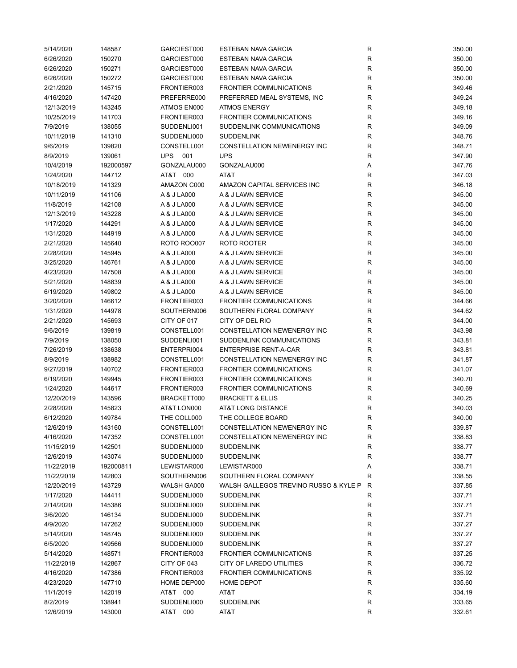| 5/14/2020  | 148587    | GARCIEST000        | <b>ESTEBAN NAVA GARCIA</b>                              | R            | 350.00 |
|------------|-----------|--------------------|---------------------------------------------------------|--------------|--------|
| 6/26/2020  | 150270    | GARCIEST000        | ESTEBAN NAVA GARCIA                                     | $\mathsf{R}$ | 350.00 |
| 6/26/2020  | 150271    | GARCIEST000        | <b>ESTEBAN NAVA GARCIA</b>                              | R            | 350.00 |
| 6/26/2020  | 150272    | GARCIEST000        | <b>ESTEBAN NAVA GARCIA</b>                              | $\mathsf{R}$ | 350.00 |
| 2/21/2020  | 145715    | FRONTIER003        | <b>FRONTIER COMMUNICATIONS</b>                          | R            | 349.46 |
| 4/16/2020  | 147420    | PREFERRE000        | PREFERRED MEAL SYSTEMS, INC                             | R            | 349.24 |
| 12/13/2019 | 143245    | ATMOS EN000        | <b>ATMOS ENERGY</b>                                     | R            | 349.18 |
| 10/25/2019 | 141703    | FRONTIER003        | <b>FRONTIER COMMUNICATIONS</b>                          | $\mathsf{R}$ | 349.16 |
| 7/9/2019   | 138055    | SUDDENLI001        | SUDDENLINK COMMUNICATIONS                               | $\mathsf{R}$ | 349.09 |
|            |           |                    |                                                         | $\mathsf{R}$ |        |
| 10/11/2019 | 141310    | SUDDENLI000        | <b>SUDDENLINK</b><br><b>CONSTELLATION NEWENERGY INC</b> | $\mathsf{R}$ | 348.76 |
| 9/6/2019   | 139820    | CONSTELL001        |                                                         |              | 348.71 |
| 8/9/2019   | 139061    | UPS<br>001         | <b>UPS</b>                                              | R            | 347.90 |
| 10/4/2019  | 192000597 | GONZALAU000        | GONZALAU000                                             | Α            | 347.76 |
| 1/24/2020  | 144712    | AT&T 000           | AT&T                                                    | $\mathsf{R}$ | 347.03 |
| 10/18/2019 | 141329    | AMAZON C000        | AMAZON CAPITAL SERVICES INC                             | $\mathsf{R}$ | 346.18 |
| 10/11/2019 | 141106    | A & J LA000        | A & J LAWN SERVICE                                      | $\mathsf{R}$ | 345.00 |
| 11/8/2019  | 142108    | A & J LA000        | A & J LAWN SERVICE                                      | R            | 345.00 |
| 12/13/2019 | 143228    | A & J LA000        | A & J LAWN SERVICE                                      | R            | 345.00 |
| 1/17/2020  | 144291    | A & J LA000        | A & J LAWN SERVICE                                      | R            | 345.00 |
| 1/31/2020  | 144919    | A & J LA000        | A & J LAWN SERVICE                                      | $\mathsf{R}$ | 345.00 |
| 2/21/2020  | 145640    | <b>ROTO ROO007</b> | ROTO ROOTER                                             | $\mathsf{R}$ | 345.00 |
| 2/28/2020  | 145945    | A & J LA000        | A & J LAWN SERVICE                                      | $\mathsf{R}$ | 345.00 |
| 3/25/2020  | 146761    | A & J LA000        | A & J LAWN SERVICE                                      | $\mathsf{R}$ | 345.00 |
| 4/23/2020  | 147508    | A & J LA000        | A & J LAWN SERVICE                                      | $\mathsf{R}$ | 345.00 |
| 5/21/2020  | 148839    | A & J LA000        | A & J LAWN SERVICE                                      | $\mathsf{R}$ | 345.00 |
| 6/19/2020  | 149802    | A & J LA000        | A & J LAWN SERVICE                                      | $\mathsf{R}$ | 345.00 |
| 3/20/2020  | 146612    | FRONTIER003        | <b>FRONTIER COMMUNICATIONS</b>                          | $\mathsf{R}$ | 344.66 |
| 1/31/2020  | 144978    | SOUTHERN006        | SOUTHERN FLORAL COMPANY                                 | $\mathsf{R}$ | 344.62 |
| 2/21/2020  | 145693    | CITY OF 017        | CITY OF DEL RIO                                         | R            | 344.00 |
|            |           |                    |                                                         |              |        |
| 9/6/2019   | 139819    | CONSTELL001        | CONSTELLATION NEWENERGY INC                             | R            | 343.98 |
| 7/9/2019   | 138050    | SUDDENLI001        | SUDDENLINK COMMUNICATIONS                               | R            | 343.81 |
| 7/26/2019  | 138638    | ENTERPRI004        | <b>ENTERPRISE RENT-A-CAR</b>                            | R            | 343.81 |
| 8/9/2019   | 138982    | CONSTELL001        | CONSTELLATION NEWENERGY INC                             | $\mathsf{R}$ | 341.87 |
| 9/27/2019  | 140702    | FRONTIER003        | <b>FRONTIER COMMUNICATIONS</b>                          | $\mathsf{R}$ | 341.07 |
| 6/19/2020  | 149945    | FRONTIER003        | <b>FRONTIER COMMUNICATIONS</b>                          | $\mathsf{R}$ | 340.70 |
| 1/24/2020  | 144617    | FRONTIER003        | <b>FRONTIER COMMUNICATIONS</b>                          | R            | 340.69 |
| 12/20/2019 | 143596    | BRACKETT000        | <b>BRACKETT &amp; ELLIS</b>                             | $\mathsf{R}$ | 340.25 |
| 2/28/2020  | 145823    | AT&T LON000        | AT&T LONG DISTANCE                                      | $\mathsf{R}$ | 340.03 |
| 6/12/2020  | 149784    | THE COLL000        | THE COLLEGE BOARD                                       | R            | 340.00 |
| 12/6/2019  | 143160    | CONSTELL001        | CONSTELLATION NEWENERGY INC                             | R            | 339.87 |
| 4/16/2020  | 147352    | CONSTELL001        | CONSTELLATION NEWENERGY INC                             | $\mathsf{R}$ | 338.83 |
| 11/15/2019 | 142501    | SUDDENLI000        | <b>SUDDENLINK</b>                                       | R            | 338.77 |
| 12/6/2019  | 143074    | SUDDENLI000        | <b>SUDDENLINK</b>                                       | R            | 338.77 |
| 11/22/2019 | 192000811 | LEWISTAR000        | LEWISTAR000                                             | Α            | 338.71 |
| 11/22/2019 | 142803    | SOUTHERN006        | SOUTHERN FLORAL COMPANY                                 | R            | 338.55 |
| 12/20/2019 | 143729    | WALSH GA000        | WALSH GALLEGOS TREVINO RUSSO & KYLE P R                 |              | 337.85 |
| 1/17/2020  | 144411    | SUDDENLI000        | <b>SUDDENLINK</b>                                       | R            | 337.71 |
| 2/14/2020  | 145386    | SUDDENLI000        | <b>SUDDENLINK</b>                                       | R            | 337.71 |
| 3/6/2020   | 146134    | SUDDENLI000        | <b>SUDDENLINK</b>                                       | $\mathsf{R}$ | 337.71 |
| 4/9/2020   | 147262    | SUDDENLI000        | <b>SUDDENLINK</b>                                       | $\mathsf{R}$ | 337.27 |
|            |           |                    |                                                         |              |        |
| 5/14/2020  | 148745    | SUDDENLI000        | <b>SUDDENLINK</b>                                       | $\mathsf{R}$ | 337.27 |
| 6/5/2020   | 149566    | SUDDENLI000        | <b>SUDDENLINK</b>                                       | $\mathsf{R}$ | 337.27 |
| 5/14/2020  | 148571    | FRONTIER003        | <b>FRONTIER COMMUNICATIONS</b>                          | R            | 337.25 |
| 11/22/2019 | 142867    | CITY OF 043        | CITY OF LAREDO UTILITIES                                | R            | 336.72 |
| 4/16/2020  | 147386    | FRONTIER003        | <b>FRONTIER COMMUNICATIONS</b>                          | R            | 335.92 |
| 4/23/2020  | 147710    | HOME DEP000        | HOME DEPOT                                              | R            | 335.60 |
| 11/1/2019  | 142019    | AT&T 000           | AT&T                                                    | $\mathsf{R}$ | 334.19 |
| 8/2/2019   | 138941    | SUDDENLI000        | <b>SUDDENLINK</b>                                       | $\mathsf{R}$ | 333.65 |
| 12/6/2019  | 143000    | AT&T 000           | AT&T                                                    | $\mathsf{R}$ | 332.61 |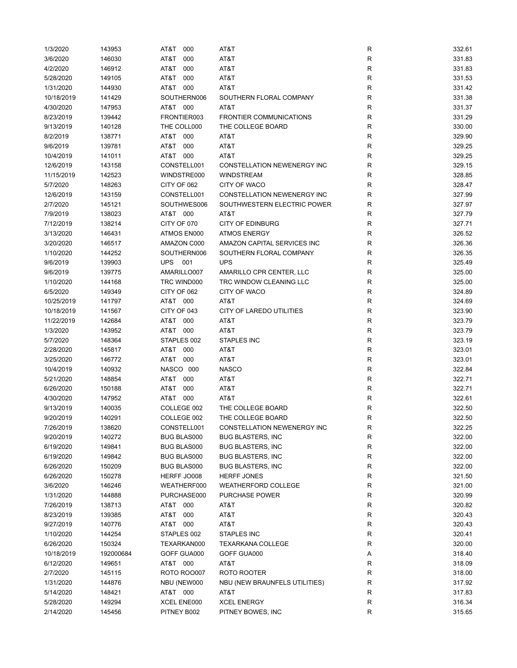| 1/3/2020   | 143953    | AT&T<br>000        | AT&T                            | R           | 332.61 |
|------------|-----------|--------------------|---------------------------------|-------------|--------|
| 3/6/2020   | 146030    | AT&T<br>000        | AT&T                            | R           | 331.83 |
| 4/2/2020   | 146912    | AT&T<br>000        | AT&T                            | R           | 331.83 |
| 5/28/2020  | 149105    | AT&T<br>000        | AT&T                            | R           | 331.53 |
| 1/31/2020  | 144930    | AT&T<br>000        | AT&T                            | R           | 331.42 |
| 10/18/2019 | 141429    | SOUTHERN006        | SOUTHERN FLORAL COMPANY         | R           | 331.38 |
| 4/30/2020  | 147953    | AT&T 000           | AT&T                            | R           | 331.37 |
| 8/23/2019  | 139442    | FRONTIER003        | <b>FRONTIER COMMUNICATIONS</b>  | R           | 331.29 |
| 9/13/2019  | 140128    | THE COLL000        | THE COLLEGE BOARD               | R           | 330.00 |
| 8/2/2019   | 138771    | AT&T<br>000        | AT&T                            | R           | 329.90 |
| 9/6/2019   | 139781    | AT&T<br>000        | AT&T                            | R           | 329.25 |
| 10/4/2019  | 141011    | AT&T<br>000        | AT&T                            | R           | 329.25 |
|            |           |                    |                                 |             |        |
| 12/6/2019  | 143158    | CONSTELL001        | CONSTELLATION NEWENERGY INC     | R           | 329.15 |
| 11/15/2019 | 142523    | WINDSTRE000        | <b>WINDSTREAM</b>               | R           | 328.85 |
| 5/7/2020   | 148263    | CITY OF 062        | CITY OF WACO                    | R           | 328.47 |
| 12/6/2019  | 143159    | CONSTELL001        | CONSTELLATION NEWENERGY INC     | R           | 327.99 |
| 2/7/2020   | 145121    | SOUTHWES006        | SOUTHWESTERN ELECTRIC POWER     | R           | 327.97 |
| 7/9/2019   | 138023    | AT&T 000           | AT&T                            | R           | 327.79 |
| 7/12/2019  | 138214    | CITY OF 070        | <b>CITY OF EDINBURG</b>         | R           | 327.71 |
| 3/13/2020  | 146431    | ATMOS EN000        | <b>ATMOS ENERGY</b>             | R           | 326.52 |
| 3/20/2020  | 146517    | AMAZON C000        | AMAZON CAPITAL SERVICES INC     | R           | 326.36 |
| 1/10/2020  | 144252    | SOUTHERN006        | SOUTHERN FLORAL COMPANY         | R           | 326.35 |
| 9/6/2019   | 139903    | <b>UPS</b><br>001  | <b>UPS</b>                      | R           | 325.49 |
| 9/6/2019   | 139775    | AMARILLO007        | AMARILLO CPR CENTER, LLC        | R           | 325.00 |
| 1/10/2020  | 144168    | TRC WIND000        | TRC WINDOW CLEANING LLC         | R           | 325.00 |
| 6/5/2020   | 149349    | CITY OF 062        | CITY OF WACO                    | R           | 324.89 |
| 10/25/2019 | 141797    | AT&T 000           | AT&T                            | R           | 324.69 |
| 10/18/2019 | 141567    | CITY OF 043        | <b>CITY OF LAREDO UTILITIES</b> | R           | 323.90 |
| 11/22/2019 | 142684    | AT&T<br>000        | AT&T                            | R           | 323.79 |
| 1/3/2020   | 143952    | AT&T 000           | AT&T                            | R           | 323.79 |
| 5/7/2020   | 148364    | STAPLES 002        | <b>STAPLES INC</b>              | R           | 323.19 |
| 2/28/2020  | 145817    | AT&T<br>000        | AT&T                            | R           | 323.01 |
| 3/25/2020  | 146772    | AT&T 000           | AT&T                            | R           | 323.01 |
| 10/4/2019  | 140932    | NASCO 000          | <b>NASCO</b>                    | R           | 322.84 |
| 5/21/2020  | 148854    | AT&T<br>000        | AT&T                            | R           | 322.71 |
|            |           | 000                |                                 | R           | 322.71 |
| 6/26/2020  | 150188    | AT&T               | AT&T                            |             |        |
| 4/30/2020  | 147952    | AT&T<br>000        | AT&T                            | R           | 322.61 |
| 9/13/2019  | 140035    | COLLEGE 002        | THE COLLEGE BOARD               | R           | 322.50 |
| 9/20/2019  | 140291    | COLLEGE 002        | THE COLLEGE BOARD               | R           | 322.50 |
| 7/26/2019  | 138620    | CONSTELL001        | CONSTELLATION NEWENERGY INC     | R           | 322.25 |
| 9/20/2019  | 140272    | <b>BUG BLAS000</b> | <b>BUG BLASTERS, INC</b>        | R           | 322.00 |
| 6/19/2020  | 149841    | <b>BUG BLAS000</b> | <b>BUG BLASTERS, INC</b>        | R           | 322.00 |
| 6/19/2020  | 149842    | <b>BUG BLAS000</b> | <b>BUG BLASTERS, INC</b>        | R           | 322.00 |
| 6/26/2020  | 150209    | <b>BUG BLAS000</b> | <b>BUG BLASTERS, INC</b>        | R           | 322.00 |
| 6/26/2020  | 150278    | HERFF JO008        | <b>HERFF JONES</b>              | R           | 321.50 |
| 3/6/2020   | 146246    | WEATHERF000        | <b>WEATHERFORD COLLEGE</b>      | R           | 321.00 |
| 1/31/2020  | 144888    | PURCHASE000        | <b>PURCHASE POWER</b>           | R           | 320.99 |
| 7/26/2019  | 138713    | AT&T 000           | AT&T                            | $\mathsf R$ | 320.82 |
| 8/23/2019  | 139385    | AT&T<br>000        | AT&T                            | R           | 320.43 |
| 9/27/2019  | 140776    | AT&T 000           | AT&T                            | R           | 320.43 |
| 1/10/2020  | 144254    | STAPLES 002        | STAPLES INC                     | R           | 320.41 |
| 6/26/2020  | 150324    | TEXARKAN000        | <b>TEXARKANA COLLEGE</b>        | R           | 320.00 |
| 10/18/2019 | 192000684 | GOFF GUA000        | GOFF GUA000                     | Α           | 318.40 |
| 6/12/2020  | 149651    | AT&T 000           | AT&T                            | R           | 318.09 |
| 2/7/2020   | 145115    | <b>ROTO ROO007</b> | ROTO ROOTER                     | R           | 318.00 |
| 1/31/2020  | 144876    | NBU (NEW000        | NBU (NEW BRAUNFELS UTILITIES)   | R           | 317.92 |
| 5/14/2020  | 148421    | AT&T 000           | AT&T                            | R           | 317.83 |
| 5/28/2020  | 149294    | XCEL ENE000        | <b>XCEL ENERGY</b>              | R           | 316.34 |
| 2/14/2020  | 145456    | PITNEY B002        | PITNEY BOWES, INC               | R           | 315.65 |
|            |           |                    |                                 |             |        |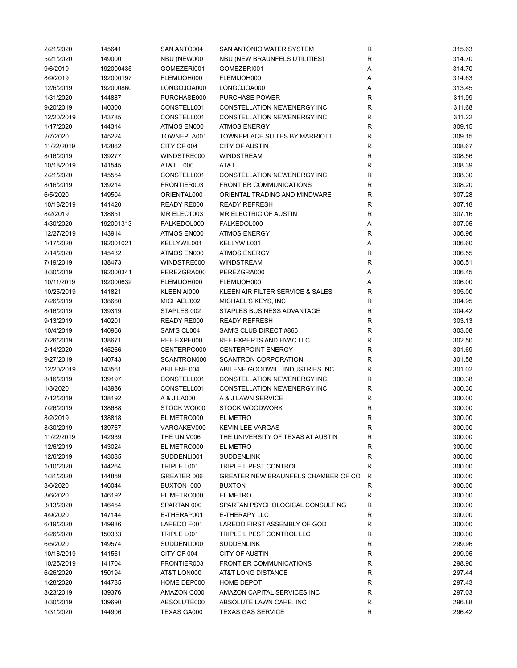| 2/21/2020  | 145641    | SAN ANTO004 | SAN ANTONIO WATER SYSTEM               | R            | 315.63 |
|------------|-----------|-------------|----------------------------------------|--------------|--------|
| 5/21/2020  | 149000    | NBU (NEW000 | NBU (NEW BRAUNFELS UTILITIES)          | R            | 314.70 |
| 9/6/2019   | 192000435 | GOMEZERI001 | GOMEZERI001                            | Α            | 314.70 |
| 8/9/2019   | 192000197 | FLEMIJOH000 | FLEMIJOH000                            | Α            | 314.63 |
| 12/6/2019  | 192000860 | LONGOJOA000 | LONGOJOA000                            | Α            | 313.45 |
| 1/31/2020  | 144887    | PURCHASE000 | <b>PURCHASE POWER</b>                  | $\mathsf R$  | 311.99 |
| 9/20/2019  | 140300    | CONSTELL001 | CONSTELLATION NEWENERGY INC            | R            | 311.68 |
| 12/20/2019 | 143785    | CONSTELL001 | CONSTELLATION NEWENERGY INC            | R            | 311.22 |
| 1/17/2020  | 144314    | ATMOS EN000 | <b>ATMOS ENERGY</b>                    | R            | 309.15 |
| 2/7/2020   | 145224    | TOWNEPLA001 | TOWNEPLACE SUITES BY MARRIOTT          | R            | 309.15 |
| 11/22/2019 | 142862    | CITY OF 004 | <b>CITY OF AUSTIN</b>                  | R            | 308.67 |
|            |           |             |                                        |              |        |
| 8/16/2019  | 139277    | WINDSTRE000 | WINDSTREAM                             | R            | 308.56 |
| 10/18/2019 | 141545    | AT&T 000    | AT&T                                   | R            | 308.39 |
| 2/21/2020  | 145554    | CONSTELL001 | CONSTELLATION NEWENERGY INC            | R            | 308.30 |
| 8/16/2019  | 139214    | FRONTIER003 | <b>FRONTIER COMMUNICATIONS</b>         | $\mathsf R$  | 308.20 |
| 6/5/2020   | 149504    | ORIENTAL000 | ORIENTAL TRADING AND MINDWARE          | R            | 307.28 |
| 10/18/2019 | 141420    | READY RE000 | <b>READY REFRESH</b>                   | R            | 307.18 |
| 8/2/2019   | 138851    | MR ELECT003 | MR ELECTRIC OF AUSTIN                  | R            | 307.16 |
| 4/30/2020  | 192001313 | FALKEDOL000 | FALKEDOL000                            | Α            | 307.05 |
| 12/27/2019 | 143914    | ATMOS EN000 | <b>ATMOS ENERGY</b>                    | $\mathsf{R}$ | 306.96 |
| 1/17/2020  | 192001021 | KELLYWIL001 | KELLYWIL001                            | Α            | 306.60 |
| 2/14/2020  | 145432    | ATMOS EN000 | <b>ATMOS ENERGY</b>                    | R            | 306.55 |
| 7/19/2019  | 138473    | WINDSTRE000 | <b>WINDSTREAM</b>                      | $\mathsf{R}$ | 306.51 |
| 8/30/2019  | 192000341 | PEREZGRA000 | PEREZGRA000                            | Α            | 306.45 |
| 10/11/2019 | 192000632 | FLEMIJOH000 | FLEMIJOH000                            | Α            | 306.00 |
| 10/25/2019 | 141821    | KLEEN AI000 | KLEEN AIR FILTER SERVICE & SALES       | R            | 305.00 |
| 7/26/2019  | 138660    | MICHAEL'002 | MICHAEL'S KEYS, INC                    | R            | 304.95 |
| 8/16/2019  | 139319    | STAPLES 002 | STAPLES BUSINESS ADVANTAGE             | $\mathsf R$  | 304.42 |
| 9/13/2019  | 140201    | READY RE000 | <b>READY REFRESH</b>                   | R            | 303.13 |
| 10/4/2019  | 140966    | SAM'S CL004 | SAM'S CLUB DIRECT #866                 | $\mathsf R$  | 303.08 |
| 7/26/2019  | 138671    | REF EXPE000 | REF EXPERTS AND HVAC LLC               | R            | 302.50 |
|            |           |             | <b>CENTERPOINT ENERGY</b>              |              | 301.69 |
| 2/14/2020  | 145266    | CENTERPO000 |                                        | R            |        |
| 9/27/2019  | 140743    | SCANTRON000 | <b>SCANTRON CORPORATION</b>            | $\mathsf R$  | 301.58 |
| 12/20/2019 | 143561    | ABILENE 004 | ABILENE GOODWILL INDUSTRIES INC        | R            | 301.02 |
| 8/16/2019  | 139197    | CONSTELL001 | CONSTELLATION NEWENERGY INC            | R            | 300.38 |
| 1/3/2020   | 143986    | CONSTELL001 | CONSTELLATION NEWENERGY INC            | R            | 300.30 |
| 7/12/2019  | 138192    | A & J LA000 | A & J LAWN SERVICE                     | R            | 300.00 |
| 7/26/2019  | 138688    | STOCK WO000 | <b>STOCK WOODWORK</b>                  | R            | 300.00 |
| 8/2/2019   | 138818    | EL METRO000 | EL METRO                               | R            | 300.00 |
| 8/30/2019  | 139767    | VARGAKEV000 | <b>KEVIN LEE VARGAS</b>                | R            | 300.00 |
| 11/22/2019 | 142939    | THE UNIV006 | THE UNIVERSITY OF TEXAS AT AUSTIN      | R            | 300.00 |
| 12/6/2019  | 143024    | EL METRO000 | EL METRO                               | R            | 300.00 |
| 12/6/2019  | 143085    | SUDDENLI001 | <b>SUDDENLINK</b>                      | R            | 300.00 |
| 1/10/2020  | 144264    | TRIPLE L001 | TRIPLE L PEST CONTROL                  | R            | 300.00 |
| 1/31/2020  | 144859    | GREATER 006 | GREATER NEW BRAUNFELS CHAMBER OF COI R |              | 300.00 |
| 3/6/2020   | 146044    | BUXTON 000  | <b>BUXTON</b>                          | R            | 300.00 |
| 3/6/2020   | 146192    | EL METRO000 | EL METRO                               | R            | 300.00 |
| 3/13/2020  | 146454    | SPARTAN 000 | SPARTAN PSYCHOLOGICAL CONSULTING       | R            | 300.00 |
| 4/9/2020   | 147144    | E-THERAP001 | E-THERAPY LLC                          | R            | 300.00 |
| 6/19/2020  | 149986    | LAREDO F001 | LAREDO FIRST ASSEMBLY OF GOD           | R            | 300.00 |
| 6/26/2020  | 150333    | TRIPLE L001 | TRIPLE L PEST CONTROL LLC              | $\mathsf R$  | 300.00 |
| 6/5/2020   | 149574    | SUDDENLI000 | <b>SUDDENLINK</b>                      | R            | 299.96 |
| 10/18/2019 | 141561    | CITY OF 004 | <b>CITY OF AUSTIN</b>                  | R            | 299.95 |
| 10/25/2019 | 141704    | FRONTIER003 | <b>FRONTIER COMMUNICATIONS</b>         | R            | 298.90 |
|            |           |             | AT&T LONG DISTANCE                     |              | 297.44 |
| 6/26/2020  | 150194    | AT&T LON000 |                                        | R            |        |
| 1/28/2020  | 144785    | HOME DEP000 | <b>HOME DEPOT</b>                      | R            | 297.43 |
| 8/23/2019  | 139376    | AMAZON C000 | AMAZON CAPITAL SERVICES INC            | R            | 297.03 |
| 8/30/2019  | 139690    | ABSOLUTE000 | ABSOLUTE LAWN CARE, INC                | R            | 296.88 |
| 1/31/2020  | 144906    | TEXAS GA000 | <b>TEXAS GAS SERVICE</b>               | R            | 296.42 |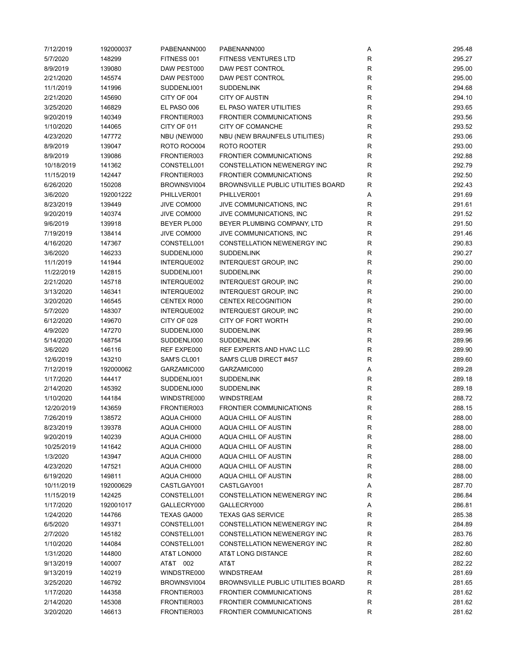| 7/12/2019  | 192000037 | PABENANN000        | PABENANN000                               | Α            | 295.48 |
|------------|-----------|--------------------|-------------------------------------------|--------------|--------|
| 5/7/2020   | 148299    | FITNESS 001        | <b>FITNESS VENTURES LTD</b>               | R            | 295.27 |
| 8/9/2019   | 139080    | DAW PEST000        | DAW PEST CONTROL                          | R            | 295.00 |
| 2/21/2020  | 145574    | DAW PEST000        | DAW PEST CONTROL                          | R            | 295.00 |
| 11/1/2019  | 141996    | SUDDENLI001        | <b>SUDDENLINK</b>                         | $\mathsf R$  | 294.68 |
| 2/21/2020  | 145690    | CITY OF 004        | <b>CITY OF AUSTIN</b>                     | $\mathsf R$  | 294.10 |
| 3/25/2020  | 146829    | EL PASO 006        | EL PASO WATER UTILITIES                   | R            | 293.65 |
| 9/20/2019  | 140349    | FRONTIER003        | <b>FRONTIER COMMUNICATIONS</b>            | $\mathsf R$  | 293.56 |
| 1/10/2020  | 144065    | CITY OF 011        | CITY OF COMANCHE                          | R            | 293.52 |
| 4/23/2020  | 147772    | NBU (NEW000        | NBU (NEW BRAUNFELS UTILITIES)             | R            | 293.06 |
| 8/9/2019   |           | <b>ROTO ROO004</b> | ROTO ROOTER                               | R            | 293.00 |
|            | 139047    |                    |                                           |              |        |
| 8/9/2019   | 139086    | FRONTIER003        | <b>FRONTIER COMMUNICATIONS</b>            | R            | 292.88 |
| 10/18/2019 | 141362    | CONSTELL001        | CONSTELLATION NEWENERGY INC               | R            | 292.79 |
| 11/15/2019 | 142447    | FRONTIER003        | <b>FRONTIER COMMUNICATIONS</b>            | $\mathsf R$  | 292.50 |
| 6/26/2020  | 150208    | BROWNSVI004        | <b>BROWNSVILLE PUBLIC UTILITIES BOARD</b> | R            | 292.43 |
| 3/6/2020   | 192001222 | PHILLVER001        | PHILLVER001                               | Α            | 291.69 |
| 8/23/2019  | 139449    | JIVE COM000        | JIVE COMMUNICATIONS, INC                  | R            | 291.61 |
| 9/20/2019  | 140374    | JIVE COM000        | JIVE COMMUNICATIONS, INC                  | R            | 291.52 |
| 9/6/2019   | 139918    | BEYER PL000        | BEYER PLUMBING COMPANY, LTD               | R            | 291.50 |
| 7/19/2019  | 138414    | JIVE COM000        | JIVE COMMUNICATIONS, INC                  | $\mathsf R$  | 291.46 |
| 4/16/2020  | 147367    | CONSTELL001        | CONSTELLATION NEWENERGY INC               | R            | 290.83 |
| 3/6/2020   | 146233    | SUDDENLI000        | <b>SUDDENLINK</b>                         | R            | 290.27 |
| 11/1/2019  | 141944    | INTERQUE002        | <b>INTERQUEST GROUP, INC</b>              | $\mathsf R$  | 290.00 |
| 11/22/2019 | 142815    | SUDDENLI001        | <b>SUDDENLINK</b>                         | R            | 290.00 |
| 2/21/2020  | 145718    | INTERQUE002        | <b>INTERQUEST GROUP, INC</b>              | R            | 290.00 |
| 3/13/2020  | 146341    | INTERQUE002        | <b>INTERQUEST GROUP, INC</b>              | ${\sf R}$    | 290.00 |
| 3/20/2020  | 146545    | CENTEX R000        | <b>CENTEX RECOGNITION</b>                 | $\mathsf R$  | 290.00 |
| 5/7/2020   | 148307    | INTERQUE002        | <b>INTERQUEST GROUP, INC</b>              | R            | 290.00 |
| 6/12/2020  | 149670    | CITY OF 028        | CITY OF FORT WORTH                        | $\mathsf R$  | 290.00 |
| 4/9/2020   | 147270    | SUDDENLI000        | <b>SUDDENLINK</b>                         | R            | 289.96 |
|            |           |                    | <b>SUDDENLINK</b>                         | R            |        |
| 5/14/2020  | 148754    | SUDDENLI000        |                                           |              | 289.96 |
| 3/6/2020   | 146116    | REF EXPE000        | REF EXPERTS AND HVAC LLC                  | R            | 289.90 |
| 12/6/2019  | 143210    | SAM'S CL001        | SAM'S CLUB DIRECT #457                    | R            | 289.60 |
| 7/12/2019  | 192000062 | GARZAMIC000        | GARZAMIC000                               | Α            | 289.28 |
| 1/17/2020  | 144417    | SUDDENLI001        | <b>SUDDENLINK</b>                         | $\mathsf{R}$ | 289.18 |
| 2/14/2020  | 145392    | SUDDENLI000        | <b>SUDDENLINK</b>                         | R            | 289.18 |
| 1/10/2020  | 144184    | WINDSTRE000        | <b>WINDSTREAM</b>                         | $\mathsf{R}$ | 288.72 |
| 12/20/2019 | 143659    | FRONTIER003        | <b>FRONTIER COMMUNICATIONS</b>            | R            | 288.15 |
| 7/26/2019  | 138572    | AQUA CHI000        | AQUA CHILL OF AUSTIN                      | R            | 288.00 |
| 8/23/2019  | 139378    | AQUA CHI000        | AQUA CHILL OF AUSTIN                      | R            | 288.00 |
| 9/20/2019  | 140239    | AQUA CHI000        | AQUA CHILL OF AUSTIN                      | R            | 288.00 |
| 10/25/2019 | 141642    | AQUA CHI000        | AQUA CHILL OF AUSTIN                      | R            | 288.00 |
| 1/3/2020   | 143947    | AQUA CHI000        | AQUA CHILL OF AUSTIN                      | R            | 288.00 |
| 4/23/2020  | 147521    | AQUA CHI000        | AQUA CHILL OF AUSTIN                      | R            | 288.00 |
| 6/19/2020  | 149811    | AQUA CHI000        | AQUA CHILL OF AUSTIN                      | R            | 288.00 |
| 10/11/2019 | 192000629 | CASTLGAY001        | CASTLGAY001                               | Α            | 287.70 |
| 11/15/2019 | 142425    | CONSTELL001        | CONSTELLATION NEWENERGY INC               | R            | 286.84 |
| 1/17/2020  | 192001017 | GALLECRY000        | GALLECRY000                               | Α            | 286.81 |
| 1/24/2020  | 144766    | TEXAS GA000        | <b>TEXAS GAS SERVICE</b>                  | R            | 285.38 |
| 6/5/2020   | 149371    | CONSTELL001        | CONSTELLATION NEWENERGY INC               | R            | 284.89 |
| 2/7/2020   | 145182    | CONSTELL001        | CONSTELLATION NEWENERGY INC               | R            | 283.76 |
| 1/10/2020  | 144084    | CONSTELL001        | CONSTELLATION NEWENERGY INC               | R            | 282.80 |
| 1/31/2020  | 144800    | AT&T LON000        | AT&T LONG DISTANCE                        | R            | 282.60 |
|            |           |                    |                                           |              |        |
| 9/13/2019  | 140007    | AT&T 002           | AT&T                                      | R            | 282.22 |
| 9/13/2019  | 140219    | WINDSTRE000        | <b>WINDSTREAM</b>                         | R            | 281.69 |
| 3/25/2020  | 146792    | BROWNSVI004        | <b>BROWNSVILLE PUBLIC UTILITIES BOARD</b> | R            | 281.65 |
| 1/17/2020  | 144358    | FRONTIER003        | <b>FRONTIER COMMUNICATIONS</b>            | R            | 281.62 |
| 2/14/2020  | 145308    | FRONTIER003        | <b>FRONTIER COMMUNICATIONS</b>            | R            | 281.62 |
| 3/20/2020  | 146613    | FRONTIER003        | <b>FRONTIER COMMUNICATIONS</b>            | R            | 281.62 |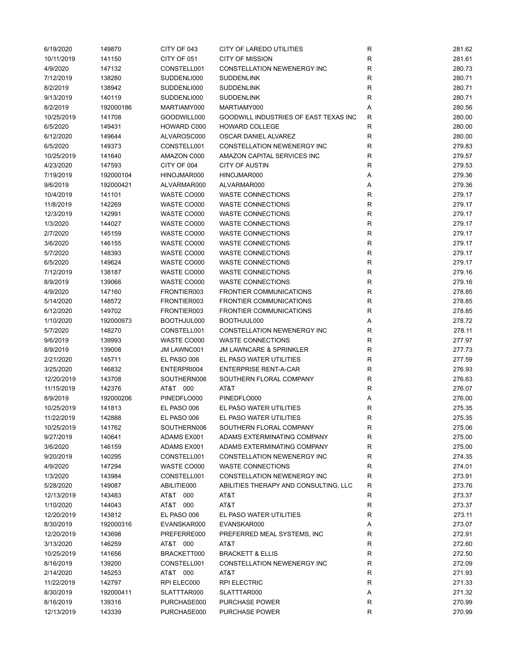| 6/19/2020  | 149870    | CITY OF 043 | CITY OF LAREDO UTILITIES              | R            | 281.62 |
|------------|-----------|-------------|---------------------------------------|--------------|--------|
| 10/11/2019 | 141150    | CITY OF 051 | <b>CITY OF MISSION</b>                | R            | 281.61 |
| 4/9/2020   | 147132    | CONSTELL001 | <b>CONSTELLATION NEWENERGY INC</b>    | R            | 280.73 |
| 7/12/2019  | 138280    | SUDDENLI000 | <b>SUDDENLINK</b>                     | R            | 280.71 |
| 8/2/2019   | 138942    | SUDDENLI000 | <b>SUDDENLINK</b>                     | R            | 280.71 |
| 9/13/2019  | 140119    | SUDDENLI000 | <b>SUDDENLINK</b>                     | R            | 280.71 |
| 8/2/2019   | 192000186 | MARTIAMY000 | MARTIAMY000                           | Α            | 280.56 |
| 10/25/2019 | 141708    | GOODWILL000 | GOODWILL INDUSTRIES OF EAST TEXAS INC | R            | 280.00 |
| 6/5/2020   | 149431    | HOWARD C000 | <b>HOWARD COLLEGE</b>                 | R            | 280.00 |
| 6/12/2020  | 149644    | ALVAROSC000 | OSCAR DANIEL ALVAREZ                  | R            | 280.00 |
| 6/5/2020   | 149373    | CONSTELL001 | <b>CONSTELLATION NEWENERGY INC</b>    | R            | 279.83 |
|            |           |             |                                       |              |        |
| 10/25/2019 | 141640    | AMAZON C000 | AMAZON CAPITAL SERVICES INC           | R            | 279.57 |
| 4/23/2020  | 147593    | CITY OF 004 | <b>CITY OF AUSTIN</b>                 | R            | 279.53 |
| 7/19/2019  | 192000104 | HINOJMAR000 | HINOJMAR000                           | Α            | 279.36 |
| 9/6/2019   | 192000421 | ALVARMAR000 | ALVARMAR000                           | Α            | 279.36 |
| 10/4/2019  | 141101    | WASTE CO000 | <b>WASTE CONNECTIONS</b>              | R            | 279.17 |
| 11/8/2019  | 142269    | WASTE CO000 | <b>WASTE CONNECTIONS</b>              | R            | 279.17 |
| 12/3/2019  | 142991    | WASTE CO000 | <b>WASTE CONNECTIONS</b>              | R            | 279.17 |
| 1/3/2020   | 144027    | WASTE CO000 | <b>WASTE CONNECTIONS</b>              | R            | 279.17 |
| 2/7/2020   | 145159    | WASTE CO000 | <b>WASTE CONNECTIONS</b>              | $\mathsf R$  | 279.17 |
| 3/6/2020   | 146155    | WASTE CO000 | <b>WASTE CONNECTIONS</b>              | $\mathsf R$  | 279.17 |
| 5/7/2020   | 148393    | WASTE CO000 | <b>WASTE CONNECTIONS</b>              | R            | 279.17 |
| 6/5/2020   | 149624    | WASTE CO000 | <b>WASTE CONNECTIONS</b>              | $\mathsf{R}$ | 279.17 |
| 7/12/2019  | 138187    | WASTE CO000 | <b>WASTE CONNECTIONS</b>              | R            | 279.16 |
| 8/9/2019   | 139066    | WASTE CO000 | <b>WASTE CONNECTIONS</b>              | R            | 279.16 |
| 4/9/2020   | 147160    | FRONTIER003 | <b>FRONTIER COMMUNICATIONS</b>        | R            | 278.85 |
| 5/14/2020  | 148572    | FRONTIER003 | <b>FRONTIER COMMUNICATIONS</b>        | R            | 278.85 |
| 6/12/2020  | 149702    | FRONTIER003 | <b>FRONTIER COMMUNICATIONS</b>        | R            | 278.85 |
| 1/10/2020  | 192000973 | BOOTHJUL000 | BOOTHJUL000                           | Α            | 278.72 |
| 5/7/2020   | 148270    | CONSTELL001 | CONSTELLATION NEWENERGY INC           | R            | 278.11 |
| 9/6/2019   | 139993    | WASTE CO000 | <b>WASTE CONNECTIONS</b>              | R            | 277.97 |
| 8/9/2019   | 139008    | JM LAWNC001 | <b>JM LAWNCARE &amp; SPRINKLER</b>    | R            | 277.73 |
| 2/21/2020  | 145711    | EL PASO 006 | EL PASO WATER UTILITIES               | R            | 277.59 |
| 3/25/2020  | 146832    | ENTERPRI004 | <b>ENTERPRISE RENT-A-CAR</b>          | R            | 276.93 |
| 12/20/2019 | 143708    | SOUTHERN006 | SOUTHERN FLORAL COMPANY               | R            | 276.63 |
| 11/15/2019 | 142376    | AT&T 000    | AT&T                                  | R            | 276.07 |
|            |           |             |                                       |              |        |
| 8/9/2019   | 192000206 | PINEDFLO000 | PINEDFLO000                           | Α            | 276.00 |
| 10/25/2019 | 141813    | EL PASO 006 | EL PASO WATER UTILITIES               | R            | 275.35 |
| 11/22/2019 | 142888    | EL PASO 006 | EL PASO WATER UTILITIES               | R            | 275.35 |
| 10/25/2019 | 141762    | SOUTHERN006 | SOUTHERN FLORAL COMPANY               | R            | 275.06 |
| 9/27/2019  | 140641    | ADAMS EX001 | ADAMS EXTERMINATING COMPANY           | R            | 275.00 |
| 3/6/2020   | 146159    | ADAMS EX001 | ADAMS EXTERMINATING COMPANY           | R            | 275.00 |
| 9/20/2019  | 140295    | CONSTELL001 | CONSTELLATION NEWENERGY INC           | R            | 274.35 |
| 4/9/2020   | 147294    | WASTE CO000 | <b>WASTE CONNECTIONS</b>              | R            | 274.01 |
| 1/3/2020   | 143984    | CONSTELL001 | <b>CONSTELLATION NEWENERGY INC</b>    | R            | 273.91 |
| 5/28/2020  | 149087    | ABILITIE000 | ABILITIES THERAPY AND CONSULTING, LLC | R            | 273.76 |
| 12/13/2019 | 143483    | AT&T 000    | AT&T                                  | $\mathsf{R}$ | 273.37 |
| 1/10/2020  | 144043    | AT&T 000    | AT&T                                  | $\mathsf{R}$ | 273.37 |
| 12/20/2019 | 143812    | EL PASO 006 | EL PASO WATER UTILITIES               | R            | 273.11 |
| 8/30/2019  | 192000316 | EVANSKAR000 | EVANSKAR000                           | Α            | 273.07 |
| 12/20/2019 | 143698    | PREFERRE000 | PREFERRED MEAL SYSTEMS, INC           | $\mathsf R$  | 272.91 |
| 3/13/2020  | 146259    | AT&T 000    | AT&T                                  | R            | 272.60 |
| 10/25/2019 | 141656    | BRACKETT000 | <b>BRACKETT &amp; ELLIS</b>           | R            | 272.50 |
| 8/16/2019  | 139200    | CONSTELL001 | CONSTELLATION NEWENERGY INC           | R            | 272.09 |
| 2/14/2020  | 145253    | AT&T 000    | AT&T                                  | R            | 271.93 |
| 11/22/2019 | 142797    | RPI ELEC000 | <b>RPI ELECTRIC</b>                   | R            | 271.33 |
| 8/30/2019  | 192000411 | SLATTTAR000 | SLATTTAR000                           | Α            | 271.32 |
| 8/16/2019  | 139316    | PURCHASE000 | PURCHASE POWER                        | R            | 270.99 |
| 12/13/2019 | 143339    | PURCHASE000 | PURCHASE POWER                        | R            | 270.99 |
|            |           |             |                                       |              |        |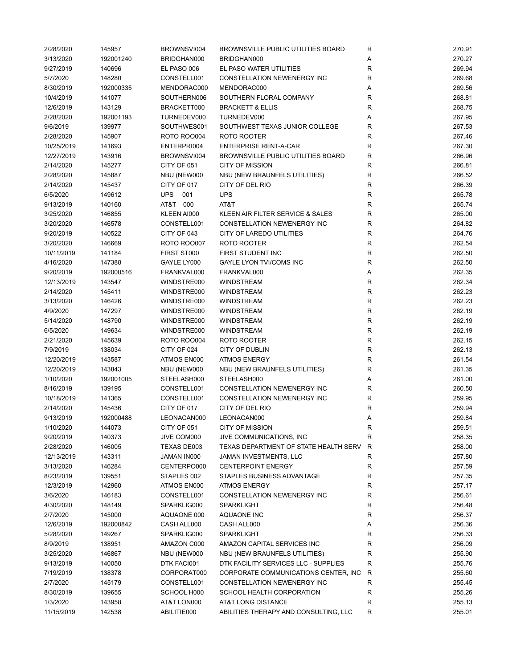| 2/28/2020  | 145957    | BROWNSVI004        | <b>BROWNSVILLE PUBLIC UTILITIES BOARD</b> | R            | 270.91 |
|------------|-----------|--------------------|-------------------------------------------|--------------|--------|
| 3/13/2020  | 192001240 | BRIDGHAN000        | BRIDGHAN000                               | Α            | 270.27 |
| 9/27/2019  | 140696    | EL PASO 006        | EL PASO WATER UTILITIES                   | $\mathsf{R}$ | 269.94 |
| 5/7/2020   | 148280    | CONSTELL001        | CONSTELLATION NEWENERGY INC               | R            | 269.68 |
| 8/30/2019  | 192000335 | MENDORAC000        | MENDORAC000                               | Α            | 269.56 |
| 10/4/2019  | 141077    | SOUTHERN006        | SOUTHERN FLORAL COMPANY                   | R            | 268.81 |
| 12/6/2019  | 143129    | BRACKETT000        | <b>BRACKETT &amp; ELLIS</b>               | R            | 268.75 |
| 2/28/2020  | 192001193 | TURNEDEV000        | TURNEDEV000                               | Α            | 267.95 |
| 9/6/2019   | 139977    | SOUTHWES001        | SOUTHWEST TEXAS JUNIOR COLLEGE            | R            | 267.53 |
|            |           | <b>ROTO ROO004</b> |                                           | $\mathsf{R}$ |        |
| 2/28/2020  | 145907    |                    | ROTO ROOTER                               |              | 267.46 |
| 10/25/2019 | 141693    | ENTERPRI004        | <b>ENTERPRISE RENT-A-CAR</b>              | $\mathsf{R}$ | 267.30 |
| 12/27/2019 | 143916    | BROWNSVI004        | <b>BROWNSVILLE PUBLIC UTILITIES BOARD</b> | R            | 266.96 |
| 2/14/2020  | 145277    | CITY OF 051        | <b>CITY OF MISSION</b>                    | $\mathsf{R}$ | 266.81 |
| 2/28/2020  | 145887    | NBU (NEW000        | NBU (NEW BRAUNFELS UTILITIES)             | $\mathsf{R}$ | 266.52 |
| 2/14/2020  | 145437    | CITY OF 017        | CITY OF DEL RIO                           | $\mathsf{R}$ | 266.39 |
| 6/5/2020   | 149612    | <b>UPS</b><br>001  | <b>UPS</b>                                | $\mathsf{R}$ | 265.78 |
| 9/13/2019  | 140160    | AT&T 000           | AT&T                                      | R            | 265.74 |
| 3/25/2020  | 146855    | KLEEN AI000        | KLEEN AIR FILTER SERVICE & SALES          | R            | 265.00 |
| 3/20/2020  | 146578    | CONSTELL001        | CONSTELLATION NEWENERGY INC               | R            | 264.82 |
| 9/20/2019  | 140522    | CITY OF 043        | CITY OF LAREDO UTILITIES                  | $\mathsf{R}$ | 264.76 |
| 3/20/2020  | 146669    | <b>ROTO ROO007</b> | ROTO ROOTER                               | $\mathsf{R}$ | 262.54 |
| 10/11/2019 | 141184    | FIRST ST000        | FIRST STUDENT INC                         | $\mathsf{R}$ | 262.50 |
| 4/16/2020  | 147388    | GAYLE LY000        | GAYLE LYON TVI/COMS INC                   | $\mathsf{R}$ | 262.50 |
| 9/20/2019  | 192000516 | FRANKVAL000        | FRANKVAL000                               | A            | 262.35 |
| 12/13/2019 | 143547    | WINDSTRE000        | <b>WINDSTREAM</b>                         | $\mathsf{R}$ | 262.34 |
| 2/14/2020  | 145411    | WINDSTRE000        | WINDSTREAM                                | $\mathsf{R}$ | 262.23 |
| 3/13/2020  | 146426    | WINDSTRE000        | WINDSTREAM                                | $\mathsf{R}$ | 262.23 |
| 4/9/2020   | 147297    | WINDSTRE000        | <b>WINDSTREAM</b>                         | $\mathsf{R}$ | 262.19 |
|            |           |                    |                                           | $\mathsf{R}$ |        |
| 5/14/2020  | 148790    | WINDSTRE000        | <b>WINDSTREAM</b>                         |              | 262.19 |
| 6/5/2020   | 149634    | WINDSTRE000        | <b>WINDSTREAM</b>                         | $\mathsf{R}$ | 262.19 |
| 2/21/2020  | 145639    | <b>ROTO ROO004</b> | ROTO ROOTER                               | $\mathsf{R}$ | 262.15 |
| 7/9/2019   | 138034    | CITY OF 024        | CITY OF DUBLIN                            | $\mathsf{R}$ | 262.13 |
| 12/20/2019 | 143587    | ATMOS EN000        | <b>ATMOS ENERGY</b>                       | $\mathsf{R}$ | 261.54 |
| 12/20/2019 | 143843    | NBU (NEW000        | NBU (NEW BRAUNFELS UTILITIES)             | $\mathsf{R}$ | 261.35 |
| 1/10/2020  | 192001005 | STEELASH000        | STEELASH000                               | Α            | 261.00 |
| 8/16/2019  | 139195    | CONSTELL001        | CONSTELLATION NEWENERGY INC               | $\mathsf{R}$ | 260.50 |
| 10/18/2019 | 141365    | CONSTELL001        | <b>CONSTELLATION NEWENERGY INC</b>        | $\mathsf{R}$ | 259.95 |
| 2/14/2020  | 145436    | CITY OF 017        | CITY OF DEL RIO                           | $\mathsf{R}$ | 259.94 |
| 9/13/2019  | 192000488 | LEONACAN000        | LEONACAN000                               | Α            | 259.84 |
| 1/10/2020  | 144073    | CITY OF 051        | <b>CITY OF MISSION</b>                    | R            | 259.51 |
| 9/20/2019  | 140373    | JIVE COM000        | JIVE COMMUNICATIONS, INC                  | $\mathsf{R}$ | 258.35 |
| 2/28/2020  | 146005    | TEXAS DE003        | TEXAS DEPARTMENT OF STATE HEALTH SERV     | R            | 258.00 |
| 12/13/2019 | 143311    | JAMAN IN000        | JAMAN INVESTMENTS, LLC                    | R            | 257.80 |
| 3/13/2020  | 146284    | CENTERPO000        | <b>CENTERPOINT ENERGY</b>                 | R            | 257.59 |
| 8/23/2019  | 139551    | STAPLES 002        | STAPLES BUSINESS ADVANTAGE                | $\mathsf{R}$ | 257.35 |
| 12/3/2019  | 142960    | ATMOS EN000        | <b>ATMOS ENERGY</b>                       | $\mathsf{R}$ | 257.17 |
| 3/6/2020   | 146183    | CONSTELL001        | CONSTELLATION NEWENERGY INC               | R            | 256.61 |
| 4/30/2020  | 148149    | SPARKLIG000        | SPARKLIGHT                                | R            | 256.48 |
| 2/7/2020   | 145000    | AQUAONE 000        | AQUAONE INC                               | $\mathsf{R}$ | 256.37 |
| 12/6/2019  |           |                    |                                           | Α            | 256.36 |
|            | 192000842 | CASH ALL000        | CASH ALL000                               |              |        |
| 5/28/2020  | 149267    | SPARKLIG000        | SPARKLIGHT                                | R            | 256.33 |
| 8/9/2019   | 138951    | AMAZON C000        | AMAZON CAPITAL SERVICES INC               | R            | 256.09 |
| 3/25/2020  | 146867    | NBU (NEW000        | NBU (NEW BRAUNFELS UTILITIES)             | R            | 255.90 |
| 9/13/2019  | 140050    | DTK FACI001        | DTK FACILITY SERVICES LLC - SUPPLIES      | R            | 255.76 |
| 7/19/2019  | 138378    | CORPORAT000        | CORPORATE COMMUNICATIONS CENTER, INC      | R            | 255.60 |
| 2/7/2020   | 145179    | CONSTELL001        | CONSTELLATION NEWENERGY INC               | R            | 255.45 |
| 8/30/2019  | 139655    | SCHOOL H000        | SCHOOL HEALTH CORPORATION                 | R            | 255.26 |
| 1/3/2020   | 143958    | AT&T LON000        | AT&T LONG DISTANCE                        | $\mathsf{R}$ | 255.13 |
| 11/15/2019 | 142538    | ABILITIE000        | ABILITIES THERAPY AND CONSULTING, LLC     | $\mathsf{R}$ | 255.01 |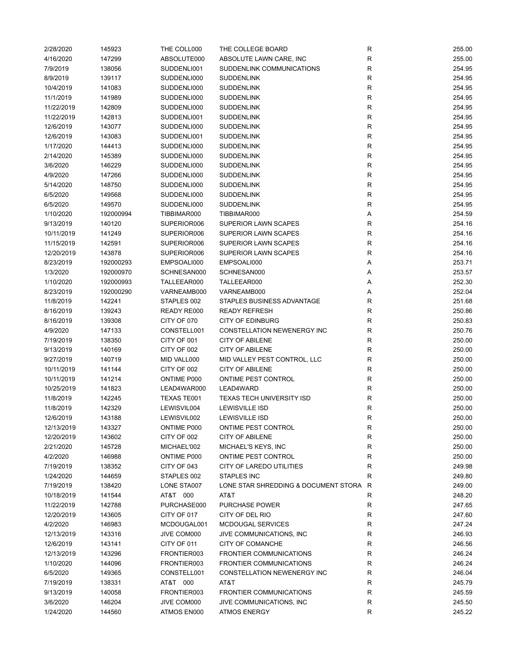| 2/28/2020  | 145923    | THE COLL000 | THE COLLEGE BOARD                      | $\mathsf R$  | 255.00 |
|------------|-----------|-------------|----------------------------------------|--------------|--------|
| 4/16/2020  | 147299    | ABSOLUTE000 | ABSOLUTE LAWN CARE, INC                | R            | 255.00 |
| 7/9/2019   | 138056    | SUDDENLI001 | SUDDENLINK COMMUNICATIONS              | R            | 254.95 |
| 8/9/2019   | 139117    | SUDDENLI000 | <b>SUDDENLINK</b>                      | R            | 254.95 |
| 10/4/2019  | 141083    | SUDDENLI000 | <b>SUDDENLINK</b>                      | R            | 254.95 |
| 11/1/2019  | 141989    | SUDDENLI000 | <b>SUDDENLINK</b>                      | R            | 254.95 |
| 11/22/2019 | 142809    | SUDDENLI000 | <b>SUDDENLINK</b>                      | R            | 254.95 |
| 11/22/2019 | 142813    | SUDDENLI001 | <b>SUDDENLINK</b>                      | R            | 254.95 |
|            |           |             |                                        |              |        |
| 12/6/2019  | 143077    | SUDDENLI000 | <b>SUDDENLINK</b>                      | R            | 254.95 |
| 12/6/2019  | 143083    | SUDDENLI001 | <b>SUDDENLINK</b>                      | R            | 254.95 |
| 1/17/2020  | 144413    | SUDDENLI000 | <b>SUDDENLINK</b>                      | R            | 254.95 |
| 2/14/2020  | 145389    | SUDDENLI000 | <b>SUDDENLINK</b>                      | R            | 254.95 |
| 3/6/2020   | 146229    | SUDDENLI000 | <b>SUDDENLINK</b>                      | R            | 254.95 |
| 4/9/2020   | 147266    | SUDDENLI000 | <b>SUDDENLINK</b>                      | R            | 254.95 |
| 5/14/2020  | 148750    | SUDDENLI000 | <b>SUDDENLINK</b>                      | R            | 254.95 |
| 6/5/2020   | 149568    | SUDDENLI000 | <b>SUDDENLINK</b>                      | R            | 254.95 |
| 6/5/2020   | 149570    | SUDDENLI000 | <b>SUDDENLINK</b>                      | R            | 254.95 |
| 1/10/2020  | 192000994 | TIBBIMAR000 | TIBBIMAR000                            | Α            | 254.59 |
| 9/13/2019  | 140120    | SUPERIOR006 | <b>SUPERIOR LAWN SCAPES</b>            | R            | 254.16 |
| 10/11/2019 | 141249    | SUPERIOR006 | SUPERIOR LAWN SCAPES                   | R            | 254.16 |
| 11/15/2019 | 142591    | SUPERIOR006 | SUPERIOR LAWN SCAPES                   | R            | 254.16 |
| 12/20/2019 | 143878    | SUPERIOR006 | <b>SUPERIOR LAWN SCAPES</b>            | R            | 254.16 |
| 8/23/2019  | 192000293 | EMPSOALI000 | EMPSOALI000                            | Α            | 253.71 |
| 1/3/2020   | 192000970 | SCHNESAN000 | SCHNESAN000                            | Α            | 253.57 |
|            |           |             |                                        |              |        |
| 1/10/2020  | 192000993 | TALLEEAR000 | TALLEEAR000                            | Α            | 252.30 |
| 8/23/2019  | 192000290 | VARNEAMB000 | VARNEAMB000                            | Α            | 252.04 |
| 11/8/2019  | 142241    | STAPLES 002 | STAPLES BUSINESS ADVANTAGE             | R            | 251.68 |
| 8/16/2019  | 139243    | READY RE000 | <b>READY REFRESH</b>                   | R            | 250.86 |
| 8/16/2019  | 139308    | CITY OF 070 | <b>CITY OF EDINBURG</b>                | R            | 250.83 |
| 4/9/2020   | 147133    | CONSTELL001 | CONSTELLATION NEWENERGY INC            | R            | 250.76 |
| 7/19/2019  | 138350    | CITY OF 001 | <b>CITY OF ABILENE</b>                 | R            | 250.00 |
| 9/13/2019  | 140169    | CITY OF 002 | <b>CITY OF ABILENE</b>                 | R            | 250.00 |
| 9/27/2019  | 140719    | MID VALL000 | MID VALLEY PEST CONTROL, LLC           | R            | 250.00 |
| 10/11/2019 | 141144    | CITY OF 002 | <b>CITY OF ABILENE</b>                 | R            | 250.00 |
| 10/11/2019 | 141214    | ONTIME P000 | ONTIME PEST CONTROL                    | R            | 250.00 |
| 10/25/2019 | 141823    | LEAD4WAR000 | LEAD4WARD                              | R            | 250.00 |
| 11/8/2019  | 142245    | TEXAS TE001 | <b>TEXAS TECH UNIVERSITY ISD</b>       | R            | 250.00 |
| 11/8/2019  | 142329    | LEWISVIL004 | <b>LEWISVILLE ISD</b>                  | $\mathsf R$  | 250.00 |
| 12/6/2019  | 143188    | LEWISVIL002 | <b>LEWISVILLE ISD</b>                  | R            | 250.00 |
| 12/13/2019 | 143327    | ONTIME P000 | ONTIME PEST CONTROL                    | R            | 250.00 |
| 12/20/2019 | 143602    | CITY OF 002 | <b>CITY OF ABILENE</b>                 | R            | 250.00 |
| 2/21/2020  | 145728    |             | MICHAEL'S KEYS, INC                    | R            | 250.00 |
|            |           | MICHAEL'002 |                                        |              |        |
| 4/2/2020   | 146988    | ONTIME P000 | ONTIME PEST CONTROL                    | R            | 250.00 |
| 7/19/2019  | 138352    | CITY OF 043 | <b>CITY OF LAREDO UTILITIES</b>        | R            | 249.98 |
| 1/24/2020  | 144659    | STAPLES 002 | STAPLES INC                            | R            | 249.80 |
| 7/19/2019  | 138420    | LONE STA007 | LONE STAR SHREDDING & DOCUMENT STORA R |              | 249.00 |
| 10/18/2019 | 141544    | AT&T 000    | AT&T                                   | $\mathsf{R}$ | 248.20 |
| 11/22/2019 | 142788    | PURCHASE000 | <b>PURCHASE POWER</b>                  | R            | 247.65 |
| 12/20/2019 | 143605    | CITY OF 017 | CITY OF DEL RIO                        | R            | 247.60 |
| 4/2/2020   | 146983    | MCDOUGAL001 | MCDOUGAL SERVICES                      | R            | 247.24 |
| 12/13/2019 | 143316    | JIVE COM000 | JIVE COMMUNICATIONS, INC.              | R            | 246.93 |
| 12/6/2019  | 143141    | CITY OF 011 | CITY OF COMANCHE                       | R            | 246.56 |
| 12/13/2019 | 143296    | FRONTIER003 | <b>FRONTIER COMMUNICATIONS</b>         | R            | 246.24 |
| 1/10/2020  | 144096    | FRONTIER003 | <b>FRONTIER COMMUNICATIONS</b>         | R            | 246.24 |
| 6/5/2020   | 149365    | CONSTELL001 | CONSTELLATION NEWENERGY INC            | R            | 246.04 |
| 7/19/2019  | 138331    | AT&T 000    | AT&T                                   | R            | 245.79 |
| 9/13/2019  | 140058    | FRONTIER003 | <b>FRONTIER COMMUNICATIONS</b>         | R            | 245.59 |
| 3/6/2020   | 146204    | JIVE COM000 |                                        | R            | 245.50 |
|            |           |             | JIVE COMMUNICATIONS, INC.              |              |        |
| 1/24/2020  | 144560    | ATMOS EN000 | <b>ATMOS ENERGY</b>                    | R            | 245.22 |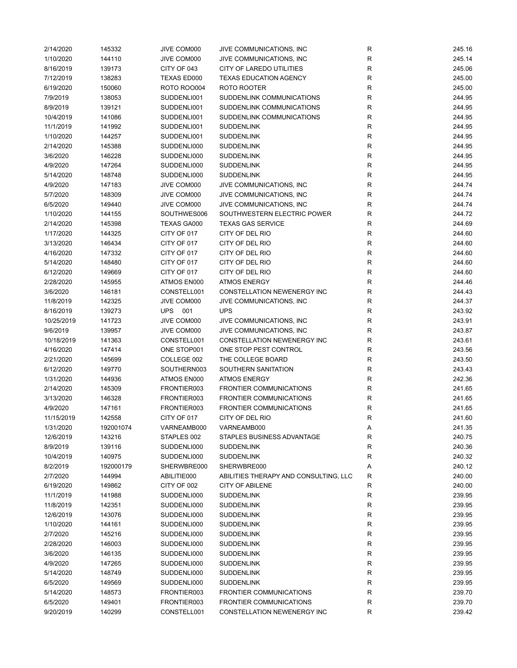| 2/14/2020  | 145332    | JIVE COM000        | JIVE COMMUNICATIONS, INC              | R           | 245.16 |
|------------|-----------|--------------------|---------------------------------------|-------------|--------|
| 1/10/2020  | 144110    | JIVE COM000        | JIVE COMMUNICATIONS, INC.             | R           | 245.14 |
| 8/16/2019  | 139173    | CITY OF 043        | CITY OF LAREDO UTILITIES              | R           | 245.06 |
| 7/12/2019  | 138283    | TEXAS ED000        | <b>TEXAS EDUCATION AGENCY</b>         | R           | 245.00 |
| 6/19/2020  | 150060    | <b>ROTO ROO004</b> | ROTO ROOTER                           | R           | 245.00 |
| 7/9/2019   | 138053    | SUDDENLI001        | SUDDENLINK COMMUNICATIONS             | R           | 244.95 |
| 8/9/2019   | 139121    | SUDDENLI001        | SUDDENLINK COMMUNICATIONS             | R           | 244.95 |
| 10/4/2019  | 141086    | SUDDENLI001        | SUDDENLINK COMMUNICATIONS             | R           | 244.95 |
| 11/1/2019  | 141992    | SUDDENLI001        | <b>SUDDENLINK</b>                     | R           | 244.95 |
| 1/10/2020  | 144257    | SUDDENLI001        | <b>SUDDENLINK</b>                     | R           | 244.95 |
|            |           |                    |                                       | $\mathsf R$ |        |
| 2/14/2020  | 145388    | SUDDENLI000        | <b>SUDDENLINK</b>                     |             | 244.95 |
| 3/6/2020   | 146228    | SUDDENLI000        | <b>SUDDENLINK</b>                     | ${\sf R}$   | 244.95 |
| 4/9/2020   | 147264    | SUDDENLI000        | <b>SUDDENLINK</b>                     | R           | 244.95 |
| 5/14/2020  | 148748    | SUDDENLI000        | <b>SUDDENLINK</b>                     | R           | 244.95 |
| 4/9/2020   | 147183    | JIVE COM000        | JIVE COMMUNICATIONS, INC.             | R           | 244.74 |
| 5/7/2020   | 148309    | JIVE COM000        | JIVE COMMUNICATIONS, INC.             | R           | 244.74 |
| 6/5/2020   | 149440    | JIVE COM000        | JIVE COMMUNICATIONS, INC.             | R           | 244.74 |
| 1/10/2020  | 144155    | SOUTHWES006        | SOUTHWESTERN ELECTRIC POWER           | R           | 244.72 |
| 2/14/2020  | 145398    | <b>TEXAS GA000</b> | <b>TEXAS GAS SERVICE</b>              | R           | 244.69 |
| 1/17/2020  | 144325    | CITY OF 017        | CITY OF DEL RIO                       | R           | 244.60 |
| 3/13/2020  | 146434    | CITY OF 017        | CITY OF DEL RIO                       | R           | 244.60 |
| 4/16/2020  | 147332    | CITY OF 017        | CITY OF DEL RIO                       | R           | 244.60 |
| 5/14/2020  | 148480    | CITY OF 017        | CITY OF DEL RIO                       | ${\sf R}$   | 244.60 |
| 6/12/2020  | 149669    | CITY OF 017        | CITY OF DEL RIO                       | R           | 244.60 |
| 2/28/2020  | 145955    | ATMOS EN000        | <b>ATMOS ENERGY</b>                   | R           | 244.46 |
| 3/6/2020   | 146181    | CONSTELL001        | CONSTELLATION NEWENERGY INC           | R           | 244.43 |
| 11/8/2019  | 142325    | JIVE COM000        | JIVE COMMUNICATIONS, INC.             | R           | 244.37 |
| 8/16/2019  | 139273    | <b>UPS</b><br>001  | <b>UPS</b>                            | R           | 243.92 |
| 10/25/2019 | 141723    | JIVE COM000        | JIVE COMMUNICATIONS, INC.             | R           | 243.91 |
| 9/6/2019   | 139957    | JIVE COM000        | JIVE COMMUNICATIONS, INC.             | R           | 243.87 |
| 10/18/2019 | 141363    | CONSTELL001        | CONSTELLATION NEWENERGY INC           | R           | 243.61 |
| 4/16/2020  | 147414    | ONE STOP001        | ONE STOP PEST CONTROL                 | R           | 243.56 |
|            |           |                    |                                       | R           | 243.50 |
| 2/21/2020  | 145699    | COLLEGE 002        | THE COLLEGE BOARD                     |             |        |
| 6/12/2020  | 149770    | SOUTHERN003        | SOUTHERN SANITATION                   | R           | 243.43 |
| 1/31/2020  | 144936    | ATMOS EN000        | <b>ATMOS ENERGY</b>                   | R           | 242.36 |
| 2/14/2020  | 145309    | FRONTIER003        | <b>FRONTIER COMMUNICATIONS</b>        | R           | 241.65 |
| 3/13/2020  | 146328    | FRONTIER003        | <b>FRONTIER COMMUNICATIONS</b>        | $\mathsf R$ | 241.65 |
| 4/9/2020   | 147161    | FRONTIER003        | <b>FRONTIER COMMUNICATIONS</b>        | $\mathsf R$ | 241.65 |
| 11/15/2019 | 142558    | CITY OF 017        | CITY OF DEL RIO                       | R           | 241.60 |
| 1/31/2020  | 192001074 | VARNEAMB000        | VARNEAMB000                           | Α           | 241.35 |
| 12/6/2019  | 143216    | STAPLES 002        | STAPLES BUSINESS ADVANTAGE            | R           | 240.75 |
| 8/9/2019   | 139116    | SUDDENLI000        | <b>SUDDENLINK</b>                     | R           | 240.36 |
| 10/4/2019  | 140975    | SUDDENLI000        | <b>SUDDENLINK</b>                     | R           | 240.32 |
| 8/2/2019   | 192000179 | SHERWBRE000        | SHERWBRE000                           | Α           | 240.12 |
| 2/7/2020   | 144994    | ABILITIE000        | ABILITIES THERAPY AND CONSULTING, LLC | R           | 240.00 |
| 6/19/2020  | 149862    | CITY OF 002        | <b>CITY OF ABILENE</b>                | R           | 240.00 |
| 11/1/2019  | 141988    | SUDDENLI000        | <b>SUDDENLINK</b>                     | R           | 239.95 |
| 11/8/2019  | 142351    | SUDDENLI000        | <b>SUDDENLINK</b>                     | R           | 239.95 |
| 12/6/2019  | 143076    | SUDDENLI000        | <b>SUDDENLINK</b>                     | R           | 239.95 |
| 1/10/2020  | 144161    | SUDDENLI000        | <b>SUDDENLINK</b>                     | R           | 239.95 |
| 2/7/2020   | 145216    | SUDDENLI000        | <b>SUDDENLINK</b>                     | R           | 239.95 |
| 2/28/2020  | 146003    | SUDDENLI000        | <b>SUDDENLINK</b>                     | R           | 239.95 |
| 3/6/2020   | 146135    | SUDDENLI000        | <b>SUDDENLINK</b>                     | R           | 239.95 |
| 4/9/2020   | 147265    | SUDDENLI000        | <b>SUDDENLINK</b>                     | R           | 239.95 |
| 5/14/2020  | 148749    | SUDDENLI000        | <b>SUDDENLINK</b>                     | R           | 239.95 |
| 6/5/2020   | 149569    | SUDDENLI000        | <b>SUDDENLINK</b>                     | R           | 239.95 |
| 5/14/2020  | 148573    | FRONTIER003        | <b>FRONTIER COMMUNICATIONS</b>        | R           | 239.70 |
| 6/5/2020   | 149401    | FRONTIER003        | <b>FRONTIER COMMUNICATIONS</b>        | R           | 239.70 |
| 9/20/2019  | 140299    | CONSTELL001        | CONSTELLATION NEWENERGY INC           | R           | 239.42 |
|            |           |                    |                                       |             |        |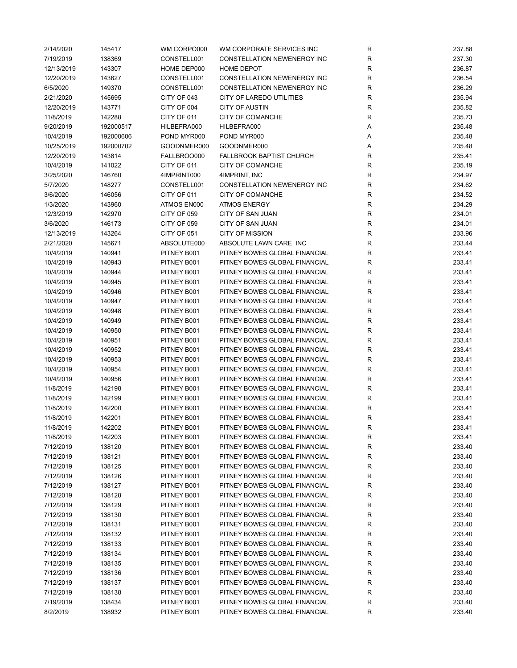| 2/14/2020  | 145417    | WM CORPO000 | WM CORPORATE SERVICES INC          | R           | 237.88 |
|------------|-----------|-------------|------------------------------------|-------------|--------|
| 7/19/2019  | 138369    | CONSTELL001 | <b>CONSTELLATION NEWENERGY INC</b> | R           | 237.30 |
| 12/13/2019 | 143307    | HOME DEP000 | <b>HOME DEPOT</b>                  | $\mathsf R$ | 236.87 |
| 12/20/2019 | 143627    | CONSTELL001 | CONSTELLATION NEWENERGY INC        | ${\sf R}$   | 236.54 |
| 6/5/2020   | 149370    | CONSTELL001 | CONSTELLATION NEWENERGY INC        | ${\sf R}$   | 236.29 |
| 2/21/2020  | 145695    | CITY OF 043 | <b>CITY OF LAREDO UTILITIES</b>    | $\mathsf R$ | 235.94 |
| 12/20/2019 | 143771    | CITY OF 004 | <b>CITY OF AUSTIN</b>              | R           | 235.82 |
| 11/8/2019  | 142288    | CITY OF 011 | CITY OF COMANCHE                   | R           | 235.73 |
| 9/20/2019  | 192000517 | HILBEFRA000 | HILBEFRA000                        | Α           | 235.48 |
|            |           |             | POND MYR000                        |             |        |
| 10/4/2019  | 192000606 | POND MYR000 |                                    | Α           | 235.48 |
| 10/25/2019 | 192000702 | GOODNMER000 | GOODNMER000                        | Α           | 235.48 |
| 12/20/2019 | 143814    | FALLBROO000 | FALLBROOK BAPTIST CHURCH           | R           | 235.41 |
| 10/4/2019  | 141022    | CITY OF 011 | CITY OF COMANCHE                   | $\mathsf R$ | 235.19 |
| 3/25/2020  | 146760    | 4IMPRINT000 | 4IMPRINT, INC                      | ${\sf R}$   | 234.97 |
| 5/7/2020   | 148277    | CONSTELL001 | CONSTELLATION NEWENERGY INC        | ${\sf R}$   | 234.62 |
| 3/6/2020   | 146056    | CITY OF 011 | CITY OF COMANCHE                   | $\mathsf R$ | 234.52 |
| 1/3/2020   | 143960    | ATMOS EN000 | <b>ATMOS ENERGY</b>                | $\mathsf R$ | 234.29 |
| 12/3/2019  | 142970    | CITY OF 059 | <b>CITY OF SAN JUAN</b>            | R           | 234.01 |
| 3/6/2020   | 146173    | CITY OF 059 | <b>CITY OF SAN JUAN</b>            | R           | 234.01 |
| 12/13/2019 | 143264    | CITY OF 051 | <b>CITY OF MISSION</b>             | R           | 233.96 |
| 2/21/2020  | 145671    | ABSOLUTE000 | ABSOLUTE LAWN CARE, INC            | $\mathsf R$ | 233.44 |
| 10/4/2019  | 140941    | PITNEY B001 | PITNEY BOWES GLOBAL FINANCIAL      | R           | 233.41 |
| 10/4/2019  | 140943    | PITNEY B001 | PITNEY BOWES GLOBAL FINANCIAL      | $\mathsf R$ | 233.41 |
| 10/4/2019  | 140944    | PITNEY B001 | PITNEY BOWES GLOBAL FINANCIAL      | $\mathsf R$ | 233.41 |
| 10/4/2019  | 140945    | PITNEY B001 | PITNEY BOWES GLOBAL FINANCIAL      | $\mathsf R$ | 233.41 |
| 10/4/2019  | 140946    | PITNEY B001 | PITNEY BOWES GLOBAL FINANCIAL      | ${\sf R}$   | 233.41 |
| 10/4/2019  | 140947    | PITNEY B001 | PITNEY BOWES GLOBAL FINANCIAL      | $\mathsf R$ | 233.41 |
| 10/4/2019  | 140948    | PITNEY B001 | PITNEY BOWES GLOBAL FINANCIAL      | $\mathsf R$ | 233.41 |
| 10/4/2019  | 140949    | PITNEY B001 | PITNEY BOWES GLOBAL FINANCIAL      | $\mathsf R$ | 233.41 |
| 10/4/2019  | 140950    | PITNEY B001 | PITNEY BOWES GLOBAL FINANCIAL      | R           | 233.41 |
| 10/4/2019  | 140951    | PITNEY B001 | PITNEY BOWES GLOBAL FINANCIAL      | R           | 233.41 |
| 10/4/2019  | 140952    | PITNEY B001 | PITNEY BOWES GLOBAL FINANCIAL      | R           | 233.41 |
| 10/4/2019  | 140953    | PITNEY B001 | PITNEY BOWES GLOBAL FINANCIAL      | R           | 233.41 |
|            |           |             | PITNEY BOWES GLOBAL FINANCIAL      |             |        |
| 10/4/2019  | 140954    | PITNEY B001 |                                    | R           | 233.41 |
| 10/4/2019  | 140956    | PITNEY B001 | PITNEY BOWES GLOBAL FINANCIAL      | R           | 233.41 |
| 11/8/2019  | 142198    | PITNEY B001 | PITNEY BOWES GLOBAL FINANCIAL      | R           | 233.41 |
| 11/8/2019  | 142199    | PITNEY B001 | PITNEY BOWES GLOBAL FINANCIAL      | R           | 233.41 |
| 11/8/2019  | 142200    | PITNEY B001 | PITNEY BOWES GLOBAL FINANCIAL      | R           | 233.41 |
| 11/8/2019  | 142201    | PITNEY B001 | PITNEY BOWES GLOBAL FINANCIAL      | $\mathsf R$ | 233.41 |
| 11/8/2019  | 142202    | PITNEY B001 | PITNEY BOWES GLOBAL FINANCIAL      | R           | 233.41 |
| 11/8/2019  | 142203    | PITNEY B001 | PITNEY BOWES GLOBAL FINANCIAL      | R           | 233.41 |
| 7/12/2019  | 138120    | PITNEY B001 | PITNEY BOWES GLOBAL FINANCIAL      | R           | 233.40 |
| 7/12/2019  | 138121    | PITNEY B001 | PITNEY BOWES GLOBAL FINANCIAL      | R           | 233.40 |
| 7/12/2019  | 138125    | PITNEY B001 | PITNEY BOWES GLOBAL FINANCIAL      | R           | 233.40 |
| 7/12/2019  | 138126    | PITNEY B001 | PITNEY BOWES GLOBAL FINANCIAL      | R           | 233.40 |
| 7/12/2019  | 138127    | PITNEY B001 | PITNEY BOWES GLOBAL FINANCIAL      | R           | 233.40 |
| 7/12/2019  | 138128    | PITNEY B001 | PITNEY BOWES GLOBAL FINANCIAL      | R           | 233.40 |
| 7/12/2019  | 138129    | PITNEY B001 | PITNEY BOWES GLOBAL FINANCIAL      | R           | 233.40 |
| 7/12/2019  | 138130    | PITNEY B001 | PITNEY BOWES GLOBAL FINANCIAL      | R           | 233.40 |
| 7/12/2019  | 138131    | PITNEY B001 | PITNEY BOWES GLOBAL FINANCIAL      | R           | 233.40 |
| 7/12/2019  | 138132    | PITNEY B001 | PITNEY BOWES GLOBAL FINANCIAL      | R           | 233.40 |
| 7/12/2019  | 138133    | PITNEY B001 | PITNEY BOWES GLOBAL FINANCIAL      | R           | 233.40 |
| 7/12/2019  | 138134    | PITNEY B001 | PITNEY BOWES GLOBAL FINANCIAL      | R           | 233.40 |
| 7/12/2019  | 138135    | PITNEY B001 | PITNEY BOWES GLOBAL FINANCIAL      | R           | 233.40 |
| 7/12/2019  | 138136    | PITNEY B001 | PITNEY BOWES GLOBAL FINANCIAL      | R           | 233.40 |
| 7/12/2019  | 138137    | PITNEY B001 | PITNEY BOWES GLOBAL FINANCIAL      | R           | 233.40 |
| 7/12/2019  | 138138    | PITNEY B001 | PITNEY BOWES GLOBAL FINANCIAL      | R           | 233.40 |
| 7/19/2019  | 138434    | PITNEY B001 | PITNEY BOWES GLOBAL FINANCIAL      | R           | 233.40 |
| 8/2/2019   | 138932    | PITNEY B001 | PITNEY BOWES GLOBAL FINANCIAL      | R           | 233.40 |
|            |           |             |                                    |             |        |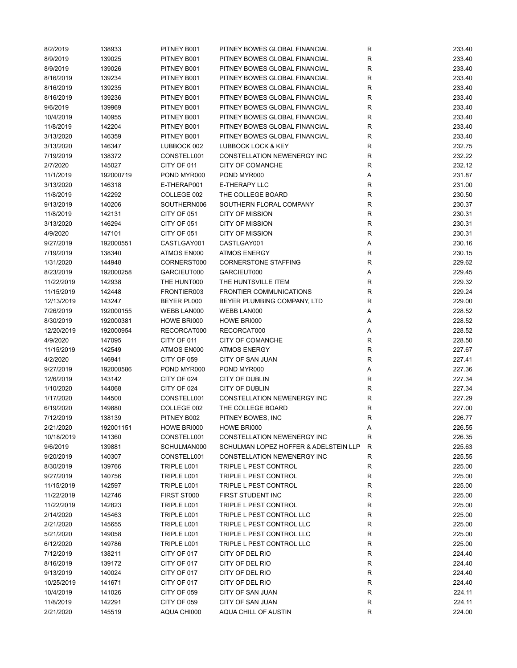| 8/2/2019   | 138933    | PITNEY B001 | PITNEY BOWES GLOBAL FINANCIAL         | R           | 233.40 |
|------------|-----------|-------------|---------------------------------------|-------------|--------|
| 8/9/2019   | 139025    | PITNEY B001 | PITNEY BOWES GLOBAL FINANCIAL         | R           | 233.40 |
| 8/9/2019   | 139026    | PITNEY B001 | PITNEY BOWES GLOBAL FINANCIAL         | ${\sf R}$   | 233.40 |
| 8/16/2019  | 139234    | PITNEY B001 | PITNEY BOWES GLOBAL FINANCIAL         | ${\sf R}$   | 233.40 |
| 8/16/2019  | 139235    | PITNEY B001 | PITNEY BOWES GLOBAL FINANCIAL         | R           | 233.40 |
| 8/16/2019  | 139236    | PITNEY B001 | PITNEY BOWES GLOBAL FINANCIAL         | R           | 233.40 |
| 9/6/2019   | 139969    | PITNEY B001 | PITNEY BOWES GLOBAL FINANCIAL         | R           | 233.40 |
| 10/4/2019  | 140955    | PITNEY B001 | PITNEY BOWES GLOBAL FINANCIAL         | R           | 233.40 |
| 11/8/2019  | 142204    | PITNEY B001 | PITNEY BOWES GLOBAL FINANCIAL         | ${\sf R}$   | 233.40 |
| 3/13/2020  | 146359    | PITNEY B001 | PITNEY BOWES GLOBAL FINANCIAL         | ${\sf R}$   | 233.40 |
| 3/13/2020  | 146347    | LUBBOCK 002 | LUBBOCK LOCK & KEY                    | R           | 232.75 |
| 7/19/2019  | 138372    | CONSTELL001 | CONSTELLATION NEWENERGY INC           | ${\sf R}$   | 232.22 |
| 2/7/2020   | 145027    | CITY OF 011 | CITY OF COMANCHE                      | $\mathsf R$ | 232.12 |
| 11/1/2019  | 192000719 | POND MYR000 | POND MYR000                           | Α           | 231.87 |
| 3/13/2020  | 146318    | E-THERAP001 | E-THERAPY LLC                         | ${\sf R}$   | 231.00 |
| 11/8/2019  | 142292    | COLLEGE 002 | THE COLLEGE BOARD                     | R           | 230.50 |
| 9/13/2019  | 140206    | SOUTHERN006 | SOUTHERN FLORAL COMPANY               | R           | 230.37 |
| 11/8/2019  | 142131    | CITY OF 051 | <b>CITY OF MISSION</b>                | R           | 230.31 |
| 3/13/2020  | 146294    | CITY OF 051 | <b>CITY OF MISSION</b>                | ${\sf R}$   | 230.31 |
| 4/9/2020   | 147101    | CITY OF 051 | <b>CITY OF MISSION</b>                | $\mathsf R$ | 230.31 |
| 9/27/2019  | 192000551 | CASTLGAY001 | CASTLGAY001                           | Α           | 230.16 |
| 7/19/2019  | 138340    | ATMOS EN000 | <b>ATMOS ENERGY</b>                   | ${\sf R}$   | 230.15 |
| 1/31/2020  | 144948    | CORNERST000 | <b>CORNERSTONE STAFFING</b>           | ${\sf R}$   | 229.62 |
| 8/23/2019  | 192000258 | GARCIEUT000 | GARCIEUT000                           | Α           | 229.45 |
| 11/22/2019 | 142938    | THE HUNT000 | THE HUNTSVILLE ITEM                   | ${\sf R}$   | 229.32 |
| 11/15/2019 | 142448    | FRONTIER003 | <b>FRONTIER COMMUNICATIONS</b>        | ${\sf R}$   | 229.24 |
| 12/13/2019 | 143247    | BEYER PL000 | BEYER PLUMBING COMPANY, LTD           | $\mathsf R$ | 229.00 |
| 7/26/2019  | 192000155 | WEBB LAN000 | WEBB LAN000                           | Α           | 228.52 |
| 8/30/2019  | 192000381 | HOWE BRI000 | HOWE BRI000                           |             | 228.52 |
|            |           |             |                                       | Α           |        |
| 12/20/2019 | 192000954 | RECORCAT000 | RECORCAT000                           | Α           | 228.52 |
| 4/9/2020   | 147095    | CITY OF 011 | CITY OF COMANCHE                      | R           | 228.50 |
| 11/15/2019 | 142549    | ATMOS EN000 | <b>ATMOS ENERGY</b>                   | ${\sf R}$   | 227.67 |
| 4/2/2020   | 146941    | CITY OF 059 | CITY OF SAN JUAN                      | ${\sf R}$   | 227.41 |
| 9/27/2019  | 192000586 | POND MYR000 | POND MYR000                           | Α           | 227.36 |
| 12/6/2019  | 143142    | CITY OF 024 | <b>CITY OF DUBLIN</b>                 | R           | 227.34 |
| 1/10/2020  | 144068    | CITY OF 024 | CITY OF DUBLIN                        | ${\sf R}$   | 227.34 |
| 1/17/2020  | 144500    | CONSTELL001 | <b>CONSTELLATION NEWENERGY INC</b>    | ${\sf R}$   | 227.29 |
| 6/19/2020  | 149880    | COLLEGE 002 | THE COLLEGE BOARD                     | R           | 227.00 |
| 7/12/2019  | 138139    | PITNEY B002 | PITNEY BOWES, INC                     | ${\sf R}$   | 226.77 |
| 2/21/2020  | 192001151 | HOWE BRI000 | HOWE BRI000                           | Α           | 226.55 |
| 10/18/2019 | 141360    | CONSTELL001 | <b>CONSTELLATION NEWENERGY INC</b>    | R           | 226.35 |
| 9/6/2019   | 139881    | SCHULMAN000 | SCHULMAN LOPEZ HOFFER & ADELSTEIN LLP | R           | 225.63 |
| 9/20/2019  | 140307    | CONSTELL001 | <b>CONSTELLATION NEWENERGY INC</b>    | R           | 225.55 |
| 8/30/2019  | 139766    | TRIPLE L001 | TRIPLE L PEST CONTROL                 | R           | 225.00 |
| 9/27/2019  | 140756    | TRIPLE L001 | TRIPLE L PEST CONTROL                 | ${\sf R}$   | 225.00 |
| 11/15/2019 | 142597    | TRIPLE L001 | TRIPLE L PEST CONTROL                 | R           | 225.00 |
| 11/22/2019 | 142746    | FIRST ST000 | FIRST STUDENT INC                     | R           | 225.00 |
| 11/22/2019 | 142823    | TRIPLE L001 | TRIPLE L PEST CONTROL                 | ${\sf R}$   | 225.00 |
| 2/14/2020  | 145463    | TRIPLE L001 | TRIPLE L PEST CONTROL LLC             | $\mathsf R$ | 225.00 |
| 2/21/2020  | 145655    | TRIPLE L001 | TRIPLE L PEST CONTROL LLC             | ${\sf R}$   | 225.00 |
| 5/21/2020  | 149058    | TRIPLE L001 | TRIPLE L PEST CONTROL LLC             | ${\sf R}$   | 225.00 |
| 6/12/2020  | 149786    | TRIPLE L001 | TRIPLE L PEST CONTROL LLC             | R           | 225.00 |
| 7/12/2019  | 138211    | CITY OF 017 | CITY OF DEL RIO                       | R           | 224.40 |
| 8/16/2019  | 139172    | CITY OF 017 | CITY OF DEL RIO                       | R           | 224.40 |
| 9/13/2019  | 140024    | CITY OF 017 | CITY OF DEL RIO                       | R           | 224.40 |
| 10/25/2019 | 141671    | CITY OF 017 | CITY OF DEL RIO                       | ${\sf R}$   | 224.40 |
| 10/4/2019  | 141026    | CITY OF 059 | CITY OF SAN JUAN                      | ${\sf R}$   | 224.11 |
| 11/8/2019  | 142291    | CITY OF 059 | CITY OF SAN JUAN                      | R           | 224.11 |
| 2/21/2020  | 145519    | AQUA CHI000 | AQUA CHILL OF AUSTIN                  | R           | 224.00 |
|            |           |             |                                       |             |        |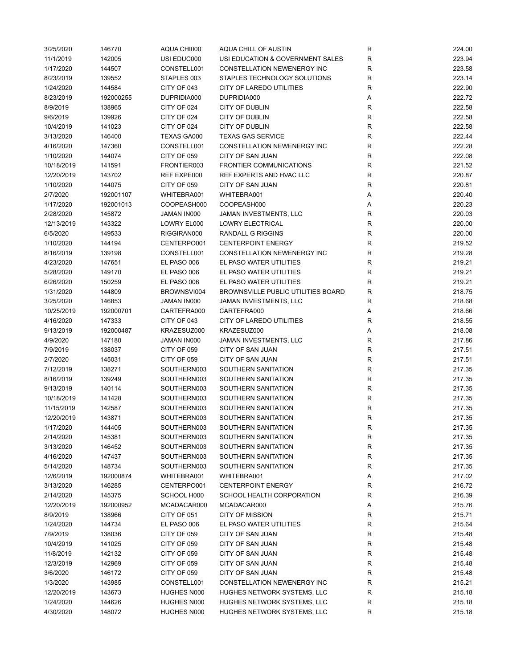| 3/25/2020  | 146770    | AQUA CHI000        | AQUA CHILL OF AUSTIN               | R | 224.00 |
|------------|-----------|--------------------|------------------------------------|---|--------|
| 11/1/2019  | 142005    | USI EDUC000        | USI EDUCATION & GOVERNMENT SALES   | R | 223.94 |
| 1/17/2020  | 144507    | CONSTELL001        | CONSTELLATION NEWENERGY INC        | R | 223.58 |
| 8/23/2019  | 139552    | STAPLES 003        | STAPLES TECHNOLOGY SOLUTIONS       | R | 223.14 |
| 1/24/2020  | 144584    | CITY OF 043        | CITY OF LAREDO UTILITIES           | R | 222.90 |
| 8/23/2019  | 192000255 | DUPRIDIA000        | DUPRIDIA000                        | Α | 222.72 |
| 8/9/2019   | 138965    | CITY OF 024        | CITY OF DUBLIN                     | R | 222.58 |
| 9/6/2019   | 139926    | CITY OF 024        | CITY OF DUBLIN                     | R | 222.58 |
|            | 141023    |                    | CITY OF DUBLIN                     | R | 222.58 |
| 10/4/2019  |           | CITY OF 024        |                                    |   |        |
| 3/13/2020  | 146400    | <b>TEXAS GA000</b> | <b>TEXAS GAS SERVICE</b>           | R | 222.44 |
| 4/16/2020  | 147360    | CONSTELL001        | CONSTELLATION NEWENERGY INC        | R | 222.28 |
| 1/10/2020  | 144074    | CITY OF 059        | CITY OF SAN JUAN                   | R | 222.08 |
| 10/18/2019 | 141591    | FRONTIER003        | <b>FRONTIER COMMUNICATIONS</b>     | R | 221.52 |
| 12/20/2019 | 143702    | REF EXPE000        | REF EXPERTS AND HVAC LLC           | R | 220.87 |
| 1/10/2020  | 144075    | CITY OF 059        | CITY OF SAN JUAN                   | R | 220.81 |
| 2/7/2020   | 192001107 | WHITEBRA001        | WHITEBRA001                        | Α | 220.40 |
| 1/17/2020  | 192001013 | COOPEASH000        | COOPEASH000                        | Α | 220.23 |
| 2/28/2020  | 145872    | JAMAN IN000        | JAMAN INVESTMENTS, LLC             | R | 220.03 |
| 12/13/2019 | 143322    | LOWRY EL000        | <b>LOWRY ELECTRICAL</b>            | R | 220.00 |
| 6/5/2020   | 149533    | RIGGIRAN000        | <b>RANDALL G RIGGINS</b>           | R | 220.00 |
| 1/10/2020  | 144194    | CENTERPO001        | <b>CENTERPOINT ENERGY</b>          | R | 219.52 |
| 8/16/2019  | 139198    | CONSTELL001        | CONSTELLATION NEWENERGY INC        | R | 219.28 |
| 4/23/2020  | 147651    | EL PASO 006        | EL PASO WATER UTILITIES            | R | 219.21 |
| 5/28/2020  | 149170    | EL PASO 006        | EL PASO WATER UTILITIES            | R | 219.21 |
| 6/26/2020  | 150259    | EL PASO 006        | EL PASO WATER UTILITIES            | R | 219.21 |
| 1/31/2020  | 144809    | BROWNSVI004        | BROWNSVILLE PUBLIC UTILITIES BOARD | R | 218.75 |
| 3/25/2020  | 146853    | JAMAN IN000        | JAMAN INVESTMENTS, LLC             | R | 218.68 |
| 10/25/2019 | 192000701 | CARTEFRA000        | CARTEFRA000                        |   | 218.66 |
|            |           |                    |                                    | Α |        |
| 4/16/2020  | 147333    | CITY OF 043        | CITY OF LAREDO UTILITIES           | R | 218.55 |
| 9/13/2019  | 192000487 | KRAZESUZ000        | KRAZESUZ000                        | Α | 218.08 |
| 4/9/2020   | 147180    | JAMAN IN000        | JAMAN INVESTMENTS, LLC             | R | 217.86 |
| 7/9/2019   | 138037    | CITY OF 059        | CITY OF SAN JUAN                   | R | 217.51 |
| 2/7/2020   | 145031    | CITY OF 059        | CITY OF SAN JUAN                   | R | 217.51 |
| 7/12/2019  | 138271    | SOUTHERN003        | SOUTHERN SANITATION                | R | 217.35 |
| 8/16/2019  | 139249    | SOUTHERN003        | SOUTHERN SANITATION                | R | 217.35 |
| 9/13/2019  | 140114    | SOUTHERN003        | SOUTHERN SANITATION                | R | 217.35 |
| 10/18/2019 | 141428    | SOUTHERN003        | SOUTHERN SANITATION                | R | 217.35 |
| 11/15/2019 | 142587    | SOUTHERN003        | SOUTHERN SANITATION                | R | 217.35 |
| 12/20/2019 | 143871    | SOUTHERN003        | SOUTHERN SANITATION                | R | 217.35 |
| 1/17/2020  | 144405    | SOUTHERN003        | SOUTHERN SANITATION                | R | 217.35 |
| 2/14/2020  | 145381    | SOUTHERN003        | SOUTHERN SANITATION                | R | 217.35 |
| 3/13/2020  | 146452    | SOUTHERN003        | SOUTHERN SANITATION                | R | 217.35 |
| 4/16/2020  | 147437    | SOUTHERN003        | SOUTHERN SANITATION                | R | 217.35 |
| 5/14/2020  | 148734    | SOUTHERN003        | SOUTHERN SANITATION                | R | 217.35 |
| 12/6/2019  | 192000874 | WHITEBRA001        | WHITEBRA001                        | Α | 217.02 |
| 3/13/2020  | 146285    | CENTERPO001        | <b>CENTERPOINT ENERGY</b>          | R | 216.72 |
| 2/14/2020  | 145375    | SCHOOL H000        | SCHOOL HEALTH CORPORATION          | R | 216.39 |
| 12/20/2019 | 192000952 | MCADACAR000        | MCADACAR000                        | Α | 215.76 |
| 8/9/2019   | 138966    | CITY OF 051        | <b>CITY OF MISSION</b>             | R | 215.71 |
| 1/24/2020  | 144734    | EL PASO 006        | EL PASO WATER UTILITIES            | R | 215.64 |
|            |           |                    |                                    |   |        |
| 7/9/2019   | 138036    | CITY OF 059        | CITY OF SAN JUAN                   | R | 215.48 |
| 10/4/2019  | 141025    | CITY OF 059        | CITY OF SAN JUAN                   | R | 215.48 |
| 11/8/2019  | 142132    | CITY OF 059        | CITY OF SAN JUAN                   | R | 215.48 |
| 12/3/2019  | 142969    | CITY OF 059        | CITY OF SAN JUAN                   | R | 215.48 |
| 3/6/2020   | 146172    | CITY OF 059        | CITY OF SAN JUAN                   | R | 215.48 |
| 1/3/2020   | 143985    | CONSTELL001        | CONSTELLATION NEWENERGY INC        | R | 215.21 |
| 12/20/2019 | 143673    | HUGHES N000        | HUGHES NETWORK SYSTEMS, LLC        | R | 215.18 |
| 1/24/2020  | 144626    | HUGHES N000        | HUGHES NETWORK SYSTEMS, LLC        | R | 215.18 |
| 4/30/2020  | 148072    | HUGHES N000        | HUGHES NETWORK SYSTEMS, LLC        | R | 215.18 |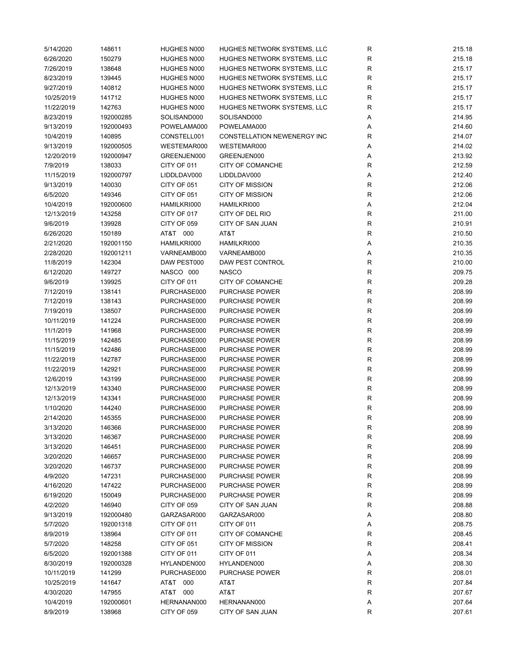| 5/14/2020  | 148611    | HUGHES N000 | HUGHES NETWORK SYSTEMS, LLC        | R           | 215.18 |
|------------|-----------|-------------|------------------------------------|-------------|--------|
| 6/26/2020  | 150279    | HUGHES N000 | HUGHES NETWORK SYSTEMS, LLC        | R           | 215.18 |
| 7/26/2019  | 138648    | HUGHES N000 | HUGHES NETWORK SYSTEMS, LLC        | R           | 215.17 |
| 8/23/2019  | 139445    | HUGHES N000 | HUGHES NETWORK SYSTEMS, LLC        | R           | 215.17 |
| 9/27/2019  | 140812    | HUGHES N000 | HUGHES NETWORK SYSTEMS, LLC        | R           | 215.17 |
| 10/25/2019 | 141712    | HUGHES N000 | HUGHES NETWORK SYSTEMS, LLC        | R           | 215.17 |
| 11/22/2019 | 142763    | HUGHES N000 | HUGHES NETWORK SYSTEMS, LLC        | R           | 215.17 |
| 8/23/2019  | 192000285 | SOLISAND000 | SOLISAND000                        | Α           | 214.95 |
| 9/13/2019  | 192000493 | POWELAMA000 | POWELAMA000                        | Α           | 214.60 |
| 10/4/2019  | 140895    | CONSTELL001 | <b>CONSTELLATION NEWENERGY INC</b> | R           | 214.07 |
| 9/13/2019  | 192000505 | WESTEMAR000 | WESTEMAR000                        | Α           | 214.02 |
|            | 192000947 |             |                                    |             | 213.92 |
| 12/20/2019 |           | GREENJEN000 | GREENJEN000                        | Α           |        |
| 7/9/2019   | 138033    | CITY OF 011 | CITY OF COMANCHE                   | R           | 212.59 |
| 11/15/2019 | 192000797 | LIDDLDAV000 | LIDDLDAV000                        | Α           | 212.40 |
| 9/13/2019  | 140030    | CITY OF 051 | <b>CITY OF MISSION</b>             | ${\sf R}$   | 212.06 |
| 6/5/2020   | 149346    | CITY OF 051 | <b>CITY OF MISSION</b>             | ${\sf R}$   | 212.06 |
| 10/4/2019  | 192000600 | HAMILKRI000 | HAMILKRI000                        | Α           | 212.04 |
| 12/13/2019 | 143258    | CITY OF 017 | CITY OF DEL RIO                    | R           | 211.00 |
| 9/6/2019   | 139928    | CITY OF 059 | <b>CITY OF SAN JUAN</b>            | ${\sf R}$   | 210.91 |
| 6/26/2020  | 150189    | AT&T 000    | AT&T                               | R           | 210.50 |
| 2/21/2020  | 192001150 | HAMILKRI000 | HAMILKRI000                        | Α           | 210.35 |
| 2/28/2020  | 192001211 | VARNEAMB000 | VARNEAMB000                        | Α           | 210.35 |
| 11/8/2019  | 142304    | DAW PEST000 | DAW PEST CONTROL                   | R           | 210.00 |
| 6/12/2020  | 149727    | NASCO 000   | <b>NASCO</b>                       | R           | 209.75 |
| 9/6/2019   | 139925    | CITY OF 011 | CITY OF COMANCHE                   | ${\sf R}$   | 209.28 |
| 7/12/2019  | 138141    | PURCHASE000 | <b>PURCHASE POWER</b>              | R           | 208.99 |
| 7/12/2019  | 138143    | PURCHASE000 | <b>PURCHASE POWER</b>              | ${\sf R}$   | 208.99 |
| 7/19/2019  | 138507    | PURCHASE000 | <b>PURCHASE POWER</b>              | ${\sf R}$   | 208.99 |
| 10/11/2019 | 141224    | PURCHASE000 | <b>PURCHASE POWER</b>              | R           | 208.99 |
| 11/1/2019  | 141968    | PURCHASE000 | <b>PURCHASE POWER</b>              | R           | 208.99 |
| 11/15/2019 | 142485    | PURCHASE000 | <b>PURCHASE POWER</b>              | R           | 208.99 |
| 11/15/2019 | 142486    | PURCHASE000 | <b>PURCHASE POWER</b>              | ${\sf R}$   | 208.99 |
| 11/22/2019 | 142787    | PURCHASE000 | PURCHASE POWER                     | ${\sf R}$   | 208.99 |
| 11/22/2019 | 142921    | PURCHASE000 | <b>PURCHASE POWER</b>              | ${\sf R}$   | 208.99 |
| 12/6/2019  | 143199    | PURCHASE000 | <b>PURCHASE POWER</b>              | R           | 208.99 |
| 12/13/2019 |           |             |                                    |             |        |
|            | 143340    | PURCHASE000 | <b>PURCHASE POWER</b>              | $\mathsf R$ | 208.99 |
| 12/13/2019 | 143341    | PURCHASE000 | PURCHASE POWER                     | $\mathsf R$ | 208.99 |
| 1/10/2020  | 144240    | PURCHASE000 | <b>PURCHASE POWER</b>              | R           | 208.99 |
| 2/14/2020  | 145355    | PURCHASE000 | <b>PURCHASE POWER</b>              | R           | 208.99 |
| 3/13/2020  | 146366    | PURCHASE000 | PURCHASE POWER                     | R           | 208.99 |
| 3/13/2020  | 146367    | PURCHASE000 | <b>PURCHASE POWER</b>              | ${\sf R}$   | 208.99 |
| 3/13/2020  | 146451    | PURCHASE000 | PURCHASE POWER                     | R           | 208.99 |
| 3/20/2020  | 146657    | PURCHASE000 | <b>PURCHASE POWER</b>              | R           | 208.99 |
| 3/20/2020  | 146737    | PURCHASE000 | <b>PURCHASE POWER</b>              | R           | 208.99 |
| 4/9/2020   | 147231    | PURCHASE000 | PURCHASE POWER                     | R           | 208.99 |
| 4/16/2020  | 147422    | PURCHASE000 | <b>PURCHASE POWER</b>              | R           | 208.99 |
| 6/19/2020  | 150049    | PURCHASE000 | <b>PURCHASE POWER</b>              | $\mathsf R$ | 208.99 |
| 4/2/2020   | 146940    | CITY OF 059 | CITY OF SAN JUAN                   | R           | 208.88 |
| 9/13/2019  | 192000480 | GARZASAR000 | GARZASAR000                        | Α           | 208.80 |
| 5/7/2020   | 192001318 | CITY OF 011 | CITY OF 011                        | Α           | 208.75 |
| 8/9/2019   | 138964    | CITY OF 011 | CITY OF COMANCHE                   | $\mathsf R$ | 208.45 |
| 5/7/2020   | 148258    | CITY OF 051 | <b>CITY OF MISSION</b>             | R           | 208.41 |
| 6/5/2020   | 192001388 | CITY OF 011 | CITY OF 011                        | Α           | 208.34 |
| 8/30/2019  | 192000328 | HYLANDEN000 | HYLANDEN000                        | Α           | 208.30 |
| 10/11/2019 | 141299    | PURCHASE000 | <b>PURCHASE POWER</b>              | R           | 208.01 |
| 10/25/2019 | 141647    | AT&T 000    | AT&T                               | R           | 207.84 |
| 4/30/2020  | 147955    | AT&T 000    | AT&T                               | R           | 207.67 |
| 10/4/2019  | 192000601 | HERNANAN000 | HERNANAN000                        | Α           | 207.64 |
| 8/9/2019   | 138968    | CITY OF 059 | CITY OF SAN JUAN                   | R           | 207.61 |
|            |           |             |                                    |             |        |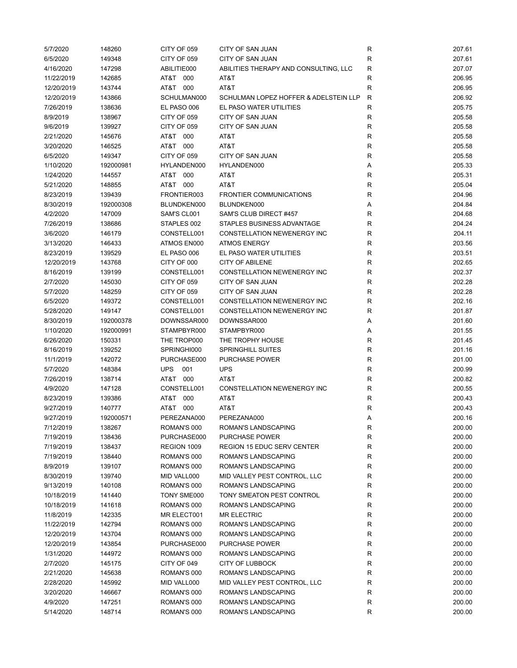| 5/7/2020   | 148260    | CITY OF 059       | CITY OF SAN JUAN                      | R           | 207.61 |
|------------|-----------|-------------------|---------------------------------------|-------------|--------|
| 6/5/2020   | 149348    | CITY OF 059       | <b>CITY OF SAN JUAN</b>               | R           | 207.61 |
| 4/16/2020  | 147298    | ABILITIE000       | ABILITIES THERAPY AND CONSULTING, LLC | $\mathsf R$ | 207.07 |
| 11/22/2019 | 142685    | AT&T<br>000       | AT&T                                  | R           | 206.95 |
| 12/20/2019 | 143744    | AT&T 000          | AT&T                                  | R           | 206.95 |
| 12/20/2019 | 143866    | SCHULMAN000       | SCHULMAN LOPEZ HOFFER & ADELSTEIN LLP | R           | 206.92 |
| 7/26/2019  | 138636    | EL PASO 006       | EL PASO WATER UTILITIES               | R           | 205.75 |
| 8/9/2019   | 138967    | CITY OF 059       | CITY OF SAN JUAN                      | R           | 205.58 |
| 9/6/2019   | 139927    |                   | CITY OF SAN JUAN                      | R           | 205.58 |
|            |           | CITY OF 059       |                                       |             |        |
| 2/21/2020  | 145676    | AT&T 000          | AT&T                                  | R           | 205.58 |
| 3/20/2020  | 146525    | AT&T 000          | AT&T                                  | R           | 205.58 |
| 6/5/2020   | 149347    | CITY OF 059       | <b>CITY OF SAN JUAN</b>               | R           | 205.58 |
| 1/10/2020  | 192000981 | HYLANDEN000       | HYLANDEN000                           | Α           | 205.33 |
| 1/24/2020  | 144557    | AT&T 000          | AT&T                                  | R           | 205.31 |
| 5/21/2020  | 148855    | AT&T 000          | AT&T                                  | R           | 205.04 |
| 8/23/2019  | 139439    | FRONTIER003       | <b>FRONTIER COMMUNICATIONS</b>        | R           | 204.96 |
| 8/30/2019  | 192000308 | BLUNDKEN000       | BLUNDKEN000                           | Α           | 204.84 |
| 4/2/2020   | 147009    | SAM'S CL001       | SAM'S CLUB DIRECT #457                | R           | 204.68 |
| 7/26/2019  | 138686    | STAPLES 002       | STAPLES BUSINESS ADVANTAGE            | R           | 204.24 |
| 3/6/2020   | 146179    | CONSTELL001       | CONSTELLATION NEWENERGY INC           | R           | 204.11 |
| 3/13/2020  | 146433    | ATMOS EN000       | <b>ATMOS ENERGY</b>                   | R           | 203.56 |
| 8/23/2019  | 139529    | EL PASO 006       | EL PASO WATER UTILITIES               | R           | 203.51 |
| 12/20/2019 | 143768    | CITY OF 000       | <b>CITY OF ABILENE</b>                | R           | 202.65 |
| 8/16/2019  | 139199    | CONSTELL001       | <b>CONSTELLATION NEWENERGY INC</b>    | R           | 202.37 |
| 2/7/2020   | 145030    | CITY OF 059       | CITY OF SAN JUAN                      | R           | 202.28 |
| 5/7/2020   | 148259    | CITY OF 059       | CITY OF SAN JUAN                      | R           | 202.28 |
| 6/5/2020   | 149372    | CONSTELL001       | CONSTELLATION NEWENERGY INC           | R           | 202.16 |
| 5/28/2020  | 149147    | CONSTELL001       | CONSTELLATION NEWENERGY INC           | R           | 201.87 |
| 8/30/2019  | 192000378 | DOWNSSAR000       | DOWNSSAR000                           | Α           | 201.60 |
| 1/10/2020  | 192000991 | STAMPBYR000       | STAMPBYR000                           |             | 201.55 |
|            |           |                   |                                       | Α           |        |
| 6/26/2020  | 150331    | THE TROP000       | THE TROPHY HOUSE                      | R           | 201.45 |
| 8/16/2019  | 139252    | SPRINGHI000       | <b>SPRINGHILL SUITES</b>              | R           | 201.16 |
| 11/1/2019  | 142072    | PURCHASE000       | <b>PURCHASE POWER</b>                 | $\mathsf R$ | 201.00 |
| 5/7/2020   | 148384    | <b>UPS</b><br>001 | <b>UPS</b>                            | R           | 200.99 |
| 7/26/2019  | 138714    | AT&T 000          | AT&T                                  | R           | 200.82 |
| 4/9/2020   | 147128    | CONSTELL001       | CONSTELLATION NEWENERGY INC           | R           | 200.55 |
| 8/23/2019  | 139386    | AT&T<br>000       | AT&T                                  | R           | 200.43 |
| 9/27/2019  | 140777    | 000<br>AT&T       | AT&T                                  | R           | 200.43 |
| 9/27/2019  | 192000571 | PEREZANA000       | PEREZANA000                           | Α           | 200.16 |
| 7/12/2019  | 138267    | ROMAN'S 000       | ROMAN'S LANDSCAPING                   | R           | 200.00 |
| 7/19/2019  | 138436    | PURCHASE000       | <b>PURCHASE POWER</b>                 | R           | 200.00 |
| 7/19/2019  | 138437    | REGION 1009       | <b>REGION 15 EDUC SERV CENTER</b>     | R           | 200.00 |
| 7/19/2019  | 138440    | ROMAN'S 000       | ROMAN'S LANDSCAPING                   | R           | 200.00 |
| 8/9/2019   | 139107    | ROMAN'S 000       | <b>ROMAN'S LANDSCAPING</b>            | R           | 200.00 |
| 8/30/2019  | 139740    | MID VALL000       | MID VALLEY PEST CONTROL, LLC          | R           | 200.00 |
| 9/13/2019  | 140108    | ROMAN'S 000       | ROMAN'S LANDSCAPING                   | R           | 200.00 |
| 10/18/2019 | 141440    | TONY SME000       | TONY SMEATON PEST CONTROL             | R           | 200.00 |
| 10/18/2019 | 141618    | ROMAN'S 000       | ROMAN'S LANDSCAPING                   | R           | 200.00 |
| 11/8/2019  | 142335    | MR ELECT001       | <b>MR ELECTRIC</b>                    | R           | 200.00 |
| 11/22/2019 | 142794    | ROMAN'S 000       | ROMAN'S LANDSCAPING                   | R           | 200.00 |
| 12/20/2019 | 143704    | ROMAN'S 000       | ROMAN'S LANDSCAPING                   | R           | 200.00 |
| 12/20/2019 | 143854    | PURCHASE000       | PURCHASE POWER                        | R           | 200.00 |
| 1/31/2020  | 144972    | ROMAN'S 000       | ROMAN'S LANDSCAPING                   | R           | 200.00 |
| 2/7/2020   | 145175    | CITY OF 049       | CITY OF LUBBOCK                       | R           | 200.00 |
|            |           |                   |                                       |             |        |
| 2/21/2020  | 145638    | ROMAN'S 000       | ROMAN'S LANDSCAPING                   | R           | 200.00 |
| 2/28/2020  | 145992    | MID VALL000       | MID VALLEY PEST CONTROL, LLC          | R           | 200.00 |
| 3/20/2020  | 146667    | ROMAN'S 000       | ROMAN'S LANDSCAPING                   | R           | 200.00 |
| 4/9/2020   | 147251    | ROMAN'S 000       | ROMAN'S LANDSCAPING                   | R           | 200.00 |
| 5/14/2020  | 148714    | ROMAN'S 000       | ROMAN'S LANDSCAPING                   | R           | 200.00 |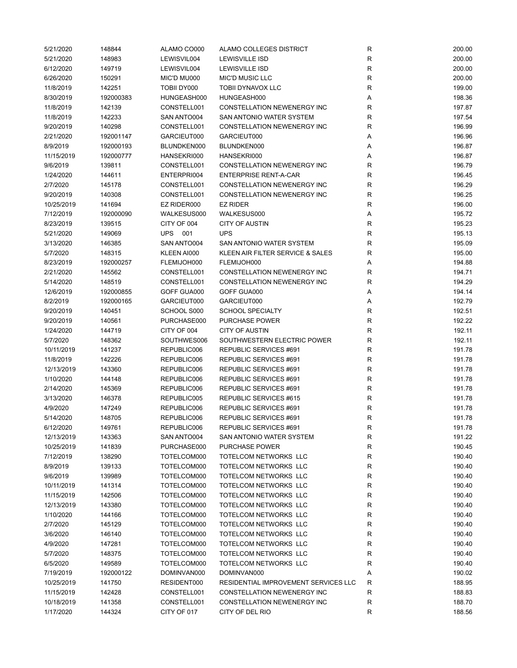| 5/21/2020  | 148844    | ALAMO CO000 | ALAMO COLLEGES DISTRICT              | R            | 200.00 |
|------------|-----------|-------------|--------------------------------------|--------------|--------|
| 5/21/2020  | 148983    | LEWISVIL004 | <b>LEWISVILLE ISD</b>                | R            | 200.00 |
| 6/12/2020  | 149719    | LEWISVIL004 | <b>LEWISVILLE ISD</b>                | R            | 200.00 |
| 6/26/2020  | 150291    | MIC'D MU000 | <b>MIC'D MUSIC LLC</b>               | $\mathsf R$  | 200.00 |
| 11/8/2019  | 142251    | TOBII DY000 | <b>TOBII DYNAVOX LLC</b>             | R            | 199.00 |
| 8/30/2019  | 192000383 | HUNGEASH000 | HUNGEASH000                          | Α            | 198.36 |
| 11/8/2019  | 142139    | CONSTELL001 | CONSTELLATION NEWENERGY INC          | R            | 197.87 |
| 11/8/2019  | 142233    | SAN ANTO004 | SAN ANTONIO WATER SYSTEM             | R            | 197.54 |
| 9/20/2019  | 140298    | CONSTELL001 | CONSTELLATION NEWENERGY INC          | R            | 196.99 |
| 2/21/2020  | 192001147 | GARCIEUT000 | GARCIEUT000                          | Α            | 196.96 |
| 8/9/2019   | 192000193 | BLUNDKEN000 | BLUNDKEN000                          | Α            | 196.87 |
| 11/15/2019 | 192000777 | HANSEKRI000 | HANSEKRI000                          | Α            | 196.87 |
| 9/6/2019   | 139811    | CONSTELL001 | <b>CONSTELLATION NEWENERGY INC</b>   | R            | 196.79 |
| 1/24/2020  | 144611    | ENTERPRI004 | <b>ENTERPRISE RENT-A-CAR</b>         | R            | 196.45 |
|            |           |             |                                      |              |        |
| 2/7/2020   | 145178    | CONSTELL001 | CONSTELLATION NEWENERGY INC          | R            | 196.29 |
| 9/20/2019  | 140308    | CONSTELL001 | CONSTELLATION NEWENERGY INC          | R            | 196.25 |
| 10/25/2019 | 141694    | EZ RIDER000 | <b>EZ RIDER</b>                      | R            | 196.00 |
| 7/12/2019  | 192000090 | WALKESUS000 | WALKESUS000                          | Α            | 195.72 |
| 8/23/2019  | 139515    | CITY OF 004 | <b>CITY OF AUSTIN</b>                | R            | 195.23 |
| 5/21/2020  | 149069    | UPS 001     | <b>UPS</b>                           | R            | 195.13 |
| 3/13/2020  | 146385    | SAN ANTO004 | SAN ANTONIO WATER SYSTEM             | R            | 195.09 |
| 5/7/2020   | 148315    | KLEEN AI000 | KLEEN AIR FILTER SERVICE & SALES     | R            | 195.00 |
| 8/23/2019  | 192000257 | FLEMIJOH000 | FLEMIJOH000                          | Α            | 194.88 |
| 2/21/2020  | 145562    | CONSTELL001 | CONSTELLATION NEWENERGY INC          | R            | 194.71 |
| 5/14/2020  | 148519    | CONSTELL001 | CONSTELLATION NEWENERGY INC          | R            | 194.29 |
| 12/6/2019  | 192000855 | GOFF GUA000 | GOFF GUA000                          | Α            | 194.14 |
| 8/2/2019   | 192000165 | GARCIEUT000 | GARCIEUT000                          | Α            | 192.79 |
| 9/20/2019  | 140451    | SCHOOL S000 | <b>SCHOOL SPECIALTY</b>              | R            | 192.51 |
| 9/20/2019  | 140561    | PURCHASE000 | <b>PURCHASE POWER</b>                | R            | 192.22 |
| 1/24/2020  | 144719    | CITY OF 004 | <b>CITY OF AUSTIN</b>                | R            | 192.11 |
| 5/7/2020   | 148362    | SOUTHWES006 | SOUTHWESTERN ELECTRIC POWER          | R            | 192.11 |
| 10/11/2019 | 141237    | REPUBLIC006 | REPUBLIC SERVICES #691               | R            | 191.78 |
| 11/8/2019  | 142226    | REPUBLIC006 | REPUBLIC SERVICES #691               | R            | 191.78 |
| 12/13/2019 | 143360    | REPUBLIC006 | REPUBLIC SERVICES #691               | R            | 191.78 |
| 1/10/2020  | 144148    | REPUBLIC006 | REPUBLIC SERVICES #691               | R            | 191.78 |
| 2/14/2020  | 145369    | REPUBLIC006 | REPUBLIC SERVICES #691               | R            | 191.78 |
| 3/13/2020  | 146378    | REPUBLIC005 | REPUBLIC SERVICES #615               | $\mathsf R$  | 191.78 |
| 4/9/2020   | 147249    | REPUBLIC006 | REPUBLIC SERVICES #691               | R            | 191.78 |
| 5/14/2020  | 148705    | REPUBLIC006 | REPUBLIC SERVICES #691               | R            | 191.78 |
| 6/12/2020  | 149761    | REPUBLIC006 | REPUBLIC SERVICES #691               | R            | 191.78 |
| 12/13/2019 | 143363    | SAN ANTO004 | SAN ANTONIO WATER SYSTEM             | R            | 191.22 |
| 10/25/2019 | 141839    | PURCHASE000 | <b>PURCHASE POWER</b>                | R            | 190.45 |
|            |           |             |                                      |              |        |
| 7/12/2019  | 138290    | TOTELCOM000 | TOTELCOM NETWORKS LLC                | ${\sf R}$    | 190.40 |
| 8/9/2019   | 139133    | TOTELCOM000 | TOTELCOM NETWORKS LLC                | R            | 190.40 |
| 9/6/2019   | 139989    | TOTELCOM000 | TOTELCOM NETWORKS LLC                | R            | 190.40 |
| 10/11/2019 | 141314    | TOTELCOM000 | TOTELCOM NETWORKS LLC                | R            | 190.40 |
| 11/15/2019 | 142506    | TOTELCOM000 | TOTELCOM NETWORKS LLC                | R            | 190.40 |
| 12/13/2019 | 143380    | TOTELCOM000 | TOTELCOM NETWORKS LLC                | R            | 190.40 |
| 1/10/2020  | 144166    | TOTELCOM000 | TOTELCOM NETWORKS LLC                | $\mathsf R$  | 190.40 |
| 2/7/2020   | 145129    | TOTELCOM000 | TOTELCOM NETWORKS LLC                | $\mathsf R$  | 190.40 |
| 3/6/2020   | 146140    | TOTELCOM000 | TOTELCOM NETWORKS LLC                | R            | 190.40 |
| 4/9/2020   | 147281    | TOTELCOM000 | TOTELCOM NETWORKS LLC                | R            | 190.40 |
| 5/7/2020   | 148375    | TOTELCOM000 | TOTELCOM NETWORKS LLC                | R            | 190.40 |
| 6/5/2020   | 149589    | TOTELCOM000 | TOTELCOM NETWORKS LLC                | R            | 190.40 |
| 7/19/2019  | 192000122 | DOMINVAN000 | DOMINVAN000                          | Α            | 190.02 |
|            |           |             |                                      |              |        |
| 10/25/2019 | 141750    | RESIDENT000 | RESIDENTIAL IMPROVEMENT SERVICES LLC | R            | 188.95 |
| 11/15/2019 | 142428    | CONSTELL001 | CONSTELLATION NEWENERGY INC          | $\mathsf{R}$ | 188.83 |
| 10/18/2019 | 141358    | CONSTELL001 | CONSTELLATION NEWENERGY INC          | R            | 188.70 |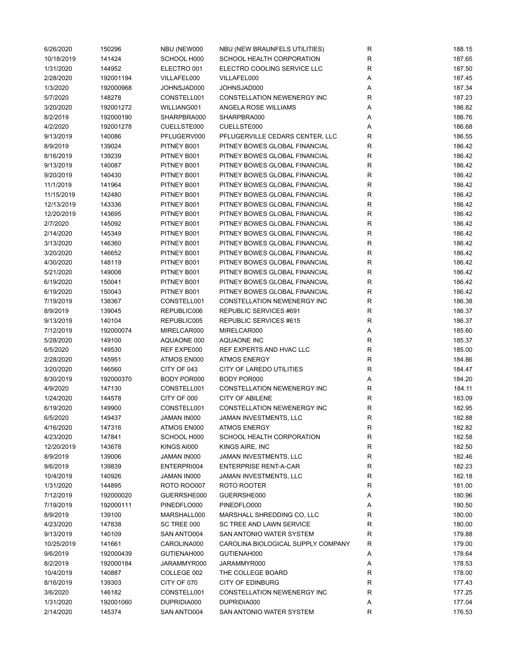| 6/26/2020  | 150296    | NBU (NEW000        | NBU (NEW BRAUNFELS UTILITIES)      | R           | 188.15 |
|------------|-----------|--------------------|------------------------------------|-------------|--------|
| 10/18/2019 | 141424    | SCHOOL H000        | SCHOOL HEALTH CORPORATION          | R           | 187.65 |
| 1/31/2020  | 144952    | ELECTRO 001        | ELECTRO COOLING SERVICE LLC        | R           | 187.50 |
| 2/28/2020  | 192001194 | VILLAFEL000        | VILLAFEL000                        | Α           | 187.45 |
| 1/3/2020   | 192000968 | JOHNSJAD000        | JOHNSJAD000                        | Α           | 187.34 |
| 5/7/2020   | 148278    | CONSTELL001        | CONSTELLATION NEWENERGY INC        | R           | 187.23 |
| 3/20/2020  | 192001272 | WILLIANG001        | ANGELA ROSE WILLIAMS               | Α           | 186.82 |
| 8/2/2019   | 192000190 | SHARPBRA000        | SHARPBRA000                        | Α           | 186.76 |
| 4/2/2020   | 192001278 | CUELLSTE000        | CUELLSTE000                        | Α           | 186.68 |
| 9/13/2019  | 140086    | PFLUGERV000        | PFLUGERVILLE CEDARS CENTER, LLC    | R           | 186.55 |
| 8/9/2019   | 139024    | PITNEY B001        | PITNEY BOWES GLOBAL FINANCIAL      | R           | 186.42 |
| 8/16/2019  | 139239    | PITNEY B001        | PITNEY BOWES GLOBAL FINANCIAL      | R           | 186.42 |
| 9/13/2019  |           | PITNEY B001        | PITNEY BOWES GLOBAL FINANCIAL      | $\mathsf R$ | 186.42 |
|            | 140087    |                    |                                    | $\mathsf R$ |        |
| 9/20/2019  | 140430    | PITNEY B001        | PITNEY BOWES GLOBAL FINANCIAL      |             | 186.42 |
| 11/1/2019  | 141964    | PITNEY B001        | PITNEY BOWES GLOBAL FINANCIAL      | R           | 186.42 |
| 11/15/2019 | 142480    | PITNEY B001        | PITNEY BOWES GLOBAL FINANCIAL      | R           | 186.42 |
| 12/13/2019 | 143336    | PITNEY B001        | PITNEY BOWES GLOBAL FINANCIAL      | R           | 186.42 |
| 12/20/2019 | 143695    | PITNEY B001        | PITNEY BOWES GLOBAL FINANCIAL      | R           | 186.42 |
| 2/7/2020   | 145092    | PITNEY B001        | PITNEY BOWES GLOBAL FINANCIAL      | R           | 186.42 |
| 2/14/2020  | 145349    | PITNEY B001        | PITNEY BOWES GLOBAL FINANCIAL      | R           | 186.42 |
| 3/13/2020  | 146360    | PITNEY B001        | PITNEY BOWES GLOBAL FINANCIAL      | R           | 186.42 |
| 3/20/2020  | 146652    | PITNEY B001        | PITNEY BOWES GLOBAL FINANCIAL      | $\mathsf R$ | 186.42 |
| 4/30/2020  | 148119    | PITNEY B001        | PITNEY BOWES GLOBAL FINANCIAL      | $\mathsf R$ | 186.42 |
| 5/21/2020  | 149008    | PITNEY B001        | PITNEY BOWES GLOBAL FINANCIAL      | $\mathsf R$ | 186.42 |
| 6/19/2020  | 150041    | PITNEY B001        | PITNEY BOWES GLOBAL FINANCIAL      | $\mathsf R$ | 186.42 |
| 6/19/2020  | 150043    | PITNEY B001        | PITNEY BOWES GLOBAL FINANCIAL      | $\mathsf R$ | 186.42 |
| 7/19/2019  | 138367    | CONSTELL001        | CONSTELLATION NEWENERGY INC        | $\mathsf R$ | 186.38 |
| 8/9/2019   | 139045    | REPUBLIC006        | REPUBLIC SERVICES #691             | R           | 186.37 |
| 9/13/2019  | 140104    | REPUBLIC005        | REPUBLIC SERVICES #615             | R           | 186.37 |
| 7/12/2019  | 192000074 | MIRELCAR000        | MIRELCAR000                        | Α           | 185.60 |
| 5/28/2020  | 149100    | AQUAONE 000        | <b>AQUAONE INC</b>                 | R           | 185.37 |
| 6/5/2020   | 149530    | REF EXPE000        | REF EXPERTS AND HVAC LLC           | R           | 185.00 |
| 2/28/2020  | 145951    | ATMOS EN000        | <b>ATMOS ENERGY</b>                | R           | 184.86 |
| 3/20/2020  | 146560    | CITY OF 043        | CITY OF LAREDO UTILITIES           | R           | 184.47 |
| 8/30/2019  | 192000370 | BODY POR000        | BODY POR000                        | Α           | 184.20 |
| 4/9/2020   | 147130    | CONSTELL001        | CONSTELLATION NEWENERGY INC        | R           | 184.11 |
|            |           |                    |                                    |             |        |
| 1/24/2020  | 144578    | CITY OF 000        | CITY OF ABILENE                    | $\mathsf R$ | 183.09 |
| 6/19/2020  | 149900    | CONSTELL001        | CONSTELLATION NEWENERGY INC        | R           | 182.95 |
| 6/5/2020   | 149437    | JAMAN IN000        | JAMAN INVESTMENTS, LLC             | R           | 182.88 |
| 4/16/2020  | 147316    | ATMOS EN000        | <b>ATMOS ENERGY</b>                | R           | 182.82 |
| 4/23/2020  | 147841    | SCHOOL H000        | SCHOOL HEALTH CORPORATION          | R           | 182.58 |
| 12/20/2019 | 143678    | KINGS AI000        | KINGS AIRE, INC                    | R           | 182.50 |
| 8/9/2019   | 139006    | JAMAN IN000        | JAMAN INVESTMENTS, LLC             | R           | 182.46 |
| 9/6/2019   | 139839    | ENTERPRI004        | <b>ENTERPRISE RENT-A-CAR</b>       | R           | 182.23 |
| 10/4/2019  | 140926    | JAMAN IN000        | JAMAN INVESTMENTS, LLC             | R           | 182.18 |
| 1/31/2020  | 144895    | <b>ROTO ROO007</b> | ROTO ROOTER                        | R           | 181.00 |
| 7/12/2019  | 192000020 | GUERRSHE000        | GUERRSHE000                        | Α           | 180.96 |
| 7/19/2019  | 192000111 | PINEDFLO000        | PINEDFLO000                        | Α           | 180.50 |
| 8/9/2019   | 139100    | MARSHALL000        | MARSHALL SHREDDING CO, LLC         | R           | 180.00 |
| 4/23/2020  | 147838    | SC TREE 000        | SC TREE AND LAWN SERVICE           | R           | 180.00 |
| 9/13/2019  | 140109    | SAN ANTO004        | SAN ANTONIO WATER SYSTEM           | R           | 179.88 |
| 10/25/2019 | 141661    | CAROLINA000        | CAROLINA BIOLOGICAL SUPPLY COMPANY | R           | 179.00 |
| 9/6/2019   | 192000439 | GUTIENAH000        | GUTIENAH000                        | Α           | 178.64 |
| 8/2/2019   | 192000184 | JARAMMYR000        | JARAMMYR000                        | Α           | 178.53 |
| 10/4/2019  | 140887    | COLLEGE 002        | THE COLLEGE BOARD                  | R           | 178.00 |
| 8/16/2019  | 139303    | CITY OF 070        | <b>CITY OF EDINBURG</b>            | R           | 177.43 |
| 3/6/2020   | 146182    | CONSTELL001        | CONSTELLATION NEWENERGY INC        | R           | 177.25 |
| 1/31/2020  | 192001060 | DUPRIDIA000        | DUPRIDIA000                        | Α           | 177.04 |
| 2/14/2020  | 145374    | SAN ANTO004        | SAN ANTONIO WATER SYSTEM           | R           | 176.53 |
|            |           |                    |                                    |             |        |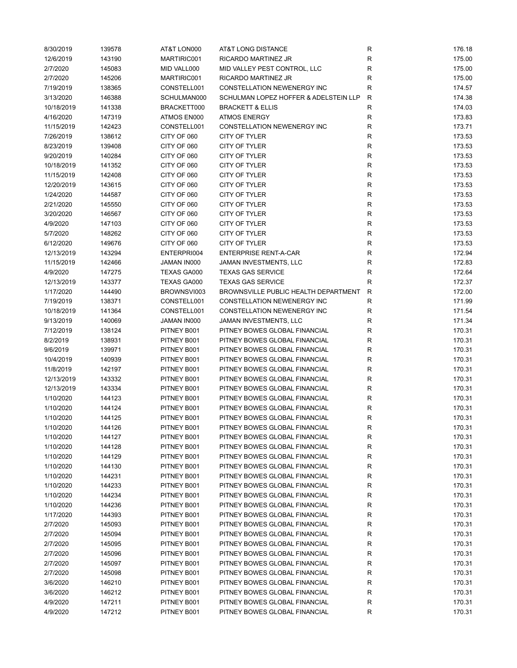| 8/30/2019  | 139578 | AT&T LON000 | AT&T LONG DISTANCE                    | R            | 176.18 |
|------------|--------|-------------|---------------------------------------|--------------|--------|
| 12/6/2019  | 143190 | MARTIRIC001 | RICARDO MARTINEZ JR                   | ${\sf R}$    | 175.00 |
| 2/7/2020   | 145083 | MID VALL000 | MID VALLEY PEST CONTROL, LLC          | ${\sf R}$    | 175.00 |
| 2/7/2020   | 145206 | MARTIRIC001 | RICARDO MARTINEZ JR                   | ${\sf R}$    | 175.00 |
| 7/19/2019  | 138365 | CONSTELL001 | CONSTELLATION NEWENERGY INC           | $\mathsf R$  | 174.57 |
| 3/13/2020  | 146388 | SCHULMAN000 | SCHULMAN LOPEZ HOFFER & ADELSTEIN LLP | R            | 174.38 |
| 10/18/2019 | 141338 | BRACKETT000 | <b>BRACKETT &amp; ELLIS</b>           | R            | 174.03 |
| 4/16/2020  | 147319 | ATMOS EN000 | <b>ATMOS ENERGY</b>                   | R            | 173.83 |
|            |        |             |                                       |              |        |
| 11/15/2019 | 142423 | CONSTELL001 | CONSTELLATION NEWENERGY INC           | R            | 173.71 |
| 7/26/2019  | 138612 | CITY OF 060 | CITY OF TYLER                         | $\mathsf R$  | 173.53 |
| 8/23/2019  | 139408 | CITY OF 060 | CITY OF TYLER                         | $\mathsf R$  | 173.53 |
| 9/20/2019  | 140284 | CITY OF 060 | CITY OF TYLER                         | ${\sf R}$    | 173.53 |
| 10/18/2019 | 141352 | CITY OF 060 | CITY OF TYLER                         | ${\sf R}$    | 173.53 |
| 11/15/2019 | 142408 | CITY OF 060 | CITY OF TYLER                         | ${\sf R}$    | 173.53 |
| 12/20/2019 | 143615 | CITY OF 060 | CITY OF TYLER                         | ${\sf R}$    | 173.53 |
| 1/24/2020  | 144587 | CITY OF 060 | CITY OF TYLER                         | ${\sf R}$    | 173.53 |
| 2/21/2020  | 145550 | CITY OF 060 | CITY OF TYLER                         | ${\sf R}$    | 173.53 |
| 3/20/2020  | 146567 | CITY OF 060 | CITY OF TYLER                         | R            | 173.53 |
| 4/9/2020   | 147103 | CITY OF 060 | <b>CITY OF TYLER</b>                  | R            | 173.53 |
| 5/7/2020   | 148262 | CITY OF 060 | CITY OF TYLER                         | ${\sf R}$    | 173.53 |
| 6/12/2020  | 149676 | CITY OF 060 | CITY OF TYLER                         | ${\sf R}$    | 173.53 |
| 12/13/2019 | 143294 | ENTERPRI004 | <b>ENTERPRISE RENT-A-CAR</b>          | ${\sf R}$    | 172.94 |
| 11/15/2019 | 142466 | JAMAN IN000 | JAMAN INVESTMENTS, LLC                | $\mathsf R$  | 172.83 |
| 4/9/2020   | 147275 | TEXAS GA000 | <b>TEXAS GAS SERVICE</b>              | $\mathsf{R}$ | 172.64 |
|            |        |             | <b>TEXAS GAS SERVICE</b>              |              |        |
| 12/13/2019 | 143377 | TEXAS GA000 |                                       | R            | 172.37 |
| 1/17/2020  | 144490 | BROWNSVI003 | BROWNSVILLE PUBLIC HEALTH DEPARTMENT  | $\mathsf{R}$ | 172.00 |
| 7/19/2019  | 138371 | CONSTELL001 | CONSTELLATION NEWENERGY INC           | R            | 171.99 |
| 10/18/2019 | 141364 | CONSTELL001 | CONSTELLATION NEWENERGY INC           | ${\sf R}$    | 171.54 |
| 9/13/2019  | 140069 | JAMAN IN000 | JAMAN INVESTMENTS, LLC                | R            | 171.34 |
| 7/12/2019  | 138124 | PITNEY B001 | PITNEY BOWES GLOBAL FINANCIAL         | R            | 170.31 |
| 8/2/2019   | 138931 | PITNEY B001 | PITNEY BOWES GLOBAL FINANCIAL         | R            | 170.31 |
| 9/6/2019   | 139971 | PITNEY B001 | PITNEY BOWES GLOBAL FINANCIAL         | R            | 170.31 |
| 10/4/2019  | 140939 | PITNEY B001 | PITNEY BOWES GLOBAL FINANCIAL         | R            | 170.31 |
| 11/8/2019  | 142197 | PITNEY B001 | PITNEY BOWES GLOBAL FINANCIAL         | R            | 170.31 |
| 12/13/2019 | 143332 | PITNEY B001 | PITNEY BOWES GLOBAL FINANCIAL         | ${\sf R}$    | 170.31 |
| 12/13/2019 | 143334 | PITNEY B001 | PITNEY BOWES GLOBAL FINANCIAL         | R            | 170.31 |
| 1/10/2020  | 144123 | PITNEY B001 | PITNEY BOWES GLOBAL FINANCIAL         | R            | 170.31 |
| 1/10/2020  | 144124 | PITNEY B001 | PITNEY BOWES GLOBAL FINANCIAL         | ${\sf R}$    | 170.31 |
| 1/10/2020  | 144125 | PITNEY B001 | PITNEY BOWES GLOBAL FINANCIAL         | $\mathsf R$  | 170.31 |
| 1/10/2020  | 144126 | PITNEY B001 | PITNEY BOWES GLOBAL FINANCIAL         | R            | 170.31 |
| 1/10/2020  | 144127 | PITNEY B001 | PITNEY BOWES GLOBAL FINANCIAL         | ${\sf R}$    | 170.31 |
| 1/10/2020  | 144128 | PITNEY B001 | PITNEY BOWES GLOBAL FINANCIAL         | R            | 170.31 |
| 1/10/2020  | 144129 | PITNEY B001 | PITNEY BOWES GLOBAL FINANCIAL         | R            | 170.31 |
| 1/10/2020  |        | PITNEY B001 | PITNEY BOWES GLOBAL FINANCIAL         |              | 170.31 |
|            | 144130 |             | PITNEY BOWES GLOBAL FINANCIAL         | R            |        |
| 1/10/2020  | 144231 | PITNEY B001 |                                       | R            | 170.31 |
| 1/10/2020  | 144233 | PITNEY B001 | PITNEY BOWES GLOBAL FINANCIAL         | R            | 170.31 |
| 1/10/2020  | 144234 | PITNEY B001 | PITNEY BOWES GLOBAL FINANCIAL         | R            | 170.31 |
| 1/10/2020  | 144236 | PITNEY B001 | PITNEY BOWES GLOBAL FINANCIAL         | R            | 170.31 |
| 1/17/2020  | 144393 | PITNEY B001 | PITNEY BOWES GLOBAL FINANCIAL         | R            | 170.31 |
| 2/7/2020   | 145093 | PITNEY B001 | PITNEY BOWES GLOBAL FINANCIAL         | R            | 170.31 |
| 2/7/2020   | 145094 | PITNEY B001 | PITNEY BOWES GLOBAL FINANCIAL         | R            | 170.31 |
| 2/7/2020   | 145095 | PITNEY B001 | PITNEY BOWES GLOBAL FINANCIAL         | R            | 170.31 |
| 2/7/2020   | 145096 | PITNEY B001 | PITNEY BOWES GLOBAL FINANCIAL         | R            | 170.31 |
| 2/7/2020   | 145097 | PITNEY B001 | PITNEY BOWES GLOBAL FINANCIAL         | R            | 170.31 |
| 2/7/2020   | 145098 | PITNEY B001 | PITNEY BOWES GLOBAL FINANCIAL         | R            | 170.31 |
| 3/6/2020   | 146210 | PITNEY B001 | PITNEY BOWES GLOBAL FINANCIAL         | R            | 170.31 |
| 3/6/2020   | 146212 | PITNEY B001 | PITNEY BOWES GLOBAL FINANCIAL         | R            | 170.31 |
| 4/9/2020   | 147211 | PITNEY B001 | PITNEY BOWES GLOBAL FINANCIAL         | R            | 170.31 |
| 4/9/2020   | 147212 | PITNEY B001 | PITNEY BOWES GLOBAL FINANCIAL         | R            | 170.31 |
|            |        |             |                                       |              |        |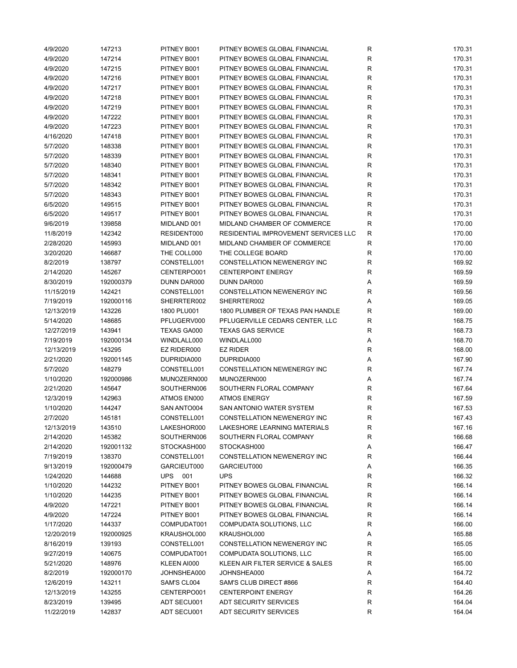| 4/9/2020   | 147213    | PITNEY B001 | PITNEY BOWES GLOBAL FINANCIAL        | R           | 170.31 |
|------------|-----------|-------------|--------------------------------------|-------------|--------|
| 4/9/2020   | 147214    | PITNEY B001 | PITNEY BOWES GLOBAL FINANCIAL        | R           | 170.31 |
| 4/9/2020   | 147215    | PITNEY B001 | PITNEY BOWES GLOBAL FINANCIAL        | R           | 170.31 |
| 4/9/2020   | 147216    | PITNEY B001 | PITNEY BOWES GLOBAL FINANCIAL        | R           | 170.31 |
| 4/9/2020   | 147217    | PITNEY B001 | PITNEY BOWES GLOBAL FINANCIAL        | R           | 170.31 |
| 4/9/2020   | 147218    | PITNEY B001 | PITNEY BOWES GLOBAL FINANCIAL        | R           | 170.31 |
| 4/9/2020   | 147219    | PITNEY B001 | PITNEY BOWES GLOBAL FINANCIAL        | R           | 170.31 |
| 4/9/2020   | 147222    | PITNEY B001 | PITNEY BOWES GLOBAL FINANCIAL        | R           | 170.31 |
| 4/9/2020   | 147223    | PITNEY B001 | PITNEY BOWES GLOBAL FINANCIAL        | R           | 170.31 |
| 4/16/2020  | 147418    | PITNEY B001 | PITNEY BOWES GLOBAL FINANCIAL        | R           | 170.31 |
| 5/7/2020   |           | PITNEY B001 | PITNEY BOWES GLOBAL FINANCIAL        | R           | 170.31 |
|            | 148338    |             |                                      |             |        |
| 5/7/2020   | 148339    | PITNEY B001 | PITNEY BOWES GLOBAL FINANCIAL        | R           | 170.31 |
| 5/7/2020   | 148340    | PITNEY B001 | PITNEY BOWES GLOBAL FINANCIAL        | R           | 170.31 |
| 5/7/2020   | 148341    | PITNEY B001 | PITNEY BOWES GLOBAL FINANCIAL        | R           | 170.31 |
| 5/7/2020   | 148342    | PITNEY B001 | PITNEY BOWES GLOBAL FINANCIAL        | R           | 170.31 |
| 5/7/2020   | 148343    | PITNEY B001 | PITNEY BOWES GLOBAL FINANCIAL        | R           | 170.31 |
| 6/5/2020   | 149515    | PITNEY B001 | PITNEY BOWES GLOBAL FINANCIAL        | R           | 170.31 |
| 6/5/2020   | 149517    | PITNEY B001 | PITNEY BOWES GLOBAL FINANCIAL        | R           | 170.31 |
| 9/6/2019   | 139858    | MIDLAND 001 | MIDLAND CHAMBER OF COMMERCE          | R           | 170.00 |
| 11/8/2019  | 142342    | RESIDENT000 | RESIDENTIAL IMPROVEMENT SERVICES LLC | R           | 170.00 |
| 2/28/2020  | 145993    | MIDLAND 001 | MIDLAND CHAMBER OF COMMERCE          | $\mathsf R$ | 170.00 |
| 3/20/2020  | 146687    | THE COLL000 | THE COLLEGE BOARD                    | $\mathsf R$ | 170.00 |
| 8/2/2019   | 138797    | CONSTELL001 | CONSTELLATION NEWENERGY INC          | R           | 169.92 |
| 2/14/2020  | 145267    | CENTERPO001 | <b>CENTERPOINT ENERGY</b>            | R           | 169.59 |
| 8/30/2019  | 192000379 | DUNN DAR000 | DUNN DAR000                          | Α           | 169.59 |
| 11/15/2019 | 142421    | CONSTELL001 | CONSTELLATION NEWENERGY INC          | R           | 169.56 |
| 7/19/2019  | 192000116 | SHERRTER002 | SHERRTER002                          | Α           | 169.05 |
| 12/13/2019 | 143226    | 1800 PLU001 | 1800 PLUMBER OF TEXAS PAN HANDLE     | R           | 169.00 |
| 5/14/2020  | 148685    | PFLUGERV000 | PFLUGERVILLE CEDARS CENTER, LLC      | R           | 168.75 |
| 12/27/2019 | 143941    | TEXAS GA000 | <b>TEXAS GAS SERVICE</b>             | R           | 168.73 |
| 7/19/2019  | 192000134 | WINDLALL000 | WINDLALL000                          | Α           | 168.70 |
|            | 143295    | EZ RIDER000 | <b>EZ RIDER</b>                      |             |        |
| 12/13/2019 |           |             |                                      | R           | 168.00 |
| 2/21/2020  | 192001145 | DUPRIDIA000 | DUPRIDIA000                          | Α           | 167.90 |
| 5/7/2020   | 148279    | CONSTELL001 | CONSTELLATION NEWENERGY INC          | R           | 167.74 |
| 1/10/2020  | 192000986 | MUNOZERN000 | MUNOZERN000                          | Α           | 167.74 |
| 2/21/2020  | 145647    | SOUTHERN006 | SOUTHERN FLORAL COMPANY              | R           | 167.64 |
| 12/3/2019  | 142963    | ATMOS EN000 | <b>ATMOS ENERGY</b>                  | R           | 167.59 |
| 1/10/2020  | 144247    | SAN ANTO004 | SAN ANTONIO WATER SYSTEM             | R           | 167.53 |
| 2/7/2020   | 145181    | CONSTELL001 | CONSTELLATION NEWENERGY INC          | R           | 167.43 |
| 12/13/2019 | 143510    | LAKESHOR000 | LAKESHORE LEARNING MATERIALS         | R           | 167.16 |
| 2/14/2020  | 145382    | SOUTHERN006 | SOUTHERN FLORAL COMPANY              | R           | 166.68 |
| 2/14/2020  | 192001132 | STOCKASH000 | STOCKASH000                          | Α           | 166.47 |
| 7/19/2019  | 138370    | CONSTELL001 | CONSTELLATION NEWENERGY INC          | R           | 166.44 |
| 9/13/2019  | 192000479 | GARCIEUT000 | GARCIEUT000                          | Α           | 166.35 |
| 1/24/2020  | 144688    | UPS 001     | <b>UPS</b>                           | R           | 166.32 |
| 1/10/2020  | 144232    | PITNEY B001 | PITNEY BOWES GLOBAL FINANCIAL        | R           | 166.14 |
| 1/10/2020  | 144235    | PITNEY B001 | PITNEY BOWES GLOBAL FINANCIAL        | R           | 166.14 |
| 4/9/2020   | 147221    | PITNEY B001 | PITNEY BOWES GLOBAL FINANCIAL        | R           | 166.14 |
| 4/9/2020   | 147224    | PITNEY B001 | PITNEY BOWES GLOBAL FINANCIAL        | R           | 166.14 |
| 1/17/2020  | 144337    | COMPUDAT001 | COMPUDATA SOLUTIONS, LLC             | R           | 166.00 |
| 12/20/2019 | 192000925 | KRAUSHOL000 | KRAUSHOL000                          | Α           | 165.88 |
| 8/16/2019  | 139193    | CONSTELL001 | CONSTELLATION NEWENERGY INC          | R           | 165.05 |
| 9/27/2019  | 140675    | COMPUDAT001 | COMPUDATA SOLUTIONS, LLC             | R           | 165.00 |
| 5/21/2020  | 148976    | KLEEN AI000 | KLEEN AIR FILTER SERVICE & SALES     | R           | 165.00 |
| 8/2/2019   | 192000170 | JOHNSHEA000 | JOHNSHEA000                          |             | 164.72 |
|            |           |             |                                      | Α           |        |
| 12/6/2019  | 143211    | SAM'S CL004 | SAM'S CLUB DIRECT #866               | R           | 164.40 |
| 12/13/2019 | 143255    | CENTERPO001 | <b>CENTERPOINT ENERGY</b>            | R           | 164.26 |
| 8/23/2019  | 139495    | ADT SECU001 | <b>ADT SECURITY SERVICES</b>         | R           | 164.04 |
| 11/22/2019 | 142837    | ADT SECU001 | <b>ADT SECURITY SERVICES</b>         | R           | 164.04 |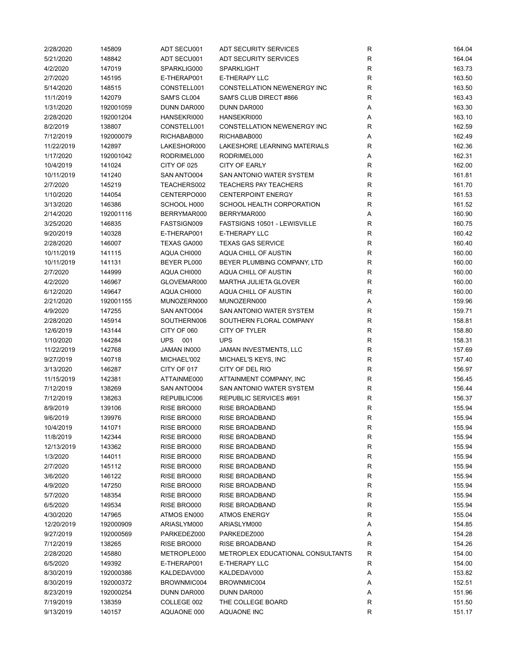| 2/28/2020  | 145809    | ADT SECU001 | <b>ADT SECURITY SERVICES</b>      | R            | 164.04 |
|------------|-----------|-------------|-----------------------------------|--------------|--------|
| 5/21/2020  | 148842    | ADT SECU001 | <b>ADT SECURITY SERVICES</b>      | $\mathsf{R}$ | 164.04 |
| 4/2/2020   | 147019    | SPARKLIG000 | <b>SPARKLIGHT</b>                 | $\mathsf{R}$ | 163.73 |
| 2/7/2020   | 145195    | E-THERAP001 | E-THERAPY LLC                     | ${\sf R}$    | 163.50 |
| 5/14/2020  | 148515    | CONSTELL001 | CONSTELLATION NEWENERGY INC       | $\mathsf{R}$ | 163.50 |
| 11/1/2019  | 142079    | SAM'S CL004 | SAM'S CLUB DIRECT #866            | $\mathsf{R}$ | 163.43 |
| 1/31/2020  | 192001059 | DUNN DAR000 | DUNN DAR000                       | Α            | 163.30 |
| 2/28/2020  | 192001204 | HANSEKRI000 | HANSEKRI000                       | Α            | 163.10 |
| 8/2/2019   | 138807    | CONSTELL001 | CONSTELLATION NEWENERGY INC       | R            | 162.59 |
| 7/12/2019  | 192000079 | RICHABAB000 | RICHABAB000                       | Α            | 162.49 |
| 11/22/2019 | 142897    | LAKESHOR000 | LAKESHORE LEARNING MATERIALS      | $\mathsf{R}$ | 162.36 |
| 1/17/2020  | 192001042 | RODRIMEL000 | RODRIMEL000                       | Α            | 162.31 |
|            |           |             |                                   | $\mathsf{R}$ |        |
| 10/4/2019  | 141024    | CITY OF 025 | <b>CITY OF EARLY</b>              |              | 162.00 |
| 10/11/2019 | 141240    | SAN ANTO004 | SAN ANTONIO WATER SYSTEM          | $\mathsf{R}$ | 161.81 |
| 2/7/2020   | 145219    | TEACHERS002 | <b>TEACHERS PAY TEACHERS</b>      | $\mathsf{R}$ | 161.70 |
| 1/10/2020  | 144054    | CENTERPO000 | <b>CENTERPOINT ENERGY</b>         | $\mathsf{R}$ | 161.53 |
| 3/13/2020  | 146386    | SCHOOL H000 | SCHOOL HEALTH CORPORATION         | $\mathsf{R}$ | 161.52 |
| 2/14/2020  | 192001116 | BERRYMAR000 | BERRYMAR000                       | Α            | 160.90 |
| 3/25/2020  | 146835    | FASTSIGN009 | FASTSIGNS 10501 - LEWISVILLE      | R            | 160.75 |
| 9/20/2019  | 140328    | E-THERAP001 | E-THERAPY LLC                     | $\mathsf{R}$ | 160.42 |
| 2/28/2020  | 146007    | TEXAS GA000 | <b>TEXAS GAS SERVICE</b>          | $\mathsf{R}$ | 160.40 |
| 10/11/2019 | 141115    | AQUA CHI000 | AQUA CHILL OF AUSTIN              | $\mathsf{R}$ | 160.00 |
| 10/11/2019 | 141131    | BEYER PL000 | BEYER PLUMBING COMPANY, LTD       | $\mathsf{R}$ | 160.00 |
| 2/7/2020   | 144999    | AQUA CHI000 | AQUA CHILL OF AUSTIN              | $\mathsf{R}$ | 160.00 |
| 4/2/2020   | 146967    | GLOVEMAR000 | <b>MARTHA JULIETA GLOVER</b>      | $\mathsf{R}$ | 160.00 |
| 6/12/2020  | 149647    | AQUA CHI000 | AQUA CHILL OF AUSTIN              | $\mathsf{R}$ | 160.00 |
| 2/21/2020  | 192001155 | MUNOZERN000 | MUNOZERN000                       | Α            | 159.96 |
| 4/9/2020   | 147255    | SAN ANTO004 | SAN ANTONIO WATER SYSTEM          | $\mathsf{R}$ | 159.71 |
| 2/28/2020  | 145914    | SOUTHERN006 | SOUTHERN FLORAL COMPANY           | $\mathsf{R}$ | 158.81 |
| 12/6/2019  | 143144    | CITY OF 060 | CITY OF TYLER                     | $\mathsf{R}$ | 158.80 |
| 1/10/2020  | 144284    | UPS<br>001  | <b>UPS</b>                        | $\mathsf{R}$ | 158.31 |
| 11/22/2019 | 142768    | JAMAN IN000 | JAMAN INVESTMENTS, LLC            | $\mathsf{R}$ | 157.69 |
| 9/27/2019  | 140718    | MICHAEL'002 | MICHAEL'S KEYS, INC               | $\mathsf{R}$ | 157.40 |
| 3/13/2020  | 146287    | CITY OF 017 | CITY OF DEL RIO                   | $\mathsf{R}$ | 156.97 |
| 11/15/2019 | 142381    | ATTAINME000 | ATTAINMENT COMPANY, INC           | $\mathsf{R}$ | 156.45 |
| 7/12/2019  | 138269    | SAN ANTO004 | SAN ANTONIO WATER SYSTEM          | $\mathsf{R}$ | 156.44 |
| 7/12/2019  |           |             |                                   |              |        |
|            | 138263    | REPUBLIC006 | REPUBLIC SERVICES #691            | $\mathsf{R}$ | 156.37 |
| 8/9/2019   | 139106    | RISE BRO000 | <b>RISE BROADBAND</b>             | $\mathsf{R}$ | 155.94 |
| 9/6/2019   | 139976    | RISE BRO000 | <b>RISE BROADBAND</b>             | R            | 155.94 |
| 10/4/2019  | 141071    | RISE BRO000 | <b>RISE BROADBAND</b>             | R            | 155.94 |
| 11/8/2019  | 142344    | RISE BRO000 | <b>RISE BROADBAND</b>             | $\mathsf{R}$ | 155.94 |
| 12/13/2019 | 143362    | RISE BRO000 | RISE BROADBAND                    | R            | 155.94 |
| 1/3/2020   | 144011    | RISE BRO000 | RISE BROADBAND                    | R            | 155.94 |
| 2/7/2020   | 145112    | RISE BRO000 | RISE BROADBAND                    | R            | 155.94 |
| 3/6/2020   | 146122    | RISE BRO000 | <b>RISE BROADBAND</b>             | R            | 155.94 |
| 4/9/2020   | 147250    | RISE BRO000 | <b>RISE BROADBAND</b>             | $\mathsf{R}$ | 155.94 |
| 5/7/2020   | 148354    | RISE BRO000 | <b>RISE BROADBAND</b>             | $\mathsf{R}$ | 155.94 |
| 6/5/2020   | 149534    | RISE BRO000 | RISE BROADBAND                    | $\mathsf{R}$ | 155.94 |
| 4/30/2020  | 147965    | ATMOS EN000 | <b>ATMOS ENERGY</b>               | R            | 155.04 |
| 12/20/2019 | 192000909 | ARIASLYM000 | ARIASLYM000                       | Α            | 154.85 |
| 9/27/2019  | 192000569 | PARKEDEZ000 | PARKEDEZ000                       | Α            | 154.28 |
| 7/12/2019  | 138265    | RISE BRO000 | <b>RISE BROADBAND</b>             | R            | 154.26 |
| 2/28/2020  | 145880    | METROPLE000 | METROPLEX EDUCATIONAL CONSULTANTS | R            | 154.00 |
| 6/5/2020   | 149392    | E-THERAP001 | E-THERAPY LLC                     | R            | 154.00 |
| 8/30/2019  | 192000386 | KALDEDAV000 | KALDEDAV000                       | Α            | 153.82 |
| 8/30/2019  | 192000372 | BROWNMIC004 | BROWNMIC004                       | Α            | 152.51 |
| 8/23/2019  | 192000254 | DUNN DAR000 | DUNN DAR000                       | Α            | 151.96 |
| 7/19/2019  | 138359    | COLLEGE 002 | THE COLLEGE BOARD                 | R            | 151.50 |
| 9/13/2019  | 140157    | AQUAONE 000 | AQUAONE INC                       | $\mathsf{R}$ | 151.17 |
|            |           |             |                                   |              |        |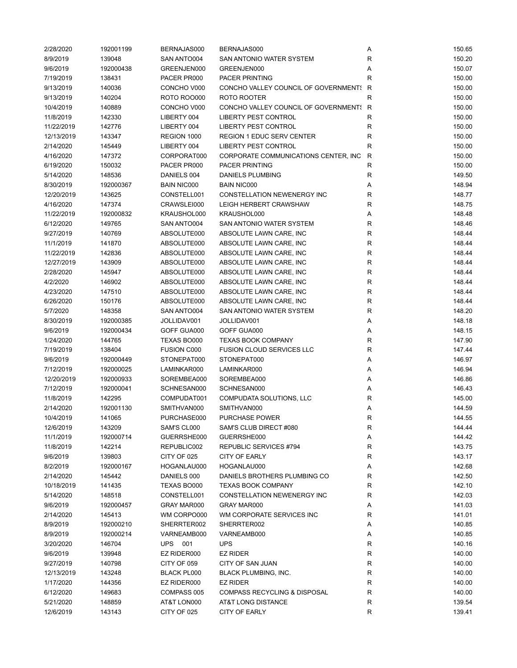| 2/28/2020               | 192001199 | BERNAJAS000        | BERNAJAS000                             | Α            | 150.65 |
|-------------------------|-----------|--------------------|-----------------------------------------|--------------|--------|
| 8/9/2019                | 139048    | SAN ANTO004        | SAN ANTONIO WATER SYSTEM                | $\mathsf{R}$ | 150.20 |
| 9/6/2019                | 192000438 | GREENJEN000        | GREENJEN000                             | Α            | 150.07 |
| 7/19/2019               | 138431    | PACER PR000        | <b>PACER PRINTING</b>                   | $\mathsf{R}$ | 150.00 |
| 9/13/2019               | 140036    | CONCHO V000        | CONCHO VALLEY COUNCIL OF GOVERNMENT! R  |              | 150.00 |
| 9/13/2019               | 140204    | <b>ROTO ROO000</b> | ROTO ROOTER                             | R            | 150.00 |
| 10/4/2019               | 140889    | CONCHO V000        | CONCHO VALLEY COUNCIL OF GOVERNMENT! R  |              | 150.00 |
| 11/8/2019               | 142330    | LIBERTY 004        | <b>LIBERTY PEST CONTROL</b>             | R            | 150.00 |
| 11/22/2019              | 142776    | LIBERTY 004        | <b>LIBERTY PEST CONTROL</b>             | R            | 150.00 |
|                         | 143347    | REGION 1000        | <b>REGION 1 EDUC SERV CENTER</b>        | $\mathsf{R}$ | 150.00 |
| 12/13/2019<br>2/14/2020 | 145449    | LIBERTY 004        | <b>LIBERTY PEST CONTROL</b>             | R            | 150.00 |
|                         |           |                    |                                         |              |        |
| 4/16/2020               | 147372    | CORPORAT000        | CORPORATE COMMUNICATIONS CENTER, INC R  |              | 150.00 |
| 6/19/2020               | 150032    | PACER PR000        | <b>PACER PRINTING</b>                   | $\mathsf{R}$ | 150.00 |
| 5/14/2020               | 148536    | DANIELS 004        | DANIELS PLUMBING                        | $\mathsf{R}$ | 149.50 |
| 8/30/2019               | 192000367 | <b>BAIN NIC000</b> | <b>BAIN NIC000</b>                      | Α            | 148.94 |
| 12/20/2019              | 143625    | CONSTELL001        | CONSTELLATION NEWENERGY INC             | $\mathsf{R}$ | 148.77 |
| 4/16/2020               | 147374    | CRAWSLEI000        | LEIGH HERBERT CRAWSHAW                  | R            | 148.75 |
| 11/22/2019              | 192000832 | KRAUSHOL000        | KRAUSHOL000                             | Α            | 148.48 |
| 6/12/2020               | 149765    | SAN ANTO004        | SAN ANTONIO WATER SYSTEM                | R            | 148.46 |
| 9/27/2019               | 140769    | ABSOLUTE000        | ABSOLUTE LAWN CARE, INC                 | $\mathsf{R}$ | 148.44 |
| 11/1/2019               | 141870    | ABSOLUTE000        | ABSOLUTE LAWN CARE, INC                 | $\mathsf{R}$ | 148.44 |
| 11/22/2019              | 142836    | ABSOLUTE000        | ABSOLUTE LAWN CARE, INC                 | $\mathsf{R}$ | 148.44 |
| 12/27/2019              | 143909    | ABSOLUTE000        | ABSOLUTE LAWN CARE, INC                 | $\mathsf{R}$ | 148.44 |
| 2/28/2020               | 145947    | ABSOLUTE000        | ABSOLUTE LAWN CARE, INC                 | $\mathsf{R}$ | 148.44 |
| 4/2/2020                | 146902    | ABSOLUTE000        | ABSOLUTE LAWN CARE, INC                 | $\mathsf{R}$ | 148.44 |
| 4/23/2020               | 147510    | ABSOLUTE000        | ABSOLUTE LAWN CARE, INC                 | $\mathsf{R}$ | 148.44 |
| 6/26/2020               | 150176    | ABSOLUTE000        | ABSOLUTE LAWN CARE, INC                 | $\mathsf{R}$ | 148.44 |
| 5/7/2020                | 148358    | SAN ANTO004        | SAN ANTONIO WATER SYSTEM                | $\mathsf{R}$ | 148.20 |
| 8/30/2019               | 192000385 | JOLLIDAV001        | JOLLIDAV001                             | Α            | 148.18 |
| 9/6/2019                | 192000434 | GOFF GUA000        | GOFF GUA000                             | Α            | 148.15 |
| 1/24/2020               | 144765    | TEXAS BO000        | <b>TEXAS BOOK COMPANY</b>               | $\mathsf{R}$ | 147.90 |
| 7/19/2019               | 138404    | <b>FUSION C000</b> | <b>FUSION CLOUD SERVICES LLC</b>        | $\mathsf{R}$ | 147.44 |
|                         |           |                    |                                         | Α            |        |
| 9/6/2019                | 192000449 | STONEPAT000        | STONEPAT000                             |              | 146.97 |
| 7/12/2019               | 192000025 | LAMINKAR000        | LAMINKAR000                             | Α            | 146.94 |
| 12/20/2019              | 192000933 | SOREMBEA000        | SOREMBEA000                             | Α            | 146.86 |
| 7/12/2019               | 192000041 | SCHNESAN000        | SCHNESAN000                             | Α            | 146.43 |
| 11/8/2019               | 142295    | COMPUDAT001        | COMPUDATA SOLUTIONS, LLC                | $\mathsf{R}$ | 145.00 |
| 2/14/2020               | 192001130 | SMITHVAN000        | SMITHVAN000                             | Α            | 144.59 |
| 10/4/2019               | 141065    | PURCHASE000        | <b>PURCHASE POWER</b>                   | R            | 144.55 |
| 12/6/2019               | 143209    | SAM'S CL000        | SAM'S CLUB DIRECT #080                  | R            | 144.44 |
| 11/1/2019               | 192000714 | GUERRSHE000        | GUERRSHE000                             | Α            | 144.42 |
| 11/8/2019               | 142214    | REPUBLIC002        | REPUBLIC SERVICES #794                  | R            | 143.75 |
| 9/6/2019                | 139803    | CITY OF 025        | CITY OF EARLY                           | R            | 143.17 |
| 8/2/2019                | 192000167 | HOGANLAU000        | HOGANLAU000                             | Α            | 142.68 |
| 2/14/2020               | 145442    | DANIELS 000        | DANIELS BROTHERS PLUMBING CO            | R            | 142.50 |
| 10/18/2019              | 141435    | TEXAS BO000        | <b>TEXAS BOOK COMPANY</b>               | $\mathsf{R}$ | 142.10 |
| 5/14/2020               | 148518    | CONSTELL001        | CONSTELLATION NEWENERGY INC             | $\mathsf{R}$ | 142.03 |
| 9/6/2019                | 192000457 | GRAY MAR000        | GRAY MAR000                             | Α            | 141.03 |
| 2/14/2020               | 145413    | WM CORPO000        | WM CORPORATE SERVICES INC               | $\mathsf{R}$ | 141.01 |
| 8/9/2019                | 192000210 | SHERRTER002        | SHERRTER002                             | Α            | 140.85 |
| 8/9/2019                | 192000214 | VARNEAMB000        | VARNEAMB000                             | Α            | 140.85 |
| 3/20/2020               | 146704    | UPS<br>001         | <b>UPS</b>                              | $\mathsf{R}$ | 140.16 |
| 9/6/2019                | 139948    | EZ RIDER000        | <b>EZ RIDER</b>                         | R            | 140.00 |
| 9/27/2019               | 140798    | CITY OF 059        | CITY OF SAN JUAN                        | R            | 140.00 |
| 12/13/2019              | 143248    | BLACK PL000        | <b>BLACK PLUMBING, INC.</b>             | R            | 140.00 |
| 1/17/2020               | 144356    | EZ RIDER000        | <b>EZ RIDER</b>                         | R            | 140.00 |
|                         |           |                    | <b>COMPASS RECYCLING &amp; DISPOSAL</b> | $\mathsf{R}$ |        |
| 6/12/2020               | 149683    | COMPASS 005        |                                         |              | 140.00 |
| 5/21/2020               | 148859    | AT&T LON000        | AT&T LONG DISTANCE                      | $\mathsf{R}$ | 139.54 |
| 12/6/2019               | 143143    | CITY OF 025        | <b>CITY OF EARLY</b>                    | R            | 139.41 |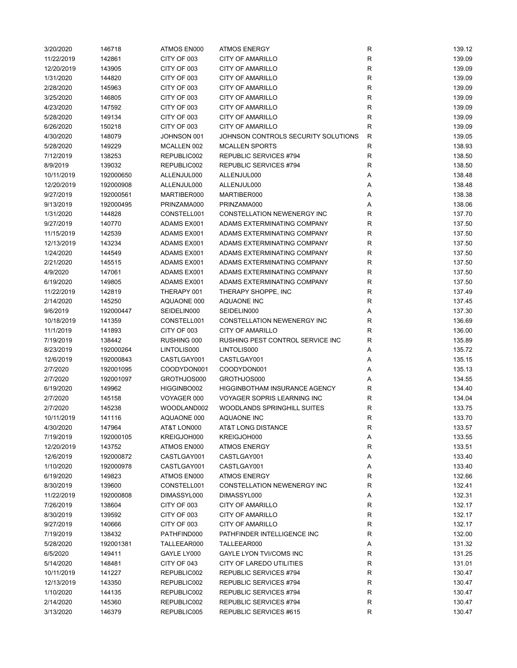| 3/20/2020  | 146718    | ATMOS EN000 | <b>ATMOS ENERGY</b>                  | R            | 139.12 |
|------------|-----------|-------------|--------------------------------------|--------------|--------|
| 11/22/2019 | 142861    | CITY OF 003 | <b>CITY OF AMARILLO</b>              | R            | 139.09 |
| 12/20/2019 | 143905    | CITY OF 003 | CITY OF AMARILLO                     | R            | 139.09 |
| 1/31/2020  | 144820    | CITY OF 003 | CITY OF AMARILLO                     | R            | 139.09 |
| 2/28/2020  | 145963    | CITY OF 003 | CITY OF AMARILLO                     | $\mathsf R$  | 139.09 |
| 3/25/2020  | 146805    | CITY OF 003 | <b>CITY OF AMARILLO</b>              | R            | 139.09 |
| 4/23/2020  | 147592    | CITY OF 003 | <b>CITY OF AMARILLO</b>              | R            | 139.09 |
| 5/28/2020  | 149134    | CITY OF 003 | CITY OF AMARILLO                     | $\mathsf R$  | 139.09 |
| 6/26/2020  | 150218    | CITY OF 003 | <b>CITY OF AMARILLO</b>              | R            | 139.09 |
| 4/30/2020  | 148079    | JOHNSON 001 | JOHNSON CONTROLS SECURITY SOLUTIONS  | $\mathsf{R}$ | 139.05 |
|            |           |             | <b>MCALLEN SPORTS</b>                |              |        |
| 5/28/2020  | 149229    | MCALLEN 002 |                                      | R            | 138.93 |
| 7/12/2019  | 138253    | REPUBLIC002 | REPUBLIC SERVICES #794               | R            | 138.50 |
| 8/9/2019   | 139032    | REPUBLIC002 | REPUBLIC SERVICES #794               | R            | 138.50 |
| 10/11/2019 | 192000650 | ALLENJUL000 | ALLENJUL000                          | Α            | 138.48 |
| 12/20/2019 | 192000908 | ALLENJUL000 | ALLENJUL000                          | Α            | 138.48 |
| 9/27/2019  | 192000561 | MARTIBER000 | MARTIBER000                          | Α            | 138.38 |
| 9/13/2019  | 192000495 | PRINZAMA000 | PRINZAMA000                          | Α            | 138.06 |
| 1/31/2020  | 144828    | CONSTELL001 | CONSTELLATION NEWENERGY INC          | R            | 137.70 |
| 9/27/2019  | 140770    | ADAMS EX001 | ADAMS EXTERMINATING COMPANY          | R            | 137.50 |
| 11/15/2019 | 142539    | ADAMS EX001 | ADAMS EXTERMINATING COMPANY          | R            | 137.50 |
| 12/13/2019 | 143234    | ADAMS EX001 | ADAMS EXTERMINATING COMPANY          | R            | 137.50 |
| 1/24/2020  | 144549    | ADAMS EX001 | ADAMS EXTERMINATING COMPANY          | R            | 137.50 |
| 2/21/2020  | 145515    | ADAMS EX001 | ADAMS EXTERMINATING COMPANY          | R            | 137.50 |
| 4/9/2020   | 147061    | ADAMS EX001 | ADAMS EXTERMINATING COMPANY          | R            | 137.50 |
| 6/19/2020  | 149805    | ADAMS EX001 | ADAMS EXTERMINATING COMPANY          | R            | 137.50 |
| 11/22/2019 | 142819    | THERAPY 001 | THERAPY SHOPPE, INC                  | R            | 137.49 |
| 2/14/2020  | 145250    | AQUAONE 000 | AQUAONE INC                          | R            | 137.45 |
| 9/6/2019   | 192000447 | SEIDELIN000 | SEIDELIN000                          | Α            | 137.30 |
| 10/18/2019 | 141359    | CONSTELL001 | CONSTELLATION NEWENERGY INC          | R            | 136.69 |
| 11/1/2019  | 141893    | CITY OF 003 | CITY OF AMARILLO                     | R            | 136.00 |
| 7/19/2019  | 138442    | RUSHING 000 | RUSHING PEST CONTROL SERVICE INC     | R            | 135.89 |
|            |           |             |                                      |              |        |
| 8/23/2019  | 192000264 | LINTOLIS000 | LINTOLIS000                          | Α            | 135.72 |
| 12/6/2019  | 192000843 | CASTLGAY001 | CASTLGAY001                          | Α            | 135.15 |
| 2/7/2020   | 192001095 | COODYDON001 | COODYDON001                          | Α            | 135.13 |
| 2/7/2020   | 192001097 | GROTHJOS000 | GROTHJOS000                          | Α            | 134.55 |
| 6/19/2020  | 149962    | HIGGINBO002 | <b>HIGGINBOTHAM INSURANCE AGENCY</b> | R            | 134.40 |
| 2/7/2020   | 145158    | VOYAGER 000 | <b>VOYAGER SOPRIS LEARNING INC</b>   | $\mathsf R$  | 134.04 |
| 2/7/2020   | 145238    | WOODLAND002 | <b>WOODLANDS SPRINGHILL SUITES</b>   | $\mathsf R$  | 133.75 |
| 10/11/2019 | 141116    | AQUAONE 000 | AQUAONE INC                          | R            | 133.70 |
| 4/30/2020  | 147964    | AT&T LON000 | AT&T LONG DISTANCE                   | R            | 133.57 |
| 7/19/2019  | 192000105 | KREIGJOH000 | KREIGJOH000                          | Α            | 133.55 |
| 12/20/2019 | 143752    | ATMOS EN000 | <b>ATMOS ENERGY</b>                  | R            | 133.51 |
| 12/6/2019  | 192000872 | CASTLGAY001 | CASTLGAY001                          | Α            | 133.40 |
| 1/10/2020  | 192000978 | CASTLGAY001 | CASTLGAY001                          | Α            | 133.40 |
| 6/19/2020  | 149823    | ATMOS EN000 | <b>ATMOS ENERGY</b>                  | R            | 132.66 |
| 8/30/2019  | 139600    | CONSTELL001 | CONSTELLATION NEWENERGY INC          | R            | 132.41 |
| 11/22/2019 | 192000808 | DIMASSYL000 | DIMASSYL000                          | Α            | 132.31 |
| 7/26/2019  | 138604    | CITY OF 003 | CITY OF AMARILLO                     | R            | 132.17 |
| 8/30/2019  | 139592    | CITY OF 003 | <b>CITY OF AMARILLO</b>              | R            | 132.17 |
| 9/27/2019  | 140666    | CITY OF 003 | <b>CITY OF AMARILLO</b>              | ${\sf R}$    | 132.17 |
| 7/19/2019  | 138432    | PATHFIND000 | PATHFINDER INTELLIGENCE INC          | R            | 132.00 |
| 5/28/2020  | 192001381 | TALLEEAR000 | TALLEEAR000                          | Α            | 131.32 |
| 6/5/2020   | 149411    | GAYLE LY000 | <b>GAYLE LYON TVI/COMS INC</b>       | R            | 131.25 |
| 5/14/2020  | 148481    | CITY OF 043 | CITY OF LAREDO UTILITIES             | R            | 131.01 |
| 10/11/2019 | 141227    | REPUBLIC002 | REPUBLIC SERVICES #794               | R            | 130.47 |
|            |           |             |                                      |              |        |
| 12/13/2019 | 143350    | REPUBLIC002 | REPUBLIC SERVICES #794               | R            | 130.47 |
| 1/10/2020  | 144135    | REPUBLIC002 | REPUBLIC SERVICES #794               | R            | 130.47 |
| 2/14/2020  | 145360    | REPUBLIC002 | REPUBLIC SERVICES #794               | $\mathsf R$  | 130.47 |
| 3/13/2020  | 146379    | REPUBLIC005 | REPUBLIC SERVICES #615               | R            | 130.47 |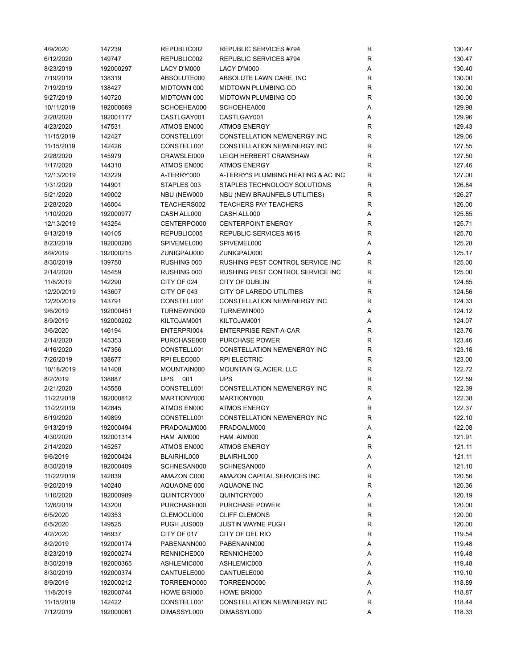| 4/9/2020   | 147239    | REPUBLIC002 | REPUBLIC SERVICES #794              | R                 | 130.47 |
|------------|-----------|-------------|-------------------------------------|-------------------|--------|
| 6/12/2020  | 149747    | REPUBLIC002 | REPUBLIC SERVICES #794              | $\mathsf{R}$      | 130.47 |
| 8/23/2019  | 192000297 | LACY D'M000 | LACY D'M000                         | Α                 | 130.40 |
| 7/19/2019  | 138319    | ABSOLUTE000 | ABSOLUTE LAWN CARE, INC             | ${\sf R}$         | 130.00 |
| 7/19/2019  | 138427    | MIDTOWN 000 | MIDTOWN PLUMBING CO                 | $\mathsf{R}$      | 130.00 |
| 9/27/2019  | 140720    | MIDTOWN 000 | MIDTOWN PLUMBING CO                 | $\mathsf{R}$      | 130.00 |
| 10/11/2019 | 192000669 | SCHOEHEA000 | SCHOEHEA000                         | Α                 | 129.98 |
| 2/28/2020  | 192001177 | CASTLGAY001 | CASTLGAY001                         | Α                 | 129.96 |
| 4/23/2020  | 147531    | ATMOS EN000 | <b>ATMOS ENERGY</b>                 | $\mathsf{R}$      | 129.43 |
| 11/15/2019 | 142427    | CONSTELL001 | CONSTELLATION NEWENERGY INC         | $\mathsf{R}$      | 129.06 |
| 11/15/2019 | 142426    | CONSTELL001 | CONSTELLATION NEWENERGY INC         | $\mathsf{R}$      | 127.55 |
| 2/28/2020  | 145979    | CRAWSLEI000 | LEIGH HERBERT CRAWSHAW              | $\mathsf{R}$      | 127.50 |
| 1/17/2020  |           |             |                                     |                   |        |
|            | 144310    | ATMOS EN000 | <b>ATMOS ENERGY</b>                 | R<br>$\mathsf{R}$ | 127.46 |
| 12/13/2019 | 143229    | A-TERRY'000 | A-TERRY'S PLUMBING HEATING & AC INC |                   | 127.00 |
| 1/31/2020  | 144901    | STAPLES 003 | STAPLES TECHNOLOGY SOLUTIONS        | $\mathsf{R}$      | 126.84 |
| 5/21/2020  | 149002    | NBU (NEW000 | NBU (NEW BRAUNFELS UTILITIES)       | $\mathsf{R}$      | 126.27 |
| 2/28/2020  | 146004    | TEACHERS002 | <b>TEACHERS PAY TEACHERS</b>        | R                 | 126.00 |
| 1/10/2020  | 192000977 | CASH ALL000 | CASH ALL000                         | Α                 | 125.85 |
| 12/13/2019 | 143254    | CENTERPO000 | <b>CENTERPOINT ENERGY</b>           | R                 | 125.71 |
| 9/13/2019  | 140105    | REPUBLIC005 | REPUBLIC SERVICES #615              | $\mathsf{R}$      | 125.70 |
| 8/23/2019  | 192000286 | SPIVEMEL000 | SPIVEMEL000                         | Α                 | 125.28 |
| 8/9/2019   | 192000215 | ZUNIGPAU000 | ZUNIGPAU000                         | Α                 | 125.17 |
| 8/30/2019  | 139750    | RUSHING 000 | RUSHING PEST CONTROL SERVICE INC    | $\mathsf{R}$      | 125.00 |
| 2/14/2020  | 145459    | RUSHING 000 | RUSHING PEST CONTROL SERVICE INC    | $\mathsf{R}$      | 125.00 |
| 11/8/2019  | 142290    | CITY OF 024 | CITY OF DUBLIN                      | $\mathsf{R}$      | 124.85 |
| 12/20/2019 | 143607    | CITY OF 043 | CITY OF LAREDO UTILITIES            | $\mathsf{R}$      | 124.56 |
| 12/20/2019 | 143791    | CONSTELL001 | CONSTELLATION NEWENERGY INC         | $\mathsf{R}$      | 124.33 |
| 9/6/2019   | 192000451 | TURNEWIN000 | TURNEWIN000                         | Α                 | 124.12 |
| 8/9/2019   | 192000202 | KILTOJAM001 | KILTOJAM001                         | Α                 | 124.07 |
| 3/6/2020   | 146194    | ENTERPRI004 | <b>ENTERPRISE RENT-A-CAR</b>        | $\mathsf{R}$      | 123.76 |
| 2/14/2020  | 145353    | PURCHASE000 | <b>PURCHASE POWER</b>               | $\mathsf{R}$      | 123.46 |
| 4/16/2020  | 147356    | CONSTELL001 | CONSTELLATION NEWENERGY INC         | $\mathsf{R}$      | 123.16 |
| 7/26/2019  | 138677    | RPI ELEC000 | <b>RPI ELECTRIC</b>                 | $\mathsf{R}$      | 123.00 |
| 10/18/2019 | 141408    | MOUNTAIN000 | <b>MOUNTAIN GLACIER, LLC</b>        | $\mathsf{R}$      | 122.72 |
| 8/2/2019   | 138887    | UPS 001     | <b>UPS</b>                          | $\mathsf{R}$      | 122.59 |
| 2/21/2020  | 145558    | CONSTELL001 | <b>CONSTELLATION NEWENERGY INC</b>  | $\mathsf{R}$      | 122.39 |
| 11/22/2019 | 192000812 | MARTIONY000 | MARTIONY000                         | Α                 | 122.38 |
| 11/22/2019 | 142845    | ATMOS EN000 | <b>ATMOS ENERGY</b>                 | $\mathsf{R}$      | 122.37 |
| 6/19/2020  | 149899    | CONSTELL001 | CONSTELLATION NEWENERGY INC         | R                 | 122.10 |
|            |           |             |                                     |                   |        |
| 9/13/2019  | 192000494 | PRADOALM000 | PRADOALM000                         | Α                 | 122.08 |
| 4/30/2020  | 192001314 | HAM AIM000  | HAM AIM000                          | Α                 | 121.91 |
| 2/14/2020  | 145257    | ATMOS EN000 | <b>ATMOS ENERGY</b>                 | R                 | 121.11 |
| 9/6/2019   | 192000424 | BLAIRHIL000 | BLAIRHIL000                         | Α                 | 121.11 |
| 8/30/2019  | 192000409 | SCHNESAN000 | SCHNESAN000                         | Α                 | 121.10 |
| 11/22/2019 | 142839    | AMAZON C000 | AMAZON CAPITAL SERVICES INC         | R                 | 120.56 |
| 9/20/2019  | 140240    | AQUAONE 000 | AQUAONE INC                         | $\mathsf{R}$      | 120.36 |
| 1/10/2020  | 192000989 | QUINTCRY000 | QUINTCRY000                         | Α                 | 120.19 |
| 12/6/2019  | 143200    | PURCHASE000 | PURCHASE POWER                      | R                 | 120.00 |
| 6/5/2020   | 149353    | CLEMOCLI000 | <b>CLIFF CLEMONS</b>                | $\mathsf{R}$      | 120.00 |
| 6/5/2020   | 149525    | PUGH JUS000 | <b>JUSTIN WAYNE PUGH</b>            | $\mathsf{R}$      | 120.00 |
| 4/2/2020   | 146937    | CITY OF 017 | CITY OF DEL RIO                     | $\mathsf{R}$      | 119.54 |
| 8/2/2019   | 192000174 | PABENANN000 | PABENANN000                         | Α                 | 119.48 |
| 8/23/2019  | 192000274 | RENNICHE000 | RENNICHE000                         | Α                 | 119.48 |
| 8/30/2019  | 192000365 | ASHLEMIC000 | ASHLEMIC000                         | Α                 | 119.48 |
| 8/30/2019  | 192000374 | CANTUELE000 | CANTUELE000                         | Α                 | 119.10 |
| 8/9/2019   | 192000212 | TORREENO000 | TORREENO000                         | Α                 | 118.89 |
| 11/8/2019  | 192000744 | HOWE BRI000 | HOWE BRI000                         | Α                 | 118.87 |
| 11/15/2019 | 142422    | CONSTELL001 | CONSTELLATION NEWENERGY INC         | R                 | 118.44 |
| 7/12/2019  | 192000061 | DIMASSYL000 | DIMASSYL000                         | Α                 | 118.33 |
|            |           |             |                                     |                   |        |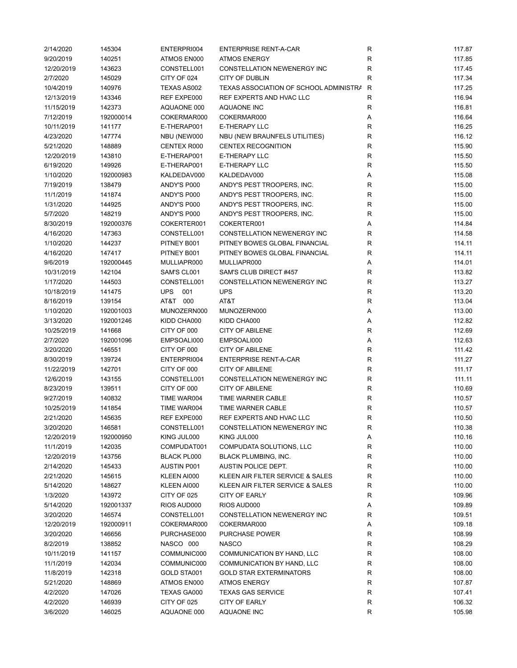| 2/14/2020  | 145304    | ENTERPRI004        | <b>ENTERPRISE RENT-A-CAR</b>             | R            | 117.87 |
|------------|-----------|--------------------|------------------------------------------|--------------|--------|
| 9/20/2019  | 140251    | ATMOS EN000        | <b>ATMOS ENERGY</b>                      | $\mathsf{R}$ | 117.85 |
| 12/20/2019 | 143623    | CONSTELL001        | <b>CONSTELLATION NEWENERGY INC</b>       | $\mathsf{R}$ | 117.45 |
| 2/7/2020   | 145029    | CITY OF 024        | CITY OF DUBLIN                           | $\mathsf{R}$ | 117.34 |
| 10/4/2019  | 140976    | TEXAS AS002        | TEXAS ASSOCIATION OF SCHOOL ADMINISTRA R |              | 117.25 |
| 12/13/2019 | 143346    | REF EXPE000        | REF EXPERTS AND HVAC LLC                 | R            | 116.94 |
| 11/15/2019 | 142373    | AQUAONE 000        | AQUAONE INC                              | R            | 116.81 |
| 7/12/2019  | 192000014 | COKERMAR000        | COKERMAR000                              | Α            | 116.64 |
| 10/11/2019 | 141177    | E-THERAP001        | E-THERAPY LLC                            | $\mathsf{R}$ | 116.25 |
| 4/23/2020  | 147774    | NBU (NEW000        | NBU (NEW BRAUNFELS UTILITIES)            | $\mathsf{R}$ | 116.12 |
| 5/21/2020  | 148889    | CENTEX R000        | <b>CENTEX RECOGNITION</b>                | $\mathsf{R}$ | 115.90 |
|            |           |                    |                                          | $\mathsf{R}$ |        |
| 12/20/2019 | 143810    | E-THERAP001        | E-THERAPY LLC                            |              | 115.50 |
| 6/19/2020  | 149926    | E-THERAP001        | E-THERAPY LLC                            | $\mathsf{R}$ | 115.50 |
| 1/10/2020  | 192000983 | KALDEDAV000        | KALDEDAV000                              | A            | 115.08 |
| 7/19/2019  | 138479    | ANDY'S P000        | ANDY'S PEST TROOPERS, INC.               | $\mathsf{R}$ | 115.00 |
| 11/1/2019  | 141874    | ANDY'S P000        | ANDY'S PEST TROOPERS, INC.               | $\mathsf{R}$ | 115.00 |
| 1/31/2020  | 144925    | ANDY'S P000        | ANDY'S PEST TROOPERS, INC.               | $\mathsf{R}$ | 115.00 |
| 5/7/2020   | 148219    | ANDY'S P000        | ANDY'S PEST TROOPERS, INC.               | R            | 115.00 |
| 8/30/2019  | 192000376 | COKERTER001        | COKERTER001                              | Α            | 114.84 |
| 4/16/2020  | 147363    | CONSTELL001        | CONSTELLATION NEWENERGY INC              | R            | 114.58 |
| 1/10/2020  | 144237    | PITNEY B001        | PITNEY BOWES GLOBAL FINANCIAL            | $\mathsf{R}$ | 114.11 |
| 4/16/2020  | 147417    | PITNEY B001        | PITNEY BOWES GLOBAL FINANCIAL            | $\mathsf{R}$ | 114.11 |
| 9/6/2019   | 192000445 | MULLIAPR000        | MULLIAPR000                              | Α            | 114.01 |
| 10/31/2019 | 142104    | SAM'S CL001        | SAM'S CLUB DIRECT #457                   | $\mathsf{R}$ | 113.82 |
| 1/17/2020  | 144503    | CONSTELL001        | <b>CONSTELLATION NEWENERGY INC</b>       | $\mathsf{R}$ | 113.27 |
| 10/18/2019 | 141475    | <b>UPS</b><br>001  | <b>UPS</b>                               | $\mathsf{R}$ | 113.20 |
| 8/16/2019  | 139154    | AT&T 000           | AT&T                                     | $\mathsf{R}$ | 113.04 |
| 1/10/2020  | 192001003 | MUNOZERN000        | MUNOZERN000                              | Α            | 113.00 |
| 3/13/2020  | 192001246 | KIDD CHA000        | KIDD CHA000                              | Α            | 112.82 |
| 10/25/2019 | 141668    | CITY OF 000        | <b>CITY OF ABILENE</b>                   | $\mathsf{R}$ | 112.69 |
| 2/7/2020   | 192001096 | EMPSOALI000        | EMPSOALI000                              | Α            | 112.63 |
| 3/20/2020  | 146551    | CITY OF 000        | <b>CITY OF ABILENE</b>                   | $\mathsf{R}$ | 111.42 |
|            |           |                    |                                          | $\mathsf{R}$ |        |
| 8/30/2019  | 139724    | ENTERPRI004        | <b>ENTERPRISE RENT-A-CAR</b>             |              | 111.27 |
| 11/22/2019 | 142701    | CITY OF 000        | <b>CITY OF ABILENE</b>                   | $\mathsf{R}$ | 111.17 |
| 12/6/2019  | 143155    | CONSTELL001        | CONSTELLATION NEWENERGY INC              | $\mathsf{R}$ | 111.11 |
| 8/23/2019  | 139511    | CITY OF 000        | <b>CITY OF ABILENE</b>                   | $\mathsf{R}$ | 110.69 |
| 9/27/2019  | 140832    | TIME WAR004        | TIME WARNER CABLE                        | $\mathsf{R}$ | 110.57 |
| 10/25/2019 | 141854    | TIME WAR004        | TIME WARNER CABLE                        | $\mathsf{R}$ | 110.57 |
| 2/21/2020  | 145635    | REF EXPE000        | REF EXPERTS AND HVAC LLC                 | R            | 110.50 |
| 3/20/2020  | 146581    | CONSTELL001        | CONSTELLATION NEWENERGY INC              | R            | 110.38 |
| 12/20/2019 | 192000950 | KING JUL000        | KING JUL000                              | Α            | 110.16 |
| 11/1/2019  | 142035    | COMPUDAT001        | COMPUDATA SOLUTIONS, LLC                 | R            | 110.00 |
| 12/20/2019 | 143756    | <b>BLACK PL000</b> | <b>BLACK PLUMBING, INC.</b>              | R            | 110.00 |
| 2/14/2020  | 145433    | <b>AUSTIN P001</b> | AUSTIN POLICE DEPT.                      | R            | 110.00 |
| 2/21/2020  | 145615    | KLEEN AI000        | KLEEN AIR FILTER SERVICE & SALES         | R            | 110.00 |
| 5/14/2020  | 148627    | KLEEN AI000        | KLEEN AIR FILTER SERVICE & SALES         | $\mathsf{R}$ | 110.00 |
| 1/3/2020   | 143972    | CITY OF 025        | <b>CITY OF EARLY</b>                     | $\mathsf{R}$ | 109.96 |
| 5/14/2020  | 192001337 | RIOS AUD000        | RIOS AUD000                              | Α            | 109.89 |
| 3/20/2020  | 146574    | CONSTELL001        | CONSTELLATION NEWENERGY INC              | R            | 109.51 |
| 12/20/2019 | 192000911 | COKERMAR000        | COKERMAR000                              | Α            | 109.18 |
| 3/20/2020  | 146656    | PURCHASE000        | <b>PURCHASE POWER</b>                    | R            | 108.99 |
| 8/2/2019   | 138852    | NASCO 000          | <b>NASCO</b>                             | R            | 108.29 |
| 10/11/2019 | 141157    | COMMUNIC000        | COMMUNICATION BY HAND, LLC               | $\mathsf{R}$ | 108.00 |
| 11/1/2019  | 142034    | COMMUNIC000        | COMMUNICATION BY HAND, LLC               | R            | 108.00 |
| 11/8/2019  | 142318    | GOLD STA001        | <b>GOLD STAR EXTERMINATORS</b>           | R            | 108.00 |
|            |           |                    |                                          |              |        |
| 5/21/2020  | 148869    | ATMOS EN000        | <b>ATMOS ENERGY</b>                      | R            | 107.87 |
| 4/2/2020   | 147026    | TEXAS GA000        | <b>TEXAS GAS SERVICE</b>                 | R            | 107.41 |
| 4/2/2020   | 146939    | CITY OF 025        | <b>CITY OF EARLY</b>                     | R            | 106.32 |
| 3/6/2020   | 146025    | AQUAONE 000        | <b>AQUAONE INC</b>                       | $\mathsf{R}$ | 105.98 |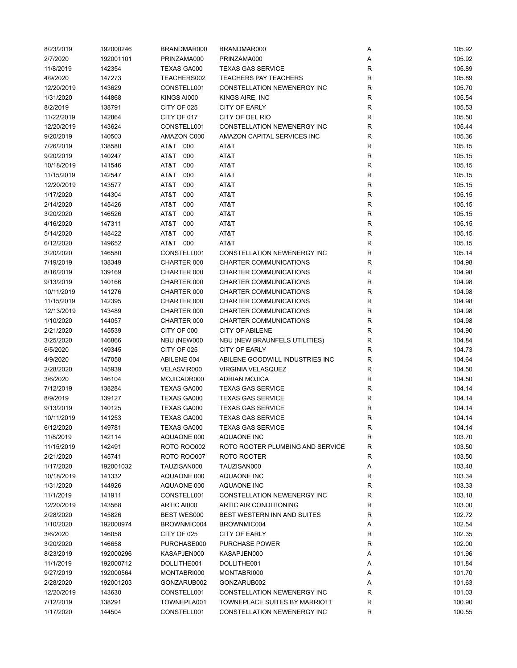| 8/23/2019  | 192000246 | BRANDMAR000        | BRANDMAR000                      | Α            | 105.92 |
|------------|-----------|--------------------|----------------------------------|--------------|--------|
| 2/7/2020   | 192001101 | PRINZAMA000        | PRINZAMA000                      | Α            | 105.92 |
| 11/8/2019  | 142354    | TEXAS GA000        | <b>TEXAS GAS SERVICE</b>         | R            | 105.89 |
| 4/9/2020   | 147273    | TEACHERS002        | <b>TEACHERS PAY TEACHERS</b>     | R            | 105.89 |
| 12/20/2019 | 143629    | CONSTELL001        | CONSTELLATION NEWENERGY INC      | $\mathsf R$  | 105.70 |
| 1/31/2020  | 144868    | KINGS AI000        | KINGS AIRE, INC                  | $\mathsf R$  | 105.54 |
| 8/2/2019   | 138791    | CITY OF 025        | <b>CITY OF EARLY</b>             | R            | 105.53 |
| 11/22/2019 | 142864    | CITY OF 017        | CITY OF DEL RIO                  | $\mathsf R$  | 105.50 |
| 12/20/2019 | 143624    | CONSTELL001        | CONSTELLATION NEWENERGY INC      | $\mathsf R$  | 105.44 |
| 9/20/2019  | 140503    | AMAZON C000        | AMAZON CAPITAL SERVICES INC      | $\mathsf R$  | 105.36 |
| 7/26/2019  | 138580    | AT&T<br>000        | AT&T                             | $\mathsf R$  | 105.15 |
|            |           |                    |                                  | $\mathsf R$  |        |
| 9/20/2019  | 140247    | AT&T<br>000        | AT&T                             |              | 105.15 |
| 10/18/2019 | 141546    | AT&T<br>000        | AT&T                             | $\mathsf R$  | 105.15 |
| 11/15/2019 | 142547    | AT&T<br>000        | AT&T                             | $\mathsf{R}$ | 105.15 |
| 12/20/2019 | 143577    | AT&T<br>000        | AT&T                             | $\mathsf{R}$ | 105.15 |
| 1/17/2020  | 144304    | 000<br>AT&T        | AT&T                             | R            | 105.15 |
| 2/14/2020  | 145426    | AT&T<br>000        | AT&T                             | $\mathsf R$  | 105.15 |
| 3/20/2020  | 146526    | AT&T<br>000        | AT&T                             | R            | 105.15 |
| 4/16/2020  | 147311    | AT&T<br>000        | AT&T                             | R            | 105.15 |
| 5/14/2020  | 148422    | AT&T<br>000        | AT&T                             | $\mathsf R$  | 105.15 |
| 6/12/2020  | 149652    | AT&T 000           | AT&T                             | $\mathsf{R}$ | 105.15 |
| 3/20/2020  | 146580    | CONSTELL001        | CONSTELLATION NEWENERGY INC      | $\mathsf R$  | 105.14 |
| 7/19/2019  | 138349    | CHARTER 000        | CHARTER COMMUNICATIONS           | $\mathsf R$  | 104.98 |
| 8/16/2019  | 139169    | CHARTER 000        | CHARTER COMMUNICATIONS           | $\mathsf R$  | 104.98 |
| 9/13/2019  | 140166    | CHARTER 000        | CHARTER COMMUNICATIONS           | $\mathsf R$  | 104.98 |
| 10/11/2019 | 141276    | CHARTER 000        | CHARTER COMMUNICATIONS           | $\mathsf R$  | 104.98 |
| 11/15/2019 | 142395    | CHARTER 000        | CHARTER COMMUNICATIONS           | R            | 104.98 |
| 12/13/2019 | 143489    | CHARTER 000        | CHARTER COMMUNICATIONS           | R            | 104.98 |
| 1/10/2020  | 144057    | CHARTER 000        | CHARTER COMMUNICATIONS           | $\mathsf R$  | 104.98 |
| 2/21/2020  | 145539    | CITY OF 000        | <b>CITY OF ABILENE</b>           | R            | 104.90 |
| 3/25/2020  | 146866    | NBU (NEW000        | NBU (NEW BRAUNFELS UTILITIES)    | R            | 104.84 |
| 6/5/2020   | 149345    | CITY OF 025        | <b>CITY OF EARLY</b>             | $\mathsf R$  | 104.73 |
| 4/9/2020   | 147058    | ABILENE 004        | ABILENE GOODWILL INDUSTRIES INC  | $\mathsf R$  | 104.64 |
| 2/28/2020  | 145939    | VELASVIR000        | VIRGINIA VELASQUEZ               | $\mathsf R$  | 104.50 |
|            |           |                    |                                  | $\mathsf R$  |        |
| 3/6/2020   | 146104    | MOJICADR000        | <b>ADRIAN MOJICA</b>             |              | 104.50 |
| 7/12/2019  | 138284    | TEXAS GA000        | <b>TEXAS GAS SERVICE</b>         | R            | 104.14 |
| 8/9/2019   | 139127    | TEXAS GA000        | <b>TEXAS GAS SERVICE</b>         | R            | 104.14 |
| 9/13/2019  | 140125    | TEXAS GA000        | <b>TEXAS GAS SERVICE</b>         | R            | 104.14 |
| 10/11/2019 | 141253    | <b>TEXAS GA000</b> | <b>TEXAS GAS SERVICE</b>         | R            | 104.14 |
| 6/12/2020  | 149781    | TEXAS GA000        | <b>TEXAS GAS SERVICE</b>         | R            | 104.14 |
| 11/8/2019  | 142114    | AQUAONE 000        | AQUAONE INC                      | R            | 103.70 |
| 11/15/2019 | 142491    | <b>ROTO ROO002</b> | ROTO ROOTER PLUMBING AND SERVICE | R            | 103.50 |
| 2/21/2020  | 145741    | <b>ROTO ROO007</b> | ROTO ROOTER                      | R            | 103.50 |
| 1/17/2020  | 192001032 | TAUZISAN000        | TAUZISAN000                      | Α            | 103.48 |
| 10/18/2019 | 141332    | AQUAONE 000        | <b>AQUAONE INC</b>               | R            | 103.34 |
| 1/31/2020  | 144926    | AQUAONE 000        | AQUAONE INC                      | R            | 103.33 |
| 11/1/2019  | 141911    | CONSTELL001        | CONSTELLATION NEWENERGY INC      | $\mathsf R$  | 103.18 |
| 12/20/2019 | 143568    | ARTIC AI000        | ARTIC AIR CONDITIONING           | $\mathsf R$  | 103.00 |
| 2/28/2020  | 145826    | <b>BEST WES000</b> | BEST WESTERN INN AND SUITES      | R            | 102.72 |
| 1/10/2020  | 192000974 | BROWNMIC004        | BROWNMIC004                      | Α            | 102.54 |
| 3/6/2020   | 146058    | CITY OF 025        | <b>CITY OF EARLY</b>             | R            | 102.35 |
| 3/20/2020  | 146658    | PURCHASE000        | PURCHASE POWER                   | R            | 102.00 |
| 8/23/2019  | 192000296 | KASAPJEN000        | KASAPJEN000                      | Α            | 101.96 |
| 11/1/2019  | 192000712 | DOLLITHE001        | DOLLITHE001                      | Α            | 101.84 |
| 9/27/2019  | 192000564 | MONTABRI000        | MONTABRI000                      | Α            | 101.70 |
| 2/28/2020  | 192001203 | GONZARUB002        | GONZARUB002                      | Α            | 101.63 |
| 12/20/2019 | 143630    | CONSTELL001        | CONSTELLATION NEWENERGY INC      | R            | 101.03 |
| 7/12/2019  | 138291    | TOWNEPLA001        | TOWNEPLACE SUITES BY MARRIOTT    | R            | 100.90 |
| 1/17/2020  | 144504    | CONSTELL001        | CONSTELLATION NEWENERGY INC      | R            | 100.55 |
|            |           |                    |                                  |              |        |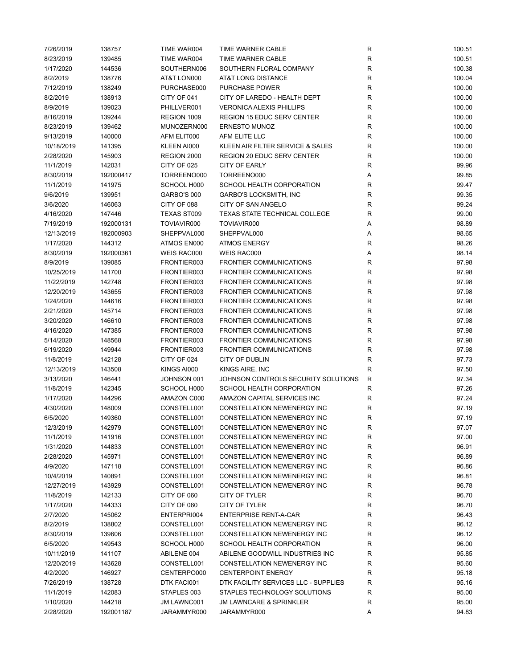| 7/26/2019  | 138757    | TIME WAR004        | TIME WARNER CABLE                    | R            | 100.51 |
|------------|-----------|--------------------|--------------------------------------|--------------|--------|
| 8/23/2019  | 139485    | TIME WAR004        | TIME WARNER CABLE                    | R            | 100.51 |
| 1/17/2020  | 144536    | SOUTHERN006        | SOUTHERN FLORAL COMPANY              | R            | 100.38 |
| 8/2/2019   | 138776    | AT&T LON000        | AT&T LONG DISTANCE                   | R            | 100.04 |
| 7/12/2019  | 138249    | PURCHASE000        | <b>PURCHASE POWER</b>                | R            | 100.00 |
| 8/2/2019   | 138913    | CITY OF 041        | CITY OF LAREDO - HEALTH DEPT         | R            | 100.00 |
| 8/9/2019   | 139023    | PHILLVER001        | <b>VERONICA ALEXIS PHILLIPS</b>      | R            | 100.00 |
| 8/16/2019  | 139244    | REGION 1009        | <b>REGION 15 EDUC SERV CENTER</b>    | R            | 100.00 |
| 8/23/2019  | 139462    | MUNOZERN000        | <b>ERNESTO MUNOZ</b>                 | R            | 100.00 |
| 9/13/2019  | 140000    | AFM ELIT000        | AFM ELITE LLC                        | R            | 100.00 |
| 10/18/2019 | 141395    | KLEEN AI000        | KLEEN AIR FILTER SERVICE & SALES     | R            | 100.00 |
|            |           |                    |                                      |              |        |
| 2/28/2020  | 145903    | REGION 2000        | <b>REGION 20 EDUC SERV CENTER</b>    | R            | 100.00 |
| 11/1/2019  | 142031    | CITY OF 025        | <b>CITY OF EARLY</b>                 | R            | 99.96  |
| 8/30/2019  | 192000417 | TORREENO000        | TORREENO000                          | Α            | 99.85  |
| 11/1/2019  | 141975    | SCHOOL H000        | SCHOOL HEALTH CORPORATION            | R            | 99.47  |
| 9/6/2019   | 139951    | GARBO'S 000        | GARBO'S LOCKSMITH, INC               | R            | 99.35  |
| 3/6/2020   | 146063    | CITY OF 088        | CITY OF SAN ANGELO                   | $\mathsf R$  | 99.24  |
| 4/16/2020  | 147446    | <b>TEXAS ST009</b> | <b>TEXAS STATE TECHNICAL COLLEGE</b> | R            | 99.00  |
| 7/19/2019  | 192000131 | TOVIAVIR000        | TOVIAVIR000                          | Α            | 98.89  |
| 12/13/2019 | 192000903 | SHEPPVAL000        | SHEPPVAL000                          | Α            | 98.65  |
| 1/17/2020  | 144312    | ATMOS EN000        | <b>ATMOS ENERGY</b>                  | R            | 98.26  |
| 8/30/2019  | 192000361 | WEIS RAC000        | WEIS RAC000                          | Α            | 98.14  |
| 8/9/2019   | 139085    | FRONTIER003        | <b>FRONTIER COMMUNICATIONS</b>       | R            | 97.98  |
| 10/25/2019 | 141700    | FRONTIER003        | <b>FRONTIER COMMUNICATIONS</b>       | R            | 97.98  |
| 11/22/2019 | 142748    | FRONTIER003        | <b>FRONTIER COMMUNICATIONS</b>       | R            | 97.98  |
| 12/20/2019 | 143655    | FRONTIER003        | <b>FRONTIER COMMUNICATIONS</b>       | R            | 97.98  |
| 1/24/2020  | 144616    | FRONTIER003        | <b>FRONTIER COMMUNICATIONS</b>       | R            | 97.98  |
| 2/21/2020  | 145714    | FRONTIER003        | <b>FRONTIER COMMUNICATIONS</b>       | R            | 97.98  |
| 3/20/2020  | 146610    | FRONTIER003        | <b>FRONTIER COMMUNICATIONS</b>       | R            | 97.98  |
| 4/16/2020  | 147385    | FRONTIER003        | <b>FRONTIER COMMUNICATIONS</b>       | R            | 97.98  |
| 5/14/2020  | 148568    | FRONTIER003        | <b>FRONTIER COMMUNICATIONS</b>       | R            | 97.98  |
| 6/19/2020  | 149944    | FRONTIER003        | <b>FRONTIER COMMUNICATIONS</b>       | R            | 97.98  |
|            | 142128    | CITY OF 024        | CITY OF DUBLIN                       | $\mathsf R$  | 97.73  |
| 11/8/2019  |           |                    |                                      |              |        |
| 12/13/2019 | 143508    | KINGS AI000        | KINGS AIRE, INC                      | R            | 97.50  |
| 3/13/2020  | 146441    | JOHNSON 001        | JOHNSON CONTROLS SECURITY SOLUTIONS  | $\mathsf{R}$ | 97.34  |
| 11/8/2019  | 142345    | SCHOOL H000        | SCHOOL HEALTH CORPORATION            | R            | 97.26  |
| 1/17/2020  | 144296    | AMAZON C000        | AMAZON CAPITAL SERVICES INC          | R            | 97.24  |
| 4/30/2020  | 148009    | CONSTELL001        | CONSTELLATION NEWENERGY INC          | R            | 97.19  |
| 6/5/2020   | 149360    | CONSTELL001        | CONSTELLATION NEWENERGY INC          | R            | 97.19  |
| 12/3/2019  | 142979    | CONSTELL001        | CONSTELLATION NEWENERGY INC          | R            | 97.07  |
| 11/1/2019  | 141916    | CONSTELL001        | CONSTELLATION NEWENERGY INC          | R            | 97.00  |
| 1/31/2020  | 144833    | CONSTELL001        | CONSTELLATION NEWENERGY INC          | R            | 96.91  |
| 2/28/2020  | 145971    | CONSTELL001        | CONSTELLATION NEWENERGY INC          | R            | 96.89  |
| 4/9/2020   | 147118    | CONSTELL001        | CONSTELLATION NEWENERGY INC          | R            | 96.86  |
| 10/4/2019  | 140891    | CONSTELL001        | CONSTELLATION NEWENERGY INC          | R            | 96.81  |
| 12/27/2019 | 143929    | CONSTELL001        | CONSTELLATION NEWENERGY INC          | R            | 96.78  |
| 11/8/2019  | 142133    | CITY OF 060        | CITY OF TYLER                        | R            | 96.70  |
| 1/17/2020  | 144333    | CITY OF 060        | CITY OF TYLER                        | R            | 96.70  |
| 2/7/2020   | 145062    | ENTERPRI004        | <b>ENTERPRISE RENT-A-CAR</b>         | R            | 96.43  |
| 8/2/2019   | 138802    | CONSTELL001        | CONSTELLATION NEWENERGY INC          | R            | 96.12  |
| 8/30/2019  | 139606    | CONSTELL001        | CONSTELLATION NEWENERGY INC          | R            | 96.12  |
| 6/5/2020   | 149543    | SCHOOL H000        | SCHOOL HEALTH CORPORATION            | R            | 96.00  |
| 10/11/2019 | 141107    | ABILENE 004        | ABILENE GOODWILL INDUSTRIES INC      | R            | 95.85  |
| 12/20/2019 | 143628    | CONSTELL001        | CONSTELLATION NEWENERGY INC          | R            | 95.60  |
| 4/2/2020   | 146927    | CENTERPO000        | <b>CENTERPOINT ENERGY</b>            | R            | 95.18  |
| 7/26/2019  | 138728    | DTK FACI001        | DTK FACILITY SERVICES LLC - SUPPLIES | R            | 95.16  |
| 11/1/2019  | 142083    | STAPLES 003        | STAPLES TECHNOLOGY SOLUTIONS         | R            | 95.00  |
| 1/10/2020  | 144218    | JM LAWNC001        | <b>JM LAWNCARE &amp; SPRINKLER</b>   | R            | 95.00  |
| 2/28/2020  | 192001187 |                    | JARAMMYR000                          | Α            | 94.83  |
|            |           | JARAMMYR000        |                                      |              |        |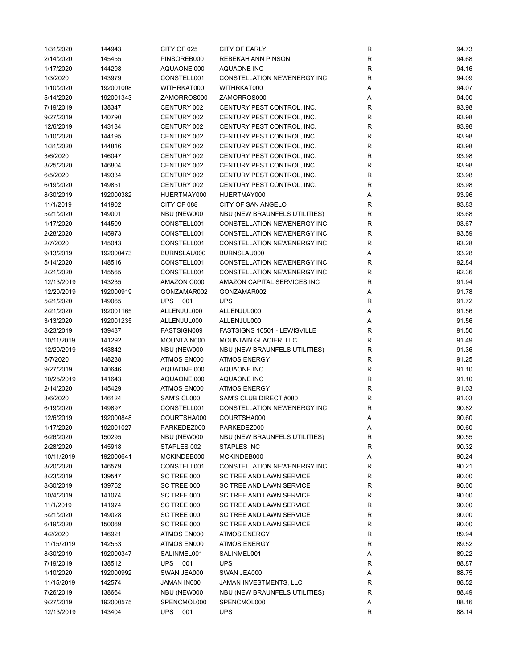| 1/31/2020  | 144943    | CITY OF 025       | <b>CITY OF EARLY</b>               | R            | 94.73          |
|------------|-----------|-------------------|------------------------------------|--------------|----------------|
| 2/14/2020  | 145455    | PINSOREB000       | REBEKAH ANN PINSON                 | ${\sf R}$    | 94.68          |
| 1/17/2020  | 144298    | AQUAONE 000       | AQUAONE INC                        | $\mathsf R$  | 94.16          |
| 1/3/2020   | 143979    | CONSTELL001       | CONSTELLATION NEWENERGY INC        | ${\sf R}$    | 94.09          |
| 1/10/2020  | 192001008 | WITHRKAT000       | WITHRKAT000                        | Α            | 94.07          |
| 5/14/2020  | 192001343 | ZAMORROS000       | ZAMORROS000                        | Α            | 94.00          |
| 7/19/2019  | 138347    | CENTURY 002       | CENTURY PEST CONTROL, INC.         | R            | 93.98          |
| 9/27/2019  | 140790    | CENTURY 002       | CENTURY PEST CONTROL, INC.         | $\mathsf R$  | 93.98          |
| 12/6/2019  | 143134    | CENTURY 002       | CENTURY PEST CONTROL, INC.         | $\mathsf R$  | 93.98          |
|            |           |                   | CENTURY PEST CONTROL, INC.         | $\mathsf R$  |                |
| 1/10/2020  | 144195    | CENTURY 002       |                                    | $\mathsf R$  | 93.98<br>93.98 |
| 1/31/2020  | 144816    | CENTURY 002       | CENTURY PEST CONTROL, INC.         |              |                |
| 3/6/2020   | 146047    | CENTURY 002       | CENTURY PEST CONTROL, INC.         | $\mathsf R$  | 93.98          |
| 3/25/2020  | 146804    | CENTURY 002       | CENTURY PEST CONTROL, INC.         | $\mathsf R$  | 93.98          |
| 6/5/2020   | 149334    | CENTURY 002       | CENTURY PEST CONTROL, INC.         | $\mathsf R$  | 93.98          |
| 6/19/2020  | 149851    | CENTURY 002       | CENTURY PEST CONTROL, INC.         | $\mathsf R$  | 93.98          |
| 8/30/2019  | 192000382 | HUERTMAY000       | HUERTMAY000                        | Α            | 93.96          |
| 11/1/2019  | 141902    | CITY OF 088       | CITY OF SAN ANGELO                 | $\mathsf R$  | 93.83          |
| 5/21/2020  | 149001    | NBU (NEW000       | NBU (NEW BRAUNFELS UTILITIES)      | $\mathsf R$  | 93.68          |
| 1/17/2020  | 144509    | CONSTELL001       | <b>CONSTELLATION NEWENERGY INC</b> | R            | 93.67          |
| 2/28/2020  | 145973    | CONSTELL001       | CONSTELLATION NEWENERGY INC        | $\mathsf R$  | 93.59          |
| 2/7/2020   | 145043    | CONSTELL001       | CONSTELLATION NEWENERGY INC        | $\mathsf R$  | 93.28          |
| 9/13/2019  | 192000473 | BURNSLAU000       | BURNSLAU000                        | Α            | 93.28          |
| 5/14/2020  | 148516    | CONSTELL001       | CONSTELLATION NEWENERGY INC        | $\mathsf R$  | 92.84          |
| 2/21/2020  | 145565    | CONSTELL001       | <b>CONSTELLATION NEWENERGY INC</b> | $\mathsf R$  | 92.36          |
| 12/13/2019 | 143235    | AMAZON C000       | AMAZON CAPITAL SERVICES INC        | $\mathsf R$  | 91.94          |
| 12/20/2019 | 192000919 | GONZAMAR002       | GONZAMAR002                        | A            | 91.78          |
| 5/21/2020  | 149065    | <b>UPS 001</b>    | <b>UPS</b>                         | $\mathsf R$  | 91.72          |
| 2/21/2020  | 192001165 | ALLENJUL000       | ALLENJUL000                        | Α            | 91.56          |
| 3/13/2020  | 192001235 | ALLENJUL000       | ALLENJUL000                        | Α            | 91.56          |
| 8/23/2019  | 139437    | FASTSIGN009       | FASTSIGNS 10501 - LEWISVILLE       | $\mathsf R$  | 91.50          |
| 10/11/2019 | 141292    | MOUNTAIN000       | <b>MOUNTAIN GLACIER, LLC</b>       | $\mathsf R$  | 91.49          |
| 12/20/2019 | 143842    | NBU (NEW000       | NBU (NEW BRAUNFELS UTILITIES)      | R            | 91.36          |
| 5/7/2020   | 148238    | ATMOS EN000       | <b>ATMOS ENERGY</b>                | $\mathsf R$  | 91.25          |
| 9/27/2019  | 140646    | AQUAONE 000       | <b>AQUAONE INC</b>                 | $\mathsf{R}$ | 91.10          |
| 10/25/2019 | 141643    |                   | <b>AQUAONE INC</b>                 | $\mathsf R$  | 91.10          |
|            |           | AQUAONE 000       | <b>ATMOS ENERGY</b>                | $\mathsf R$  |                |
| 2/14/2020  | 145429    | ATMOS EN000       |                                    | $\mathsf R$  | 91.03          |
| 3/6/2020   | 146124    | SAM'S CL000       | SAM'S CLUB DIRECT #080             |              | 91.03          |
| 6/19/2020  | 149897    | CONSTELL001       | CONSTELLATION NEWENERGY INC        | $\mathsf R$  | 90.82          |
| 12/6/2019  | 192000848 | COURTSHA000       | COURTSHA000                        | Α            | 90.60          |
| 1/17/2020  | 192001027 | PARKEDEZ000       | PARKEDEZ000                        | Α            | 90.60          |
| 6/26/2020  | 150295    | NBU (NEW000       | NBU (NEW BRAUNFELS UTILITIES)      | R            | 90.55          |
| 2/28/2020  | 145918    | STAPLES 002       | STAPLES INC                        | $\mathsf R$  | 90.32          |
| 10/11/2019 | 192000641 | MCKINDEB000       | MCKINDEB000                        | Α            | 90.24          |
| 3/20/2020  | 146579    | CONSTELL001       | CONSTELLATION NEWENERGY INC        | R            | 90.21          |
| 8/23/2019  | 139547    | SC TREE 000       | SC TREE AND LAWN SERVICE           | R            | 90.00          |
| 8/30/2019  | 139752    | SC TREE 000       | SC TREE AND LAWN SERVICE           | R            | 90.00          |
| 10/4/2019  | 141074    | SC TREE 000       | SC TREE AND LAWN SERVICE           | $\mathsf R$  | 90.00          |
| 11/1/2019  | 141974    | SC TREE 000       | SC TREE AND LAWN SERVICE           | $\mathsf R$  | 90.00          |
| 5/21/2020  | 149028    | SC TREE 000       | SC TREE AND LAWN SERVICE           | $\mathsf R$  | 90.00          |
| 6/19/2020  | 150069    | SC TREE 000       | SC TREE AND LAWN SERVICE           | R            | 90.00          |
| 4/2/2020   | 146921    | ATMOS EN000       | ATMOS ENERGY                       | $\mathsf R$  | 89.94          |
| 11/15/2019 | 142553    | ATMOS EN000       | ATMOS ENERGY                       | $\mathsf R$  | 89.52          |
| 8/30/2019  | 192000347 | SALINMEL001       | SALINMEL001                        | Α            | 89.22          |
| 7/19/2019  | 138512    | <b>UPS</b> 001    | <b>UPS</b>                         | R            | 88.87          |
| 1/10/2020  | 192000992 | SWAN JEA000       | SWAN JEA000                        | Α            | 88.75          |
| 11/15/2019 | 142574    | JAMAN IN000       | JAMAN INVESTMENTS, LLC             | R            | 88.52          |
| 7/26/2019  | 138664    | NBU (NEW000       | NBU (NEW BRAUNFELS UTILITIES)      | R            | 88.49          |
| 9/27/2019  | 192000575 | SPENCMOL000       | SPENCMOL000                        | Α            | 88.16          |
| 12/13/2019 | 143404    | <b>UPS</b><br>001 | <b>UPS</b>                         | R            | 88.14          |
|            |           |                   |                                    |              |                |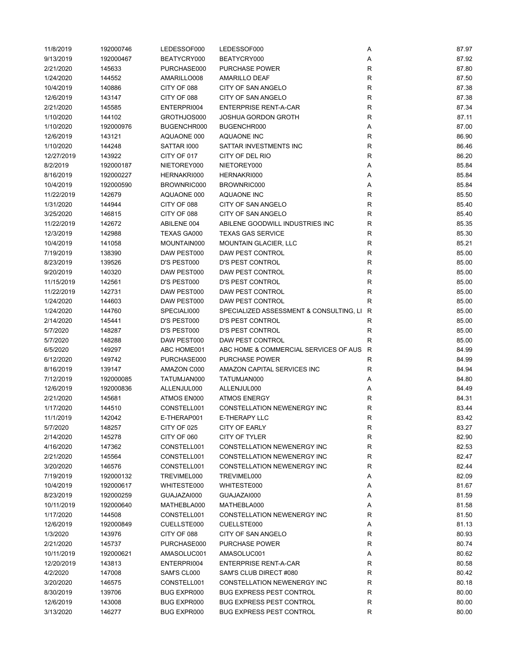| 11/8/2019  | 192000746 | LEDESSOF000        | LEDESSOF000                               | Α                 | 87.97 |
|------------|-----------|--------------------|-------------------------------------------|-------------------|-------|
| 9/13/2019  | 192000467 | BEATYCRY000        | BEATYCRY000                               | Α                 | 87.92 |
| 2/21/2020  | 145633    | PURCHASE000        | <b>PURCHASE POWER</b>                     | $\mathsf{R}$      | 87.80 |
| 1/24/2020  | 144552    | AMARILLO008        | <b>AMARILLO DEAF</b>                      | $\mathsf{R}$      | 87.50 |
| 10/4/2019  | 140886    | CITY OF 088        | CITY OF SAN ANGELO                        | $\mathsf{R}$      | 87.38 |
| 12/6/2019  | 143147    | CITY OF 088        | CITY OF SAN ANGELO                        | $\mathsf{R}$      | 87.38 |
| 2/21/2020  | 145585    | ENTERPRI004        | <b>ENTERPRISE RENT-A-CAR</b>              | $\mathsf{R}$      | 87.34 |
| 1/10/2020  | 144102    | GROTHJOS000        | <b>JOSHUA GORDON GROTH</b>                | R                 | 87.11 |
| 1/10/2020  | 192000976 | BUGENCHR000        | BUGENCHR000                               | Α                 | 87.00 |
|            | 143121    | AQUAONE 000        | AQUAONE INC                               |                   |       |
| 12/6/2019  |           |                    | SATTAR INVESTMENTS INC                    | R<br>$\mathsf{R}$ | 86.90 |
| 1/10/2020  | 144248    | SATTAR 1000        |                                           |                   | 86.46 |
| 12/27/2019 | 143922    | CITY OF 017        | CITY OF DEL RIO                           | $\mathsf{R}$      | 86.20 |
| 8/2/2019   | 192000187 | NIETOREY000        | NIETOREY000                               | Α                 | 85.84 |
| 8/16/2019  | 192000227 | HERNAKRI000        | HERNAKRI000                               | Α                 | 85.84 |
| 10/4/2019  | 192000590 | BROWNRIC000        | BROWNRIC000                               | Α                 | 85.84 |
| 11/22/2019 | 142679    | AQUAONE 000        | AQUAONE INC                               | $\mathsf{R}$      | 85.50 |
| 1/31/2020  | 144944    | CITY OF 088        | CITY OF SAN ANGELO                        | $\mathsf{R}$      | 85.40 |
| 3/25/2020  | 146815    | CITY OF 088        | CITY OF SAN ANGELO                        | $\mathsf{R}$      | 85.40 |
| 11/22/2019 | 142672    | ABILENE 004        | ABILENE GOODWILL INDUSTRIES INC           | R                 | 85.35 |
| 12/3/2019  | 142988    | TEXAS GA000        | <b>TEXAS GAS SERVICE</b>                  | R                 | 85.30 |
| 10/4/2019  | 141058    | MOUNTAIN000        | <b>MOUNTAIN GLACIER, LLC</b>              | $\mathsf{R}$      | 85.21 |
| 7/19/2019  | 138390    | DAW PEST000        | <b>DAW PEST CONTROL</b>                   | $\mathsf{R}$      | 85.00 |
| 8/23/2019  | 139526    | D'S PEST000        | <b>D'S PEST CONTROL</b>                   | $\mathsf{R}$      | 85.00 |
| 9/20/2019  | 140320    | DAW PEST000        | DAW PEST CONTROL                          | $\mathsf{R}$      | 85.00 |
| 11/15/2019 | 142561    | D'S PEST000        | <b>D'S PEST CONTROL</b>                   | $\mathsf{R}$      | 85.00 |
| 11/22/2019 | 142731    | DAW PEST000        | DAW PEST CONTROL                          | $\mathsf{R}$      | 85.00 |
| 1/24/2020  | 144603    | DAW PEST000        | DAW PEST CONTROL                          | R                 | 85.00 |
| 1/24/2020  | 144760    | SPECIALI000        | SPECIALIZED ASSESSMENT & CONSULTING, LI R |                   | 85.00 |
| 2/14/2020  | 145441    | D'S PEST000        | <b>D'S PEST CONTROL</b>                   | R                 | 85.00 |
| 5/7/2020   | 148287    | D'S PEST000        | <b>D'S PEST CONTROL</b>                   | R                 | 85.00 |
| 5/7/2020   | 148288    | DAW PEST000        | DAW PEST CONTROL                          | R                 | 85.00 |
|            |           |                    |                                           |                   |       |
| 6/5/2020   | 149297    | ABC HOME001        | ABC HOME & COMMERCIAL SERVICES OF AUS R   |                   | 84.99 |
| 6/12/2020  | 149742    | PURCHASE000        | <b>PURCHASE POWER</b>                     | R                 | 84.99 |
| 8/16/2019  | 139147    | AMAZON C000        | AMAZON CAPITAL SERVICES INC               | R                 | 84.94 |
| 7/12/2019  | 192000085 | TATUMJAN000        | TATUMJAN000                               | Α                 | 84.80 |
| 12/6/2019  | 192000836 | ALLENJUL000        | ALLENJUL000                               | Α                 | 84.49 |
| 2/21/2020  | 145681    | ATMOS EN000        | <b>ATMOS ENERGY</b>                       | $\mathsf{R}$      | 84.31 |
| 1/17/2020  | 144510    | CONSTELL001        | CONSTELLATION NEWENERGY INC               | R                 | 83.44 |
| 11/1/2019  | 142042    | E-THERAP001        | E-THERAPY LLC                             | R                 | 83.42 |
| 5/7/2020   | 148257    | CITY OF 025        | <b>CITY OF EARLY</b>                      | R                 | 83.27 |
| 2/14/2020  | 145278    | CITY OF 060        | CITY OF TYLER                             | R                 | 82.90 |
| 4/16/2020  | 147362    | CONSTELL001        | CONSTELLATION NEWENERGY INC               | $\mathsf{R}$      | 82.53 |
| 2/21/2020  | 145564    | CONSTELL001        | CONSTELLATION NEWENERGY INC               | R                 | 82.47 |
| 3/20/2020  | 146576    | CONSTELL001        | CONSTELLATION NEWENERGY INC               | R                 | 82.44 |
| 7/19/2019  | 192000132 | TREVIMEL000        | TREVIMEL000                               | Α                 | 82.09 |
| 10/4/2019  | 192000617 | WHITESTE000        | WHITESTE000                               | Α                 | 81.67 |
| 8/23/2019  | 192000259 | GUAJAZAI000        | GUAJAZAI000                               | Α                 | 81.59 |
| 10/11/2019 | 192000640 | MATHEBLA000        | MATHEBLA000                               | Α                 | 81.58 |
| 1/17/2020  | 144508    | CONSTELL001        | <b>CONSTELLATION NEWENERGY INC</b>        | R                 | 81.50 |
| 12/6/2019  | 192000849 | CUELLSTE000        | CUELLSTE000                               | Α                 | 81.13 |
| 1/3/2020   | 143976    | CITY OF 088        | CITY OF SAN ANGELO                        | R                 | 80.93 |
| 2/21/2020  | 145737    | PURCHASE000        | <b>PURCHASE POWER</b>                     | R                 | 80.74 |
| 10/11/2019 | 192000621 | AMASOLUC001        | AMASOLUC001                               | Α                 | 80.62 |
| 12/20/2019 | 143813    | ENTERPRI004        | <b>ENTERPRISE RENT-A-CAR</b>              | R                 | 80.58 |
| 4/2/2020   | 147008    | SAM'S CL000        | SAM'S CLUB DIRECT #080                    | R                 | 80.42 |
|            |           |                    |                                           |                   |       |
| 3/20/2020  | 146575    | CONSTELL001        | CONSTELLATION NEWENERGY INC               | R                 | 80.18 |
| 8/30/2019  | 139706    | <b>BUG EXPR000</b> | <b>BUG EXPRESS PEST CONTROL</b>           | R                 | 80.00 |
| 12/6/2019  | 143008    | BUG EXPR000        | <b>BUG EXPRESS PEST CONTROL</b>           | R                 | 80.00 |
| 3/13/2020  | 146277    | BUG EXPR000        | <b>BUG EXPRESS PEST CONTROL</b>           | R                 | 80.00 |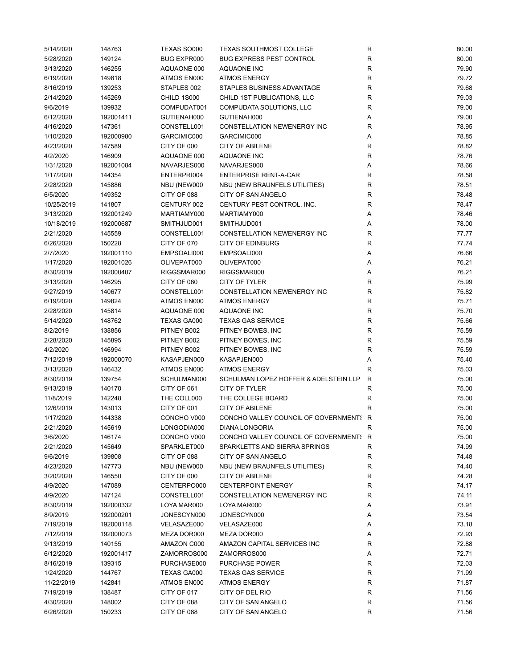| 5/14/2020  | 148763    | TEXAS SO000        | <b>TEXAS SOUTHMOST COLLEGE</b>         | R           | 80.00 |
|------------|-----------|--------------------|----------------------------------------|-------------|-------|
| 5/28/2020  | 149124    | <b>BUG EXPR000</b> | <b>BUG EXPRESS PEST CONTROL</b>        | R           | 80.00 |
| 3/13/2020  | 146255    | AQUAONE 000        | AQUAONE INC                            | R           | 79.90 |
| 6/19/2020  | 149818    | ATMOS EN000        | <b>ATMOS ENERGY</b>                    | R           | 79.72 |
| 8/16/2019  | 139253    | STAPLES 002        | STAPLES BUSINESS ADVANTAGE             | R           | 79.68 |
| 2/14/2020  | 145269    | CHILD 1S000        | CHILD 1ST PUBLICATIONS, LLC            | R           | 79.03 |
| 9/6/2019   | 139932    | COMPUDAT001        | COMPUDATA SOLUTIONS, LLC               | R           | 79.00 |
| 6/12/2020  | 192001411 | GUTIENAH000        | GUTIENAH000                            | Α           | 79.00 |
| 4/16/2020  | 147361    | CONSTELL001        | CONSTELLATION NEWENERGY INC            | R           | 78.95 |
| 1/10/2020  | 192000980 | GARCIMIC000        | GARCIMIC000                            | Α           | 78.85 |
| 4/23/2020  | 147589    | CITY OF 000        | <b>CITY OF ABILENE</b>                 | $\mathsf R$ | 78.82 |
|            | 146909    |                    |                                        | $\mathsf R$ |       |
| 4/2/2020   |           | AQUAONE 000        | AQUAONE INC                            |             | 78.76 |
| 1/31/2020  | 192001084 | NAVARJES000        | NAVARJES000                            | Α           | 78.66 |
| 1/17/2020  | 144354    | ENTERPRI004        | ENTERPRISE RENT-A-CAR                  | $\mathsf R$ | 78.58 |
| 2/28/2020  | 145886    | NBU (NEW000        | NBU (NEW BRAUNFELS UTILITIES)          | R           | 78.51 |
| 6/5/2020   | 149352    | CITY OF 088        | CITY OF SAN ANGELO                     | R           | 78.48 |
| 10/25/2019 | 141807    | CENTURY 002        | CENTURY PEST CONTROL, INC.             | $\mathsf R$ | 78.47 |
| 3/13/2020  | 192001249 | MARTIAMY000        | MARTIAMY000                            | Α           | 78.46 |
| 10/18/2019 | 192000687 | SMITHJUD001        | SMITHJUD001                            | Α           | 78.00 |
| 2/21/2020  | 145559    | CONSTELL001        | <b>CONSTELLATION NEWENERGY INC</b>     | $\mathsf R$ | 77.77 |
| 6/26/2020  | 150228    | CITY OF 070        | <b>CITY OF EDINBURG</b>                | R           | 77.74 |
| 2/7/2020   | 192001110 | EMPSOALI000        | EMPSOALI000                            | Α           | 76.66 |
| 1/17/2020  | 192001026 | OLIVEPAT000        | OLIVEPAT000                            | Α           | 76.21 |
| 8/30/2019  | 192000407 | RIGGSMAR000        | RIGGSMAR000                            | Α           | 76.21 |
| 3/13/2020  | 146295    | CITY OF 060        | <b>CITY OF TYLER</b>                   | R           | 75.99 |
| 9/27/2019  | 140677    | CONSTELL001        | CONSTELLATION NEWENERGY INC            | ${\sf R}$   | 75.82 |
| 6/19/2020  | 149824    | ATMOS EN000        | <b>ATMOS ENERGY</b>                    | ${\sf R}$   | 75.71 |
| 2/28/2020  | 145814    | AQUAONE 000        | AQUAONE INC                            | R           | 75.70 |
| 5/14/2020  | 148762    | TEXAS GA000        | <b>TEXAS GAS SERVICE</b>               | $\mathsf R$ | 75.66 |
| 8/2/2019   | 138856    | PITNEY B002        | PITNEY BOWES, INC                      | $\mathsf R$ | 75.59 |
| 2/28/2020  | 145895    | PITNEY B002        | PITNEY BOWES, INC                      | $\mathsf R$ | 75.59 |
| 4/2/2020   | 146994    | PITNEY B002        | PITNEY BOWES, INC                      | $\mathsf R$ | 75.59 |
|            |           |                    |                                        |             |       |
| 7/12/2019  | 192000070 | KASAPJEN000        | KASAPJEN000                            | Α           | 75.40 |
| 3/13/2020  | 146432    | ATMOS EN000        | <b>ATMOS ENERGY</b>                    | R           | 75.03 |
| 8/30/2019  | 139754    | SCHULMAN000        | SCHULMAN LOPEZ HOFFER & ADELSTEIN LLP  | R           | 75.00 |
| 9/13/2019  | 140170    | CITY OF 061        | CITY OF TYLER                          | R           | 75.00 |
| 11/8/2019  | 142248    | THE COLL000        | THE COLLEGE BOARD                      | R           | 75.00 |
| 12/6/2019  | 143013    | CITY OF 001        | <b>CITY OF ABILENE</b>                 | R           | 75.00 |
| 1/17/2020  | 144338    | CONCHO V000        | CONCHO VALLEY COUNCIL OF GOVERNMENT! R |             | 75.00 |
| 2/21/2020  | 145619    | LONGODIA000        | <b>DIANA LONGORIA</b>                  | R           | 75.00 |
| 3/6/2020   | 146174    | CONCHO V000        | CONCHO VALLEY COUNCIL OF GOVERNMENT! R |             | 75.00 |
| 2/21/2020  | 145649    | SPARKLET000        | SPARKLETTS AND SIERRA SPRINGS          | R           | 74.99 |
| 9/6/2019   | 139808    | CITY OF 088        | CITY OF SAN ANGELO                     | R           | 74.48 |
| 4/23/2020  | 147773    | NBU (NEW000        | NBU (NEW BRAUNFELS UTILITIES)          | R           | 74.40 |
| 3/20/2020  | 146550    | CITY OF 000        | <b>CITY OF ABILENE</b>                 | R           | 74.28 |
| 4/9/2020   | 147089    | CENTERPO000        | <b>CENTERPOINT ENERGY</b>              | R           | 74.17 |
| 4/9/2020   | 147124    | CONSTELL001        | CONSTELLATION NEWENERGY INC            | R           | 74.11 |
| 8/30/2019  | 192000332 | LOYA MAR000        | LOYA MAR000                            | Α           | 73.91 |
| 8/9/2019   | 192000201 | JONESCYN000        | JONESCYN000                            | Α           | 73.54 |
| 7/19/2019  | 192000118 | VELASAZE000        | VELASAZE000                            | Α           | 73.18 |
| 7/12/2019  | 192000073 | MEZA DOR000        | MEZA DOR000                            | Α           | 72.93 |
| 9/13/2019  | 140155    | AMAZON C000        | AMAZON CAPITAL SERVICES INC            | R           | 72.88 |
| 6/12/2020  | 192001417 | ZAMORROS000        | ZAMORROS000                            | Α           | 72.71 |
| 8/16/2019  | 139315    | PURCHASE000        | <b>PURCHASE POWER</b>                  | R           | 72.03 |
| 1/24/2020  | 144767    | TEXAS GA000        | <b>TEXAS GAS SERVICE</b>               | R           | 71.99 |
|            |           |                    |                                        |             |       |
| 11/22/2019 | 142841    | ATMOS EN000        | <b>ATMOS ENERGY</b>                    | R           | 71.87 |
| 7/19/2019  | 138487    | CITY OF 017        | CITY OF DEL RIO                        | R           | 71.56 |
| 4/30/2020  | 148002    | CITY OF 088        | CITY OF SAN ANGELO                     | R           | 71.56 |
| 6/26/2020  | 150233    | CITY OF 088        | CITY OF SAN ANGELO                     | R           | 71.56 |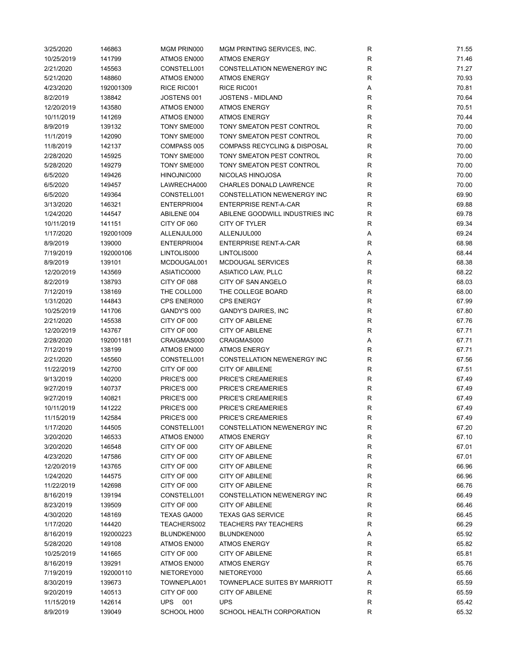| 3/25/2020  | 146863    | MGM PRIN000 | MGM PRINTING SERVICES, INC.             | R            | 71.55 |
|------------|-----------|-------------|-----------------------------------------|--------------|-------|
| 10/25/2019 | 141799    | ATMOS EN000 | <b>ATMOS ENERGY</b>                     | $\mathsf{R}$ | 71.46 |
| 2/21/2020  | 145563    | CONSTELL001 | <b>CONSTELLATION NEWENERGY INC</b>      | ${\sf R}$    | 71.27 |
| 5/21/2020  | 148860    | ATMOS EN000 | <b>ATMOS ENERGY</b>                     | ${\sf R}$    | 70.93 |
| 4/23/2020  | 192001309 | RICE RIC001 | RICE RIC001                             | Α            | 70.81 |
| 8/2/2019   | 138842    | JOSTENS 001 | <b>JOSTENS - MIDLAND</b>                | $\mathsf{R}$ | 70.64 |
| 12/20/2019 | 143580    | ATMOS EN000 | <b>ATMOS ENERGY</b>                     | $\mathsf{R}$ | 70.51 |
| 10/11/2019 | 141269    | ATMOS EN000 | <b>ATMOS ENERGY</b>                     | $\mathsf{R}$ | 70.44 |
| 8/9/2019   | 139132    | TONY SME000 | TONY SMEATON PEST CONTROL               | $\mathsf{R}$ | 70.00 |
| 11/1/2019  | 142090    | TONY SME000 | TONY SMEATON PEST CONTROL               | $\mathsf{R}$ | 70.00 |
| 11/8/2019  | 142137    | COMPASS 005 | <b>COMPASS RECYCLING &amp; DISPOSAL</b> | $\mathsf{R}$ | 70.00 |
|            |           |             |                                         | $\mathsf{R}$ |       |
| 2/28/2020  | 145925    | TONY SME000 | TONY SMEATON PEST CONTROL               |              | 70.00 |
| 5/28/2020  | 149279    | TONY SME000 | TONY SMEATON PEST CONTROL               | $\mathsf{R}$ | 70.00 |
| 6/5/2020   | 149426    | HINOJNIC000 | NICOLAS HINOJOSA                        | $\mathsf{R}$ | 70.00 |
| 6/5/2020   | 149457    | LAWRECHA000 | <b>CHARLES DONALD LAWRENCE</b>          | $\mathsf{R}$ | 70.00 |
| 6/5/2020   | 149364    | CONSTELL001 | CONSTELLATION NEWENERGY INC             | R            | 69.90 |
| 3/13/2020  | 146321    | ENTERPRI004 | <b>ENTERPRISE RENT-A-CAR</b>            | $\mathsf{R}$ | 69.88 |
| 1/24/2020  | 144547    | ABILENE 004 | ABILENE GOODWILL INDUSTRIES INC         | R            | 69.78 |
| 10/11/2019 | 141151    | CITY OF 060 | <b>CITY OF TYLER</b>                    | R            | 69.34 |
| 1/17/2020  | 192001009 | ALLENJUL000 | ALLENJUL000                             | Α            | 69.24 |
| 8/9/2019   | 139000    | ENTERPRI004 | <b>ENTERPRISE RENT-A-CAR</b>            | R            | 68.98 |
| 7/19/2019  | 192000106 | LINTOLIS000 | LINTOLIS000                             | Α            | 68.44 |
| 8/9/2019   | 139101    | MCDOUGAL001 | MCDOUGAL SERVICES                       | $\mathsf{R}$ | 68.38 |
| 12/20/2019 | 143569    | ASIATICO000 | ASIATICO LAW, PLLC                      | $\mathsf{R}$ | 68.22 |
| 8/2/2019   | 138793    | CITY OF 088 | <b>CITY OF SAN ANGELO</b>               | ${\sf R}$    | 68.03 |
| 7/12/2019  | 138169    | THE COLL000 | THE COLLEGE BOARD                       | $\mathsf{R}$ | 68.00 |
| 1/31/2020  | 144843    | CPS ENER000 | <b>CPS ENERGY</b>                       | ${\sf R}$    | 67.99 |
| 10/25/2019 | 141706    | GANDY'S 000 | <b>GANDY'S DAIRIES, INC</b>             | ${\sf R}$    | 67.80 |
| 2/21/2020  | 145538    | CITY OF 000 | <b>CITY OF ABILENE</b>                  | $\mathsf{R}$ | 67.76 |
| 12/20/2019 | 143767    | CITY OF 000 | <b>CITY OF ABILENE</b>                  | $\mathsf{R}$ | 67.71 |
| 2/28/2020  | 192001181 | CRAIGMAS000 | CRAIGMAS000                             | Α            | 67.71 |
| 7/12/2019  | 138199    | ATMOS EN000 | <b>ATMOS ENERGY</b>                     | R            | 67.71 |
| 2/21/2020  | 145560    | CONSTELL001 | CONSTELLATION NEWENERGY INC             | $\mathsf{R}$ | 67.56 |
|            |           |             |                                         | $\mathsf{R}$ |       |
| 11/22/2019 | 142700    | CITY OF 000 | <b>CITY OF ABILENE</b>                  |              | 67.51 |
| 9/13/2019  | 140200    | PRICE'S 000 | PRICE'S CREAMERIES                      | $\mathsf{R}$ | 67.49 |
| 9/27/2019  | 140737    | PRICE'S 000 | PRICE'S CREAMERIES                      | $\mathsf{R}$ | 67.49 |
| 9/27/2019  | 140821    | PRICE'S 000 | PRICE'S CREAMERIES                      | $\mathsf{R}$ | 67.49 |
| 10/11/2019 | 141222    | PRICE'S 000 | <b>PRICE'S CREAMERIES</b>               | $\mathsf{R}$ | 67.49 |
| 11/15/2019 | 142584    | PRICE'S 000 | <b>PRICE'S CREAMERIES</b>               | R            | 67.49 |
| 1/17/2020  | 144505    | CONSTELL001 | CONSTELLATION NEWENERGY INC             | R            | 67.20 |
| 3/20/2020  | 146533    | ATMOS EN000 | <b>ATMOS ENERGY</b>                     | $\mathsf{R}$ | 67.10 |
| 3/20/2020  | 146548    | CITY OF 000 | <b>CITY OF ABILENE</b>                  | R            | 67.01 |
| 4/23/2020  | 147586    | CITY OF 000 | <b>CITY OF ABILENE</b>                  | R            | 67.01 |
| 12/20/2019 | 143765    | CITY OF 000 | <b>CITY OF ABILENE</b>                  | R            | 66.96 |
| 1/24/2020  | 144575    | CITY OF 000 | <b>CITY OF ABILENE</b>                  | R            | 66.96 |
| 11/22/2019 | 142698    | CITY OF 000 | <b>CITY OF ABILENE</b>                  | R            | 66.76 |
| 8/16/2019  | 139194    | CONSTELL001 | <b>CONSTELLATION NEWENERGY INC</b>      | $\mathsf{R}$ | 66.49 |
| 8/23/2019  | 139509    | CITY OF 000 | <b>CITY OF ABILENE</b>                  | $\mathsf{R}$ | 66.46 |
| 4/30/2020  | 148169    | TEXAS GA000 | <b>TEXAS GAS SERVICE</b>                | $\mathsf{R}$ | 66.45 |
| 1/17/2020  | 144420    | TEACHERS002 | <b>TEACHERS PAY TEACHERS</b>            | $\mathsf{R}$ | 66.29 |
| 8/16/2019  | 192000223 | BLUNDKEN000 | BLUNDKEN000                             | Α            | 65.92 |
| 5/28/2020  | 149108    | ATMOS EN000 | <b>ATMOS ENERGY</b>                     | R            | 65.82 |
| 10/25/2019 | 141665    | CITY OF 000 | <b>CITY OF ABILENE</b>                  | R            | 65.81 |
| 8/16/2019  | 139291    | ATMOS EN000 | <b>ATMOS ENERGY</b>                     | R            | 65.76 |
| 7/19/2019  | 192000110 | NIETOREY000 | NIETOREY000                             | Α            | 65.66 |
| 8/30/2019  | 139673    | TOWNEPLA001 | TOWNEPLACE SUITES BY MARRIOTT           | R            | 65.59 |
| 9/20/2019  | 140513    | CITY OF 000 | <b>CITY OF ABILENE</b>                  | R            | 65.59 |
| 11/15/2019 | 142614    | UPS 001     | <b>UPS</b>                              | R            | 65.42 |
| 8/9/2019   | 139049    | SCHOOL H000 | SCHOOL HEALTH CORPORATION               | $\mathsf{R}$ | 65.32 |
|            |           |             |                                         |              |       |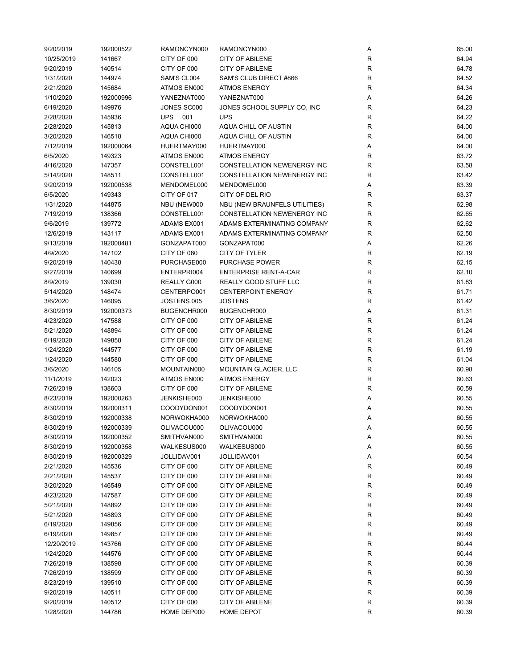| 9/20/2019  | 192000522 | RAMONCYN000    | RAMONCYN000                        | Α           | 65.00 |
|------------|-----------|----------------|------------------------------------|-------------|-------|
| 10/25/2019 | 141667    | CITY OF 000    | <b>CITY OF ABILENE</b>             | R           | 64.94 |
| 9/20/2019  | 140514    | CITY OF 000    | <b>CITY OF ABILENE</b>             | R           | 64.78 |
| 1/31/2020  | 144974    | SAM'S CL004    | SAM'S CLUB DIRECT #866             | R           | 64.52 |
| 2/21/2020  | 145684    | ATMOS EN000    | <b>ATMOS ENERGY</b>                | R           | 64.34 |
| 1/10/2020  | 192000996 | YANEZNAT000    | YANEZNAT000                        | Α           | 64.26 |
| 6/19/2020  | 149976    | JONES SC000    | JONES SCHOOL SUPPLY CO, INC        | R           | 64.23 |
| 2/28/2020  | 145936    | <b>UPS</b> 001 | <b>UPS</b>                         | R           | 64.22 |
| 2/28/2020  | 145813    | AQUA CHI000    | AQUA CHILL OF AUSTIN               | $\mathsf R$ | 64.00 |
| 3/20/2020  | 146518    | AQUA CHI000    | AQUA CHILL OF AUSTIN               | R           | 64.00 |
| 7/12/2019  | 192000064 | HUERTMAY000    | HUERTMAY000                        | Α           | 64.00 |
| 6/5/2020   | 149323    | ATMOS EN000    | <b>ATMOS ENERGY</b>                | $\mathsf R$ | 63.72 |
|            | 147357    | CONSTELL001    | <b>CONSTELLATION NEWENERGY INC</b> | R           |       |
| 4/16/2020  |           |                |                                    |             | 63.58 |
| 5/14/2020  | 148511    | CONSTELL001    | CONSTELLATION NEWENERGY INC        | R           | 63.42 |
| 9/20/2019  | 192000538 | MENDOMEL000    | MENDOMEL000                        | Α           | 63.39 |
| 6/5/2020   | 149343    | CITY OF 017    | CITY OF DEL RIO                    | R           | 63.37 |
| 1/31/2020  | 144875    | NBU (NEW000    | NBU (NEW BRAUNFELS UTILITIES)      | R           | 62.98 |
| 7/19/2019  | 138366    | CONSTELL001    | CONSTELLATION NEWENERGY INC        | R           | 62.65 |
| 9/6/2019   | 139772    | ADAMS EX001    | ADAMS EXTERMINATING COMPANY        | R           | 62.62 |
| 12/6/2019  | 143117    | ADAMS EX001    | ADAMS EXTERMINATING COMPANY        | R           | 62.50 |
| 9/13/2019  | 192000481 | GONZAPAT000    | GONZAPAT000                        | Α           | 62.26 |
| 4/9/2020   | 147102    | CITY OF 060    | CITY OF TYLER                      | R           | 62.19 |
| 9/20/2019  | 140438    | PURCHASE000    | PURCHASE POWER                     | R           | 62.15 |
| 9/27/2019  | 140699    | ENTERPRI004    | <b>ENTERPRISE RENT-A-CAR</b>       | $\mathsf R$ | 62.10 |
| 8/9/2019   | 139030    | REALLY G000    | REALLY GOOD STUFF LLC              | R           | 61.83 |
| 5/14/2020  | 148474    | CENTERPO001    | <b>CENTERPOINT ENERGY</b>          | R           | 61.71 |
| 3/6/2020   | 146095    | JOSTENS 005    | <b>JOSTENS</b>                     | $\mathsf R$ | 61.42 |
| 8/30/2019  | 192000373 | BUGENCHR000    | BUGENCHR000                        | Α           | 61.31 |
| 4/23/2020  | 147588    | CITY OF 000    | <b>CITY OF ABILENE</b>             | R           | 61.24 |
| 5/21/2020  | 148894    | CITY OF 000    | <b>CITY OF ABILENE</b>             | $\mathsf R$ | 61.24 |
| 6/19/2020  | 149858    | CITY OF 000    | <b>CITY OF ABILENE</b>             | $\mathsf R$ | 61.24 |
| 1/24/2020  | 144577    | CITY OF 000    | <b>CITY OF ABILENE</b>             | R           | 61.19 |
| 1/24/2020  | 144580    | CITY OF 000    | <b>CITY OF ABILENE</b>             | $\mathsf R$ | 61.04 |
| 3/6/2020   | 146105    | MOUNTAIN000    | <b>MOUNTAIN GLACIER, LLC</b>       | $\mathsf R$ | 60.98 |
| 11/1/2019  | 142023    | ATMOS EN000    | <b>ATMOS ENERGY</b>                | R           | 60.63 |
| 7/26/2019  |           | CITY OF 000    | <b>CITY OF ABILENE</b>             | $\mathsf R$ | 60.59 |
|            | 138603    |                |                                    |             |       |
| 8/23/2019  | 192000263 | JENKISHE000    | JENKISHE000                        | Α           | 60.55 |
| 8/30/2019  | 192000311 | COODYDON001    | COODYDON001                        | Α           | 60.55 |
| 8/30/2019  | 192000338 | NORWOKHA000    | NORWOKHA000                        | Α           | 60.55 |
| 8/30/2019  | 192000339 | OLIVACOU000    | OLIVACOU000                        | Α           | 60.55 |
| 8/30/2019  | 192000352 | SMITHVAN000    | SMITHVAN000                        | Α           | 60.55 |
| 8/30/2019  | 192000358 | WALKESUS000    | WALKESUS000                        | Α           | 60.55 |
| 8/30/2019  | 192000329 | JOLLIDAV001    | JOLLIDAV001                        | Α           | 60.54 |
| 2/21/2020  | 145536    | CITY OF 000    | <b>CITY OF ABILENE</b>             | R           | 60.49 |
| 2/21/2020  | 145537    | CITY OF 000    | <b>CITY OF ABILENE</b>             | R           | 60.49 |
| 3/20/2020  | 146549    | CITY OF 000    | <b>CITY OF ABILENE</b>             | R           | 60.49 |
| 4/23/2020  | 147587    | CITY OF 000    | <b>CITY OF ABILENE</b>             | R           | 60.49 |
| 5/21/2020  | 148892    | CITY OF 000    | <b>CITY OF ABILENE</b>             | R           | 60.49 |
| 5/21/2020  | 148893    | CITY OF 000    | <b>CITY OF ABILENE</b>             | ${\sf R}$   | 60.49 |
| 6/19/2020  | 149856    | CITY OF 000    | <b>CITY OF ABILENE</b>             | R           | 60.49 |
| 6/19/2020  | 149857    | CITY OF 000    | <b>CITY OF ABILENE</b>             | $\mathsf R$ | 60.49 |
| 12/20/2019 | 143766    | CITY OF 000    | <b>CITY OF ABILENE</b>             | R           | 60.44 |
| 1/24/2020  | 144576    | CITY OF 000    | <b>CITY OF ABILENE</b>             | R           | 60.44 |
| 7/26/2019  | 138598    | CITY OF 000    | <b>CITY OF ABILENE</b>             | R           | 60.39 |
| 7/26/2019  | 138599    | CITY OF 000    | <b>CITY OF ABILENE</b>             | $\mathsf R$ | 60.39 |
| 8/23/2019  | 139510    | CITY OF 000    | <b>CITY OF ABILENE</b>             | R           | 60.39 |
| 9/20/2019  | 140511    | CITY OF 000    | <b>CITY OF ABILENE</b>             | R           | 60.39 |
| 9/20/2019  | 140512    | CITY OF 000    | <b>CITY OF ABILENE</b>             | R           | 60.39 |
| 1/28/2020  | 144786    | HOME DEP000    | <b>HOME DEPOT</b>                  | R           | 60.39 |
|            |           |                |                                    |             |       |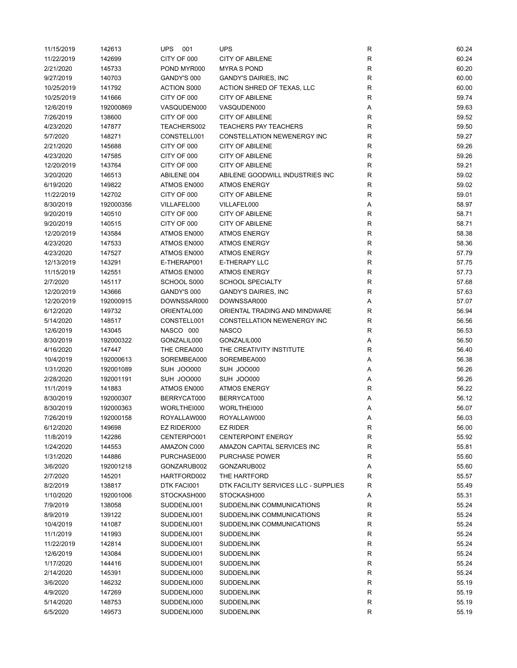| 11/15/2019 | 142613    | <b>UPS</b><br>001          | <b>UPS</b>                           | R            | 60.24 |
|------------|-----------|----------------------------|--------------------------------------|--------------|-------|
| 11/22/2019 | 142699    | CITY OF 000                | <b>CITY OF ABILENE</b>               | ${\sf R}$    | 60.24 |
| 2/21/2020  | 145733    | POND MYR000                | <b>MYRAS POND</b>                    | R            | 60.20 |
| 9/27/2019  | 140703    | GANDY'S 000                | <b>GANDY'S DAIRIES, INC</b>          | R            | 60.00 |
| 10/25/2019 | 141792    | <b>ACTION S000</b>         | ACTION SHRED OF TEXAS, LLC           | $\mathsf R$  | 60.00 |
| 10/25/2019 | 141666    | CITY OF 000                | <b>CITY OF ABILENE</b>               | R            | 59.74 |
| 12/6/2019  | 192000869 | VASQUDEN000                | VASQUDEN000                          | Α            | 59.63 |
| 7/26/2019  | 138600    | CITY OF 000                | <b>CITY OF ABILENE</b>               | $\mathsf R$  | 59.52 |
| 4/23/2020  | 147877    | TEACHERS002                | <b>TEACHERS PAY TEACHERS</b>         | R            | 59.50 |
| 5/7/2020   | 148271    | CONSTELL001                | CONSTELLATION NEWENERGY INC          | R            | 59.27 |
| 2/21/2020  | 145688    | CITY OF 000                | <b>CITY OF ABILENE</b>               | R            | 59.26 |
| 4/23/2020  | 147585    | CITY OF 000                | <b>CITY OF ABILENE</b>               | R            | 59.26 |
|            |           |                            |                                      |              | 59.21 |
| 12/20/2019 | 143764    | CITY OF 000                | <b>CITY OF ABILENE</b>               | R            |       |
| 3/20/2020  | 146513    | ABILENE 004                | ABILENE GOODWILL INDUSTRIES INC      | $\mathsf R$  | 59.02 |
| 6/19/2020  | 149822    | ATMOS EN000                | <b>ATMOS ENERGY</b>                  | R            | 59.02 |
| 11/22/2019 | 142702    | CITY OF 000                | <b>CITY OF ABILENE</b>               | R            | 59.01 |
| 8/30/2019  | 192000356 | VILLAFEL000                | VILLAFEL000                          | Α            | 58.97 |
| 9/20/2019  | 140510    | CITY OF 000                | <b>CITY OF ABILENE</b>               | R            | 58.71 |
| 9/20/2019  | 140515    | CITY OF 000                | <b>CITY OF ABILENE</b>               | R            | 58.71 |
| 12/20/2019 | 143584    | ATMOS EN000                | <b>ATMOS ENERGY</b>                  | $\mathsf R$  | 58.38 |
| 4/23/2020  | 147533    | ATMOS EN000                | <b>ATMOS ENERGY</b>                  | R            | 58.36 |
| 4/23/2020  | 147527    | ATMOS EN000                | <b>ATMOS ENERGY</b>                  | R            | 57.79 |
| 12/13/2019 | 143291    | E-THERAP001                | E-THERAPY LLC                        | $\mathsf{R}$ | 57.75 |
| 11/15/2019 | 142551    | ATMOS EN000                | <b>ATMOS ENERGY</b>                  | R            | 57.73 |
| 2/7/2020   | 145117    | SCHOOL S000                | <b>SCHOOL SPECIALTY</b>              | ${\sf R}$    | 57.68 |
| 12/20/2019 | 143666    | GANDY'S 000                | <b>GANDY'S DAIRIES, INC</b>          | $\mathsf R$  | 57.63 |
| 12/20/2019 | 192000915 | DOWNSSAR000                | DOWNSSAR000                          | Α            | 57.07 |
| 6/12/2020  | 149732    | ORIENTAL000                | ORIENTAL TRADING AND MINDWARE        | R            | 56.94 |
| 5/14/2020  | 148517    | CONSTELL001                | CONSTELLATION NEWENERGY INC          | R            | 56.56 |
| 12/6/2019  | 143045    | NASCO 000                  | <b>NASCO</b>                         | R            | 56.53 |
| 8/30/2019  | 192000322 | GONZALIL000                | GONZALIL000                          | Α            | 56.50 |
| 4/16/2020  | 147447    | THE CREA000                | THE CREATIVITY INSTITUTE             | R            | 56.40 |
| 10/4/2019  | 192000613 | SOREMBEA000                | SOREMBEA000                          | Α            | 56.38 |
| 1/31/2020  | 192001089 | SUH JOO000                 | SUH JOO000                           | Α            | 56.26 |
| 2/28/2020  | 192001191 | SUH JOO000                 | SUH JOO000                           | Α            | 56.26 |
| 11/1/2019  | 141883    | ATMOS EN000                | <b>ATMOS ENERGY</b>                  | R            | 56.22 |
| 8/30/2019  |           | BERRYCAT000                | BERRYCAT000                          | Α            | 56.12 |
|            | 192000307 |                            |                                      |              |       |
| 8/30/2019  | 192000363 | WORLTHEI000<br>ROYALLAW000 | WORLTHEI000                          | Α            | 56.07 |
| 7/26/2019  | 192000158 |                            | ROYALLAW000                          | Α            | 56.03 |
| 6/12/2020  | 149698    | EZ RIDER000                | <b>EZ RIDER</b>                      | R            | 56.00 |
| 11/8/2019  | 142286    | CENTERPO001                | <b>CENTERPOINT ENERGY</b>            | R            | 55.92 |
| 1/24/2020  | 144553    | AMAZON C000                | AMAZON CAPITAL SERVICES INC          | R            | 55.81 |
| 1/31/2020  | 144886    | PURCHASE000                | <b>PURCHASE POWER</b>                | R            | 55.60 |
| 3/6/2020   | 192001218 | GONZARUB002                | GONZARUB002                          | Α            | 55.60 |
| 2/7/2020   | 145201    | HARTFORD002                | THE HARTFORD                         | R            | 55.57 |
| 8/2/2019   | 138817    | DTK FACI001                | DTK FACILITY SERVICES LLC - SUPPLIES | R            | 55.49 |
| 1/10/2020  | 192001006 | STOCKASH000                | STOCKASH000                          | Α            | 55.31 |
| 7/9/2019   | 138058    | SUDDENLI001                | SUDDENLINK COMMUNICATIONS            | R            | 55.24 |
| 8/9/2019   | 139122    | SUDDENLI001                | SUDDENLINK COMMUNICATIONS            | R            | 55.24 |
| 10/4/2019  | 141087    | SUDDENLI001                | SUDDENLINK COMMUNICATIONS            | R            | 55.24 |
| 11/1/2019  | 141993    | SUDDENLI001                | <b>SUDDENLINK</b>                    | $\mathsf R$  | 55.24 |
| 11/22/2019 | 142814    | SUDDENLI001                | <b>SUDDENLINK</b>                    | $\mathsf R$  | 55.24 |
| 12/6/2019  | 143084    | SUDDENLI001                | <b>SUDDENLINK</b>                    | ${\sf R}$    | 55.24 |
| 1/17/2020  | 144416    | SUDDENLI001                | <b>SUDDENLINK</b>                    | R            | 55.24 |
| 2/14/2020  | 145391    | SUDDENLI000                | <b>SUDDENLINK</b>                    | R            | 55.24 |
| 3/6/2020   | 146232    | SUDDENLI000                | <b>SUDDENLINK</b>                    | R            | 55.19 |
| 4/9/2020   | 147269    | SUDDENLI000                | <b>SUDDENLINK</b>                    | R            | 55.19 |
| 5/14/2020  | 148753    | SUDDENLI000                | <b>SUDDENLINK</b>                    | R            | 55.19 |
| 6/5/2020   | 149573    | SUDDENLI000                | <b>SUDDENLINK</b>                    | R            | 55.19 |
|            |           |                            |                                      |              |       |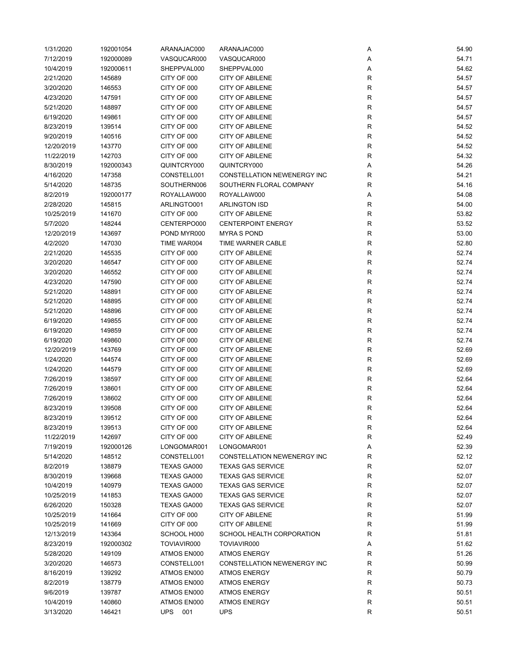| 1/31/2020  | 192001054 | ARANAJAC000        | ARANAJAC000                 | Α           | 54.90 |
|------------|-----------|--------------------|-----------------------------|-------------|-------|
| 7/12/2019  | 192000089 | VASQUCAR000        | VASQUCAR000                 | Α           | 54.71 |
| 10/4/2019  | 192000611 | SHEPPVAL000        | SHEPPVAL000                 | Α           | 54.62 |
| 2/21/2020  | 145689    | CITY OF 000        | <b>CITY OF ABILENE</b>      | R           | 54.57 |
| 3/20/2020  | 146553    | CITY OF 000        | <b>CITY OF ABILENE</b>      | R           | 54.57 |
| 4/23/2020  | 147591    | CITY OF 000        | <b>CITY OF ABILENE</b>      | R           | 54.57 |
| 5/21/2020  | 148897    | CITY OF 000        | <b>CITY OF ABILENE</b>      | ${\sf R}$   | 54.57 |
| 6/19/2020  | 149861    | CITY OF 000        | <b>CITY OF ABILENE</b>      | R           | 54.57 |
| 8/23/2019  | 139514    | CITY OF 000        | <b>CITY OF ABILENE</b>      | R           | 54.52 |
| 9/20/2019  | 140516    | CITY OF 000        | <b>CITY OF ABILENE</b>      | R           | 54.52 |
| 12/20/2019 | 143770    | CITY OF 000        | <b>CITY OF ABILENE</b>      | R           | 54.52 |
|            |           | CITY OF 000        | <b>CITY OF ABILENE</b>      | R           | 54.32 |
| 11/22/2019 | 142703    |                    | QUINTCRY000                 |             |       |
| 8/30/2019  | 192000343 | QUINTCRY000        |                             | Α           | 54.26 |
| 4/16/2020  | 147358    | CONSTELL001        | CONSTELLATION NEWENERGY INC | R           | 54.21 |
| 5/14/2020  | 148735    | SOUTHERN006        | SOUTHERN FLORAL COMPANY     | R           | 54.16 |
| 8/2/2019   | 192000177 | ROYALLAW000        | ROYALLAW000                 | Α           | 54.08 |
| 2/28/2020  | 145815    | ARLINGTO001        | <b>ARLINGTON ISD</b>        | R           | 54.00 |
| 10/25/2019 | 141670    | CITY OF 000        | <b>CITY OF ABILENE</b>      | R           | 53.82 |
| 5/7/2020   | 148244    | CENTERPO000        | <b>CENTERPOINT ENERGY</b>   | ${\sf R}$   | 53.52 |
| 12/20/2019 | 143697    | POND MYR000        | <b>MYRAS POND</b>           | R           | 53.00 |
| 4/2/2020   | 147030    | TIME WAR004        | TIME WARNER CABLE           | $\mathsf R$ | 52.80 |
| 2/21/2020  | 145535    | CITY OF 000        | <b>CITY OF ABILENE</b>      | ${\sf R}$   | 52.74 |
| 3/20/2020  | 146547    | CITY OF 000        | <b>CITY OF ABILENE</b>      | R           | 52.74 |
| 3/20/2020  | 146552    | CITY OF 000        | <b>CITY OF ABILENE</b>      | ${\sf R}$   | 52.74 |
| 4/23/2020  | 147590    | CITY OF 000        | <b>CITY OF ABILENE</b>      | ${\sf R}$   | 52.74 |
| 5/21/2020  | 148891    | CITY OF 000        | <b>CITY OF ABILENE</b>      | R           | 52.74 |
| 5/21/2020  | 148895    | CITY OF 000        | <b>CITY OF ABILENE</b>      | ${\sf R}$   | 52.74 |
| 5/21/2020  | 148896    | CITY OF 000        | <b>CITY OF ABILENE</b>      | ${\sf R}$   | 52.74 |
| 6/19/2020  | 149855    | CITY OF 000        | <b>CITY OF ABILENE</b>      | R           | 52.74 |
| 6/19/2020  | 149859    | CITY OF 000        | <b>CITY OF ABILENE</b>      | R           | 52.74 |
| 6/19/2020  | 149860    | CITY OF 000        | <b>CITY OF ABILENE</b>      | $\mathsf R$ | 52.74 |
| 12/20/2019 | 143769    | CITY OF 000        | <b>CITY OF ABILENE</b>      | $\mathsf R$ | 52.69 |
| 1/24/2020  | 144574    | CITY OF 000        | <b>CITY OF ABILENE</b>      | R           | 52.69 |
| 1/24/2020  | 144579    | CITY OF 000        | <b>CITY OF ABILENE</b>      | R           | 52.69 |
| 7/26/2019  | 138597    | CITY OF 000        | <b>CITY OF ABILENE</b>      | ${\sf R}$   | 52.64 |
| 7/26/2019  |           | CITY OF 000        | <b>CITY OF ABILENE</b>      | $\mathsf R$ | 52.64 |
|            | 138601    |                    |                             |             |       |
| 7/26/2019  | 138602    | CITY OF 000        | <b>CITY OF ABILENE</b>      | ${\sf R}$   | 52.64 |
| 8/23/2019  | 139508    | CITY OF 000        | <b>CITY OF ABILENE</b>      | ${\sf R}$   | 52.64 |
| 8/23/2019  | 139512    | CITY OF 000        | <b>CITY OF ABILENE</b>      | R           | 52.64 |
| 8/23/2019  | 139513    | CITY OF 000        | <b>CITY OF ABILENE</b>      | R           | 52.64 |
| 11/22/2019 | 142697    | CITY OF 000        | <b>CITY OF ABILENE</b>      | R           | 52.49 |
| 7/19/2019  | 192000126 | LONGOMAR001        | LONGOMAR001                 | Α           | 52.39 |
| 5/14/2020  | 148512    | CONSTELL001        | CONSTELLATION NEWENERGY INC | R           | 52.12 |
| 8/2/2019   | 138879    | TEXAS GA000        | <b>TEXAS GAS SERVICE</b>    | R           | 52.07 |
| 8/30/2019  | 139668    | TEXAS GA000        | <b>TEXAS GAS SERVICE</b>    | R           | 52.07 |
| 10/4/2019  | 140979    | <b>TEXAS GA000</b> | <b>TEXAS GAS SERVICE</b>    | $\mathsf R$ | 52.07 |
| 10/25/2019 | 141853    | TEXAS GA000        | <b>TEXAS GAS SERVICE</b>    | $\mathsf R$ | 52.07 |
| 6/26/2020  | 150328    | TEXAS GA000        | <b>TEXAS GAS SERVICE</b>    | R           | 52.07 |
| 10/25/2019 | 141664    | CITY OF 000        | <b>CITY OF ABILENE</b>      | $\mathsf R$ | 51.99 |
| 10/25/2019 | 141669    | CITY OF 000        | <b>CITY OF ABILENE</b>      | R           | 51.99 |
| 12/13/2019 | 143364    | SCHOOL H000        | SCHOOL HEALTH CORPORATION   | R           | 51.81 |
| 8/23/2019  | 192000302 | TOVIAVIR000        | TOVIAVIR000                 | Α           | 51.62 |
| 5/28/2020  | 149109    | ATMOS EN000        | <b>ATMOS ENERGY</b>         | R           | 51.26 |
| 3/20/2020  | 146573    | CONSTELL001        | CONSTELLATION NEWENERGY INC | R           | 50.99 |
| 8/16/2019  | 139292    | ATMOS EN000        | <b>ATMOS ENERGY</b>         | R           | 50.79 |
| 8/2/2019   | 138779    | ATMOS EN000        | <b>ATMOS ENERGY</b>         | R           | 50.73 |
| 9/6/2019   | 139787    | ATMOS EN000        | <b>ATMOS ENERGY</b>         | $\mathsf R$ | 50.51 |
| 10/4/2019  | 140860    | ATMOS EN000        | <b>ATMOS ENERGY</b>         | ${\sf R}$   | 50.51 |
| 3/13/2020  | 146421    | UPS<br>001         | <b>UPS</b>                  | R           | 50.51 |
|            |           |                    |                             |             |       |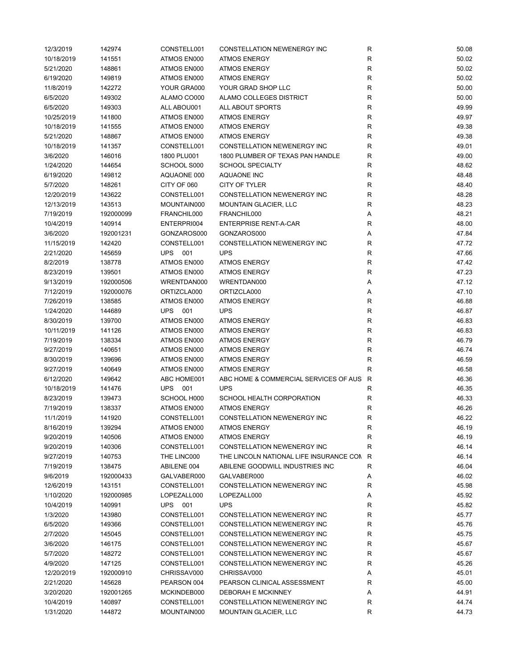| 12/3/2019  | 142974    | CONSTELL001    | CONSTELLATION NEWENERGY INC               | R            | 50.08 |
|------------|-----------|----------------|-------------------------------------------|--------------|-------|
| 10/18/2019 | 141551    | ATMOS EN000    | <b>ATMOS ENERGY</b>                       | R            | 50.02 |
| 5/21/2020  | 148861    | ATMOS EN000    | <b>ATMOS ENERGY</b>                       | $\mathsf{R}$ | 50.02 |
| 6/19/2020  | 149819    | ATMOS EN000    | <b>ATMOS ENERGY</b>                       | $\mathsf{R}$ | 50.02 |
| 11/8/2019  | 142272    | YOUR GRA000    | YOUR GRAD SHOP LLC                        | $\mathsf{R}$ | 50.00 |
| 6/5/2020   | 149302    | ALAMO CO000    | ALAMO COLLEGES DISTRICT                   | $\mathsf{R}$ | 50.00 |
| 6/5/2020   | 149303    | ALL ABOU001    | ALL ABOUT SPORTS                          | $\mathsf{R}$ | 49.99 |
| 10/25/2019 | 141800    | ATMOS EN000    | <b>ATMOS ENERGY</b>                       | $\mathsf{R}$ | 49.97 |
| 10/18/2019 | 141555    | ATMOS EN000    | <b>ATMOS ENERGY</b>                       | $\mathsf{R}$ | 49.38 |
|            |           |                |                                           | $\mathsf{R}$ | 49.38 |
| 5/21/2020  | 148867    | ATMOS EN000    | <b>ATMOS ENERGY</b>                       | $\mathsf{R}$ |       |
| 10/18/2019 | 141357    | CONSTELL001    | CONSTELLATION NEWENERGY INC               |              | 49.01 |
| 3/6/2020   | 146016    | 1800 PLU001    | 1800 PLUMBER OF TEXAS PAN HANDLE          | $\mathsf{R}$ | 49.00 |
| 1/24/2020  | 144654    | SCHOOL S000    | <b>SCHOOL SPECIALTY</b>                   | $\mathsf{R}$ | 48.62 |
| 6/19/2020  | 149812    | AQUAONE 000    | AQUAONE INC                               | $\mathsf{R}$ | 48.48 |
| 5/7/2020   | 148261    | CITY OF 060    | CITY OF TYLER                             | $\mathsf{R}$ | 48.40 |
| 12/20/2019 | 143622    | CONSTELL001    | CONSTELLATION NEWENERGY INC               | $\mathsf{R}$ | 48.28 |
| 12/13/2019 | 143513    | MOUNTAIN000    | <b>MOUNTAIN GLACIER, LLC</b>              | R            | 48.23 |
| 7/19/2019  | 192000099 | FRANCHIL000    | FRANCHIL000                               | Α            | 48.21 |
| 10/4/2019  | 140914    | ENTERPRI004    | <b>ENTERPRISE RENT-A-CAR</b>              | $\mathsf{R}$ | 48.00 |
| 3/6/2020   | 192001231 | GONZAROS000    | GONZAROS000                               | Α            | 47.84 |
| 11/15/2019 | 142420    | CONSTELL001    | CONSTELLATION NEWENERGY INC               | R            | 47.72 |
| 2/21/2020  | 145659    | <b>UPS 001</b> | <b>UPS</b>                                | $\mathsf{R}$ | 47.66 |
| 8/2/2019   | 138778    | ATMOS EN000    | <b>ATMOS ENERGY</b>                       | $\mathsf{R}$ | 47.42 |
| 8/23/2019  | 139501    | ATMOS EN000    | <b>ATMOS ENERGY</b>                       | $\mathsf{R}$ | 47.23 |
| 9/13/2019  | 192000506 | WRENTDAN000    | WRENTDAN000                               | Α            | 47.12 |
| 7/12/2019  | 192000076 | ORTIZCLA000    | ORTIZCLA000                               | Α            | 47.10 |
| 7/26/2019  | 138585    | ATMOS EN000    | <b>ATMOS ENERGY</b>                       | $\mathsf{R}$ | 46.88 |
| 1/24/2020  | 144689    | <b>UPS 001</b> | <b>UPS</b>                                | $\mathsf{R}$ | 46.87 |
| 8/30/2019  | 139700    | ATMOS EN000    | <b>ATMOS ENERGY</b>                       | ${\sf R}$    | 46.83 |
| 10/11/2019 | 141126    | ATMOS EN000    | <b>ATMOS ENERGY</b>                       | $\mathsf{R}$ | 46.83 |
|            |           |                |                                           |              |       |
| 7/19/2019  | 138334    | ATMOS EN000    | <b>ATMOS ENERGY</b>                       | $\mathsf{R}$ | 46.79 |
| 9/27/2019  | 140651    | ATMOS EN000    | <b>ATMOS ENERGY</b>                       | $\mathsf{R}$ | 46.74 |
| 8/30/2019  | 139696    | ATMOS EN000    | <b>ATMOS ENERGY</b>                       | $\mathsf{R}$ | 46.59 |
| 9/27/2019  | 140649    | ATMOS EN000    | <b>ATMOS ENERGY</b>                       | R            | 46.58 |
| 6/12/2020  | 149642    | ABC HOME001    | ABC HOME & COMMERCIAL SERVICES OF AUS R   |              | 46.36 |
| 10/18/2019 | 141476    | <b>UPS 001</b> | <b>UPS</b>                                | R            | 46.35 |
| 8/23/2019  | 139473    | SCHOOL H000    | SCHOOL HEALTH CORPORATION                 | R            | 46.33 |
| 7/19/2019  | 138337    | ATMOS EN000    | <b>ATMOS ENERGY</b>                       | $\mathsf{R}$ | 46.26 |
| 11/1/2019  | 141920    | CONSTELL001    | CONSTELLATION NEWENERGY INC               | R            | 46.22 |
| 8/16/2019  | 139294    | ATMOS EN000    | <b>ATMOS ENERGY</b>                       | R            | 46.19 |
| 9/20/2019  | 140506    | ATMOS EN000    | <b>ATMOS ENERGY</b>                       | $\mathsf{R}$ | 46.19 |
| 9/20/2019  | 140306    | CONSTELL001    | CONSTELLATION NEWENERGY INC               | $\mathsf{R}$ | 46.14 |
| 9/27/2019  | 140753    | THE LINC000    | THE LINCOLN NATIONAL LIFE INSURANCE CON R |              | 46.14 |
| 7/19/2019  | 138475    | ABILENE 004    | ABILENE GOODWILL INDUSTRIES INC           | R            | 46.04 |
| 9/6/2019   | 192000433 | GALVABER000    | GALVABER000                               | Α            | 46.02 |
| 12/6/2019  | 143151    | CONSTELL001    | CONSTELLATION NEWENERGY INC               | R            | 45.98 |
| 1/10/2020  | 192000985 | LOPEZALL000    | LOPEZALL000                               | Α            | 45.92 |
| 10/4/2019  | 140991    | <b>UPS 001</b> | <b>UPS</b>                                | R            | 45.82 |
| 1/3/2020   | 143980    | CONSTELL001    | CONSTELLATION NEWENERGY INC               | $\mathsf{R}$ | 45.77 |
| 6/5/2020   | 149366    | CONSTELL001    | <b>CONSTELLATION NEWENERGY INC</b>        | R            | 45.76 |
| 2/7/2020   | 145045    | CONSTELL001    | CONSTELLATION NEWENERGY INC               | R            | 45.75 |
| 3/6/2020   | 146175    | CONSTELL001    | CONSTELLATION NEWENERGY INC               | $\mathsf{R}$ | 45.67 |
| 5/7/2020   |           | CONSTELL001    | CONSTELLATION NEWENERGY INC               | $\mathsf{R}$ | 45.67 |
|            | 148272    |                | CONSTELLATION NEWENERGY INC               | R            |       |
| 4/9/2020   | 147125    | CONSTELL001    |                                           |              | 45.26 |
| 12/20/2019 | 192000910 | CHRISSAV000    | CHRISSAV000                               | Α            | 45.01 |
| 2/21/2020  | 145628    | PEARSON 004    | PEARSON CLINICAL ASSESSMENT               | R            | 45.00 |
| 3/20/2020  | 192001265 | MCKINDEB000    | DEBORAH E MCKINNEY                        | Α            | 44.91 |
| 10/4/2019  | 140897    | CONSTELL001    | CONSTELLATION NEWENERGY INC               | R            | 44.74 |
| 1/31/2020  | 144872    | MOUNTAIN000    | <b>MOUNTAIN GLACIER, LLC</b>              | R            | 44.73 |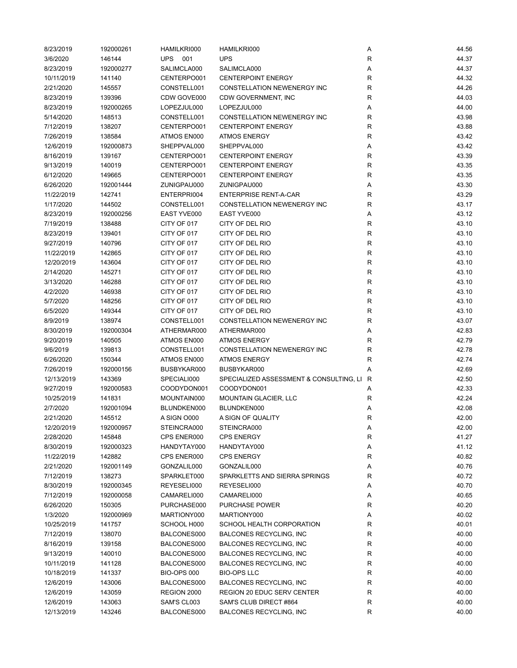| 8/23/2019  | 192000261 | HAMILKRI000        | HAMILKRI000                               | Α            | 44.56 |
|------------|-----------|--------------------|-------------------------------------------|--------------|-------|
| 3/6/2020   | 146144    | <b>UPS</b><br>001  | <b>UPS</b>                                | R            | 44.37 |
| 8/23/2019  | 192000277 | SALIMCLA000        | SALIMCLA000                               | Α            | 44.37 |
| 10/11/2019 | 141140    | CENTERPO001        | <b>CENTERPOINT ENERGY</b>                 | R            | 44.32 |
| 2/21/2020  | 145557    | CONSTELL001        | CONSTELLATION NEWENERGY INC               | $\mathsf R$  | 44.26 |
| 8/23/2019  | 139396    | CDW GOVE000        | CDW GOVERNMENT, INC                       | R            | 44.03 |
| 8/23/2019  | 192000265 | LOPEZJUL000        | LOPEZJUL000                               | Α            | 44.00 |
| 5/14/2020  | 148513    | CONSTELL001        | CONSTELLATION NEWENERGY INC               | R            | 43.98 |
| 7/12/2019  | 138207    | CENTERPO001        | <b>CENTERPOINT ENERGY</b>                 | R            | 43.88 |
| 7/26/2019  | 138584    | ATMOS EN000        | <b>ATMOS ENERGY</b>                       | R            | 43.42 |
| 12/6/2019  | 192000873 | SHEPPVAL000        | SHEPPVAL000                               | Α            | 43.42 |
|            |           | CENTERPO001        | <b>CENTERPOINT ENERGY</b>                 | R            | 43.39 |
| 8/16/2019  | 139167    |                    |                                           |              |       |
| 9/13/2019  | 140019    | CENTERPO001        | <b>CENTERPOINT ENERGY</b>                 | $\mathsf R$  | 43.35 |
| 6/12/2020  | 149665    | CENTERPO001        | <b>CENTERPOINT ENERGY</b>                 | $\mathsf R$  | 43.35 |
| 6/26/2020  | 192001444 | ZUNIGPAU000        | ZUNIGPAU000                               | Α            | 43.30 |
| 11/22/2019 | 142741    | ENTERPRI004        | <b>ENTERPRISE RENT-A-CAR</b>              | R            | 43.29 |
| 1/17/2020  | 144502    | CONSTELL001        | CONSTELLATION NEWENERGY INC               | R            | 43.17 |
| 8/23/2019  | 192000256 | EAST YVE000        | EAST YVE000                               | Α            | 43.12 |
| 7/19/2019  | 138488    | CITY OF 017        | CITY OF DEL RIO                           | R            | 43.10 |
| 8/23/2019  | 139401    | CITY OF 017        | CITY OF DEL RIO                           | $\mathsf R$  | 43.10 |
| 9/27/2019  | 140796    | CITY OF 017        | CITY OF DEL RIO                           | R            | 43.10 |
| 11/22/2019 | 142865    | CITY OF 017        | CITY OF DEL RIO                           | R            | 43.10 |
| 12/20/2019 | 143604    | CITY OF 017        | CITY OF DEL RIO                           | $\mathsf{R}$ | 43.10 |
| 2/14/2020  | 145271    | CITY OF 017        | CITY OF DEL RIO                           | R            | 43.10 |
| 3/13/2020  | 146288    | CITY OF 017        | CITY OF DEL RIO                           | ${\sf R}$    | 43.10 |
| 4/2/2020   | 146938    | CITY OF 017        | CITY OF DEL RIO                           | $\mathsf R$  | 43.10 |
| 5/7/2020   | 148256    | CITY OF 017        | CITY OF DEL RIO                           | $\mathsf R$  | 43.10 |
| 6/5/2020   | 149344    | CITY OF 017        | CITY OF DEL RIO                           | $\mathsf R$  | 43.10 |
| 8/9/2019   | 138974    | CONSTELL001        | CONSTELLATION NEWENERGY INC               | R            | 43.07 |
| 8/30/2019  | 192000304 | ATHERMAR000        | ATHERMAR000                               | Α            | 42.83 |
| 9/20/2019  | 140505    | ATMOS EN000        | <b>ATMOS ENERGY</b>                       | R            | 42.79 |
| 9/6/2019   | 139813    | CONSTELL001        | CONSTELLATION NEWENERGY INC               | R            | 42.78 |
| 6/26/2020  | 150344    | ATMOS EN000        | <b>ATMOS ENERGY</b>                       | R            | 42.74 |
|            |           |                    |                                           | Α            |       |
| 7/26/2019  | 192000156 | BUSBYKAR000        | BUSBYKAR000                               |              | 42.69 |
| 12/13/2019 | 143369    | SPECIALI000        | SPECIALIZED ASSESSMENT & CONSULTING, LI R |              | 42.50 |
| 9/27/2019  | 192000583 | COODYDON001        | COODYDON001                               | Α            | 42.33 |
| 10/25/2019 | 141831    | MOUNTAIN000        | <b>MOUNTAIN GLACIER, LLC</b>              | R            | 42.24 |
| 2/7/2020   | 192001094 | BLUNDKEN000        | BLUNDKEN000                               | Α            | 42.08 |
| 2/21/2020  | 145512    | A SIGN 0000        | A SIGN OF QUALITY                         | R            | 42.00 |
| 12/20/2019 | 192000957 | STEINCRA000        | STEINCRA000                               | Α            | 42.00 |
| 2/28/2020  | 145848    | CPS ENER000        | <b>CPS ENERGY</b>                         | R            | 41.27 |
| 8/30/2019  | 192000323 | HANDYTAY000        | HANDYTAY000                               | Α            | 41.12 |
| 11/22/2019 | 142882    | CPS ENER000        | <b>CPS ENERGY</b>                         | R            | 40.82 |
| 2/21/2020  | 192001149 | GONZALIL000        | GONZALIL000                               | Α            | 40.76 |
| 7/12/2019  | 138273    | SPARKLET000        | SPARKLETTS AND SIERRA SPRINGS             | R            | 40.72 |
| 8/30/2019  | 192000345 | REYESELI000        | REYESELI000                               | Α            | 40.70 |
| 7/12/2019  | 192000058 | CAMARELI000        | CAMARELI000                               | Α            | 40.65 |
| 6/26/2020  | 150305    | PURCHASE000        | PURCHASE POWER                            | R            | 40.20 |
| 1/3/2020   | 192000969 | MARTIONY000        | MARTIONY000                               | Α            | 40.02 |
| 10/25/2019 | 141757    | SCHOOL H000        | SCHOOL HEALTH CORPORATION                 | R            | 40.01 |
| 7/12/2019  | 138070    | BALCONES000        | <b>BALCONES RECYCLING, INC</b>            | $\mathsf R$  | 40.00 |
| 8/16/2019  | 139158    | BALCONES000        | <b>BALCONES RECYCLING, INC</b>            | $\mathsf R$  | 40.00 |
| 9/13/2019  | 140010    | BALCONES000        | <b>BALCONES RECYCLING, INC</b>            | R            | 40.00 |
| 10/11/2019 | 141128    | BALCONES000        | BALCONES RECYCLING, INC                   | R            | 40.00 |
| 10/18/2019 | 141337    | <b>BIO-OPS 000</b> | <b>BIO-OPS LLC</b>                        | R            | 40.00 |
| 12/6/2019  | 143006    | BALCONES000        | <b>BALCONES RECYCLING, INC</b>            | R            | 40.00 |
| 12/6/2019  | 143059    | REGION 2000        | REGION 20 EDUC SERV CENTER                | R            | 40.00 |
| 12/6/2019  | 143063    | SAM'S CL003        | SAM'S CLUB DIRECT #864                    | R            | 40.00 |
|            |           |                    |                                           |              |       |
| 12/13/2019 | 143246    | BALCONES000        | BALCONES RECYCLING, INC                   | R            | 40.00 |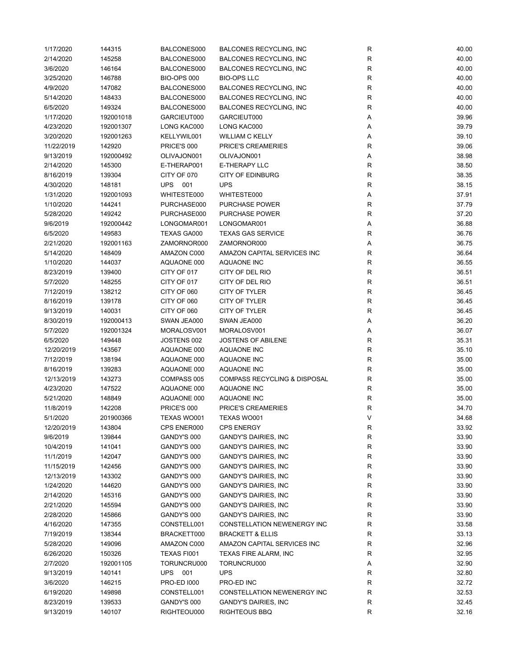| 1/17/2020  | 144315    | BALCONES000        | <b>BALCONES RECYCLING, INC</b>          | ${\sf R}$        | 40.00 |
|------------|-----------|--------------------|-----------------------------------------|------------------|-------|
| 2/14/2020  | 145258    | BALCONES000        | <b>BALCONES RECYCLING, INC</b>          | R                | 40.00 |
| 3/6/2020   | 146164    | BALCONES000        | BALCONES RECYCLING, INC                 | R                | 40.00 |
| 3/25/2020  | 146788    | <b>BIO-OPS 000</b> | <b>BIO-OPS LLC</b>                      | R                | 40.00 |
| 4/9/2020   | 147082    | BALCONES000        | BALCONES RECYCLING, INC                 | R                | 40.00 |
| 5/14/2020  | 148433    | BALCONES000        | <b>BALCONES RECYCLING, INC</b>          | R                | 40.00 |
| 6/5/2020   | 149324    | BALCONES000        | <b>BALCONES RECYCLING, INC</b>          | R                | 40.00 |
| 1/17/2020  | 192001018 | GARCIEUT000        | GARCIEUT000                             | Α                | 39.96 |
| 4/23/2020  | 192001307 | LONG KAC000        | LONG KAC000                             | Α                | 39.79 |
| 3/20/2020  | 192001263 | KELLYWIL001        | <b>WILLIAM C KELLY</b>                  |                  | 39.10 |
|            |           |                    |                                         | Α<br>$\mathsf R$ |       |
| 11/22/2019 | 142920    | PRICE'S 000        | PRICE'S CREAMERIES                      |                  | 39.06 |
| 9/13/2019  | 192000492 | OLIVAJON001        | OLIVAJON001                             | Α                | 38.98 |
| 2/14/2020  | 145300    | E-THERAP001        | <b>E-THERAPY LLC</b>                    | ${\sf R}$        | 38.50 |
| 8/16/2019  | 139304    | CITY OF 070        | <b>CITY OF EDINBURG</b>                 | R                | 38.35 |
| 4/30/2020  | 148181    | UPS<br>001         | <b>UPS</b>                              | R                | 38.15 |
| 1/31/2020  | 192001093 | WHITESTE000        | WHITESTE000                             | Α                | 37.91 |
| 1/10/2020  | 144241    | PURCHASE000        | <b>PURCHASE POWER</b>                   | R                | 37.79 |
| 5/28/2020  | 149242    | PURCHASE000        | <b>PURCHASE POWER</b>                   | R                | 37.20 |
| 9/6/2019   | 192000442 | LONGOMAR001        | LONGOMAR001                             | Α                | 36.88 |
| 6/5/2020   | 149583    | TEXAS GA000        | <b>TEXAS GAS SERVICE</b>                | $\mathsf R$      | 36.76 |
| 2/21/2020  | 192001163 | ZAMORNOR000        | ZAMORNOR000                             | Α                | 36.75 |
| 5/14/2020  | 148409    | AMAZON C000        | AMAZON CAPITAL SERVICES INC             | R                | 36.64 |
| 1/10/2020  | 144037    | AQUAONE 000        | AQUAONE INC                             | R                | 36.55 |
| 8/23/2019  | 139400    | CITY OF 017        | CITY OF DEL RIO                         | R                | 36.51 |
| 5/7/2020   | 148255    | CITY OF 017        | CITY OF DEL RIO                         | R                | 36.51 |
| 7/12/2019  | 138212    | CITY OF 060        | CITY OF TYLER                           | R                | 36.45 |
| 8/16/2019  | 139178    | CITY OF 060        | CITY OF TYLER                           | R                | 36.45 |
| 9/13/2019  | 140031    | CITY OF 060        | CITY OF TYLER                           | $\mathsf R$      | 36.45 |
| 8/30/2019  | 192000413 | SWAN JEA000        | SWAN JEA000                             | Α                | 36.20 |
| 5/7/2020   | 192001324 | MORALOSV001        | MORALOSV001                             | Α                | 36.07 |
| 6/5/2020   | 149448    | JOSTENS 002        | <b>JOSTENS OF ABILENE</b>               | R                | 35.31 |
|            |           |                    | AQUAONE INC                             | R                |       |
| 12/20/2019 | 143567    | AQUAONE 000        |                                         |                  | 35.10 |
| 7/12/2019  | 138194    | AQUAONE 000        | AQUAONE INC                             | R                | 35.00 |
| 8/16/2019  | 139283    | AQUAONE 000        | AQUAONE INC                             | R                | 35.00 |
| 12/13/2019 | 143273    | COMPASS 005        | <b>COMPASS RECYCLING &amp; DISPOSAL</b> | R                | 35.00 |
| 4/23/2020  | 147522    | AQUAONE 000        | AQUAONE INC                             | R                | 35.00 |
| 5/21/2020  | 148849    | AQUAONE 000        | AQUAONE INC                             | R                | 35.00 |
| 11/8/2019  | 142208    | PRICE'S 000        | PRICE'S CREAMERIES                      | $\mathsf R$      | 34.70 |
| 5/1/2020   | 201900366 | TEXAS WO001        | TEXAS WO001                             | V                | 34.68 |
| 12/20/2019 | 143804    | CPS ENER000        | <b>CPS ENERGY</b>                       | R                | 33.92 |
| 9/6/2019   | 139844    | GANDY'S 000        | <b>GANDY'S DAIRIES, INC</b>             | R                | 33.90 |
| 10/4/2019  | 141041    | GANDY'S 000        | <b>GANDY'S DAIRIES, INC</b>             | R                | 33.90 |
| 11/1/2019  | 142047    | GANDY'S 000        | <b>GANDY'S DAIRIES, INC</b>             | R                | 33.90 |
| 11/15/2019 | 142456    | GANDY'S 000        | <b>GANDY'S DAIRIES, INC</b>             | R                | 33.90 |
| 12/13/2019 | 143302    | GANDY'S 000        | GANDY'S DAIRIES, INC                    | R                | 33.90 |
| 1/24/2020  | 144620    | GANDY'S 000        | <b>GANDY'S DAIRIES, INC</b>             | R                | 33.90 |
| 2/14/2020  | 145316    | GANDY'S 000        | <b>GANDY'S DAIRIES, INC</b>             | R                | 33.90 |
| 2/21/2020  | 145594    | GANDY'S 000        | GANDY'S DAIRIES, INC                    | R                | 33.90 |
| 2/28/2020  | 145866    | GANDY'S 000        | <b>GANDY'S DAIRIES, INC</b>             | R                | 33.90 |
| 4/16/2020  | 147355    | CONSTELL001        | CONSTELLATION NEWENERGY INC             | R                | 33.58 |
| 7/19/2019  | 138344    | BRACKETT000        | <b>BRACKETT &amp; ELLIS</b>             | R                | 33.13 |
| 5/28/2020  | 149096    | AMAZON C000        | AMAZON CAPITAL SERVICES INC             | R                | 32.96 |
| 6/26/2020  | 150326    | TEXAS FI001        | <b>TEXAS FIRE ALARM, INC</b>            | R                | 32.95 |
| 2/7/2020   | 192001105 | TORUNCRU000        | TORUNCRU000                             | Α                | 32.90 |
|            |           |                    |                                         |                  |       |
| 9/13/2019  | 140141    | UPS 001            | <b>UPS</b>                              | R                | 32.80 |
| 3/6/2020   | 146215    | <b>PRO-ED 1000</b> | PRO-ED INC                              | R                | 32.72 |
| 6/19/2020  | 149898    | CONSTELL001        | CONSTELLATION NEWENERGY INC             | R                | 32.53 |
| 8/23/2019  | 139533    | GANDY'S 000        | <b>GANDY'S DAIRIES, INC</b>             | R                | 32.45 |
| 9/13/2019  | 140107    | RIGHTEOU000        | RIGHTEOUS BBQ                           | R                | 32.16 |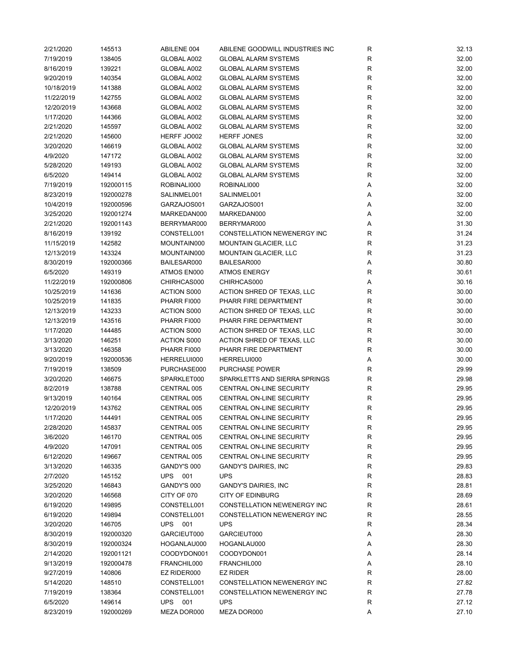| 2/21/2020  | 145513    | ABILENE 004        | ABILENE GOODWILL INDUSTRIES INC    | R            | 32.13 |
|------------|-----------|--------------------|------------------------------------|--------------|-------|
| 7/19/2019  | 138405    | GLOBAL A002        | <b>GLOBAL ALARM SYSTEMS</b>        | R            | 32.00 |
| 8/16/2019  | 139221    | GLOBAL A002        | <b>GLOBAL ALARM SYSTEMS</b>        | $\mathsf{R}$ | 32.00 |
| 9/20/2019  | 140354    | GLOBAL A002        | <b>GLOBAL ALARM SYSTEMS</b>        | ${\sf R}$    | 32.00 |
| 10/18/2019 | 141388    | GLOBAL A002        | <b>GLOBAL ALARM SYSTEMS</b>        | $\mathsf{R}$ | 32.00 |
| 11/22/2019 | 142755    | GLOBAL A002        | <b>GLOBAL ALARM SYSTEMS</b>        | $\mathsf{R}$ | 32.00 |
| 12/20/2019 | 143668    | GLOBAL A002        | <b>GLOBAL ALARM SYSTEMS</b>        | R            | 32.00 |
| 1/17/2020  | 144366    | GLOBAL A002        | <b>GLOBAL ALARM SYSTEMS</b>        | R            | 32.00 |
| 2/21/2020  | 145597    | GLOBAL A002        | <b>GLOBAL ALARM SYSTEMS</b>        | $\mathsf{R}$ | 32.00 |
|            |           | HERFF JO002        | <b>HERFF JONES</b>                 | $\mathsf{R}$ |       |
| 2/21/2020  | 145600    |                    |                                    |              | 32.00 |
| 3/20/2020  | 146619    | GLOBAL A002        | <b>GLOBAL ALARM SYSTEMS</b>        | $\mathsf{R}$ | 32.00 |
| 4/9/2020   | 147172    | GLOBAL A002        | <b>GLOBAL ALARM SYSTEMS</b>        | $\mathsf{R}$ | 32.00 |
| 5/28/2020  | 149193    | GLOBAL A002        | <b>GLOBAL ALARM SYSTEMS</b>        | $\mathsf{R}$ | 32.00 |
| 6/5/2020   | 149414    | GLOBAL A002        | <b>GLOBAL ALARM SYSTEMS</b>        | $\mathsf{R}$ | 32.00 |
| 7/19/2019  | 192000115 | ROBINALI000        | ROBINALI000                        | Α            | 32.00 |
| 8/23/2019  | 192000278 | SALINMEL001        | SALINMEL001                        | Α            | 32.00 |
| 10/4/2019  | 192000596 | GARZAJOS001        | GARZAJOS001                        | Α            | 32.00 |
| 3/25/2020  | 192001274 | MARKEDAN000        | MARKEDAN000                        | Α            | 32.00 |
| 2/21/2020  | 192001143 | BERRYMAR000        | BERRYMAR000                        | Α            | 31.30 |
| 8/16/2019  | 139192    | CONSTELL001        | CONSTELLATION NEWENERGY INC        | R            | 31.24 |
| 11/15/2019 | 142582    | MOUNTAIN000        | <b>MOUNTAIN GLACIER, LLC</b>       | $\mathsf{R}$ | 31.23 |
| 12/13/2019 | 143324    | MOUNTAIN000        | <b>MOUNTAIN GLACIER, LLC</b>       | $\mathsf{R}$ | 31.23 |
| 8/30/2019  | 192000366 | BAILESAR000        | BAILESAR000                        | Α            | 30.80 |
| 6/5/2020   | 149319    | ATMOS EN000        | <b>ATMOS ENERGY</b>                | $\mathsf{R}$ | 30.61 |
| 11/22/2019 | 192000806 | CHIRHCAS000        | CHIRHCAS000                        | Α            | 30.16 |
| 10/25/2019 | 141636    | ACTION S000        | ACTION SHRED OF TEXAS, LLC         | $\mathsf{R}$ | 30.00 |
| 10/25/2019 | 141835    | PHARR FI000        | PHARR FIRE DEPARTMENT              | $\mathsf{R}$ | 30.00 |
| 12/13/2019 | 143233    | <b>ACTION S000</b> | ACTION SHRED OF TEXAS, LLC         | ${\sf R}$    | 30.00 |
| 12/13/2019 | 143516    | PHARR FI000        | PHARR FIRE DEPARTMENT              | $\mathsf{R}$ | 30.00 |
| 1/17/2020  | 144485    | <b>ACTION S000</b> | ACTION SHRED OF TEXAS, LLC         | $\mathsf{R}$ | 30.00 |
| 3/13/2020  | 146251    | <b>ACTION S000</b> | ACTION SHRED OF TEXAS, LLC         | R            | 30.00 |
|            |           |                    |                                    |              |       |
| 3/13/2020  | 146358    | PHARR FI000        | PHARR FIRE DEPARTMENT              | R            | 30.00 |
| 9/20/2019  | 192000536 | HERRELUI000        | HERRELUI000                        | Α            | 30.00 |
| 7/19/2019  | 138509    | PURCHASE000        | <b>PURCHASE POWER</b>              | R            | 29.99 |
| 3/20/2020  | 146675    | SPARKLET000        | SPARKLETTS AND SIERRA SPRINGS      | $\mathsf{R}$ | 29.98 |
| 8/2/2019   | 138788    | CENTRAL 005        | CENTRAL ON-LINE SECURITY           | $\mathsf{R}$ | 29.95 |
| 9/13/2019  | 140164    | CENTRAL 005        | CENTRAL ON-LINE SECURITY           | R            | 29.95 |
| 12/20/2019 | 143762    | CENTRAL 005        | CENTRAL ON-LINE SECURITY           | R            | 29.95 |
| 1/17/2020  | 144491    | CENTRAL 005        | CENTRAL ON-LINE SECURITY           | R            | 29.95 |
| 2/28/2020  | 145837    | CENTRAL 005        | CENTRAL ON-LINE SECURITY           | R            | 29.95 |
| 3/6/2020   | 146170    | CENTRAL 005        | CENTRAL ON-LINE SECURITY           | R            | 29.95 |
| 4/9/2020   | 147091    | CENTRAL 005        | <b>CENTRAL ON-LINE SECURITY</b>    | $\mathsf{R}$ | 29.95 |
| 6/12/2020  | 149667    | CENTRAL 005        | CENTRAL ON-LINE SECURITY           | R            | 29.95 |
| 3/13/2020  | 146335    | GANDY'S 000        | <b>GANDY'S DAIRIES, INC</b>        | R            | 29.83 |
| 2/7/2020   | 145152    | <b>UPS</b> 001     | <b>UPS</b>                         | R            | 28.83 |
| 3/25/2020  | 146843    | GANDY'S 000        | <b>GANDY'S DAIRIES, INC</b>        | R            | 28.81 |
| 3/20/2020  | 146568    | CITY OF 070        | <b>CITY OF EDINBURG</b>            | R            | 28.69 |
| 6/19/2020  | 149895    | CONSTELL001        | CONSTELLATION NEWENERGY INC        | $\mathsf{R}$ | 28.61 |
| 6/19/2020  | 149894    | CONSTELL001        | <b>CONSTELLATION NEWENERGY INC</b> | $\mathsf{R}$ | 28.55 |
| 3/20/2020  | 146705    | UPS 001            | <b>UPS</b>                         | R            | 28.34 |
| 8/30/2019  | 192000320 | GARCIEUT000        | GARCIEUT000                        | Α            | 28.30 |
| 8/30/2019  | 192000324 | HOGANLAU000        | HOGANLAU000                        | Α            | 28.30 |
| 2/14/2020  | 192001121 | COODYDON001        | COODYDON001                        | Α            | 28.14 |
| 9/13/2019  | 192000478 | FRANCHIL000        | FRANCHIL000                        | Α            | 28.10 |
| 9/27/2019  | 140806    | EZ RIDER000        | <b>EZ RIDER</b>                    | R            | 28.00 |
| 5/14/2020  | 148510    | CONSTELL001        | CONSTELLATION NEWENERGY INC        | R            | 27.82 |
|            |           |                    | CONSTELLATION NEWENERGY INC        |              |       |
| 7/19/2019  | 138364    | CONSTELL001        |                                    | R            | 27.78 |
| 6/5/2020   | 149614    | UPS 001            | <b>UPS</b>                         | R            | 27.12 |
| 8/23/2019  | 192000269 | MEZA DOR000        | MEZA DOR000                        | Α            | 27.10 |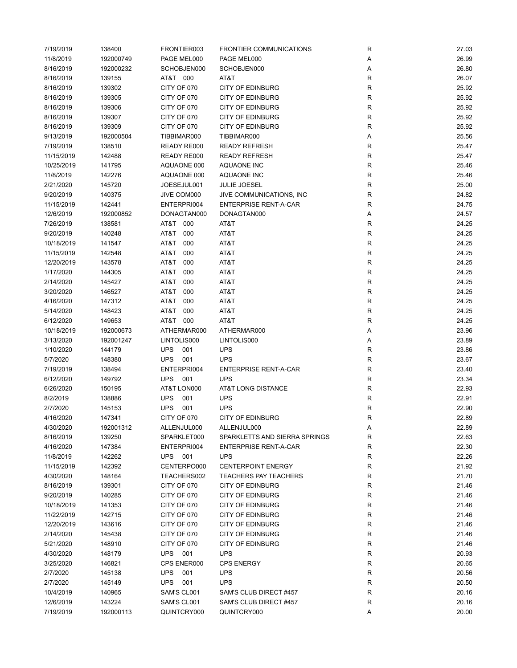| 7/19/2019  | 138400    | FRONTIER003               | <b>FRONTIER COMMUNICATIONS</b> | R           | 27.03          |
|------------|-----------|---------------------------|--------------------------------|-------------|----------------|
| 11/8/2019  | 192000749 | PAGE MEL000               | PAGE MEL000                    | Α           | 26.99          |
| 8/16/2019  | 192000232 | SCHOBJEN000               | SCHOBJEN000                    | Α           | 26.80          |
| 8/16/2019  | 139155    | AT&T 000                  | AT&T                           | R           | 26.07          |
| 8/16/2019  | 139302    | CITY OF 070               | <b>CITY OF EDINBURG</b>        | R           | 25.92          |
| 8/16/2019  | 139305    | CITY OF 070               | <b>CITY OF EDINBURG</b>        | $\mathsf R$ | 25.92          |
| 8/16/2019  | 139306    | CITY OF 070               | <b>CITY OF EDINBURG</b>        | R           | 25.92          |
| 8/16/2019  | 139307    | CITY OF 070               | <b>CITY OF EDINBURG</b>        | $\mathsf R$ | 25.92          |
| 8/16/2019  | 139309    | CITY OF 070               | <b>CITY OF EDINBURG</b>        | R           | 25.92          |
| 9/13/2019  | 192000504 | TIBBIMAR000               | TIBBIMAR000                    | Α           | 25.56          |
| 7/19/2019  | 138510    | READY RE000               | <b>READY REFRESH</b>           | R           | 25.47          |
|            |           |                           | <b>READY REFRESH</b>           | $\mathsf R$ | 25.47          |
| 11/15/2019 | 142488    | READY RE000               |                                |             |                |
| 10/25/2019 | 141795    | AQUAONE 000               | AQUAONE INC                    | R           | 25.46          |
| 11/8/2019  | 142276    | AQUAONE 000               | AQUAONE INC                    | $\mathsf R$ | 25.46          |
| 2/21/2020  | 145720    | JOESEJUL001               | <b>JULIE JOESEL</b>            | $\mathsf R$ | 25.00          |
| 9/20/2019  | 140375    | JIVE COM000               | JIVE COMMUNICATIONS, INC.      | R           | 24.82          |
| 11/15/2019 | 142441    | ENTERPRI004               | <b>ENTERPRISE RENT-A-CAR</b>   | $\mathsf R$ | 24.75          |
| 12/6/2019  | 192000852 | DONAGTAN000               | DONAGTAN000                    | Α           | 24.57          |
| 7/26/2019  | 138581    | AT&T 000                  | AT&T                           | R           | 24.25          |
| 9/20/2019  | 140248    | AT&T<br>000               | AT&T                           | $\mathsf R$ | 24.25          |
| 10/18/2019 | 141547    | AT&T<br>000               | AT&T                           | $\mathsf R$ | 24.25          |
| 11/15/2019 | 142548    | AT&T<br>000               | AT&T                           | $\mathsf R$ | 24.25          |
| 12/20/2019 | 143578    | AT&T<br>000               | AT&T                           | $\mathsf R$ | 24.25          |
| 1/17/2020  | 144305    | AT&T<br>000               | AT&T                           | $\mathsf R$ | 24.25          |
| 2/14/2020  | 145427    | AT&T<br>000               | AT&T                           | R           | 24.25          |
| 3/20/2020  | 146527    | AT&T<br>000               | AT&T                           | $\mathsf R$ | 24.25          |
| 4/16/2020  | 147312    | AT&T<br>000               | AT&T                           | $\mathsf R$ | 24.25          |
| 5/14/2020  | 148423    | AT&T<br>000               | AT&T                           | R           | 24.25          |
| 6/12/2020  | 149653    | AT&T 000                  | AT&T                           | $\mathsf R$ | 24.25          |
| 10/18/2019 | 192000673 | ATHERMAR000               | ATHERMAR000                    | Α           | 23.96          |
| 3/13/2020  | 192001247 | LINTOLIS000               | LINTOLIS000                    | Α           | 23.89          |
| 1/10/2020  | 144179    | <b>UPS</b><br>001         | <b>UPS</b>                     | $\mathsf R$ | 23.86          |
| 5/7/2020   | 148380    | <b>UPS</b><br>001         | <b>UPS</b>                     | $\mathsf R$ | 23.67          |
|            |           |                           | <b>ENTERPRISE RENT-A-CAR</b>   | R           |                |
| 7/19/2019  | 138494    | ENTERPRI004<br><b>UPS</b> | <b>UPS</b>                     |             | 23.40<br>23.34 |
| 6/12/2020  | 149792    | 001                       |                                | R           |                |
| 6/26/2020  | 150195    | AT&T LON000               | AT&T LONG DISTANCE             | R           | 22.93          |
| 8/2/2019   | 138886    | <b>UPS</b><br>001         | <b>UPS</b>                     | R           | 22.91          |
| 2/7/2020   | 145153    | <b>UPS</b><br>001         | <b>UPS</b>                     | R           | 22.90          |
| 4/16/2020  | 147341    | CITY OF 070               | <b>CITY OF EDINBURG</b>        | R           | 22.89          |
| 4/30/2020  | 192001312 | ALLENJUL000               | ALLENJUL000                    | Α           | 22.89          |
| 8/16/2019  | 139250    | SPARKLET000               | SPARKLETTS AND SIERRA SPRINGS  | R           | 22.63          |
| 4/16/2020  | 147384    | ENTERPRI004               | <b>ENTERPRISE RENT-A-CAR</b>   | R           | 22.30          |
| 11/8/2019  | 142262    | UPS 001                   | <b>UPS</b>                     | R           | 22.26          |
| 11/15/2019 | 142392    | CENTERPO000               | <b>CENTERPOINT ENERGY</b>      | R           | 21.92          |
| 4/30/2020  | 148164    | TEACHERS002               | <b>TEACHERS PAY TEACHERS</b>   | R           | 21.70          |
| 8/16/2019  | 139301    | CITY OF 070               | <b>CITY OF EDINBURG</b>        | R           | 21.46          |
| 9/20/2019  | 140285    | CITY OF 070               | <b>CITY OF EDINBURG</b>        | R           | 21.46          |
| 10/18/2019 | 141353    | CITY OF 070               | <b>CITY OF EDINBURG</b>        | $\mathsf R$ | 21.46          |
| 11/22/2019 | 142715    | CITY OF 070               | <b>CITY OF EDINBURG</b>        | ${\sf R}$   | 21.46          |
| 12/20/2019 | 143616    | CITY OF 070               | <b>CITY OF EDINBURG</b>        | ${\sf R}$   | 21.46          |
| 2/14/2020  | 145438    | CITY OF 070               | <b>CITY OF EDINBURG</b>        | ${\sf R}$   | 21.46          |
| 5/21/2020  | 148910    | CITY OF 070               | <b>CITY OF EDINBURG</b>        | ${\sf R}$   | 21.46          |
| 4/30/2020  | 148179    | <b>UPS</b><br>001         | <b>UPS</b>                     | $\mathsf R$ | 20.93          |
| 3/25/2020  | 146821    | CPS ENER000               | <b>CPS ENERGY</b>              | R           | 20.65          |
| 2/7/2020   | 145138    | <b>UPS</b><br>001         | <b>UPS</b>                     | R           | 20.56          |
| 2/7/2020   | 145149    | <b>UPS</b><br>001         | <b>UPS</b>                     | R           | 20.50          |
| 10/4/2019  | 140965    | SAM'S CL001               | SAM'S CLUB DIRECT #457         | R           | 20.16          |
| 12/6/2019  | 143224    | SAM'S CL001               | SAM'S CLUB DIRECT #457         | R           | 20.16          |
|            |           |                           | QUINTCRY000                    |             |                |
| 7/19/2019  | 192000113 | QUINTCRY000               |                                | Α           | 20.00          |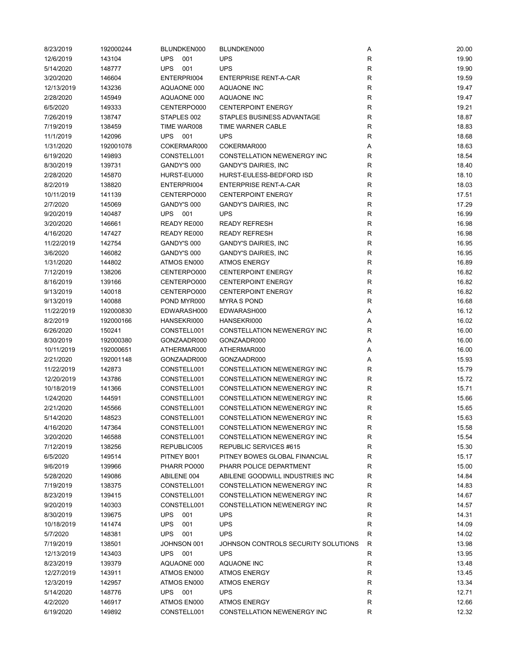| 8/23/2019  | 192000244 | BLUNDKEN000       | BLUNDKEN000                         | Α            | 20.00 |
|------------|-----------|-------------------|-------------------------------------|--------------|-------|
| 12/6/2019  | 143104    | <b>UPS</b><br>001 | <b>UPS</b>                          | R            | 19.90 |
| 5/14/2020  | 148777    | <b>UPS</b><br>001 | <b>UPS</b>                          | R            | 19.90 |
| 3/20/2020  | 146604    | ENTERPRI004       | <b>ENTERPRISE RENT-A-CAR</b>        | $\mathsf R$  | 19.59 |
| 12/13/2019 | 143236    | AQUAONE 000       | <b>AQUAONE INC</b>                  | $\mathsf R$  | 19.47 |
| 2/28/2020  | 145949    | AQUAONE 000       | <b>AQUAONE INC</b>                  | $\mathsf R$  | 19.47 |
| 6/5/2020   | 149333    | CENTERPO000       | <b>CENTERPOINT ENERGY</b>           | $\mathsf R$  | 19.21 |
| 7/26/2019  | 138747    | STAPLES 002       | STAPLES BUSINESS ADVANTAGE          | $\mathsf R$  | 18.87 |
| 7/19/2019  | 138459    | TIME WAR008       | TIME WARNER CABLE                   | $\mathsf R$  | 18.83 |
| 11/1/2019  | 142096    | UPS 001           | <b>UPS</b>                          | $\mathsf R$  | 18.68 |
| 1/31/2020  | 192001078 | COKERMAR000       | COKERMAR000                         | Α            | 18.63 |
|            |           |                   |                                     |              |       |
| 6/19/2020  | 149893    | CONSTELL001       | CONSTELLATION NEWENERGY INC         | R            | 18.54 |
| 8/30/2019  | 139731    | GANDY'S 000       | <b>GANDY'S DAIRIES, INC</b>         | $\mathsf R$  | 18.40 |
| 2/28/2020  | 145870    | HURST-EU000       | HURST-EULESS-BEDFORD ISD            | $\mathsf R$  | 18.10 |
| 8/2/2019   | 138820    | ENTERPRI004       | <b>ENTERPRISE RENT-A-CAR</b>        | $\mathsf R$  | 18.03 |
| 10/11/2019 | 141139    | CENTERPO000       | <b>CENTERPOINT ENERGY</b>           | $\mathsf R$  | 17.51 |
| 2/7/2020   | 145069    | GANDY'S 000       | <b>GANDY'S DAIRIES, INC</b>         | R            | 17.29 |
| 9/20/2019  | 140487    | <b>UPS 001</b>    | <b>UPS</b>                          | R            | 16.99 |
| 3/20/2020  | 146661    | READY RE000       | <b>READY REFRESH</b>                | $\mathsf R$  | 16.98 |
| 4/16/2020  | 147427    | READY RE000       | <b>READY REFRESH</b>                | $\mathsf{R}$ | 16.98 |
| 11/22/2019 | 142754    | GANDY'S 000       | <b>GANDY'S DAIRIES, INC</b>         | $\mathsf R$  | 16.95 |
| 3/6/2020   | 146082    | GANDY'S 000       | <b>GANDY'S DAIRIES, INC</b>         | $\mathsf{R}$ | 16.95 |
| 1/31/2020  | 144802    | ATMOS EN000       | <b>ATMOS ENERGY</b>                 | $\mathsf R$  | 16.89 |
| 7/12/2019  | 138206    | CENTERPO000       | <b>CENTERPOINT ENERGY</b>           | $\mathsf R$  | 16.82 |
| 8/16/2019  | 139166    | CENTERPO000       | <b>CENTERPOINT ENERGY</b>           | ${\sf R}$    | 16.82 |
| 9/13/2019  | 140018    | CENTERPO000       | <b>CENTERPOINT ENERGY</b>           | R            | 16.82 |
| 9/13/2019  | 140088    | POND MYR000       | <b>MYRAS POND</b>                   | $\mathsf R$  | 16.68 |
| 11/22/2019 | 192000830 | EDWARASH000       | EDWARASH000                         | Α            | 16.12 |
| 8/2/2019   | 192000166 | HANSEKRI000       | HANSEKRI000                         | Α            | 16.02 |
| 6/26/2020  | 150241    | CONSTELL001       | CONSTELLATION NEWENERGY INC         | R            | 16.00 |
| 8/30/2019  | 192000380 | GONZAADR000       | GONZAADR000                         | Α            | 16.00 |
|            |           |                   |                                     |              |       |
| 10/11/2019 | 192000651 | ATHERMAR000       | ATHERMAR000                         | Α            | 16.00 |
| 2/21/2020  | 192001148 | GONZAADR000       | GONZAADR000                         | Α            | 15.93 |
| 11/22/2019 | 142873    | CONSTELL001       | CONSTELLATION NEWENERGY INC         | $\mathsf R$  | 15.79 |
| 12/20/2019 | 143786    | CONSTELL001       | CONSTELLATION NEWENERGY INC         | $\mathsf R$  | 15.72 |
| 10/18/2019 | 141366    | CONSTELL001       | CONSTELLATION NEWENERGY INC         | $\mathsf R$  | 15.71 |
| 1/24/2020  | 144591    | CONSTELL001       | CONSTELLATION NEWENERGY INC         | $\mathsf R$  | 15.66 |
| 2/21/2020  | 145566    | CONSTELL001       | CONSTELLATION NEWENERGY INC         | $\mathsf R$  | 15.65 |
| 5/14/2020  | 148523    | CONSTELL001       | <b>CONSTELLATION NEWENERGY INC</b>  | $\mathsf R$  | 15.63 |
| 4/16/2020  | 147364    | CONSTELL001       | CONSTELLATION NEWENERGY INC         | R            | 15.58 |
| 3/20/2020  | 146588    | CONSTELL001       | <b>CONSTELLATION NEWENERGY INC</b>  | $\mathsf R$  | 15.54 |
| 7/12/2019  | 138256    | REPUBLIC005       | REPUBLIC SERVICES #615              | R            | 15.30 |
| 6/5/2020   | 149514    | PITNEY B001       | PITNEY BOWES GLOBAL FINANCIAL       | R            | 15.17 |
| 9/6/2019   | 139966    | PHARR PO000       | PHARR POLICE DEPARTMENT             | R            | 15.00 |
| 5/28/2020  | 149086    | ABILENE 004       | ABILENE GOODWILL INDUSTRIES INC     | R            | 14.84 |
| 7/19/2019  | 138375    | CONSTELL001       | <b>CONSTELLATION NEWENERGY INC</b>  | R            | 14.83 |
| 8/23/2019  | 139415    | CONSTELL001       | CONSTELLATION NEWENERGY INC         | $\mathsf R$  | 14.67 |
| 9/20/2019  | 140303    | CONSTELL001       | CONSTELLATION NEWENERGY INC         | R            | 14.57 |
| 8/30/2019  | 139675    | <b>UPS</b><br>001 | <b>UPS</b>                          | $\mathsf R$  | 14.31 |
| 10/18/2019 | 141474    | <b>UPS</b><br>001 | <b>UPS</b>                          | $\mathsf{R}$ | 14.09 |
| 5/7/2020   | 148381    | <b>UPS</b><br>001 | <b>UPS</b>                          | $\mathsf R$  | 14.02 |
| 7/19/2019  | 138501    | JOHNSON 001       | JOHNSON CONTROLS SECURITY SOLUTIONS | R            | 13.98 |
| 12/13/2019 | 143403    | <b>UPS 001</b>    | <b>UPS</b>                          | R            | 13.95 |
| 8/23/2019  | 139379    | AQUAONE 000       | AQUAONE INC                         | R            | 13.48 |
|            |           |                   | <b>ATMOS ENERGY</b>                 |              |       |
| 12/27/2019 | 143911    | ATMOS EN000       |                                     | R            | 13.45 |
| 12/3/2019  | 142957    | ATMOS EN000       | <b>ATMOS ENERGY</b>                 | R            | 13.34 |
| 5/14/2020  | 148776    | UPS 001           | <b>UPS</b>                          | R            | 12.71 |
| 4/2/2020   | 146917    | ATMOS EN000       | <b>ATMOS ENERGY</b>                 | $\mathsf{R}$ | 12.66 |
| 6/19/2020  | 149892    | CONSTELL001       | CONSTELLATION NEWENERGY INC         | $\mathsf R$  | 12.32 |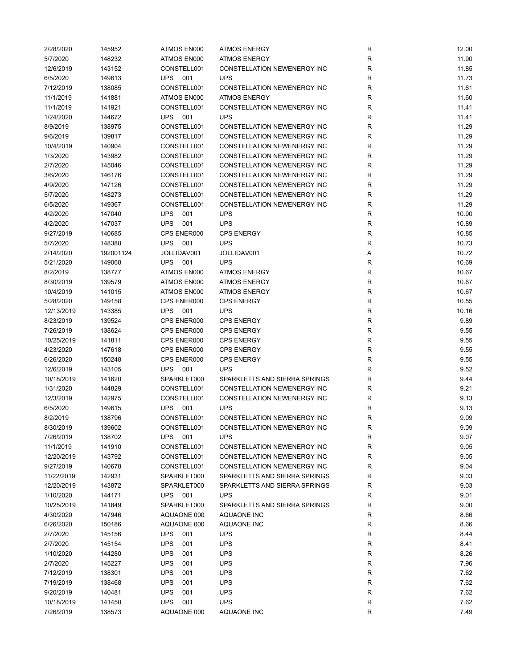| 2/28/2020  | 145952    | ATMOS EN000       | <b>ATMOS ENERGY</b>                | R            | 12.00 |
|------------|-----------|-------------------|------------------------------------|--------------|-------|
| 5/7/2020   | 148232    | ATMOS EN000       | <b>ATMOS ENERGY</b>                | $\mathsf{R}$ | 11.90 |
| 12/6/2019  | 143152    | CONSTELL001       | CONSTELLATION NEWENERGY INC        | $\mathsf{R}$ | 11.85 |
| 6/5/2020   | 149613    | <b>UPS 001</b>    | <b>UPS</b>                         | R            | 11.73 |
| 7/12/2019  | 138085    | CONSTELL001       | CONSTELLATION NEWENERGY INC        | $\mathsf{R}$ | 11.61 |
| 11/1/2019  | 141881    | ATMOS EN000       | <b>ATMOS ENERGY</b>                | $\mathsf{R}$ | 11.60 |
| 11/1/2019  | 141921    | CONSTELL001       | CONSTELLATION NEWENERGY INC        | R            | 11.41 |
| 1/24/2020  | 144672    | <b>UPS</b> 001    | <b>UPS</b>                         | R            | 11.41 |
| 8/9/2019   | 138975    | CONSTELL001       | CONSTELLATION NEWENERGY INC        | $\mathsf{R}$ | 11.29 |
| 9/6/2019   | 139817    | CONSTELL001       | CONSTELLATION NEWENERGY INC        | $\mathsf{R}$ | 11.29 |
| 10/4/2019  | 140904    | CONSTELL001       | <b>CONSTELLATION NEWENERGY INC</b> | $\mathsf{R}$ | 11.29 |
|            |           |                   |                                    |              |       |
| 1/3/2020   | 143982    | CONSTELL001       | CONSTELLATION NEWENERGY INC        | $\mathsf{R}$ | 11.29 |
| 2/7/2020   | 145046    | CONSTELL001       | CONSTELLATION NEWENERGY INC        | R            | 11.29 |
| 3/6/2020   | 146176    | CONSTELL001       | CONSTELLATION NEWENERGY INC        | $\mathsf{R}$ | 11.29 |
| 4/9/2020   | 147126    | CONSTELL001       | CONSTELLATION NEWENERGY INC        | $\mathsf{R}$ | 11.29 |
| 5/7/2020   | 148273    | CONSTELL001       | CONSTELLATION NEWENERGY INC        | $\mathsf{R}$ | 11.29 |
| 6/5/2020   | 149367    | CONSTELL001       | CONSTELLATION NEWENERGY INC        | $\mathsf{R}$ | 11.29 |
| 4/2/2020   | 147040    | <b>UPS</b><br>001 | <b>UPS</b>                         | R            | 10.90 |
| 4/2/2020   | 147037    | <b>UPS</b><br>001 | <b>UPS</b>                         | R            | 10.89 |
| 9/27/2019  | 140685    | CPS ENER000       | <b>CPS ENERGY</b>                  | $\mathsf{R}$ | 10.85 |
| 5/7/2020   | 148388    | <b>UPS</b><br>001 | <b>UPS</b>                         | $\mathsf{R}$ | 10.73 |
| 2/14/2020  | 192001124 | JOLLIDAV001       | JOLLIDAV001                        | Α            | 10.72 |
| 5/21/2020  | 149068    | <b>UPS</b><br>001 | <b>UPS</b>                         | $\mathsf{R}$ | 10.69 |
| 8/2/2019   | 138777    | ATMOS EN000       | <b>ATMOS ENERGY</b>                | $\mathsf{R}$ | 10.67 |
| 8/30/2019  | 139579    | ATMOS EN000       | <b>ATMOS ENERGY</b>                | $\mathsf{R}$ | 10.67 |
| 10/4/2019  | 141015    | ATMOS EN000       | <b>ATMOS ENERGY</b>                | $\mathsf{R}$ | 10.67 |
| 5/28/2020  | 149158    | CPS ENER000       | <b>CPS ENERGY</b>                  | $\mathsf{R}$ | 10.55 |
| 12/13/2019 | 143385    | <b>UPS</b><br>001 | <b>UPS</b>                         | $\mathsf{R}$ | 10.16 |
| 8/23/2019  | 139524    | CPS ENER000       | CPS ENERGY                         | $\mathsf{R}$ | 9.89  |
| 7/26/2019  | 138624    | CPS ENER000       | <b>CPS ENERGY</b>                  | $\mathsf{R}$ | 9.55  |
| 10/25/2019 | 141811    | CPS ENER000       | <b>CPS ENERGY</b>                  | R            | 9.55  |
| 4/23/2020  | 147618    | CPS ENER000       | <b>CPS ENERGY</b>                  | $\mathsf{R}$ | 9.55  |
| 6/26/2020  | 150248    | CPS ENER000       | <b>CPS ENERGY</b>                  | $\mathsf{R}$ | 9.55  |
|            |           |                   | <b>UPS</b>                         | $\mathsf{R}$ |       |
| 12/6/2019  | 143105    | <b>UPS</b> 001    |                                    |              | 9.52  |
| 10/18/2019 | 141620    | SPARKLET000       | SPARKLETTS AND SIERRA SPRINGS      | $\mathsf{R}$ | 9.44  |
| 1/31/2020  | 144829    | CONSTELL001       | CONSTELLATION NEWENERGY INC        | $\mathsf{R}$ | 9.21  |
| 12/3/2019  | 142975    | CONSTELL001       | <b>CONSTELLATION NEWENERGY INC</b> | R            | 9.13  |
| 6/5/2020   | 149615    | <b>UPS</b><br>001 | <b>UPS</b>                         | $\mathsf{R}$ | 9.13  |
| 8/2/2019   | 138796    | CONSTELL001       | CONSTELLATION NEWENERGY INC        | R            | 9.09  |
| 8/30/2019  | 139602    | CONSTELL001       | CONSTELLATION NEWENERGY INC        | R            | 9.09  |
| 7/26/2019  | 138702    | <b>UPS</b><br>001 | <b>UPS</b>                         | R            | 9.07  |
| 11/1/2019  | 141910    | CONSTELL001       | CONSTELLATION NEWENERGY INC        | R            | 9.05  |
| 12/20/2019 | 143792    | CONSTELL001       | CONSTELLATION NEWENERGY INC        | R            | 9.05  |
| 9/27/2019  | 140678    | CONSTELL001       | CONSTELLATION NEWENERGY INC        | R            | 9.04  |
| 11/22/2019 | 142931    | SPARKLET000       | SPARKLETTS AND SIERRA SPRINGS      | R            | 9.03  |
| 12/20/2019 | 143872    | SPARKLET000       | SPARKLETTS AND SIERRA SPRINGS      | R            | 9.03  |
| 1/10/2020  | 144171    | UPS 001           | <b>UPS</b>                         | $\mathsf{R}$ | 9.01  |
| 10/25/2019 | 141849    | SPARKLET000       | SPARKLETTS AND SIERRA SPRINGS      | $\mathsf{R}$ | 9.00  |
| 4/30/2020  | 147946    | AQUAONE 000       | AQUAONE INC                        | $\mathsf{R}$ | 8.66  |
| 6/26/2020  | 150186    | AQUAONE 000       | AQUAONE INC                        | $\mathsf{R}$ | 8.66  |
| 2/7/2020   | 145156    | <b>UPS</b><br>001 | <b>UPS</b>                         | $\mathsf{R}$ | 8.44  |
| 2/7/2020   | 145154    | <b>UPS</b><br>001 | <b>UPS</b>                         | $\mathsf{R}$ | 8.41  |
| 1/10/2020  | 144280    | <b>UPS</b><br>001 | <b>UPS</b>                         | $\mathsf{R}$ | 8.26  |
| 2/7/2020   | 145227    | <b>UPS</b><br>001 | <b>UPS</b>                         | R            | 7.96  |
| 7/12/2019  | 138301    | <b>UPS</b><br>001 | <b>UPS</b>                         | R            | 7.62  |
| 7/19/2019  | 138468    | <b>UPS</b><br>001 | <b>UPS</b>                         | R            | 7.62  |
| 9/20/2019  | 140481    | <b>UPS</b><br>001 | <b>UPS</b>                         | R            | 7.62  |
|            |           |                   | <b>UPS</b>                         | $\mathsf{R}$ |       |
| 10/18/2019 | 141450    | <b>UPS</b><br>001 |                                    |              | 7.62  |
| 7/26/2019  | 138573    | AQUAONE 000       | AQUAONE INC                        | $\mathsf{R}$ | 7.49  |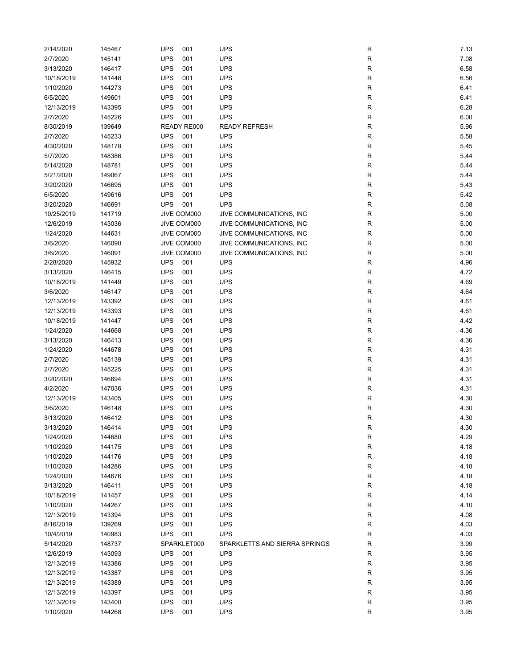| 2/14/2020  | 145467 | <b>UPS</b><br>001 | <b>UPS</b>                    | R           | 7.13 |
|------------|--------|-------------------|-------------------------------|-------------|------|
| 2/7/2020   | 145141 | <b>UPS</b><br>001 | <b>UPS</b>                    | R           | 7.08 |
| 3/13/2020  | 146417 | <b>UPS</b><br>001 | <b>UPS</b>                    | ${\sf R}$   | 6.58 |
| 10/18/2019 | 141448 | <b>UPS</b><br>001 | <b>UPS</b>                    | ${\sf R}$   | 6.56 |
| 1/10/2020  | 144273 | <b>UPS</b><br>001 | <b>UPS</b>                    | ${\sf R}$   | 6.41 |
| 6/5/2020   | 149601 | <b>UPS</b><br>001 | <b>UPS</b>                    | ${\sf R}$   | 6.41 |
| 12/13/2019 | 143395 | <b>UPS</b><br>001 | <b>UPS</b>                    | ${\sf R}$   | 6.28 |
| 2/7/2020   | 145226 | <b>UPS</b><br>001 | <b>UPS</b>                    | R           | 6.00 |
| 8/30/2019  | 139649 | READY RE000       | <b>READY REFRESH</b>          | ${\sf R}$   | 5.96 |
| 2/7/2020   | 145233 | <b>UPS</b><br>001 | <b>UPS</b>                    | ${\sf R}$   | 5.58 |
| 4/30/2020  | 148178 | <b>UPS</b><br>001 | <b>UPS</b>                    | $\mathsf R$ | 5.45 |
|            |        |                   |                               |             |      |
| 5/7/2020   | 148386 | <b>UPS</b><br>001 | <b>UPS</b>                    | R           | 5.44 |
| 5/14/2020  | 148781 | <b>UPS</b><br>001 | <b>UPS</b>                    | R           | 5.44 |
| 5/21/2020  | 149067 | <b>UPS</b><br>001 | <b>UPS</b>                    | R           | 5.44 |
| 3/20/2020  | 146695 | <b>UPS</b><br>001 | <b>UPS</b>                    | ${\sf R}$   | 5.43 |
| 6/5/2020   | 149616 | <b>UPS</b><br>001 | <b>UPS</b>                    | $\mathsf R$ | 5.42 |
| 3/20/2020  | 146691 | <b>UPS</b><br>001 | <b>UPS</b>                    | ${\sf R}$   | 5.08 |
| 10/25/2019 | 141719 | JIVE COM000       | JIVE COMMUNICATIONS, INC      | ${\sf R}$   | 5.00 |
| 12/6/2019  | 143036 | JIVE COM000       | JIVE COMMUNICATIONS, INC      | ${\sf R}$   | 5.00 |
| 1/24/2020  | 144631 | JIVE COM000       | JIVE COMMUNICATIONS, INC      | R           | 5.00 |
| 3/6/2020   | 146090 | JIVE COM000       | JIVE COMMUNICATIONS, INC      | R           | 5.00 |
| 3/6/2020   | 146091 | JIVE COM000       | JIVE COMMUNICATIONS, INC      | $\mathsf R$ | 5.00 |
| 2/28/2020  | 145932 | <b>UPS</b><br>001 | <b>UPS</b>                    | R           | 4.96 |
| 3/13/2020  | 146415 | <b>UPS</b><br>001 | <b>UPS</b>                    | R           | 4.72 |
| 10/18/2019 | 141449 | <b>UPS</b><br>001 | <b>UPS</b>                    | R           | 4.69 |
| 3/6/2020   | 146147 | <b>UPS</b><br>001 | <b>UPS</b>                    | ${\sf R}$   | 4.64 |
| 12/13/2019 | 143392 | <b>UPS</b><br>001 | <b>UPS</b>                    | ${\sf R}$   | 4.61 |
| 12/13/2019 | 143393 | <b>UPS</b><br>001 | <b>UPS</b>                    | ${\sf R}$   | 4.61 |
| 10/18/2019 | 141447 | <b>UPS</b><br>001 | <b>UPS</b>                    | ${\sf R}$   | 4.42 |
| 1/24/2020  | 144668 | <b>UPS</b><br>001 | <b>UPS</b>                    | ${\sf R}$   | 4.36 |
| 3/13/2020  | 146413 | <b>UPS</b><br>001 | <b>UPS</b>                    | ${\sf R}$   | 4.36 |
| 1/24/2020  | 144678 | <b>UPS</b><br>001 | <b>UPS</b>                    | ${\sf R}$   | 4.31 |
| 2/7/2020   | 145139 | <b>UPS</b><br>001 | <b>UPS</b>                    | ${\sf R}$   | 4.31 |
| 2/7/2020   | 145225 | <b>UPS</b><br>001 | <b>UPS</b>                    | $\mathsf R$ | 4.31 |
| 3/20/2020  | 146694 | <b>UPS</b><br>001 | <b>UPS</b>                    | R           | 4.31 |
| 4/2/2020   | 147036 | <b>UPS</b><br>001 | <b>UPS</b>                    | R           | 4.31 |
| 12/13/2019 | 143405 | <b>UPS</b><br>001 | <b>UPS</b>                    | R           | 4.30 |
| 3/6/2020   | 146148 | <b>UPS</b><br>001 | <b>UPS</b>                    | R           | 4.30 |
| 3/13/2020  | 146412 | <b>UPS</b><br>001 | <b>UPS</b>                    | R           | 4.30 |
| 3/13/2020  | 146414 | <b>UPS</b><br>001 | <b>UPS</b>                    | R           | 4.30 |
| 1/24/2020  | 144680 | <b>UPS</b><br>001 | <b>UPS</b>                    | R           | 4.29 |
| 1/10/2020  | 144175 | <b>UPS</b><br>001 | <b>UPS</b>                    | ${\sf R}$   | 4.18 |
| 1/10/2020  | 144176 | <b>UPS</b><br>001 | <b>UPS</b>                    | ${\sf R}$   | 4.18 |
| 1/10/2020  | 144286 | <b>UPS</b>        | <b>UPS</b>                    |             | 4.18 |
| 1/24/2020  | 144676 | 001<br><b>UPS</b> | <b>UPS</b>                    | ${\sf R}$   | 4.18 |
|            |        | 001               |                               | ${\sf R}$   |      |
| 3/13/2020  | 146411 | <b>UPS</b><br>001 | <b>UPS</b>                    | ${\sf R}$   | 4.18 |
| 10/18/2019 | 141457 | <b>UPS</b><br>001 | <b>UPS</b>                    | R           | 4.14 |
| 1/10/2020  | 144267 | <b>UPS</b><br>001 | <b>UPS</b>                    | ${\sf R}$   | 4.10 |
| 12/13/2019 | 143394 | <b>UPS</b><br>001 | <b>UPS</b>                    | R           | 4.08 |
| 8/16/2019  | 139269 | <b>UPS</b><br>001 | <b>UPS</b>                    | R           | 4.03 |
| 10/4/2019  | 140983 | <b>UPS</b><br>001 | <b>UPS</b>                    | ${\sf R}$   | 4.03 |
| 5/14/2020  | 148737 | SPARKLET000       | SPARKLETTS AND SIERRA SPRINGS | ${\sf R}$   | 3.99 |
| 12/6/2019  | 143093 | <b>UPS</b><br>001 | <b>UPS</b>                    | ${\sf R}$   | 3.95 |
| 12/13/2019 | 143386 | <b>UPS</b><br>001 | <b>UPS</b>                    | ${\sf R}$   | 3.95 |
| 12/13/2019 | 143387 | <b>UPS</b><br>001 | <b>UPS</b>                    | ${\sf R}$   | 3.95 |
| 12/13/2019 | 143389 | <b>UPS</b><br>001 | <b>UPS</b>                    | ${\sf R}$   | 3.95 |
| 12/13/2019 | 143397 | <b>UPS</b><br>001 | <b>UPS</b>                    | $\mathsf R$ | 3.95 |
| 12/13/2019 | 143400 | <b>UPS</b><br>001 | <b>UPS</b>                    | ${\sf R}$   | 3.95 |
| 1/10/2020  | 144268 | <b>UPS</b><br>001 | <b>UPS</b>                    | R           | 3.95 |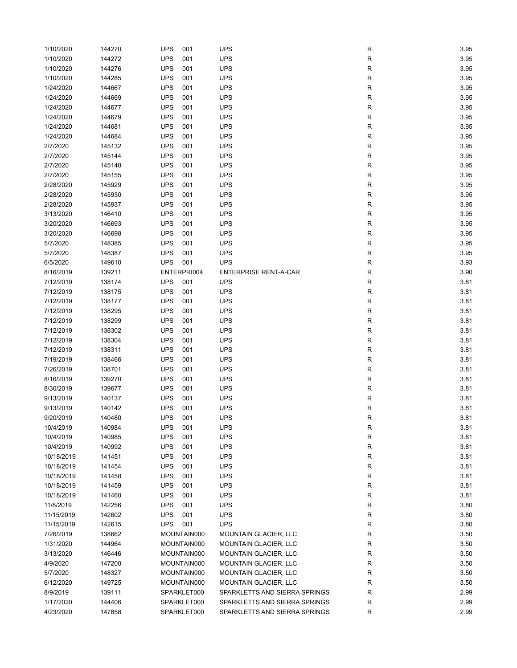| 1/10/2020  | 144270 | <b>UPS</b><br>001 | <b>UPS</b>                    | R           | 3.95 |
|------------|--------|-------------------|-------------------------------|-------------|------|
| 1/10/2020  | 144272 | <b>UPS</b><br>001 | <b>UPS</b>                    | R           | 3.95 |
| 1/10/2020  | 144276 | <b>UPS</b><br>001 | <b>UPS</b>                    | R           | 3.95 |
| 1/10/2020  | 144285 | <b>UPS</b><br>001 | <b>UPS</b>                    | R           | 3.95 |
| 1/24/2020  | 144667 | <b>UPS</b><br>001 | <b>UPS</b>                    | R           | 3.95 |
|            |        |                   |                               |             |      |
| 1/24/2020  | 144669 | <b>UPS</b><br>001 | <b>UPS</b>                    | R           | 3.95 |
| 1/24/2020  | 144677 | <b>UPS</b><br>001 | <b>UPS</b>                    | R           | 3.95 |
| 1/24/2020  | 144679 | <b>UPS</b><br>001 | <b>UPS</b>                    | ${\sf R}$   | 3.95 |
| 1/24/2020  | 144681 | <b>UPS</b><br>001 | <b>UPS</b>                    | ${\sf R}$   | 3.95 |
| 1/24/2020  | 144684 | <b>UPS</b><br>001 | <b>UPS</b>                    | R           | 3.95 |
| 2/7/2020   | 145132 | <b>UPS</b><br>001 | <b>UPS</b>                    | R           | 3.95 |
| 2/7/2020   | 145144 | <b>UPS</b><br>001 | <b>UPS</b>                    | R           | 3.95 |
| 2/7/2020   | 145148 | <b>UPS</b><br>001 | <b>UPS</b>                    | R           | 3.95 |
| 2/7/2020   | 145155 | <b>UPS</b><br>001 | <b>UPS</b>                    | R           | 3.95 |
| 2/28/2020  | 145929 | <b>UPS</b><br>001 | <b>UPS</b>                    | R           | 3.95 |
| 2/28/2020  | 145930 | <b>UPS</b><br>001 | <b>UPS</b>                    | R           | 3.95 |
| 2/28/2020  | 145937 | <b>UPS</b><br>001 | UPS                           | R           | 3.95 |
| 3/13/2020  | 146410 | <b>UPS</b><br>001 | <b>UPS</b>                    | R           | 3.95 |
| 3/20/2020  | 146693 | <b>UPS</b><br>001 | <b>UPS</b>                    | R           | 3.95 |
| 3/20/2020  | 146698 | <b>UPS</b><br>001 | <b>UPS</b>                    | R           | 3.95 |
| 5/7/2020   | 148385 | <b>UPS</b><br>001 | <b>UPS</b>                    | R           | 3.95 |
| 5/7/2020   | 148387 | <b>UPS</b><br>001 | <b>UPS</b>                    | R           | 3.95 |
| 6/5/2020   | 149610 | <b>UPS</b><br>001 | <b>UPS</b>                    | R           | 3.93 |
| 8/16/2019  | 139211 | ENTERPRI004       | <b>ENTERPRISE RENT-A-CAR</b>  | R           | 3.90 |
| 7/12/2019  | 138174 | <b>UPS</b><br>001 | <b>UPS</b>                    | R           | 3.81 |
| 7/12/2019  | 138175 | <b>UPS</b><br>001 | <b>UPS</b>                    | R           | 3.81 |
|            |        |                   |                               |             |      |
| 7/12/2019  | 138177 | <b>UPS</b><br>001 | <b>UPS</b>                    | R           | 3.81 |
| 7/12/2019  | 138295 | <b>UPS</b><br>001 | <b>UPS</b>                    | R           | 3.81 |
| 7/12/2019  | 138299 | <b>UPS</b><br>001 | <b>UPS</b>                    | ${\sf R}$   | 3.81 |
| 7/12/2019  | 138302 | <b>UPS</b><br>001 | <b>UPS</b>                    | R           | 3.81 |
| 7/12/2019  | 138304 | <b>UPS</b><br>001 | <b>UPS</b>                    | R           | 3.81 |
| 7/12/2019  | 138311 | <b>UPS</b><br>001 | <b>UPS</b>                    | R           | 3.81 |
| 7/19/2019  | 138466 | <b>UPS</b><br>001 | <b>UPS</b>                    | R           | 3.81 |
| 7/26/2019  | 138701 | <b>UPS</b><br>001 | <b>UPS</b>                    | R           | 3.81 |
| 8/16/2019  | 139270 | <b>UPS</b><br>001 | <b>UPS</b>                    | R           | 3.81 |
| 8/30/2019  | 139677 | <b>UPS</b><br>001 | <b>UPS</b>                    | R           | 3.81 |
| 9/13/2019  | 140137 | <b>UPS</b><br>001 | <b>UPS</b>                    | R           | 3.81 |
| 9/13/2019  | 140142 | <b>UPS</b><br>001 | <b>UPS</b>                    | R           | 3.81 |
| 9/20/2019  | 140480 | <b>UPS</b><br>001 | <b>UPS</b>                    | R           | 3.81 |
| 10/4/2019  | 140984 | 001<br><b>UPS</b> | <b>UPS</b>                    | R           | 3.81 |
| 10/4/2019  | 140985 | <b>UPS</b><br>001 | <b>UPS</b>                    | R           | 3.81 |
| 10/4/2019  | 140992 | <b>UPS</b><br>001 | <b>UPS</b>                    | $\mathsf R$ | 3.81 |
| 10/18/2019 | 141451 | <b>UPS</b><br>001 | <b>UPS</b>                    | ${\sf R}$   | 3.81 |
| 10/18/2019 | 141454 | <b>UPS</b><br>001 | <b>UPS</b>                    | ${\sf R}$   | 3.81 |
| 10/18/2019 | 141458 | <b>UPS</b><br>001 | <b>UPS</b>                    | R           | 3.81 |
| 10/18/2019 | 141459 | <b>UPS</b><br>001 | <b>UPS</b>                    | R           | 3.81 |
| 10/18/2019 | 141460 | <b>UPS</b><br>001 | <b>UPS</b>                    | R           | 3.81 |
|            |        |                   |                               |             |      |
| 11/8/2019  | 142256 | <b>UPS</b><br>001 | <b>UPS</b>                    | ${\sf R}$   | 3.80 |
| 11/15/2019 | 142602 | <b>UPS</b><br>001 | <b>UPS</b>                    | R           | 3.80 |
| 11/15/2019 | 142615 | <b>UPS</b><br>001 | <b>UPS</b>                    | R           | 3.80 |
| 7/26/2019  | 138662 | MOUNTAIN000       | <b>MOUNTAIN GLACIER, LLC</b>  | ${\sf R}$   | 3.50 |
| 1/31/2020  | 144964 | MOUNTAIN000       | <b>MOUNTAIN GLACIER, LLC</b>  | R           | 3.50 |
| 3/13/2020  | 146446 | MOUNTAIN000       | <b>MOUNTAIN GLACIER, LLC</b>  | R           | 3.50 |
| 4/9/2020   | 147200 | MOUNTAIN000       | <b>MOUNTAIN GLACIER, LLC</b>  | R           | 3.50 |
| 5/7/2020   | 148327 | MOUNTAIN000       | <b>MOUNTAIN GLACIER, LLC</b>  | R           | 3.50 |
| 6/12/2020  | 149725 | MOUNTAIN000       | <b>MOUNTAIN GLACIER, LLC</b>  | R           | 3.50 |
| 8/9/2019   | 139111 | SPARKLET000       | SPARKLETTS AND SIERRA SPRINGS | R           | 2.99 |
| 1/17/2020  | 144406 | SPARKLET000       | SPARKLETTS AND SIERRA SPRINGS | R           | 2.99 |
| 4/23/2020  | 147858 | SPARKLET000       | SPARKLETTS AND SIERRA SPRINGS | R           | 2.99 |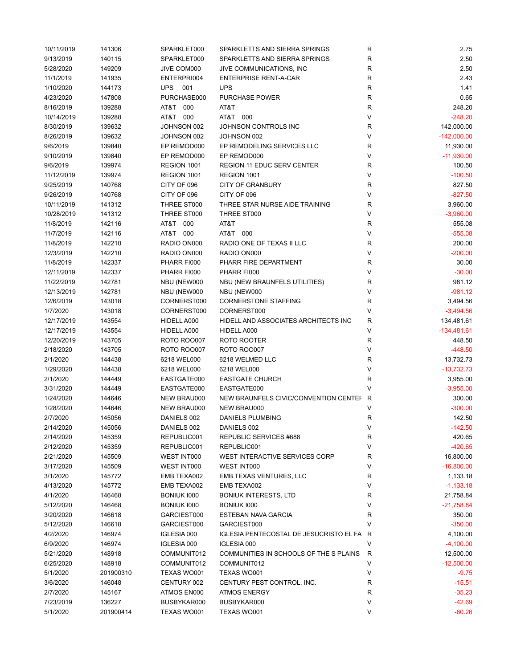| 10/11/2019 | 141306    | SPARKLET000        | SPARKLETTS AND SIERRA SPRINGS             | R            | 2.75          |
|------------|-----------|--------------------|-------------------------------------------|--------------|---------------|
| 9/13/2019  | 140115    | SPARKLET000        | SPARKLETTS AND SIERRA SPRINGS             | $\mathsf R$  | 2.50          |
| 5/28/2020  | 149209    | JIVE COM000        | JIVE COMMUNICATIONS, INC                  | $\mathsf R$  | 2.50          |
| 11/1/2019  | 141935    | ENTERPRI004        | <b>ENTERPRISE RENT-A-CAR</b>              | $\mathsf R$  | 2.43          |
| 1/10/2020  | 144173    | <b>UPS</b><br>001  | <b>UPS</b>                                | $\mathsf R$  | 1.41          |
| 4/23/2020  | 147808    | PURCHASE000        | <b>PURCHASE POWER</b>                     | R            | 0.65          |
| 8/16/2019  | 139288    | AT&T<br>000        | AT&T                                      | R            | 248.20        |
| 10/14/2019 | 139288    | AT&T 000           | AT&T 000                                  | V            | $-248.20$     |
| 8/30/2019  | 139632    | JOHNSON 002        | JOHNSON CONTROLS INC                      | R            | 142,000.00    |
| 8/26/2019  | 139632    | JOHNSON 002        | JOHNSON 002                               | $\vee$       | $-142,000.00$ |
| 9/6/2019   | 139840    | EP REMOD000        | EP REMODELING SERVICES LLC                | R            | 11,930.00     |
|            |           |                    |                                           | V            |               |
| 9/10/2019  | 139840    | EP REMOD000        | EP REMOD000                               |              | $-11,930.00$  |
| 9/6/2019   | 139974    | REGION 1001        | <b>REGION 11 EDUC SERV CENTER</b>         | R            | 100.50        |
| 11/12/2019 | 139974    | REGION 1001        | REGION 1001                               | V            | $-100.50$     |
| 9/25/2019  | 140768    | CITY OF 096        | <b>CITY OF GRANBURY</b>                   | $\mathsf R$  | 827.50        |
| 9/26/2019  | 140768    | CITY OF 096        | CITY OF 096                               | $\vee$       | $-827.50$     |
| 10/11/2019 | 141312    | THREE ST000        | THREE STAR NURSE AIDE TRAINING            | R            | 3,960.00      |
| 10/28/2019 | 141312    | THREE ST000        | THREE ST000                               | V            | $-3,960.00$   |
| 11/8/2019  | 142116    | AT&T 000           | AT&T                                      | R            | 555.08        |
| 11/7/2019  | 142116    | AT&T 000           | AT&T 000                                  | V            | $-555.08$     |
| 11/8/2019  | 142210    | RADIO ON000        | RADIO ONE OF TEXAS II LLC                 | R            | 200.00        |
| 12/3/2019  | 142210    | RADIO ON000        | RADIO ON000                               | $\vee$       | $-200.00$     |
| 11/8/2019  | 142337    | PHARR FI000        | PHARR FIRE DEPARTMENT                     | $\mathsf R$  | 30.00         |
| 12/11/2019 | 142337    | PHARR FI000        | PHARR FI000                               | V            | $-30.00$      |
| 11/22/2019 | 142781    | NBU (NEW000        | NBU (NEW BRAUNFELS UTILITIES)             | R            | 981.12        |
| 12/13/2019 | 142781    | NBU (NEW000        | NBU (NEW000                               | V            | $-981.12$     |
| 12/6/2019  | 143018    | CORNERST000        | <b>CORNERSTONE STAFFING</b>               | $\mathsf{R}$ | 3,494.56      |
| 1/7/2020   | 143018    | CORNERST000        | CORNERST000                               | $\vee$       | $-3,494.56$   |
| 12/17/2019 | 143554    | HIDELL A000        | HIDELL AND ASSOCIATES ARCHITECTS INC      | R            | 134,481.61    |
| 12/17/2019 | 143554    | HIDELL A000        | HIDELL A000                               | V            | $-134,481.61$ |
| 12/20/2019 | 143705    | <b>ROTO ROO007</b> | ROTO ROOTER                               | R            | 448.50        |
|            |           |                    | <b>ROTO ROO007</b>                        | V            |               |
| 2/18/2020  | 143705    | <b>ROTO ROO007</b> |                                           |              | $-448.50$     |
| 2/1/2020   | 144438    | 6218 WEL000        | 6218 WELMED LLC                           | R            | 13,732.73     |
| 1/29/2020  | 144438    | 6218 WEL000        | 6218 WEL000                               | $\vee$       | $-13,732.73$  |
| 2/1/2020   | 144449    | EASTGATE000        | <b>EASTGATE CHURCH</b>                    | $\mathsf{R}$ | 3,955.00      |
| 3/31/2020  | 144449    | EASTGATE000        | EASTGATE000                               | V            | $-3,955.00$   |
| 1/24/2020  | 144646    | NEW BRAU000        | NEW BRAUNFELS CIVIC/CONVENTION CENTEF R   |              | 300.00        |
| 1/28/2020  | 144646    | NEW BRAU000        | <b>NEW BRAU000</b>                        | V            | $-300.00$     |
| 2/7/2020   | 145056    | DANIELS 002        | DANIELS PLUMBING                          | R            | 142.50        |
| 2/14/2020  | 145056    | DANIELS 002        | DANIELS 002                               | $\mathsf{V}$ | $-142.50$     |
| 2/14/2020  | 145359    | REPUBLIC001        | REPUBLIC SERVICES #688                    | ${\sf R}$    | 420.65        |
| 2/12/2020  | 145359    | REPUBLIC001        | REPUBLIC001                               | V            | $-420.65$     |
| 2/21/2020  | 145509    | WEST INT000        | WEST INTERACTIVE SERVICES CORP            | R            | 16,800.00     |
| 3/17/2020  | 145509    | WEST INT000        | WEST INT000                               | V            | $-16,800.00$  |
| 3/1/2020   | 145772    | EMB TEXA002        | EMB TEXAS VENTURES, LLC                   | R            | 1,133.18      |
| 4/13/2020  | 145772    | EMB TEXA002        | EMB TEXA002                               | V            | $-1,133.18$   |
| 4/1/2020   | 146468    | BONIUK 1000        | <b>BONIUK INTERESTS, LTD</b>              | R            | 21,758.84     |
| 5/12/2020  | 146468    | BONIUK 1000        | BONIUK 1000                               | V            | $-21,758.84$  |
| 3/20/2020  | 146618    | GARCIEST000        | <b>ESTEBAN NAVA GARCIA</b>                | R            | 350.00        |
| 5/12/2020  | 146618    | GARCIEST000        | GARCIEST000                               | V            | $-350.00$     |
| 4/2/2020   | 146974    | IGLESIA 000        | IGLESIA PENTECOSTAL DE JESUCRISTO EL FA R |              | 4,100.00      |
| 6/9/2020   | 146974    | IGLESIA 000        | IGLESIA 000                               | V            | $-4,100.00$   |
| 5/21/2020  | 148918    | COMMUNIT012        | COMMUNITIES IN SCHOOLS OF THE S PLAINS    | R            | 12,500.00     |
| 6/25/2020  | 148918    | COMMUNIT012        | COMMUNIT012                               | V            | $-12,500.00$  |
| 5/1/2020   | 201900310 | TEXAS WO001        | TEXAS WO001                               | V            | $-9.75$       |
|            |           |                    |                                           |              |               |
| 3/6/2020   | 146048    | CENTURY 002        | CENTURY PEST CONTROL, INC.                | R            | $-15.51$      |
| 2/7/2020   | 145167    | ATMOS EN000        | <b>ATMOS ENERGY</b>                       | R            | $-35.23$      |
| 7/23/2019  | 136227    | BUSBYKAR000        | BUSBYKAR000                               | V            | $-42.69$      |
| 5/1/2020   | 201900414 | TEXAS WO001        | TEXAS WO001                               | V            | $-60.26$      |